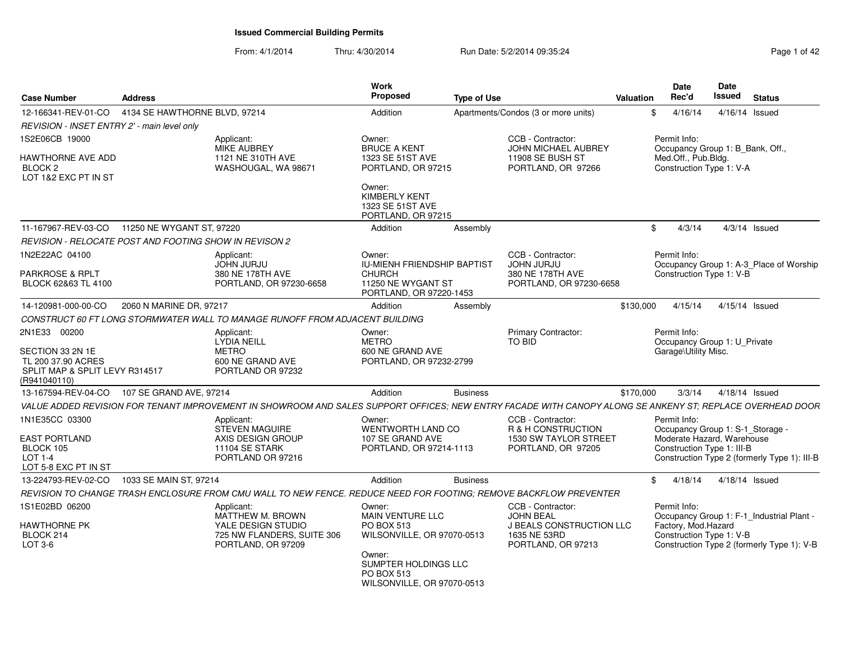From: 4/1/2014Thru: 4/30/2014 Run Date: 5/2/2014 09:35:24 Page 1 of 42

| <b>Case Number</b>                                                                       | <b>Address</b>                |                                                                                                                                                           | Work<br><b>Proposed</b>                                                                                 | <b>Type of Use</b> |                                                                                       | Valuation      | <b>Date</b><br>Rec'd                                                                                | Date<br><b>Issued</b> | <b>Status</b>                                |
|------------------------------------------------------------------------------------------|-------------------------------|-----------------------------------------------------------------------------------------------------------------------------------------------------------|---------------------------------------------------------------------------------------------------------|--------------------|---------------------------------------------------------------------------------------|----------------|-----------------------------------------------------------------------------------------------------|-----------------------|----------------------------------------------|
| 12-166341-REV-01-CO                                                                      | 4134 SE HAWTHORNE BLVD, 97214 |                                                                                                                                                           | Addition                                                                                                |                    | Apartments/Condos (3 or more units)                                                   | \$             | 4/16/14                                                                                             |                       | 4/16/14 Issued                               |
| REVISION - INSET ENTRY 2' - main level only                                              |                               |                                                                                                                                                           |                                                                                                         |                    |                                                                                       |                |                                                                                                     |                       |                                              |
| 1S2E06CB 19000<br>HAWTHORNE AVE ADD<br>BLOCK <sub>2</sub>                                |                               | Applicant:<br><b>MIKE AUBREY</b><br>1121 NE 310TH AVE<br>WASHOUGAL, WA 98671                                                                              | Owner:<br><b>BRUCE A KENT</b><br>1323 SE 51ST AVE<br>PORTLAND, OR 97215                                 |                    | CCB - Contractor:<br>JOHN MICHAEL AUBREY<br>11908 SE BUSH ST<br>PORTLAND, OR 97266    |                | Permit Info:<br>Occupancy Group 1: B_Bank, Off.,<br>Med.Off., Pub.Bldg.<br>Construction Type 1: V-A |                       |                                              |
| LOT 1&2 EXC PT IN ST                                                                     |                               |                                                                                                                                                           | Owner:<br><b>KIMBERLY KENT</b><br>1323 SE 51ST AVE<br>PORTLAND, OR 97215                                |                    |                                                                                       |                |                                                                                                     |                       |                                              |
| 11-167967-REV-03-CO                                                                      | 11250 NE WYGANT ST, 97220     |                                                                                                                                                           | Addition                                                                                                | Assembly           |                                                                                       | $\mathfrak{S}$ | 4/3/14                                                                                              |                       | $4/3/14$ Issued                              |
| REVISION - RELOCATE POST AND FOOTING SHOW IN REVISON 2                                   |                               |                                                                                                                                                           |                                                                                                         |                    |                                                                                       |                |                                                                                                     |                       |                                              |
| 1N2E22AC 04100<br>PARKROSE & RPLT<br>BLOCK 62&63 TL 4100                                 |                               | Applicant:<br><b>JOHN JURJU</b><br>380 NE 178TH AVE<br>PORTLAND, OR 97230-6658                                                                            | Owner:<br>IU-MIENH FRIENDSHIP BAPTIST<br><b>CHURCH</b><br>11250 NE WYGANT ST<br>PORTLAND, OR 97220-1453 |                    | CCB - Contractor:<br><b>JOHN JURJU</b><br>380 NE 178TH AVE<br>PORTLAND, OR 97230-6658 |                | Permit Info:<br>Construction Type 1: V-B                                                            |                       | Occupancy Group 1: A-3_Place of Worship      |
| 14-120981-000-00-CO                                                                      | 2060 N MARINE DR, 97217       |                                                                                                                                                           | Addition                                                                                                | Assembly           |                                                                                       | \$130,000      | 4/15/14                                                                                             |                       | 4/15/14 Issued                               |
|                                                                                          |                               | CONSTRUCT 60 FT LONG STORMWATER WALL TO MANAGE RUNOFF FROM ADJACENT BUILDING                                                                              |                                                                                                         |                    |                                                                                       |                |                                                                                                     |                       |                                              |
| 2N1E33 00200                                                                             |                               | Applicant:<br><b>LYDIA NEILL</b>                                                                                                                          | Owner:<br><b>METRO</b>                                                                                  |                    | Primary Contractor:<br>TO BID                                                         |                | Permit Info:<br>Occupancy Group 1: U_Private                                                        |                       |                                              |
| SECTION 33 2N 1E<br>TL 200 37.90 ACRES<br>SPLIT MAP & SPLIT LEVY R314517<br>(R941040110) |                               | <b>METRO</b><br>600 NE GRAND AVE<br>PORTLAND OR 97232                                                                                                     | 600 NE GRAND AVE<br>PORTLAND, OR 97232-2799                                                             |                    |                                                                                       |                | Garage\Utility Misc.                                                                                |                       |                                              |
| 13-167594-REV-04-CO                                                                      | 107 SE GRAND AVE, 97214       |                                                                                                                                                           | Addition                                                                                                | <b>Business</b>    |                                                                                       | \$170,000      | 3/3/14                                                                                              |                       | 4/18/14 Issued                               |
|                                                                                          |                               | VALUE ADDED REVISION FOR TENANT IMPROVEMENT IN SHOWROOM AND SALES SUPPORT OFFICES; NEW ENTRY FACADE WITH CANOPY ALONG SE ANKENY ST; REPLACE OVERHEAD DOOR |                                                                                                         |                    |                                                                                       |                |                                                                                                     |                       |                                              |
| 1N1E35CC 03300                                                                           |                               | Applicant:<br>STEVEN MAGUIRE                                                                                                                              | Owner:<br>WENTWORTH LAND CO                                                                             |                    | CCB - Contractor:<br>R & H CONSTRUCTION                                               |                | Permit Info:<br>Occupancy Group 1: S-1_Storage -                                                    |                       |                                              |
| <b>EAST PORTLAND</b><br>BLOCK 105<br>LOT 1-4<br>LOT 5-8 EXC PT IN ST                     |                               | AXIS DESIGN GROUP<br>11104 SE STARK<br>PORTLAND OR 97216                                                                                                  | 107 SE GRAND AVE<br>PORTLAND, OR 97214-1113                                                             |                    | 1530 SW TAYLOR STREET<br>PORTLAND, OR 97205                                           |                | Moderate Hazard, Warehouse<br>Construction Type 1: III-B                                            |                       | Construction Type 2 (formerly Type 1): III-B |
| 13-224793-REV-02-CO                                                                      | 1033 SE MAIN ST, 97214        |                                                                                                                                                           | Addition                                                                                                | <b>Business</b>    |                                                                                       | \$             | 4/18/14                                                                                             |                       | 4/18/14 Issued                               |
|                                                                                          |                               | REVISION TO CHANGE TRASH ENCLOSURE FROM CMU WALL TO NEW FENCE. REDUCE NEED FOR FOOTING; REMOVE BACKFLOW PREVENTER                                         |                                                                                                         |                    |                                                                                       |                |                                                                                                     |                       |                                              |
| 1S1E02BD 06200                                                                           |                               | Applicant:<br>MATTHEW M. BROWN                                                                                                                            | Owner:<br><b>MAIN VENTURE LLC</b>                                                                       |                    | CCB - Contractor:<br><b>JOHN BEAL</b>                                                 |                | Permit Info:                                                                                        |                       | Occupancy Group 1: F-1_Industrial Plant -    |
| HAWTHORNE PK<br>BLOCK 214<br>LOT 3-6                                                     |                               | YALE DESIGN STUDIO<br>725 NW FLANDERS, SUITE 306<br>PORTLAND, OR 97209                                                                                    | PO BOX 513<br>WILSONVILLE, OR 97070-0513                                                                |                    | <b>J BEALS CONSTRUCTION LLC</b><br>1635 NE 53RD<br>PORTLAND, OR 97213                 |                | Factory, Mod. Hazard<br>Construction Type 1: V-B                                                    |                       | Construction Type 2 (formerly Type 1): V-B   |
|                                                                                          |                               |                                                                                                                                                           | Owner:<br>SUMPTER HOLDINGS LLC<br>PO BOX 513<br>WILSONVILLE, OR 97070-0513                              |                    |                                                                                       |                |                                                                                                     |                       |                                              |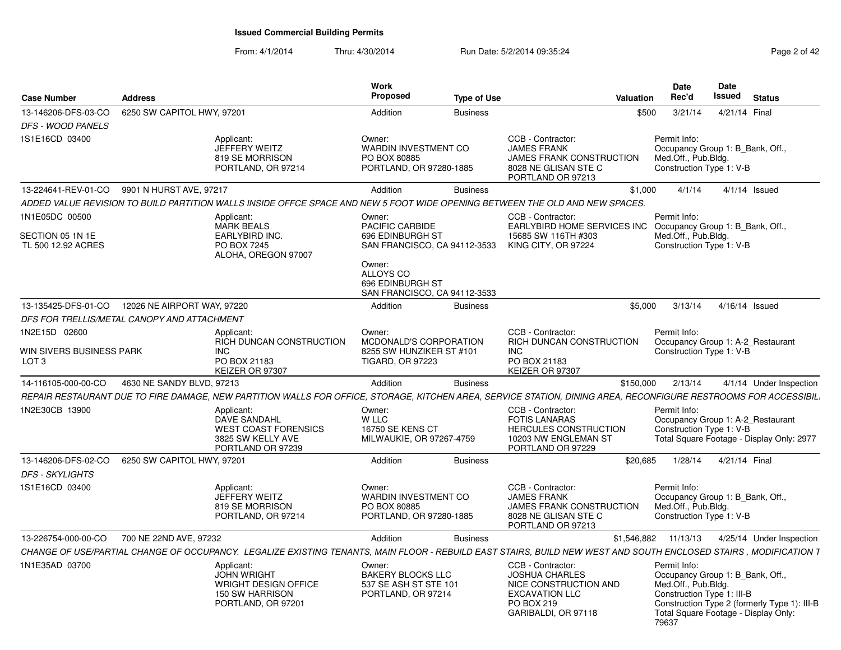#### From: 4/1/2014Thru: 4/30/2014 Run Date: 5/2/2014 09:35:24 Page 2 of 42

| <b>Case Number</b>                                 | <b>Address</b> |                                                                                                                                                                  | Work<br><b>Proposed</b>                                                                 | <b>Type of Use</b> |                                                                                                                                   | Date<br>Rec'd<br>Valuation        |                                                   | <b>Date</b><br>Issued<br><b>Status</b>                                                                                   |
|----------------------------------------------------|----------------|------------------------------------------------------------------------------------------------------------------------------------------------------------------|-----------------------------------------------------------------------------------------|--------------------|-----------------------------------------------------------------------------------------------------------------------------------|-----------------------------------|---------------------------------------------------|--------------------------------------------------------------------------------------------------------------------------|
| 13-146206-DFS-03-CO   6250 SW CAPITOL HWY, 97201   |                |                                                                                                                                                                  | Addition                                                                                | Business           |                                                                                                                                   | \$500 3/21/14                     |                                                   | 4/21/14 Final                                                                                                            |
| DFS - WOOD PANELS                                  |                |                                                                                                                                                                  |                                                                                         |                    |                                                                                                                                   |                                   |                                                   |                                                                                                                          |
| 1S1E16CD 03400                                     |                | Applicant:<br>JEFFERY WEITZ<br>819 SE MORRISON<br>PORTLAND, OR 97214                                                                                             | Owner:<br>WARDIN INVESTMENT CO<br>PO BOX 80885<br>PORTLAND, OR 97280-1885               |                    | CCB - Contractor:<br><b>JAMES FRANK</b><br>JAMES FRANK CONSTRUCTION<br>8028 NE GLISAN STE C<br>PORTLAND OR 97213                  | Permit Info:                      | Med.Off., Pub.Bldg.<br>Construction Type 1: V-B   | Occupancy Group 1: B_Bank, Off.,                                                                                         |
| 13-224641-REV-01-CO 9901 N HURST AVE, 97217        |                |                                                                                                                                                                  | Addition                                                                                | <b>Business</b>    |                                                                                                                                   | \$1,000 4/1/14 4/1/14 Issued      |                                                   |                                                                                                                          |
|                                                    |                | ADDED VALUE REVISION TO BUILD PARTITION WALLS INSIDE OFFCE SPACE AND NEW 5 FOOT WIDE OPENING BETWEEN THE OLD AND NEW SPACES                                      |                                                                                         |                    |                                                                                                                                   |                                   |                                                   |                                                                                                                          |
| 1N1E05DC 00500                                     |                | Applicant:                                                                                                                                                       | Owner:                                                                                  |                    | CCB - Contractor:                                                                                                                 | Permit Info:                      |                                                   |                                                                                                                          |
| SECTION 05 1N 1E                                   |                | <b>MARK BEALS</b><br><b>EARLYBIRD INC.</b>                                                                                                                       | <b>PACIFIC CARBIDE</b><br>696 EDINBURGH ST                                              |                    | EARLYBIRD HOME SERVICES INC Occupancy Group 1: B_Bank, Off.,<br>15685 SW 116TH #303                                               |                                   | Med.Off., Pub.Bldg.                               |                                                                                                                          |
| TL 500 12.92 ACRES                                 |                | PO BOX 7245<br>ALOHA, OREGON 97007                                                                                                                               | Owner:<br>ALLOYS CO<br>696 EDINBURGH ST<br>SAN FRANCISCO, CA 94112-3533                 |                    | SAN FRANCISCO, CA 94112-3533 KING CITY, OR 97224                                                                                  |                                   | Construction Type 1: V-B                          |                                                                                                                          |
| 13-135425-DFS-01-CO  12026 NE AIRPORT WAY, 97220   |                |                                                                                                                                                                  | Addition                                                                                | Business           |                                                                                                                                   | \$5,000  3/13/14  4/16/14  Issued |                                                   |                                                                                                                          |
| DFS FOR TRELLIS/METAL CANOPY AND ATTACHMENT        |                |                                                                                                                                                                  |                                                                                         |                    |                                                                                                                                   |                                   |                                                   |                                                                                                                          |
| 1N2E15D 02600<br>WIN SIVERS BUSINESS PARK<br>LOT 3 |                | Applicant:<br>RICH DUNCAN CONSTRUCTION<br><b>INC</b><br>PO BOX 21183<br>KEIZER OR 97307                                                                          | Owner:<br>MCDONALD'S CORPORATION<br>8255 SW HUNZIKER ST #101<br><b>TIGARD, OR 97223</b> |                    | CCB - Contractor:<br>RICH DUNCAN CONSTRUCTION<br><b>INC</b><br>PO BOX 21183<br>KEIZER OR 97307                                    | Permit Info:                      | Construction Type 1: V-B                          | Occupancy Group 1: A-2_Restaurant                                                                                        |
| 14-116105-000-00-CO 4630 NE SANDY BLVD, 97213      |                |                                                                                                                                                                  | Addition                                                                                | <b>Business</b>    |                                                                                                                                   |                                   |                                                   | \$150,000  2/13/14  4/1/14  Under Inspection                                                                             |
|                                                    |                | REPAIR RESTAURANT DUE TO FIRE DAMAGE, NEW PARTITION WALLS FOR OFFICE, STORAGE, KITCHEN AREA, SERVICE STATION, DINING AREA, RECONFIGURE RESTROOMS FOR ACCESSIBIL  |                                                                                         |                    |                                                                                                                                   |                                   |                                                   |                                                                                                                          |
| 1N2E30CB 13900                                     |                | Applicant:<br>DAVE SANDAHL<br><b>WEST COAST FORENSICS</b><br>3825 SW KELLY AVE<br>PORTLAND OR 97239                                                              | Owner:<br>W LLC<br>16750 SE KENS CT<br>MILWAUKIE, OR 97267-4759                         |                    | CCB - Contractor:<br><b>FOTIS LANARAS</b><br><b>HERCULES CONSTRUCTION</b><br>10203 NW ENGLEMAN ST<br>PORTLAND OR 97229            | Permit Info:                      | Construction Type 1: V-B                          | Occupancy Group 1: A-2 Restaurant<br>Total Square Footage - Display Only: 2977                                           |
| 13-146206-DFS-02-CO   6250 SW CAPITOL HWY, 97201   |                |                                                                                                                                                                  | Addition                                                                                | Business           |                                                                                                                                   | \$20,685                          |                                                   | 1/28/14  4/21/14  Final                                                                                                  |
| <b>DFS - SKYLIGHTS</b>                             |                |                                                                                                                                                                  |                                                                                         |                    |                                                                                                                                   |                                   |                                                   |                                                                                                                          |
| 1S1E16CD 03400                                     |                | Applicant:<br>JEFFERY WEITZ<br>819 SE MORRISON<br>PORTLAND, OR 97214                                                                                             | Owner:<br><b>WARDIN INVESTMENT CO</b><br>PO BOX 80885<br>PORTLAND, OR 97280-1885        |                    | CCB - Contractor:<br><b>JAMES FRANK</b><br><b>JAMES FRANK CONSTRUCTION</b><br>8028 NE GLISAN STE C<br>PORTLAND OR 97213           | Permit Info:                      | Med.Off., Pub.Bldg.<br>Construction Type 1: V-B   | Occupancy Group 1: B Bank, Off.,                                                                                         |
| 13-226754-000-00-CO 700 NE 22ND AVE, 97232         |                |                                                                                                                                                                  | Addition                                                                                | Business           |                                                                                                                                   |                                   |                                                   | \$1,546,882  11/13/13  4/25/14  Under Inspection                                                                         |
|                                                    |                | CHANGE OF USE/PARTIAL CHANGE OF OCCUPANCY. LEGALIZE EXISTING TENANTS, MAIN FLOOR - REBUILD EAST STAIRS, BUILD NEW WEST AND SOUTH ENCLOSED STAIRS, MODIFICATION 1 |                                                                                         |                    |                                                                                                                                   |                                   |                                                   |                                                                                                                          |
| 1N1E35AD 03700                                     |                | Applicant:<br><b>JOHN WRIGHT</b><br><b>WRIGHT DESIGN OFFICE</b><br>150 SW HARRISON<br>PORTLAND, OR 97201                                                         | Owner:<br><b>BAKERY BLOCKS LLC</b><br>537 SE ASH ST STE 101<br>PORTLAND, OR 97214       |                    | CCB - Contractor:<br><b>JOSHUA CHARLES</b><br>NICE CONSTRUCTION AND<br><b>EXCAVATION LLC</b><br>PO BOX 219<br>GARIBALDI, OR 97118 | Permit Info:<br>79637             | Med.Off., Pub.Blda.<br>Construction Type 1: III-B | Occupancy Group 1: B_Bank, Off.,<br>Construction Type 2 (formerly Type 1): III-B<br>Total Square Footage - Display Only: |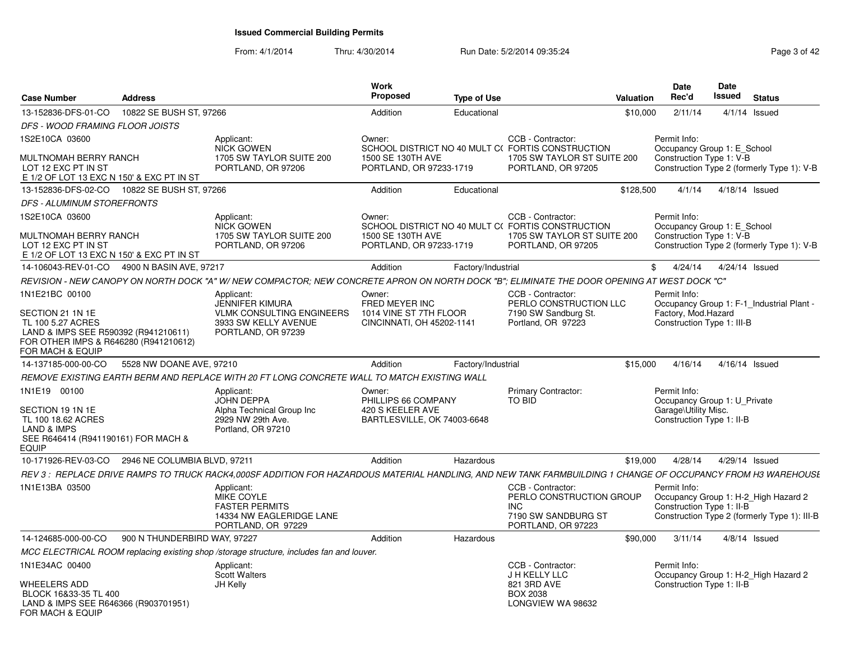From: 4/1/2014Thru: 4/30/2014 Run Date: 5/2/2014 09:35:24 Rege 3 of 42

| <b>Case Number</b>                                                                                                                         | <b>Address</b>               |                                                                                                     | Work<br><b>Proposed</b>                             | <b>Type of Use</b> | <b>Valuation</b>                                                                                                                                             | <b>Date</b><br>Rec'd                                    | Date<br><b>Issued</b> | <b>Status</b>                                                                        |
|--------------------------------------------------------------------------------------------------------------------------------------------|------------------------------|-----------------------------------------------------------------------------------------------------|-----------------------------------------------------|--------------------|--------------------------------------------------------------------------------------------------------------------------------------------------------------|---------------------------------------------------------|-----------------------|--------------------------------------------------------------------------------------|
| 13-152836-DFS-01-CO                                                                                                                        | 10822 SE BUSH ST, 97266      |                                                                                                     | Addition                                            | Educational        | \$10,000                                                                                                                                                     | 2/11/14                                                 |                       | $4/1/14$ Issued                                                                      |
| DFS - WOOD FRAMING FLOOR JOISTS                                                                                                            |                              |                                                                                                     |                                                     |                    |                                                                                                                                                              |                                                         |                       |                                                                                      |
| 1S2E10CA 03600                                                                                                                             |                              | Applicant:                                                                                          | Owner:                                              |                    | CCB - Contractor:                                                                                                                                            | Permit Info:                                            |                       |                                                                                      |
| MULTNOMAH BERRY RANCH<br>LOT 12 EXC PT IN ST<br>E 1/2 OF LOT 13 EXC N 150' & EXC PT IN ST                                                  |                              | <b>NICK GOWEN</b><br>1705 SW TAYLOR SUITE 200<br>PORTLAND, OR 97206                                 | 1500 SE 130TH AVE<br>PORTLAND, OR 97233-1719        |                    | SCHOOL DISTRICT NO 40 MULT C(FORTIS CONSTRUCTION<br>1705 SW TAYLOR ST SUITE 200<br>PORTLAND, OR 97205                                                        | Occupancy Group 1: E School<br>Construction Type 1: V-B |                       | Construction Type 2 (formerly Type 1): V-B                                           |
| 13-152836-DFS-02-CO                                                                                                                        | 10822 SE BUSH ST, 97266      |                                                                                                     | Addition                                            | Educational        | \$128,500                                                                                                                                                    | 4/1/14                                                  | 4/18/14 Issued        |                                                                                      |
| <b>DFS - ALUMINUM STOREFRONTS</b>                                                                                                          |                              |                                                                                                     |                                                     |                    |                                                                                                                                                              |                                                         |                       |                                                                                      |
| 1S2E10CA 03600                                                                                                                             |                              | Applicant:<br><b>NICK GOWEN</b>                                                                     | Owner:                                              |                    | CCB - Contractor:<br>SCHOOL DISTRICT NO 40 MULT C(FORTIS CONSTRUCTION                                                                                        | Permit Info:<br>Occupancy Group 1: E School             |                       |                                                                                      |
| MULTNOMAH BERRY RANCH<br>LOT 12 EXC PT IN ST<br>E 1/2 OF LOT 13 EXC N 150' & EXC PT IN ST                                                  |                              | 1705 SW TAYLOR SUITE 200<br>PORTLAND, OR 97206                                                      | 1500 SE 130TH AVE<br>PORTLAND, OR 97233-1719        |                    | 1705 SW TAYLOR ST SUITE 200<br>PORTLAND, OR 97205                                                                                                            | Construction Type 1: V-B                                |                       | Construction Type 2 (formerly Type 1): V-B                                           |
| 14-106043-REV-01-CO                                                                                                                        | 4900 N BASIN AVE, 97217      |                                                                                                     | Addition                                            | Factory/Industrial |                                                                                                                                                              | \$<br>4/24/14                                           | 4/24/14 Issued        |                                                                                      |
|                                                                                                                                            |                              |                                                                                                     |                                                     |                    | REVISION - NEW CANOPY ON NORTH DOCK "A" W/ NEW COMPACTOR; NEW CONCRETE APRON ON NORTH DOCK "B"; ELIMINATE THE DOOR OPENING AT WEST DOCK "C"                  |                                                         |                       |                                                                                      |
| 1N1E21BC 00100                                                                                                                             |                              | Applicant:<br><b>JENNIFER KIMURA</b>                                                                | Owner:<br>FRED MEYER INC                            |                    | CCB - Contractor:<br>PERLO CONSTRUCTION LLC                                                                                                                  | Permit Info:                                            |                       | Occupancy Group 1: F-1 Industrial Plant -                                            |
| SECTION 21 1N 1E<br>TL 100 5.27 ACRES<br>LAND & IMPS SEE R590392 (R941210611)<br>FOR OTHER IMPS & R646280 (R941210612)<br>FOR MACH & EQUIP |                              | <b>VLMK CONSULTING ENGINEERS</b><br>3933 SW KELLY AVENUE<br>PORTLAND, OR 97239                      | 1014 VINE ST 7TH FLOOR<br>CINCINNATI, OH 45202-1141 |                    | 7190 SW Sandburg St.<br>Portland, OR 97223                                                                                                                   | Factory, Mod.Hazard<br>Construction Type 1: III-B       |                       |                                                                                      |
| 14-137185-000-00-CO                                                                                                                        | 5528 NW DOANE AVE, 97210     |                                                                                                     | Addition                                            | Factory/Industrial | \$15,000                                                                                                                                                     | 4/16/14                                                 | 4/16/14 Issued        |                                                                                      |
|                                                                                                                                            |                              | REMOVE EXISTING EARTH BERM AND REPLACE WITH 20 FT LONG CONCRETE WALL TO MATCH EXISTING WALL         |                                                     |                    |                                                                                                                                                              |                                                         |                       |                                                                                      |
| 1N1E19 00100                                                                                                                               |                              | Applicant:<br><b>JOHN DEPPA</b>                                                                     | Owner:<br>PHILLIPS 66 COMPANY                       |                    | Primary Contractor:<br><b>TO BID</b>                                                                                                                         | Permit Info:<br>Occupancy Group 1: U_Private            |                       |                                                                                      |
| SECTION 19 1N 1E<br>TL 100 18.62 ACRES<br>LAND & IMPS<br>SEE R646414 (R941190161) FOR MACH &<br><b>EQUIP</b>                               |                              | Alpha Technical Group Inc<br>2929 NW 29th Ave.<br>Portland, OR 97210                                | 420 S KEELER AVE<br>BARTLESVILLE, OK 74003-6648     |                    |                                                                                                                                                              | Garage\Utility Misc.<br>Construction Type 1: II-B       |                       |                                                                                      |
| 10-171926-REV-03-CO                                                                                                                        | 2946 NE COLUMBIA BLVD, 97211 |                                                                                                     | Addition                                            | Hazardous          | \$19,000                                                                                                                                                     | 4/28/14                                                 | 4/29/14 Issued        |                                                                                      |
|                                                                                                                                            |                              |                                                                                                     |                                                     |                    | REV 3 : REPLACE DRIVE RAMPS TO TRUCK RACK4,000SF ADDITION FOR HAZARDOUS MATERIAL HANDLING, AND NEW TANK FARMBUILDING 1 CHANGE OF OCCUPANCY FROM H3 WAREHOUSL |                                                         |                       |                                                                                      |
| 1N1E13BA 03500                                                                                                                             |                              | Applicant:<br>MIKE COYLE<br><b>FASTER PERMITS</b><br>14334 NW EAGLERIDGE LANE<br>PORTLAND, OR 97229 |                                                     |                    | CCB - Contractor:<br>PERLO CONSTRUCTION GROUP<br><b>INC</b><br>7190 SW SANDBURG ST<br>PORTLAND, OR 97223                                                     | Permit Info:<br>Construction Type 1: II-B               |                       | Occupancy Group 1: H-2_High Hazard 2<br>Construction Type 2 (formerly Type 1): III-B |
| 14-124685-000-00-CO                                                                                                                        | 900 N THUNDERBIRD WAY, 97227 |                                                                                                     | Addition                                            | Hazardous          | \$90,000                                                                                                                                                     | 3/11/14                                                 |                       | $4/8/14$ Issued                                                                      |
|                                                                                                                                            |                              | MCC ELECTRICAL ROOM replacing existing shop /storage structure, includes fan and louver.            |                                                     |                    |                                                                                                                                                              |                                                         |                       |                                                                                      |
| 1N1E34AC 00400                                                                                                                             |                              | Applicant:<br><b>Scott Walters</b>                                                                  |                                                     |                    | CCB - Contractor:<br>J H KELLY LLC                                                                                                                           | Permit Info:                                            |                       | Occupancy Group 1: H-2_High Hazard 2                                                 |
| <b>WHEELERS ADD</b><br>BLOCK 16&33-35 TL 400<br>LAND & IMPS SEE R646366 (R903701951)<br>FOR MACH & EQUIP                                   |                              | JH Kelly                                                                                            |                                                     |                    | 821 3RD AVE<br><b>BOX 2038</b><br>LONGVIEW WA 98632                                                                                                          | Construction Type 1: II-B                               |                       |                                                                                      |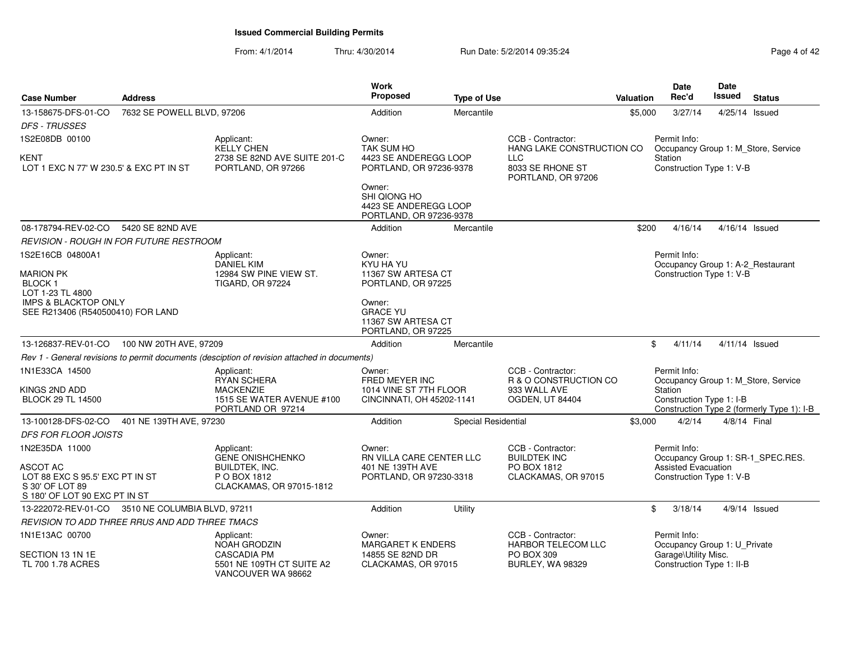From: 4/1/2014Thru: 4/30/2014 Run Date: 5/2/2014 09:35:24 Rege 4 of 42

| <b>Case Number</b>                                                                                        | <b>Address</b>             |                                                                                                 | Work<br>Proposed                                                                | <b>Type of Use</b>  |                                                                                      | Valuation | Date<br>Rec'd                                                                              | <b>Date</b><br>Issued | <b>Status</b>                              |
|-----------------------------------------------------------------------------------------------------------|----------------------------|-------------------------------------------------------------------------------------------------|---------------------------------------------------------------------------------|---------------------|--------------------------------------------------------------------------------------|-----------|--------------------------------------------------------------------------------------------|-----------------------|--------------------------------------------|
| 13-158675-DFS-01-CO<br><b>DFS - TRUSSES</b>                                                               | 7632 SE POWELL BLVD, 97206 |                                                                                                 | Addition                                                                        | Mercantile          |                                                                                      | \$5,000   | 3/27/14                                                                                    | 4/25/14 Issued        |                                            |
| 1S2E08DB 00100                                                                                            |                            | Applicant:<br><b>KELLY CHEN</b>                                                                 | Owner:<br><b>TAK SUM HO</b>                                                     |                     | CCB - Contractor:<br>HANG LAKE CONSTRUCTION CO                                       |           | Permit Info:<br>Occupancy Group 1: M_Store, Service                                        |                       |                                            |
| KENT<br>LOT 1 EXC N 77' W 230.5' & EXC PT IN ST                                                           |                            | 2738 SE 82ND AVE SUITE 201-C<br>PORTLAND, OR 97266                                              | 4423 SE ANDEREGG LOOP<br>PORTLAND, OR 97236-9378                                |                     | <b>LLC</b><br>8033 SE RHONE ST<br>PORTLAND, OR 97206                                 |           | Station<br>Construction Type 1: V-B                                                        |                       |                                            |
|                                                                                                           |                            |                                                                                                 | Owner:<br>SHI QIONG HO<br>4423 SE ANDEREGG LOOP<br>PORTLAND, OR 97236-9378      |                     |                                                                                      |           |                                                                                            |                       |                                            |
| 08-178794-REV-02-CO                                                                                       | 5420 SE 82ND AVE           |                                                                                                 | Addition                                                                        | Mercantile          |                                                                                      | \$200     | 4/16/14                                                                                    | $4/16/14$ Issued      |                                            |
| REVISION - ROUGH IN FOR FUTURE RESTROOM                                                                   |                            |                                                                                                 |                                                                                 |                     |                                                                                      |           |                                                                                            |                       |                                            |
| 1S2E16CB 04800A1<br>MARION PK                                                                             |                            | Applicant:<br><b>DANIEL KIM</b><br>12984 SW PINE VIEW ST.                                       | Owner:<br>KYU HA YU<br>11367 SW ARTESA CT                                       |                     |                                                                                      |           | Permit Info:<br>Occupancy Group 1: A-2_Restaurant<br>Construction Type 1: V-B              |                       |                                            |
| <b>BLOCK1</b><br>LOT 1-23 TL 4800<br><b>IMPS &amp; BLACKTOP ONLY</b><br>SEE R213406 (R540500410) FOR LAND |                            | <b>TIGARD, OR 97224</b>                                                                         | PORTLAND, OR 97225<br>Owner:<br><b>GRACE YU</b><br>11367 SW ARTESA CT           |                     |                                                                                      |           |                                                                                            |                       |                                            |
|                                                                                                           |                            |                                                                                                 | PORTLAND, OR 97225                                                              |                     |                                                                                      |           |                                                                                            |                       |                                            |
| 13-126837-REV-01-CO 100 NW 20TH AVE, 97209                                                                |                            |                                                                                                 | Addition                                                                        | Mercantile          |                                                                                      | \$        | 4/11/14                                                                                    |                       | $4/11/14$ Issued                           |
|                                                                                                           |                            | Rev 1 - General revisions to permit documents (desciption of revision attached in documents)    |                                                                                 |                     |                                                                                      |           |                                                                                            |                       |                                            |
| 1N1E33CA 14500<br>KINGS 2ND ADD<br><b>BLOCK 29 TL 14500</b>                                               |                            | Applicant:<br>RYAN SCHERA<br><b>MACKENZIE</b><br>1515 SE WATER AVENUE #100<br>PORTLAND OR 97214 | Owner:<br>FRED MEYER INC<br>1014 VINE ST 7TH FLOOR<br>CINCINNATI, OH 45202-1141 |                     | CCB - Contractor:<br>R & O CONSTRUCTION CO<br>933 WALL AVE<br><b>OGDEN, UT 84404</b> |           | Permit Info:<br>Occupancy Group 1: M_Store, Service<br>Station<br>Construction Type 1: I-B |                       | Construction Type 2 (formerly Type 1): I-B |
| 13-100128-DFS-02-CO                                                                                       | 401 NE 139TH AVE, 97230    |                                                                                                 | Addition                                                                        | Special Residential |                                                                                      | \$3,000   | 4/2/14                                                                                     | 4/8/14 Final          |                                            |
| <b>DFS FOR FLOOR JOISTS</b>                                                                               |                            |                                                                                                 |                                                                                 |                     |                                                                                      |           |                                                                                            |                       |                                            |
| 1N2E35DA 11000                                                                                            |                            | Applicant:<br><b>GENE ONISHCHENKO</b>                                                           | Owner:<br>RN VILLA CARE CENTER LLC                                              |                     | CCB - Contractor:<br><b>BUILDTEK INC</b>                                             |           | Permit Info:                                                                               |                       | Occupancy Group 1: SR-1_SPEC.RES.          |
| ASCOT AC<br>LOT 88 EXC S 95.5' EXC PT IN ST<br>S 30' OF LOT 89<br>S 180' OF LOT 90 EXC PT IN ST           |                            | BUILDTEK, INC.<br>P O BOX 1812<br>CLACKAMAS, OR 97015-1812                                      | 401 NE 139TH AVE<br>PORTLAND, OR 97230-3318                                     |                     | PO BOX 1812<br>CLACKAMAS, OR 97015                                                   |           | <b>Assisted Evacuation</b><br>Construction Type 1: V-B                                     |                       |                                            |
| 13-222072-REV-01-CO 3510 NE COLUMBIA BLVD, 97211                                                          |                            |                                                                                                 | Addition                                                                        | Utility             |                                                                                      | \$        | 3/18/14                                                                                    |                       | $4/9/14$ Issued                            |
| REVISION TO ADD THREE RRUS AND ADD THREE TMACS                                                            |                            |                                                                                                 |                                                                                 |                     |                                                                                      |           |                                                                                            |                       |                                            |
| 1N1E13AC 00700                                                                                            |                            | Applicant:<br><b>NOAH GRODZIN</b>                                                               | Owner:<br><b>MARGARET K ENDERS</b>                                              |                     | CCB - Contractor:<br><b>HARBOR TELECOM LLC</b>                                       |           | Permit Info:<br>Occupancy Group 1: U_Private                                               |                       |                                            |
| SECTION 13 1N 1E<br>TL 700 1.78 ACRES                                                                     |                            | <b>CASCADIA PM</b><br>5501 NE 109TH CT SUITE A2<br>VANCOUVER WA 98662                           | 14855 SE 82ND DR<br>CLACKAMAS, OR 97015                                         |                     | PO BOX 309<br><b>BURLEY, WA 98329</b>                                                |           | Garage\Utility Misc.<br>Construction Type 1: II-B                                          |                       |                                            |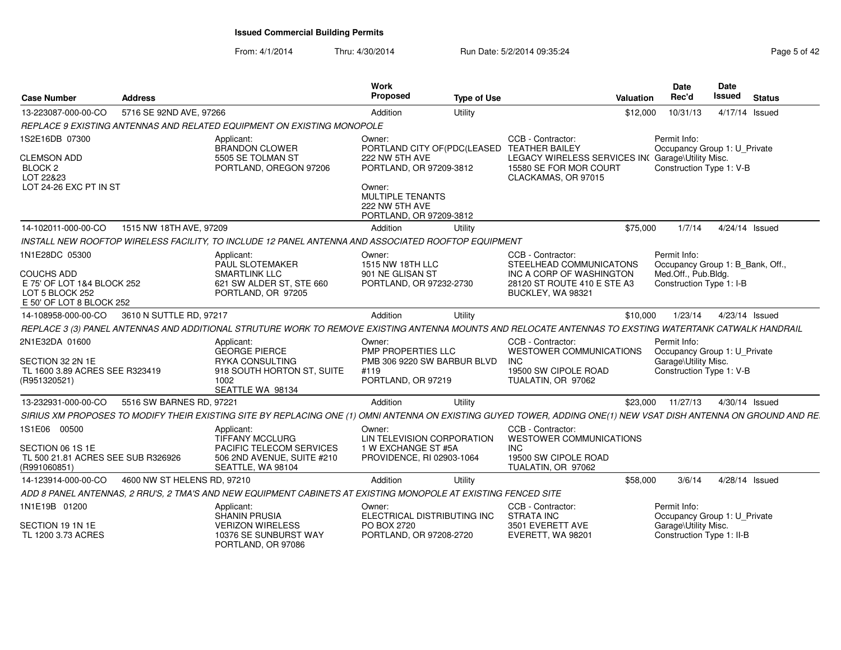From: 4/1/2014Thru: 4/30/2014 Run Date: 5/2/2014 09:35:24 Rege 5 of 42

| <b>Case Number</b>                                                                                               | <b>Address</b>              |                                                                                                                                                                  | Work<br>Proposed                                                                                                                                                                    | <b>Type of Use</b> | <b>Valuation</b>                                                                                                             | <b>Date</b><br>Rec'd                                                                                | Date<br>Issued | <b>Status</b> |
|------------------------------------------------------------------------------------------------------------------|-----------------------------|------------------------------------------------------------------------------------------------------------------------------------------------------------------|-------------------------------------------------------------------------------------------------------------------------------------------------------------------------------------|--------------------|------------------------------------------------------------------------------------------------------------------------------|-----------------------------------------------------------------------------------------------------|----------------|---------------|
| 13-223087-000-00-CO                                                                                              | 5716 SE 92ND AVE, 97266     |                                                                                                                                                                  | Addition                                                                                                                                                                            | Utility            | \$12,000                                                                                                                     | 10/31/13                                                                                            | 4/17/14 Issued |               |
|                                                                                                                  |                             | REPLACE 9 EXISTING ANTENNAS AND RELATED EQUIPMENT ON EXISTING MONOPOLE                                                                                           |                                                                                                                                                                                     |                    |                                                                                                                              |                                                                                                     |                |               |
| 1S2E16DB 07300<br><b>CLEMSON ADD</b><br>BLOCK <sub>2</sub><br>LOT 22&23<br>LOT 24-26 EXC PT IN ST                |                             | Applicant:<br><b>BRANDON CLOWER</b><br>5505 SE TOLMAN ST<br>PORTLAND, OREGON 97206                                                                               | Owner:<br>PORTLAND CITY OF(PDC(LEASED TEATHER BAILEY<br>222 NW 5TH AVE<br>PORTLAND, OR 97209-3812<br>Owner:<br><b>MULTIPLE TENANTS</b><br>222 NW 5TH AVE<br>PORTLAND, OR 97209-3812 |                    | CCB - Contractor:<br>LEGACY WIRELESS SERVICES IN<br>15580 SE FOR MOR COURT<br>CLACKAMAS, OR 97015                            | Permit Info:<br>Occupancy Group 1: U_Private<br>Garage\Utility Misc.<br>Construction Type 1: V-B    |                |               |
| 14-102011-000-00-CO                                                                                              | 1515 NW 18TH AVE, 97209     |                                                                                                                                                                  | Addition                                                                                                                                                                            | Utility            | \$75,000                                                                                                                     | 1/7/14                                                                                              | 4/24/14 Issued |               |
|                                                                                                                  |                             | INSTALL NEW ROOFTOP WIRELESS FACILITY, TO INCLUDE 12 PANEL ANTENNA AND ASSOCIATED ROOFTOP EQUIPMENT                                                              |                                                                                                                                                                                     |                    |                                                                                                                              |                                                                                                     |                |               |
| 1N1E28DC 05300<br><b>COUCHS ADD</b><br>E 75' OF LOT 1&4 BLOCK 252<br>LOT 5 BLOCK 252<br>E 50' OF LOT 8 BLOCK 252 |                             | Applicant:<br>PAUL SLOTEMAKER<br><b>SMARTLINK LLC</b><br>621 SW ALDER ST, STE 660<br>PORTLAND, OR 97205                                                          | Owner:<br>1515 NW 18TH LLC<br>901 NE GLISAN ST<br>PORTLAND, OR 97232-2730                                                                                                           |                    | CCB - Contractor:<br>STEELHEAD COMMUNICATONS<br>INC A CORP OF WASHINGTON<br>28120 ST ROUTE 410 E STE A3<br>BUCKLEY, WA 98321 | Permit Info:<br>Occupancy Group 1: B_Bank, Off.,<br>Med.Off., Pub.Bldg.<br>Construction Type 1: I-B |                |               |
| 14-108958-000-00-CO                                                                                              | 3610 N SUTTLE RD, 97217     |                                                                                                                                                                  | Addition                                                                                                                                                                            | Utility            | \$10,000                                                                                                                     | 1/23/14                                                                                             | 4/23/14 Issued |               |
|                                                                                                                  |                             | REPLACE 3 (3) PANEL ANTENNAS AND ADDITIONAL STRUTURE WORK TO REMOVE EXISTING ANTENNA MOUNTS AND RELOCATE ANTENNAS TO EXSTING WATERTANK CATWALK HANDRAIL          |                                                                                                                                                                                     |                    |                                                                                                                              |                                                                                                     |                |               |
| 2N1E32DA 01600<br>SECTION 32 2N 1E<br>TL 1600 3.89 ACRES SEE R323419<br>(R951320521)                             |                             | Applicant:<br><b>GEORGE PIERCE</b><br><b>RYKA CONSULTING</b><br>918 SOUTH HORTON ST, SUITE<br>1002<br>SEATTLE WA 98134                                           | Owner:<br>PMP PROPERTIES LLC<br>PMB 306 9220 SW BARBUR BLVD<br>#119<br>PORTLAND, OR 97219                                                                                           |                    | CCB - Contractor:<br>WESTOWER COMMUNICATIONS<br><b>INC</b><br>19500 SW CIPOLE ROAD<br>TUALATIN, OR 97062                     | Permit Info:<br>Occupancy Group 1: U_Private<br>Garage\Utility Misc.<br>Construction Type 1: V-B    |                |               |
| 13-232931-000-00-CO                                                                                              | 5516 SW BARNES RD, 97221    |                                                                                                                                                                  | Addition                                                                                                                                                                            | Utility            | \$23.000                                                                                                                     | 11/27/13                                                                                            | 4/30/14 Issued |               |
|                                                                                                                  |                             | SIRIUS XM PROPOSES TO MODIFY THEIR EXISTING SITE BY REPLACING ONE (1) OMNI ANTENNA ON EXISTING GUYED TOWER, ADDING ONE(1) NEW VSAT DISH ANTENNA ON GROUND AND RE |                                                                                                                                                                                     |                    |                                                                                                                              |                                                                                                     |                |               |
| 1S1E06 00500<br>SECTION 06 1S 1E<br>TL 500 21.81 ACRES SEE SUB R326926<br>(R991060851)                           |                             | Applicant:<br><b>TIFFANY MCCLURG</b><br>PACIFIC TELECOM SERVICES<br>506 2ND AVENUE, SUITE #210<br>SEATTLE, WA 98104                                              | Owner:<br>LIN TELEVISION CORPORATION<br>1 W EXCHANGE ST #5A<br>PROVIDENCE, RI 02903-1064                                                                                            |                    | CCB - Contractor:<br><b>WESTOWER COMMUNICATIONS</b><br><b>INC</b><br>19500 SW CIPOLE ROAD<br>TUALATIN, OR 97062              |                                                                                                     |                |               |
| 14-123914-000-00-CO                                                                                              | 4600 NW ST HELENS RD, 97210 |                                                                                                                                                                  | Addition                                                                                                                                                                            | Utility            | \$58,000                                                                                                                     | 3/6/14                                                                                              | 4/28/14 Issued |               |
|                                                                                                                  |                             | ADD 8 PANEL ANTENNAS, 2 RRU'S, 2 TMA'S AND NEW EQUIPMENT CABINETS AT EXISTING MONOPOLE AT EXISTING FENCED SITE                                                   |                                                                                                                                                                                     |                    |                                                                                                                              |                                                                                                     |                |               |
| 1N1E19B 01200                                                                                                    |                             | Applicant:<br><b>SHANIN PRUSIA</b>                                                                                                                               | Owner:<br>ELECTRICAL DISTRIBUTING INC                                                                                                                                               |                    | CCB - Contractor:<br><b>STRATA INC</b>                                                                                       | Permit Info:<br>Occupancy Group 1: U_Private                                                        |                |               |
| SECTION 19 1N 1E<br>TL 1200 3.73 ACRES                                                                           |                             | <b>VERIZON WIRELESS</b><br>10376 SE SUNBURST WAY<br>PORTLAND, OR 97086                                                                                           | PO BOX 2720<br>PORTLAND, OR 97208-2720                                                                                                                                              |                    | 3501 EVERETT AVE<br>EVERETT, WA 98201                                                                                        | Garage\Utility Misc.<br>Construction Type 1: II-B                                                   |                |               |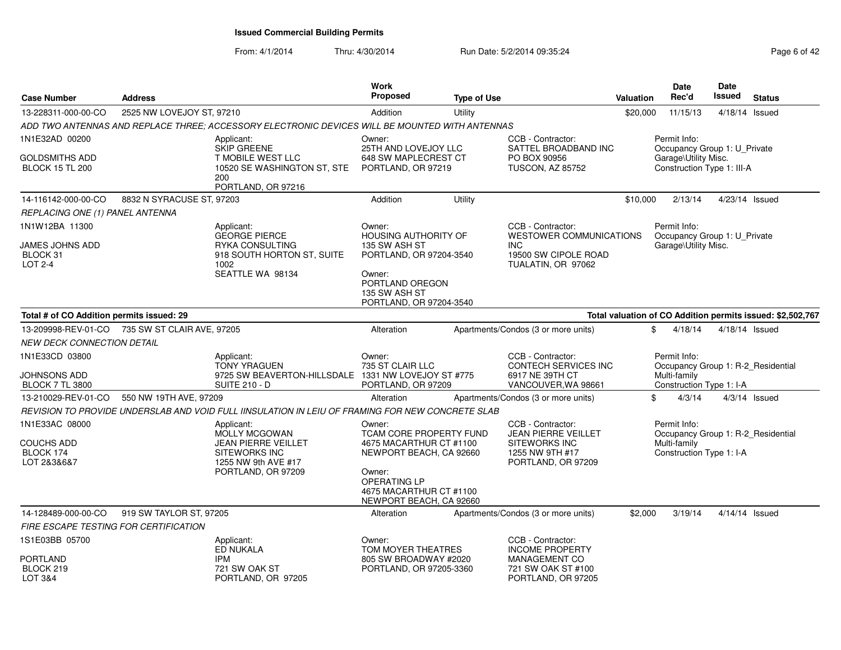From: 4/1/2014Thru: 4/30/2014 Run Date: 5/2/2014 09:35:24 Rege 6 of 42

| <b>Case Number</b>                                       | <b>Address</b>            |                                                                                                                         | Work<br><b>Proposed</b>                                                                                                                                                               | <b>Type of Use</b> |                                                                                                                  | <b>Valuation</b> | <b>Date</b><br>Rec'd                                                                           | <b>Date</b><br><b>Issued</b> | <b>Status</b>                                              |
|----------------------------------------------------------|---------------------------|-------------------------------------------------------------------------------------------------------------------------|---------------------------------------------------------------------------------------------------------------------------------------------------------------------------------------|--------------------|------------------------------------------------------------------------------------------------------------------|------------------|------------------------------------------------------------------------------------------------|------------------------------|------------------------------------------------------------|
| 13-228311-000-00-CO                                      | 2525 NW LOVEJOY ST, 97210 |                                                                                                                         | Addition                                                                                                                                                                              | Utility            |                                                                                                                  | \$20,000         | 11/15/13                                                                                       |                              | 4/18/14 Issued                                             |
|                                                          |                           | ADD TWO ANTENNAS AND REPLACE THREE: ACCESSORY ELECTRONIC DEVICES WILL BE MOUNTED WITH ANTENNAS                          |                                                                                                                                                                                       |                    |                                                                                                                  |                  |                                                                                                |                              |                                                            |
| 1N1E32AD 00200                                           |                           | Applicant:                                                                                                              | Owner:                                                                                                                                                                                |                    | CCB - Contractor:                                                                                                |                  | Permit Info:                                                                                   |                              |                                                            |
| GOLDSMITHS ADD<br><b>BLOCK 15 TL 200</b>                 |                           | <b>SKIP GREENE</b><br><b>T MOBILE WEST LLC</b><br>10520 SE WASHINGTON ST, STE<br>200<br>PORTLAND, OR 97216              | 25TH AND LOVEJOY LLC<br>648 SW MAPLECREST CT<br>PORTLAND, OR 97219                                                                                                                    |                    | SATTEL BROADBAND INC<br>PO BOX 90956<br>TUSCON, AZ 85752                                                         |                  | Occupancy Group 1: U_Private<br>Garage\Utility Misc.<br>Construction Type 1: III-A             |                              |                                                            |
| 14-116142-000-00-CO                                      | 8832 N SYRACUSE ST, 97203 |                                                                                                                         | Addition                                                                                                                                                                              | Utility            |                                                                                                                  | \$10,000         | 2/13/14                                                                                        |                              | 4/23/14 Issued                                             |
| REPLACING ONE (1) PANEL ANTENNA                          |                           |                                                                                                                         |                                                                                                                                                                                       |                    |                                                                                                                  |                  |                                                                                                |                              |                                                            |
| 1N1W12BA 11300                                           |                           | Applicant:<br><b>GEORGE PIERCE</b>                                                                                      | Owner:<br><b>HOUSING AUTHORITY OF</b>                                                                                                                                                 |                    | CCB - Contractor:<br><b>WESTOWER COMMUNICATIONS</b>                                                              |                  | Permit Info:<br>Occupancy Group 1: U_Private                                                   |                              |                                                            |
| JAMES JOHNS ADD<br>BLOCK 31<br>LOT 2-4                   |                           | <b>RYKA CONSULTING</b><br>918 SOUTH HORTON ST, SUITE<br>1002<br>SEATTLE WA 98134                                        | 135 SW ASH ST<br>PORTLAND, OR 97204-3540<br>Owner:                                                                                                                                    |                    | <b>INC</b><br>19500 SW CIPOLE ROAD<br>TUALATIN, OR 97062                                                         |                  | Garage\Utility Misc.                                                                           |                              |                                                            |
|                                                          |                           |                                                                                                                         | PORTLAND OREGON<br>135 SW ASH ST<br>PORTLAND, OR 97204-3540                                                                                                                           |                    |                                                                                                                  |                  |                                                                                                |                              |                                                            |
| Total # of CO Addition permits issued: 29                |                           |                                                                                                                         |                                                                                                                                                                                       |                    |                                                                                                                  |                  |                                                                                                |                              | Total valuation of CO Addition permits issued: \$2,502,767 |
| 13-209998-REV-01-CO 735 SW ST CLAIR AVE, 97205           |                           |                                                                                                                         | Alteration                                                                                                                                                                            |                    | Apartments/Condos (3 or more units)                                                                              |                  | \$<br>4/18/14                                                                                  |                              | 4/18/14 Issued                                             |
| NEW DECK CONNECTION DETAIL                               |                           |                                                                                                                         |                                                                                                                                                                                       |                    |                                                                                                                  |                  |                                                                                                |                              |                                                            |
| 1N1E33CD 03800<br>JOHNSONS ADD<br><b>BLOCK 7 TL 3800</b> |                           | Applicant:<br><b>TONY YRAGUEN</b><br>9725 SW BEAVERTON-HILLSDALE<br><b>SUITE 210 - D</b>                                | Owner:<br>735 ST CLAIR LLC<br>1331 NW LOVEJOY ST #775<br>PORTLAND, OR 97209                                                                                                           |                    | CCB - Contractor:<br>CONTECH SERVICES INC<br>6917 NE 39TH CT<br>VANCOUVER, WA 98661                              |                  | Permit Info:<br>Occupancy Group 1: R-2_Residential<br>Multi-family<br>Construction Type 1: I-A |                              |                                                            |
| 13-210029-REV-01-CO                                      | 550 NW 19TH AVE, 97209    |                                                                                                                         | Alteration                                                                                                                                                                            |                    | Apartments/Condos (3 or more units)                                                                              |                  | \$<br>4/3/14                                                                                   |                              | $4/3/14$ Issued                                            |
|                                                          |                           | REVISION TO PROVIDE UNDERSLAB AND VOID FULL IINSULATION IN LEIU OF FRAMING FOR NEW CONCRETE SLAB                        |                                                                                                                                                                                       |                    |                                                                                                                  |                  |                                                                                                |                              |                                                            |
| 1N1E33AC 08000<br>COUCHS ADD<br>BLOCK 174<br>LOT 2&3&6&7 |                           | Applicant:<br>MOLLY MCGOWAN<br><b>JEAN PIERRE VEILLET</b><br>SITEWORKS INC<br>1255 NW 9th AVE #17<br>PORTLAND, OR 97209 | Owner:<br><b>TCAM CORE PROPERTY FUND</b><br>4675 MACARTHUR CT #1100<br>NEWPORT BEACH, CA 92660<br>Owner:<br><b>OPERATING LP</b><br>4675 MACARTHUR CT #1100<br>NEWPORT BEACH, CA 92660 |                    | CCB - Contractor:<br><b>JEAN PIERRE VEILLET</b><br><b>SITEWORKS INC</b><br>1255 NW 9TH #17<br>PORTLAND, OR 97209 |                  | Permit Info:<br>Occupancy Group 1: R-2_Residential<br>Multi-family<br>Construction Type 1: I-A |                              |                                                            |
| 14-128489-000-00-CO                                      | 919 SW TAYLOR ST, 97205   |                                                                                                                         | Alteration                                                                                                                                                                            |                    | Apartments/Condos (3 or more units)                                                                              | \$2.000          | 3/19/14                                                                                        |                              | 4/14/14 Issued                                             |
| <b>FIRE ESCAPE TESTING FOR CERTIFICATION</b>             |                           |                                                                                                                         |                                                                                                                                                                                       |                    |                                                                                                                  |                  |                                                                                                |                              |                                                            |
| 1S1E03BB 05700                                           |                           | Applicant:<br>ED NUKALA                                                                                                 | Owner:<br>TOM MOYER THEATRES                                                                                                                                                          |                    | CCB - Contractor:<br><b>INCOME PROPERTY</b>                                                                      |                  |                                                                                                |                              |                                                            |
| PORTLAND<br>BLOCK 219<br>LOT 3&4                         |                           | <b>IPM</b><br>721 SW OAK ST<br>PORTLAND, OR 97205                                                                       | 805 SW BROADWAY #2020<br>PORTLAND, OR 97205-3360                                                                                                                                      |                    | <b>MANAGEMENT CO</b><br>721 SW OAK ST #100<br>PORTLAND, OR 97205                                                 |                  |                                                                                                |                              |                                                            |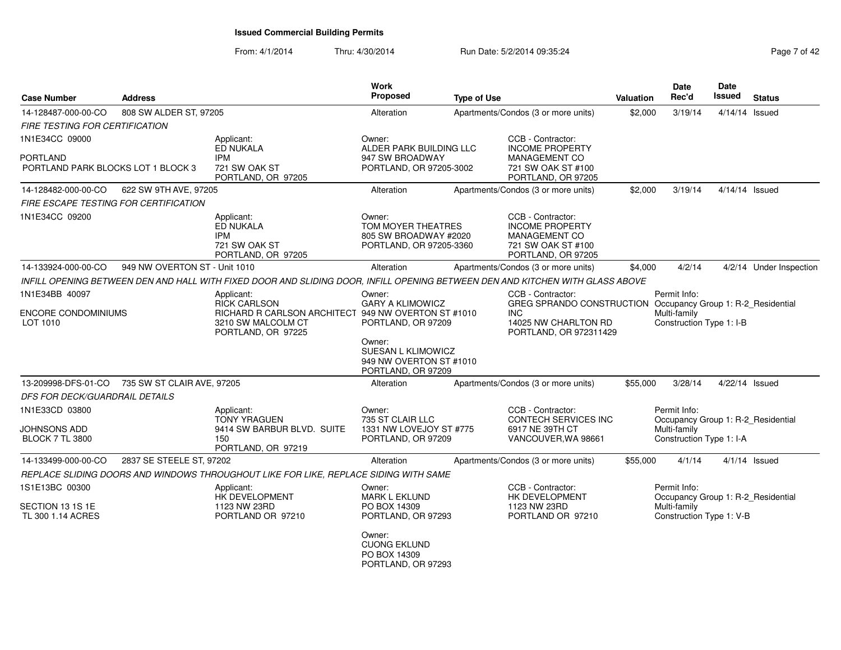From: 4/1/2014Thru: 4/30/2014 Run Date: 5/2/2014 09:35:24 Rege 7 of 42

| <b>Case Number</b><br><b>Address</b>           |                               |                                                                                                                               | <b>Work</b><br>Proposed                                                          | <b>Type of Use</b> |                                                                                                                              | <b>Valuation</b> | Date<br>Rec'd                                                                  | <b>Date</b><br>Issued | <b>Status</b>           |
|------------------------------------------------|-------------------------------|-------------------------------------------------------------------------------------------------------------------------------|----------------------------------------------------------------------------------|--------------------|------------------------------------------------------------------------------------------------------------------------------|------------------|--------------------------------------------------------------------------------|-----------------------|-------------------------|
| 14-128487-000-00-CO                            | 808 SW ALDER ST, 97205        |                                                                                                                               | Alteration                                                                       |                    | Apartments/Condos (3 or more units)                                                                                          | \$2,000          | 3/19/14                                                                        | 4/14/14 Issued        |                         |
| FIRE TESTING FOR CERTIFICATION                 |                               |                                                                                                                               |                                                                                  |                    |                                                                                                                              |                  |                                                                                |                       |                         |
| 1N1E34CC 09000                                 |                               | Applicant:<br>ED NUKALA                                                                                                       | Owner:<br>ALDER PARK BUILDING LLC                                                |                    | CCB - Contractor:<br><b>INCOME PROPERTY</b>                                                                                  |                  |                                                                                |                       |                         |
| PORTLAND<br>PORTLAND PARK BLOCKS LOT 1 BLOCK 3 |                               | <b>IPM</b><br>721 SW OAK ST<br>PORTLAND, OR 97205                                                                             | 947 SW BROADWAY<br>PORTLAND, OR 97205-3002                                       |                    | MANAGEMENT CO<br>721 SW OAK ST #100<br>PORTLAND, OR 97205                                                                    |                  |                                                                                |                       |                         |
| 14-128482-000-00-CO                            | 622 SW 9TH AVE, 97205         |                                                                                                                               | Alteration                                                                       |                    | Apartments/Condos (3 or more units)                                                                                          | \$2,000          | 3/19/14                                                                        | 4/14/14 Issued        |                         |
| <b>FIRE ESCAPE TESTING FOR CERTIFICATION</b>   |                               |                                                                                                                               |                                                                                  |                    |                                                                                                                              |                  |                                                                                |                       |                         |
| 1N1E34CC 09200                                 |                               | Applicant:<br>ED NUKALA<br><b>IPM</b><br>721 SW OAK ST<br>PORTLAND, OR 97205                                                  | Owner:<br>TOM MOYER THEATRES<br>805 SW BROADWAY #2020<br>PORTLAND, OR 97205-3360 |                    | CCB - Contractor:<br><b>INCOME PROPERTY</b><br><b>MANAGEMENT CO</b><br>721 SW OAK ST #100<br>PORTLAND, OR 97205              |                  |                                                                                |                       |                         |
| 14-133924-000-00-CO                            | 949 NW OVERTON ST - Unit 1010 |                                                                                                                               | Alteration                                                                       |                    | Apartments/Condos (3 or more units)                                                                                          | \$4,000          | 4/2/14                                                                         |                       | 4/2/14 Under Inspection |
|                                                |                               | INFILL OPENING BETWEEN DEN AND HALL WITH FIXED DOOR AND SLIDING DOOR. INFILL OPENING BETWEEN DEN AND KITCHEN WITH GLASS ABOVE |                                                                                  |                    |                                                                                                                              |                  |                                                                                |                       |                         |
| 1N1E34BB 40097                                 |                               | Applicant:                                                                                                                    | Owner:                                                                           |                    | CCB - Contractor:                                                                                                            |                  | Permit Info:                                                                   |                       |                         |
| <b>ENCORE CONDOMINIUMS</b><br>LOT 1010         |                               | <b>RICK CARLSON</b><br>RICHARD R CARLSON ARCHITECT 949 NW OVERTON ST #1010<br>3210 SW MALCOLM CT<br>PORTLAND, OR 97225        | <b>GARY A KLIMOWICZ</b><br>PORTLAND, OR 97209                                    |                    | GREG SPRANDO CONSTRUCTION Occupancy Group 1: R-2_Residential<br><b>INC</b><br>14025 NW CHARLTON RD<br>PORTLAND, OR 972311429 |                  | Multi-family<br>Construction Type 1: I-B                                       |                       |                         |
|                                                |                               |                                                                                                                               | Owner:<br>SUESAN L KLIMOWICZ<br>949 NW OVERTON ST #1010<br>PORTLAND, OR 97209    |                    |                                                                                                                              |                  |                                                                                |                       |                         |
| 13-209998-DFS-01-CO                            | 735 SW ST CLAIR AVE, 97205    |                                                                                                                               | Alteration                                                                       |                    | Apartments/Condos (3 or more units)                                                                                          | \$55,000         | 3/28/14                                                                        | 4/22/14 Issued        |                         |
| DFS FOR DECK/GUARDRAIL DETAILS                 |                               |                                                                                                                               |                                                                                  |                    |                                                                                                                              |                  |                                                                                |                       |                         |
| 1N1E33CD 03800                                 |                               | Applicant:<br><b>TONY YRAGUEN</b>                                                                                             | Owner:<br>735 ST CLAIR LLC                                                       |                    | CCB - Contractor:<br>CONTECH SERVICES INC                                                                                    |                  | Permit Info:<br>Occupancy Group 1: R-2_Residential                             |                       |                         |
| JOHNSONS ADD<br><b>BLOCK 7 TL 3800</b>         |                               | 9414 SW BARBUR BLVD. SUITE<br>150<br>PORTLAND, OR 97219                                                                       | 1331 NW LOVEJOY ST #775<br>PORTLAND, OR 97209                                    |                    | 6917 NE 39TH CT<br>VANCOUVER, WA 98661                                                                                       |                  | Multi-family<br>Construction Type 1: I-A                                       |                       |                         |
| 14-133499-000-00-CO                            | 2837 SE STEELE ST, 97202      |                                                                                                                               | Alteration                                                                       |                    | Apartments/Condos (3 or more units)                                                                                          | \$55,000         | 4/1/14                                                                         |                       | $4/1/14$ Issued         |
|                                                |                               | REPLACE SLIDING DOORS AND WINDOWS THROUGHOUT LIKE FOR LIKE, REPLACE SIDING WITH SAME                                          |                                                                                  |                    |                                                                                                                              |                  |                                                                                |                       |                         |
| 1S1E13BC 00300                                 |                               | Applicant:                                                                                                                    | Owner:                                                                           |                    | CCB - Contractor:                                                                                                            |                  | Permit Info:                                                                   |                       |                         |
| SECTION 13 1S 1E<br>TL 300 1.14 ACRES          |                               | HK DEVELOPMENT<br>1123 NW 23RD<br>PORTLAND OR 97210                                                                           | <b>MARK L EKLUND</b><br>PO BOX 14309<br>PORTLAND, OR 97293                       |                    | <b>HK DEVELOPMENT</b><br>1123 NW 23RD<br>PORTLAND OR 97210                                                                   |                  | Occupancy Group 1: R-2_Residential<br>Multi-family<br>Construction Type 1: V-B |                       |                         |
|                                                |                               |                                                                                                                               | Owner:<br><b>CUONG EKLUND</b><br>PO BOX 14309<br>PORTLAND, OR 97293              |                    |                                                                                                                              |                  |                                                                                |                       |                         |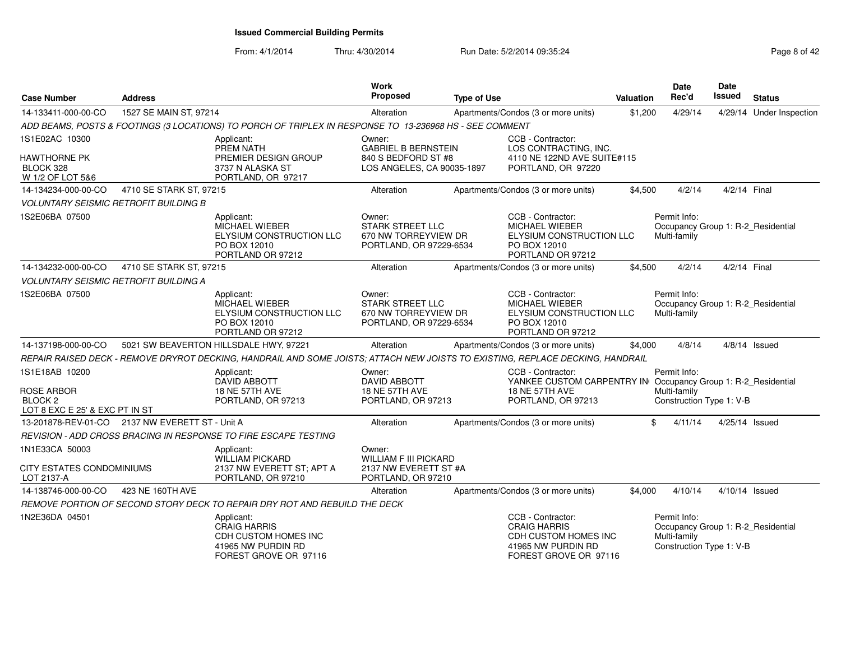#### From: 4/1/2014Thru: 4/30/2014 Run Date: 5/2/2014 09:35:24 Rege 8 of 42

| <b>Case Number</b>                                                                          | <b>Address</b>                                    |                                                                                                                                | Work<br>Proposed                                                                     | <b>Type of Use</b> |                                                                                                                            | Valuation | <b>Date</b><br>Rec'd                                     | <b>Date</b><br>Issued | <b>Status</b>                      |
|---------------------------------------------------------------------------------------------|---------------------------------------------------|--------------------------------------------------------------------------------------------------------------------------------|--------------------------------------------------------------------------------------|--------------------|----------------------------------------------------------------------------------------------------------------------------|-----------|----------------------------------------------------------|-----------------------|------------------------------------|
| 14-133411-000-00-CO                                                                         | 1527 SE MAIN ST, 97214                            |                                                                                                                                | Alteration                                                                           |                    | Apartments/Condos (3 or more units)                                                                                        | \$1,200   | 4/29/14                                                  |                       | 4/29/14 Under Inspection           |
|                                                                                             |                                                   | ADD BEAMS, POSTS & FOOTINGS (3 LOCATIONS) TO PORCH OF TRIPLEX IN RESPONSE TO 13-236968 HS - SEE COMMENT                        |                                                                                      |                    |                                                                                                                            |           |                                                          |                       |                                    |
| 1S1E02AC 10300                                                                              |                                                   | Applicant:<br>PREM NATH                                                                                                        | Owner:<br><b>GABRIEL B BERNSTEIN</b>                                                 |                    | CCB - Contractor:<br>LOS CONTRACTING, INC.                                                                                 |           |                                                          |                       |                                    |
| HAWTHORNE PK<br>BLOCK 328<br>W 1/2 OF LOT 5&6                                               |                                                   | PREMIER DESIGN GROUP<br>3737 N ALASKA ST<br>PORTLAND, OR 97217                                                                 | 840 S BEDFORD ST #8<br>LOS ANGELES, CA 90035-1897                                    |                    | 4110 NE 122ND AVE SUITE#115<br>PORTLAND, OR 97220                                                                          |           |                                                          |                       |                                    |
| 14-134234-000-00-CO                                                                         | 4710 SE STARK ST, 97215                           |                                                                                                                                | Alteration                                                                           |                    | Apartments/Condos (3 or more units)                                                                                        | \$4,500   | 4/2/14                                                   | 4/2/14 Final          |                                    |
|                                                                                             | <b>VOLUNTARY SEISMIC RETROFIT BUILDING B</b>      |                                                                                                                                |                                                                                      |                    |                                                                                                                            |           |                                                          |                       |                                    |
| 1S2E06BA 07500                                                                              |                                                   | Applicant:<br><b>MICHAEL WIEBER</b><br>ELYSIUM CONSTRUCTION LLC<br>PO BOX 12010<br>PORTLAND OR 97212                           | Owner:<br><b>STARK STREET LLC</b><br>670 NW TORREYVIEW DR<br>PORTLAND, OR 97229-6534 |                    | CCB - Contractor:<br><b>MICHAEL WIEBER</b><br>ELYSIUM CONSTRUCTION LLC<br>PO BOX 12010<br>PORTLAND OR 97212                |           | Permit Info:<br>Multi-family                             |                       | Occupancy Group 1: R-2_Residential |
| 14-134232-000-00-CO                                                                         | 4710 SE STARK ST, 97215                           |                                                                                                                                | Alteration                                                                           |                    | Apartments/Condos (3 or more units)                                                                                        | \$4,500   | 4/2/14                                                   | 4/2/14 Final          |                                    |
|                                                                                             | <b>VOLUNTARY SEISMIC RETROFIT BUILDING A</b>      |                                                                                                                                |                                                                                      |                    |                                                                                                                            |           |                                                          |                       |                                    |
| 1S2E06BA 07500                                                                              |                                                   | Applicant:<br><b>MICHAEL WIEBER</b><br>ELYSIUM CONSTRUCTION LLC<br>PO BOX 12010<br>PORTLAND OR 97212                           | Owner:<br><b>STARK STREET LLC</b><br>670 NW TORREYVIEW DR<br>PORTLAND, OR 97229-6534 |                    | CCB - Contractor:<br><b>MICHAEL WIEBER</b><br>ELYSIUM CONSTRUCTION LLC<br>PO BOX 12010<br>PORTLAND OR 97212                |           | Permit Info:<br>Multi-family                             |                       | Occupancy Group 1: R-2_Residential |
| 14-137198-000-00-CO                                                                         |                                                   | 5021 SW BEAVERTON HILLSDALE HWY, 97221                                                                                         | Alteration                                                                           |                    | Apartments/Condos (3 or more units)                                                                                        | \$4,000   | 4/8/14                                                   |                       | $4/8/14$ Issued                    |
|                                                                                             |                                                   | REPAIR RAISED DECK - REMOVE DRYROT DECKING, HANDRAIL AND SOME JOISTS; ATTACH NEW JOISTS TO EXISTING, REPLACE DECKING, HANDRAIL |                                                                                      |                    |                                                                                                                            |           |                                                          |                       |                                    |
| 1S1E18AB 10200<br><b>ROSE ARBOR</b><br>BLOCK <sub>2</sub><br>LOT 8 EXC E 25' & EXC PT IN ST |                                                   | Applicant:<br><b>DAVID ABBOTT</b><br><b>18 NE 57TH AVE</b><br>PORTLAND, OR 97213                                               | Owner:<br><b>DAVID ABBOTT</b><br>18 NE 57TH AVE<br>PORTLAND, OR 97213                |                    | CCB - Contractor:<br>YANKEE CUSTOM CARPENTRY IN Occupancy Group 1: R-2_Residential<br>18 NE 57TH AVE<br>PORTLAND, OR 97213 |           | Permit Info:<br>Multi-family<br>Construction Type 1: V-B |                       |                                    |
|                                                                                             | 13-201878-REV-01-CO   2137 NW EVERETT ST - Unit A |                                                                                                                                | Alteration                                                                           |                    | Apartments/Condos (3 or more units)                                                                                        | \$        | 4/11/14                                                  | 4/25/14 Issued        |                                    |
|                                                                                             |                                                   | REVISION - ADD CROSS BRACING IN RESPONSE TO FIRE ESCAPE TESTING                                                                |                                                                                      |                    |                                                                                                                            |           |                                                          |                       |                                    |
| 1N1E33CA 50003<br><b>CITY ESTATES CONDOMINIUMS</b>                                          |                                                   | Applicant:<br><b>WILLIAM PICKARD</b><br>2137 NW EVERETT ST; APT A                                                              | Owner:<br><b>WILLIAM F III PICKARD</b><br>2137 NW EVERETT ST #A                      |                    |                                                                                                                            |           |                                                          |                       |                                    |
| LOT 2137-A                                                                                  |                                                   | PORTLAND, OR 97210                                                                                                             | PORTLAND, OR 97210                                                                   |                    |                                                                                                                            |           |                                                          |                       |                                    |
| 14-138746-000-00-CO                                                                         | 423 NE 160TH AVE                                  |                                                                                                                                | Alteration                                                                           |                    | Apartments/Condos (3 or more units)                                                                                        | \$4,000   | 4/10/14                                                  | 4/10/14 Issued        |                                    |
|                                                                                             |                                                   | REMOVE PORTION OF SECOND STORY DECK TO REPAIR DRY ROT AND REBUILD THE DECK                                                     |                                                                                      |                    |                                                                                                                            |           |                                                          |                       |                                    |
| 1N2E36DA 04501                                                                              |                                                   | Applicant:<br><b>CRAIG HARRIS</b><br>CDH CUSTOM HOMES INC<br>41965 NW PURDIN RD<br>FOREST GROVE OR 97116                       |                                                                                      |                    | CCB - Contractor:<br><b>CRAIG HARRIS</b><br>CDH CUSTOM HOMES INC<br>41965 NW PURDIN RD<br>FOREST GROVE OR 97116            |           | Permit Info:<br>Multi-family<br>Construction Type 1: V-B |                       | Occupancy Group 1: R-2_Residential |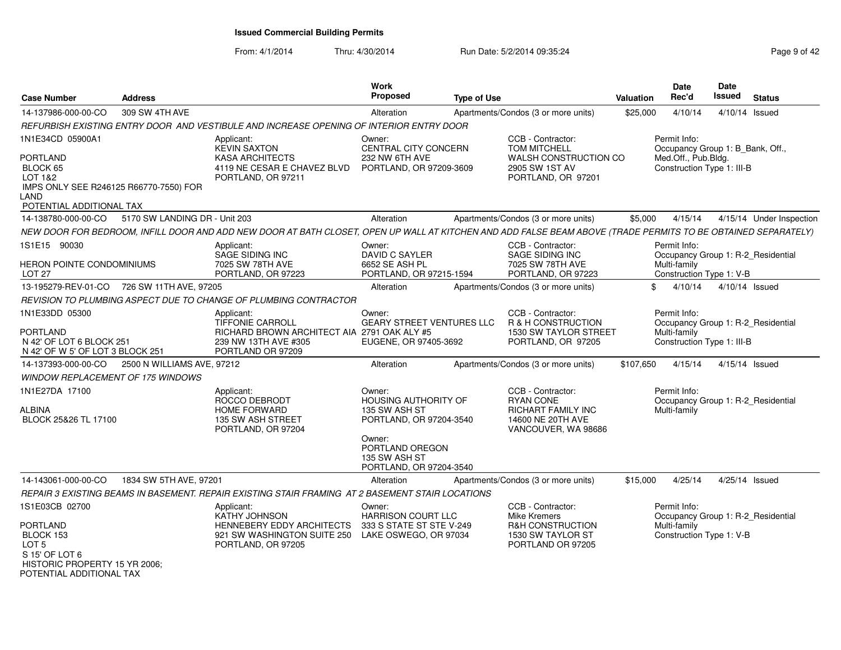From: 4/1/2014Thru: 4/30/2014 Run Date: 5/2/2014 09:35:24 Page 9 of 42

| <b>Case Number</b>                                                                                                                | <b>Address</b>                             |                                                                                                                                                               | Work<br><b>Proposed</b>                                                                                                                             | <b>Type of Use</b> |                                                                                                                | Valuation | Date<br>Rec'd                                                                                         | <b>Date</b><br>Issued | <b>Status</b>            |
|-----------------------------------------------------------------------------------------------------------------------------------|--------------------------------------------|---------------------------------------------------------------------------------------------------------------------------------------------------------------|-----------------------------------------------------------------------------------------------------------------------------------------------------|--------------------|----------------------------------------------------------------------------------------------------------------|-----------|-------------------------------------------------------------------------------------------------------|-----------------------|--------------------------|
| 14-137986-000-00-CO                                                                                                               | 309 SW 4TH AVE                             |                                                                                                                                                               | Alteration                                                                                                                                          |                    | Apartments/Condos (3 or more units)                                                                            | \$25,000  | 4/10/14                                                                                               | 4/10/14 Issued        |                          |
|                                                                                                                                   |                                            | REFURBISH EXISTING ENTRY DOOR AND VESTIBULE AND INCREASE OPENING OF INTERIOR ENTRY DOOR                                                                       |                                                                                                                                                     |                    |                                                                                                                |           |                                                                                                       |                       |                          |
| 1N1E34CD 05900A1<br>PORTLAND<br>BLOCK 65<br>LOT 1&2<br>IMPS ONLY SEE R246125 R66770-7550) FOR<br>_AND<br>POTENTIAL ADDITIONAL TAX |                                            | Applicant:<br><b>KEVIN SAXTON</b><br><b>KASA ARCHITECTS</b><br>4119 NE CESAR E CHAVEZ BLVD<br>PORTLAND, OR 97211                                              | Owner:<br>CENTRAL CITY CONCERN<br>232 NW 6TH AVE<br>PORTLAND, OR 97209-3609                                                                         |                    | CCB - Contractor:<br><b>TOM MITCHELL</b><br>WALSH CONSTRUCTION CO<br>2905 SW 1ST AV<br>PORTLAND, OR 97201      |           | Permit Info:<br>Occupancy Group 1: B_Bank, Off.,<br>Med.Off., Pub.Bldg.<br>Construction Type 1: III-B |                       |                          |
| 14-138780-000-00-CO                                                                                                               | 5170 SW LANDING DR - Unit 203              |                                                                                                                                                               | Alteration                                                                                                                                          |                    | Apartments/Condos (3 or more units)                                                                            | \$5,000   | 4/15/14                                                                                               |                       | 4/15/14 Under Inspection |
|                                                                                                                                   |                                            | NEW DOOR FOR BEDROOM, INFILL DOOR AND ADD NEW DOOR AT BATH CLOSET, OPEN UP WALL AT KITCHEN AND ADD FALSE BEAM ABOVE (TRADE PERMITS TO BE OBTAINED SEPARATELY) |                                                                                                                                                     |                    |                                                                                                                |           |                                                                                                       |                       |                          |
| 1S1E15 90030<br>HERON POINTE CONDOMINIUMS<br>LOT <sub>27</sub>                                                                    |                                            | Applicant:<br>SAGE SIDING INC<br>7025 SW 78TH AVE<br>PORTLAND, OR 97223                                                                                       | Owner:<br>DAVID C SAYLER<br>6652 SE ASH PL<br>PORTLAND, OR 97215-1594                                                                               |                    | CCB - Contractor:<br>SAGE SIDING INC<br>7025 SW 78TH AVE<br>PORTLAND, OR 97223                                 |           | Permit Info:<br>Occupancy Group 1: R-2 Residential<br>Multi-family<br>Construction Type 1: V-B        |                       |                          |
|                                                                                                                                   | 13-195279-REV-01-CO 726 SW 11TH AVE, 97205 |                                                                                                                                                               | Alteration                                                                                                                                          |                    | Apartments/Condos (3 or more units)                                                                            | \$        | 4/10/14                                                                                               | 4/10/14 Issued        |                          |
|                                                                                                                                   |                                            | REVISION TO PLUMBING ASPECT DUE TO CHANGE OF PLUMBING CONTRACTOR                                                                                              |                                                                                                                                                     |                    |                                                                                                                |           |                                                                                                       |                       |                          |
| 1N1E33DD 05300<br><b>PORTLAND</b><br>N 42' OF LOT 6 BLOCK 251<br>N 42' OF W 5' OF LOT 3 BLOCK 251                                 |                                            | Applicant:<br>TIFFONIE CARROLL<br>RICHARD BROWN ARCHITECT AIA 2791 OAK ALY #5<br>239 NW 13TH AVE #305<br>PORTLAND OR 97209                                    | Owner:<br><b>GEARY STREET VENTURES LLC</b><br>EUGENE, OR 97405-3692                                                                                 |                    | CCB - Contractor:<br><b>R &amp; H CONSTRUCTION</b><br>1530 SW TAYLOR STREET<br>PORTLAND, OR 97205              |           | Permit Info:<br>Occupancy Group 1: R-2_Residential<br>Multi-family<br>Construction Type 1: III-B      |                       |                          |
| 14-137393-000-00-CO                                                                                                               | 2500 N WILLIAMS AVE, 97212                 |                                                                                                                                                               | Alteration                                                                                                                                          |                    | Apartments/Condos (3 or more units)                                                                            | \$107,650 | 4/15/14                                                                                               | 4/15/14 Issued        |                          |
| <i>WINDOW REPLACEMENT OF 175 WINDOWS</i>                                                                                          |                                            |                                                                                                                                                               |                                                                                                                                                     |                    |                                                                                                                |           |                                                                                                       |                       |                          |
| 1N1E27DA 17100<br>ALBINA<br>BLOCK 25&26 TL 17100                                                                                  |                                            | Applicant:<br>ROCCO DEBRODT<br><b>HOME FORWARD</b><br>135 SW ASH STREET<br>PORTLAND, OR 97204                                                                 | Owner:<br>HOUSING AUTHORITY OF<br>135 SW ASH ST<br>PORTLAND, OR 97204-3540<br>Owner:<br>PORTLAND OREGON<br>135 SW ASH ST<br>PORTLAND, OR 97204-3540 |                    | CCB - Contractor:<br><b>RYAN CONE</b><br><b>RICHART FAMILY INC</b><br>14600 NE 20TH AVE<br>VANCOUVER, WA 98686 |           | Permit Info:<br>Occupancy Group 1: R-2_Residential<br>Multi-family                                    |                       |                          |
| 14-143061-000-00-CO                                                                                                               | 1834 SW 5TH AVE, 97201                     |                                                                                                                                                               | Alteration                                                                                                                                          |                    | Apartments/Condos (3 or more units)                                                                            | \$15,000  | 4/25/14                                                                                               | 4/25/14 Issued        |                          |
|                                                                                                                                   |                                            | REPAIR 3 EXISTING BEAMS IN BASEMENT. REPAIR EXISTING STAIR FRAMING AT 2 BASEMENT STAIR LOCATIONS                                                              |                                                                                                                                                     |                    |                                                                                                                |           |                                                                                                       |                       |                          |
| 1S1E03CB 02700<br>PORTLAND<br>BLOCK 153<br>LOT 5<br>S 15' OF LOT 6<br>HISTORIC PROPERTY 15 YR 2006;                               |                                            | Applicant:<br>KATHY JOHNSON<br>HENNEBERY EDDY ARCHITECTS<br>921 SW WASHINGTON SUITE 250<br>PORTLAND, OR 97205                                                 | Owner:<br><b>HARRISON COURT LLC</b><br>333 S STATE ST STE V-249<br>LAKE OSWEGO, OR 97034                                                            |                    | CCB - Contractor:<br><b>Mike Kremers</b><br>R&H CONSTRUCTION<br>1530 SW TAYLOR ST<br>PORTLAND OR 97205         |           | Permit Info:<br>Occupancy Group 1: R-2 Residential<br>Multi-family<br>Construction Type 1: V-B        |                       |                          |

POTENTIAL ADDITIONAL TAX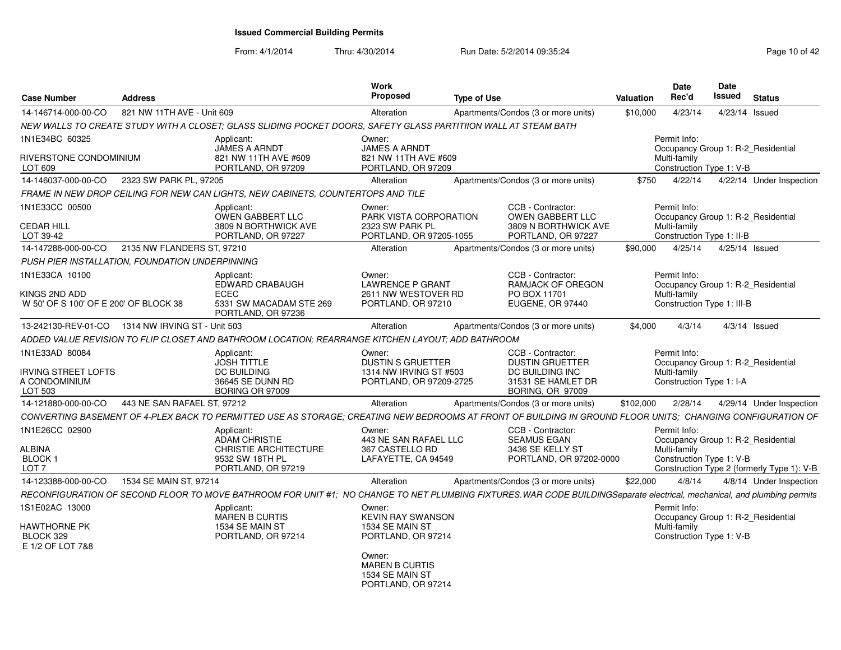| <b>Case Number</b>                                     | Address                      |                                                                                                                 | Work<br>Proposed                                                         | <b>Type of Use</b>                                                                                                                                                       | Valuation | <b>Date</b><br>Rec'd                                                           | Date<br>Issued | <b>Status</b>  |                                            |
|--------------------------------------------------------|------------------------------|-----------------------------------------------------------------------------------------------------------------|--------------------------------------------------------------------------|--------------------------------------------------------------------------------------------------------------------------------------------------------------------------|-----------|--------------------------------------------------------------------------------|----------------|----------------|--------------------------------------------|
| 14-146714-000-00-CO                                    | 821 NW 11TH AVE - Unit 609   |                                                                                                                 | Alteration                                                               | Apartments/Condos (3 or more units)                                                                                                                                      | \$10,000  | 4/23/14                                                                        |                | 4/23/14 Issued |                                            |
|                                                        |                              | NEW WALLS TO CREATE STUDY WITH A CLOSET; GLASS SLIDING POCKET DOORS, SAFETY GLASS PARTITIION WALL AT STEAM BATH |                                                                          |                                                                                                                                                                          |           |                                                                                |                |                |                                            |
| 1N1E34BC 60325                                         |                              | Applicant:                                                                                                      | Owner:                                                                   |                                                                                                                                                                          |           | Permit Info:                                                                   |                |                |                                            |
| RIVERSTONE CONDOMINIUM<br>LOT 609                      |                              | JAMES A ARNDT<br>821 NW 11TH AVE #609<br>PORTLAND, OR 97209                                                     | <b>JAMES A ARNDT</b><br>821 NW 11TH AVE #609<br>PORTLAND, OR 97209       |                                                                                                                                                                          |           | Occupancy Group 1: R-2 Residential<br>Multi-family<br>Construction Type 1: V-B |                |                |                                            |
| 14-146037-000-00-CO                                    | 2323 SW PARK PL, 97205       |                                                                                                                 | Alteration                                                               | Apartments/Condos (3 or more units)                                                                                                                                      | \$750     | 4/22/14                                                                        |                |                | 4/22/14 Under Inspection                   |
|                                                        |                              | FRAME IN NEW DROP CEILING FOR NEW CAN LIGHTS, NEW CABINETS, COUNTERTOPS AND TILE                                |                                                                          |                                                                                                                                                                          |           |                                                                                |                |                |                                            |
| 1N1E33CC 00500                                         |                              | Applicant:<br><b>OWEN GABBERT LLC</b>                                                                           | Owner:<br>PARK VISTA CORPORATION                                         | CCB - Contractor:<br><b>OWEN GABBERT LLC</b>                                                                                                                             |           | Permit Info:<br>Occupancy Group 1: R-2 Residential                             |                |                |                                            |
| <b>CEDAR HILL</b><br>LOT 39-42                         |                              | 3809 N BORTHWICK AVE<br>PORTLAND, OR 97227                                                                      | 2323 SW PARK PL<br>PORTLAND, OR 97205-1055                               | 3809 N BORTHWICK AVE<br>PORTLAND, OR 97227                                                                                                                               |           | Multi-family<br>Construction Type 1: II-B                                      |                |                |                                            |
| 14-147288-000-00-CO                                    | 2135 NW FLANDERS ST, 97210   |                                                                                                                 | Alteration                                                               | Apartments/Condos (3 or more units)                                                                                                                                      | \$90,000  | 4/25/14                                                                        |                | 4/25/14 Issued |                                            |
| PUSH PIER INSTALLATION, FOUNDATION UNDERPINNING        |                              |                                                                                                                 |                                                                          |                                                                                                                                                                          |           |                                                                                |                |                |                                            |
| 1N1E33CA 10100                                         |                              | Applicant:<br><b>EDWARD CRABAUGH</b>                                                                            | Owner:<br><b>LAWRENCE P GRANT</b>                                        | CCB - Contractor:<br><b>RAMJACK OF OREGON</b>                                                                                                                            |           | Permit Info:<br>Occupancy Group 1: R-2 Residential                             |                |                |                                            |
| KINGS 2ND ADD<br>W 50' OF S 100' OF E 200' OF BLOCK 38 |                              | <b>ECEC</b><br>5331 SW MACADAM STE 269<br>PORTLAND, OR 97236                                                    | 2611 NW WESTOVER RD<br>PORTLAND, OR 97210                                | PO BOX 11701<br>EUGENE, OR 97440                                                                                                                                         |           | Multi-family<br>Construction Type 1: III-B                                     |                |                |                                            |
| 13-242130-REV-01-CO                                    | 1314 NW IRVING ST - Unit 503 |                                                                                                                 | Alteration                                                               | Apartments/Condos (3 or more units)                                                                                                                                      | \$4,000   | 4/3/14                                                                         |                | 4/3/14 Issued  |                                            |
|                                                        |                              | ADDED VALUE REVISION TO FLIP CLOSET AND BATHROOM LOCATION: REARRANGE KITCHEN LAYOUT: ADD BATHROOM               |                                                                          |                                                                                                                                                                          |           |                                                                                |                |                |                                            |
| 1N1E33AD 80084                                         |                              | Applicant:<br><b>JOSH TITTLE</b>                                                                                | Owner:<br><b>DUSTIN S GRUETTER</b>                                       | CCB - Contractor:<br><b>DUSTIN GRUETTER</b>                                                                                                                              |           | Permit Info:<br>Occupancy Group 1: R-2 Residential                             |                |                |                                            |
| <b>IRVING STREET LOFTS</b><br>A CONDOMINIUM<br>LOT 503 |                              | DC BUILDING<br>36645 SE DUNN RD<br><b>BORING OR 97009</b>                                                       | 1314 NW IRVING ST #503<br>PORTLAND, OR 97209-2725                        | DC BUILDING INC<br>31531 SE HAMLET DR<br><b>BORING, OR 97009</b>                                                                                                         |           | Multi-family<br>Construction Type 1: I-A                                       |                |                |                                            |
| 14-121880-000-00-CO                                    | 443 NE SAN RAFAEL ST. 97212  |                                                                                                                 | Alteration                                                               | Apartments/Condos (3 or more units)                                                                                                                                      | \$102,000 | 2/28/14                                                                        |                |                | 4/29/14 Under Inspection                   |
|                                                        |                              |                                                                                                                 |                                                                          | CONVERTING BASEMENT OF 4-PLEX BACK TO PERMITTED USE AS STORAGE; CREATING NEW BEDROOMS AT FRONT OF BUILDING IN GROUND FLOOR UNITS; CHANGING CONFIGURATION OF              |           |                                                                                |                |                |                                            |
| 1N1E26CC 02900                                         |                              | Applicant:<br><b>ADAM CHRISTIE</b>                                                                              | Owner:<br>443 NE SAN RAFAEL LLC                                          | CCB - Contractor:<br><b>SEAMUS EGAN</b>                                                                                                                                  |           | Permit Info:<br>Occupancy Group 1: R-2 Residential                             |                |                |                                            |
| <b>ALBINA</b><br><b>BLOCK1</b>                         |                              | <b>CHRISTIE ARCHITECTURE</b><br>9532 SW 18TH PL                                                                 | 367 CASTELLO RD<br>LAFAYETTE, CA 94549                                   | 3436 SE KELLY ST<br>PORTLAND, OR 97202-0000                                                                                                                              |           | Multi-family<br>Construction Type 1: V-B                                       |                |                |                                            |
| LOT <sub>7</sub>                                       |                              | PORTLAND, OR 97219                                                                                              |                                                                          |                                                                                                                                                                          |           |                                                                                |                |                | Construction Type 2 (formerly Type 1): V-B |
| 14-123388-000-00-CO                                    | 1534 SE MAIN ST, 97214       |                                                                                                                 | Alteration                                                               | Apartments/Condos (3 or more units)                                                                                                                                      | \$22,000  | 4/8/14                                                                         |                |                | 4/8/14 Under Inspection                    |
|                                                        |                              |                                                                                                                 |                                                                          | RECONFIGURATION OF SECOND FLOOR TO MOVE BATHROOM FOR UNIT #1; NO CHANGE TO NET PLUMBING FIXTURES. WAR CODE BUILDINGSeparate electrical, mechanical, and plumbing permits |           |                                                                                |                |                |                                            |
| 1S1E02AC 13000                                         |                              | Applicant:<br>MAREN B CURTIS                                                                                    | Owner:<br><b>KEVIN RAY SWANSON</b>                                       |                                                                                                                                                                          |           | Permit Info:<br>Occupancy Group 1: R-2_Residential                             |                |                |                                            |
| HAWTHORNE PK<br>BLOCK 329<br>E 1/2 OF LOT 7&8          |                              | 1534 SE MAIN ST<br>PORTLAND, OR 97214                                                                           | 1534 SE MAIN ST<br>PORTLAND, OR 97214                                    |                                                                                                                                                                          |           | Multi-family<br>Construction Type 1: V-B                                       |                |                |                                            |
|                                                        |                              |                                                                                                                 | Owner:<br><b>MAREN B CURTIS</b><br>1534 SE MAIN ST<br>PORTLAND, OR 97214 |                                                                                                                                                                          |           |                                                                                |                |                |                                            |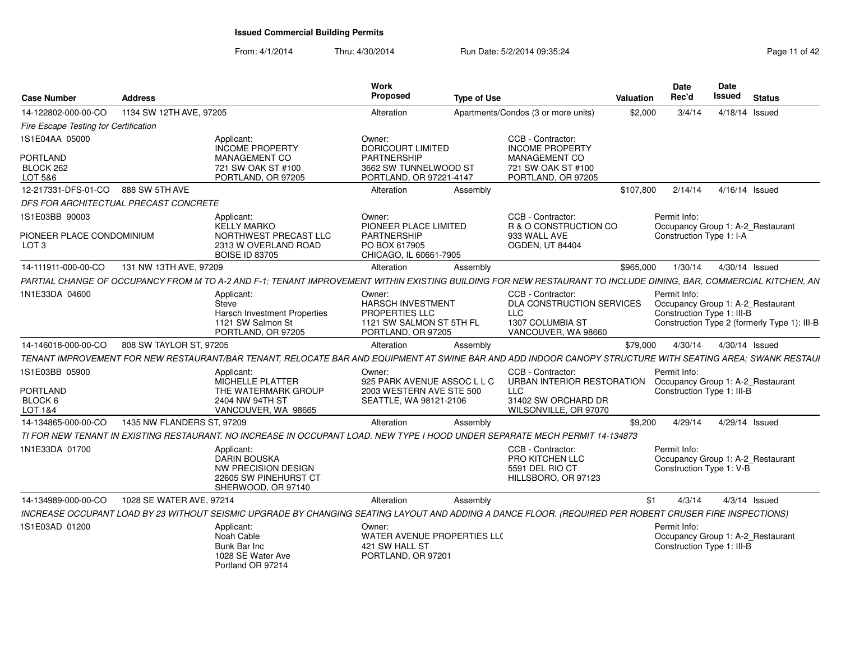| <b>Case Number</b>                                              | <b>Address</b>             |                                                                                                                                                                  | Work<br>Proposed                                                                                       | <b>Type of Use</b> |                                                                                                               | Valuation | <b>Date</b><br>Rec'd                                                            | Date<br>Issued | <b>Status</b>                                |
|-----------------------------------------------------------------|----------------------------|------------------------------------------------------------------------------------------------------------------------------------------------------------------|--------------------------------------------------------------------------------------------------------|--------------------|---------------------------------------------------------------------------------------------------------------|-----------|---------------------------------------------------------------------------------|----------------|----------------------------------------------|
| 14-122802-000-00-CO                                             | 1134 SW 12TH AVE, 97205    |                                                                                                                                                                  | Alteration                                                                                             |                    | Apartments/Condos (3 or more units)                                                                           | \$2,000   | 3/4/14                                                                          |                | 4/18/14 Issued                               |
| Fire Escape Testing for Certification                           |                            |                                                                                                                                                                  |                                                                                                        |                    |                                                                                                               |           |                                                                                 |                |                                              |
| 1S1E04AA 05000<br>PORTLAND<br>BLOCK 262<br>LOT 5&6              |                            | Applicant:<br>INCOME PROPERTY<br>MANAGEMENT CO<br>721 SW OAK ST #100<br>PORTLAND, OR 97205                                                                       | Owner:<br><b>DORICOURT LIMITED</b><br>PARTNERSHIP<br>3662 SW TUNNELWOOD ST<br>PORTLAND, OR 97221-4147  |                    | CCB - Contractor:<br><b>INCOME PROPERTY</b><br>MANAGEMENT CO<br>721 SW OAK ST #100<br>PORTLAND, OR 97205      |           |                                                                                 |                |                                              |
| 12-217331-DFS-01-CO 888 SW 5TH AVE                              |                            |                                                                                                                                                                  | Alteration                                                                                             | Assembly           |                                                                                                               | \$107.800 | 2/14/14                                                                         | 4/16/14 Issued |                                              |
| DFS FOR ARCHITECTUAL PRECAST CONCRETE                           |                            |                                                                                                                                                                  |                                                                                                        |                    |                                                                                                               |           |                                                                                 |                |                                              |
| 1S1E03BB 90003<br>PIONEER PLACE CONDOMINIUM<br>LOT <sub>3</sub> |                            | Applicant:<br><b>KELLY MARKO</b><br>NORTHWEST PRECAST LLC<br>2313 W OVERLAND ROAD<br><b>BOISE ID 83705</b>                                                       | Owner:<br>PIONEER PLACE LIMITED<br><b>PARTNERSHIP</b><br>PO BOX 617905<br>CHICAGO. IL 60661-7905       |                    | CCB - Contractor:<br>R & O CONSTRUCTION CO<br>933 WALL AVE<br><b>OGDEN, UT 84404</b>                          |           | Permit Info:<br>Occupancy Group 1: A-2 Restaurant<br>Construction Type 1: I-A   |                |                                              |
| 14-111911-000-00-CO                                             | 131 NW 13TH AVE, 97209     |                                                                                                                                                                  | Alteration                                                                                             | Assembly           |                                                                                                               | \$965,000 | 1/30/14                                                                         | 4/30/14 Issued |                                              |
|                                                                 |                            | PARTIAL CHANGE OF OCCUPANCY FROM M TO A-2 AND F-1: TENANT IMPROVEMENT WITHIN EXISTING BUILDING FOR NEW RESTAURANT TO INCLUDE DINING. BAR. COMMERCIAL KITCHEN. AN |                                                                                                        |                    |                                                                                                               |           |                                                                                 |                |                                              |
| 1N1E33DA 04600                                                  |                            | Applicant<br>Steve<br><b>Harsch Investment Properties</b><br>1121 SW Salmon St<br>PORTLAND, OR 97205                                                             | Owner:<br>HARSCH INVESTMENT<br><b>PROPERTIES LLC</b><br>1121 SW SALMON ST 5TH FL<br>PORTLAND, OR 97205 |                    | CCB - Contractor:<br>DLA CONSTRUCTION SERVICES<br><b>LLC</b><br>1307 COLUMBIA ST<br>VANCOUVER, WA 98660       |           | Permit Info:<br>Occupancy Group 1: A-2_Restaurant<br>Construction Type 1: III-B |                | Construction Type 2 (formerly Type 1): III-B |
| 14-146018-000-00-CO                                             | 808 SW TAYLOR ST, 97205    |                                                                                                                                                                  | Alteration                                                                                             | Assembly           |                                                                                                               | \$79,000  | 4/30/14                                                                         |                | 4/30/14 Issued                               |
|                                                                 |                            | TENANT IMPROVEMENT FOR NEW RESTAURANT/BAR TENANT. RELOCATE BAR AND EQUIPMENT AT SWINE BAR AND ADD INDOOR CANOPY STRUCTURE WITH SEATING AREA: SWANK RESTAUI       |                                                                                                        |                    |                                                                                                               |           |                                                                                 |                |                                              |
| 1S1E03BB 05900<br><b>PORTLAND</b><br>BLOCK 6<br>LOT 1&4         |                            | Applicant:<br>MICHELLE PLATTER<br>THE WATERMARK GROUP<br>2404 NW 94TH ST<br>VANCOUVER, WA 98665                                                                  | Owner:<br>925 PARK AVENUE ASSOC L L C<br>2003 WESTERN AVE STE 500<br>SEATTLE, WA 98121-2106            |                    | CCB - Contractor:<br>URBAN INTERIOR RESTORATION<br><b>LLC</b><br>31402 SW ORCHARD DR<br>WILSONVILLE, OR 97070 |           | Permit Info:<br>Occupancy Group 1: A-2_Restaurant<br>Construction Type 1: III-B |                |                                              |
| 14-134865-000-00-CO                                             | 1435 NW FLANDERS ST, 97209 |                                                                                                                                                                  | Alteration                                                                                             | Assembly           |                                                                                                               | \$9,200   | 4/29/14                                                                         |                | 4/29/14 Issued                               |
|                                                                 |                            | TI FOR NEW TENANT IN EXISTING RESTAURANT. NO INCREASE IN OCCUPANT LOAD. NEW TYPE I HOOD UNDER SEPARATE MECH PERMIT 14-134873                                     |                                                                                                        |                    |                                                                                                               |           |                                                                                 |                |                                              |
| 1N1E33DA 01700                                                  |                            | Applicant:<br>DARIN BOUSKA<br>NW PRECISION DESIGN<br>22605 SW PINEHURST CT<br>SHERWOOD, OR 97140                                                                 |                                                                                                        |                    | CCB - Contractor:<br>PRO KITCHEN LLC<br>5591 DEL RIO CT<br>HILLSBORO, OR 97123                                |           | Permit Info:<br>Occupancy Group 1: A-2 Restaurant<br>Construction Type 1: V-B   |                |                                              |
| 14-134989-000-00-CO                                             | 1028 SE WATER AVE, 97214   |                                                                                                                                                                  | Alteration                                                                                             | Assembly           |                                                                                                               |           | 4/3/14<br>\$1                                                                   |                | $4/3/14$ Issued                              |
|                                                                 |                            | INCREASE OCCUPANT LOAD BY 23 WITHOUT SEISMIC UPGRADE BY CHANGING SEATING LAYOUT AND ADDING A DANCE FLOOR. (REQUIRED PER ROBERT CRUSER FIRE INSPECTIONS)          |                                                                                                        |                    |                                                                                                               |           |                                                                                 |                |                                              |
| 1S1E03AD 01200                                                  |                            | Applicant:<br>Noah Cable<br>Bunk Bar Inc<br>1028 SE Water Ave<br>Portland OR 97214                                                                               | Owner:<br>WATER AVENUE PROPERTIES LL(<br>421 SW HALL ST<br>PORTLAND, OR 97201                          |                    |                                                                                                               |           | Permit Info:<br>Occupancy Group 1: A-2_Restaurant<br>Construction Type 1: III-B |                |                                              |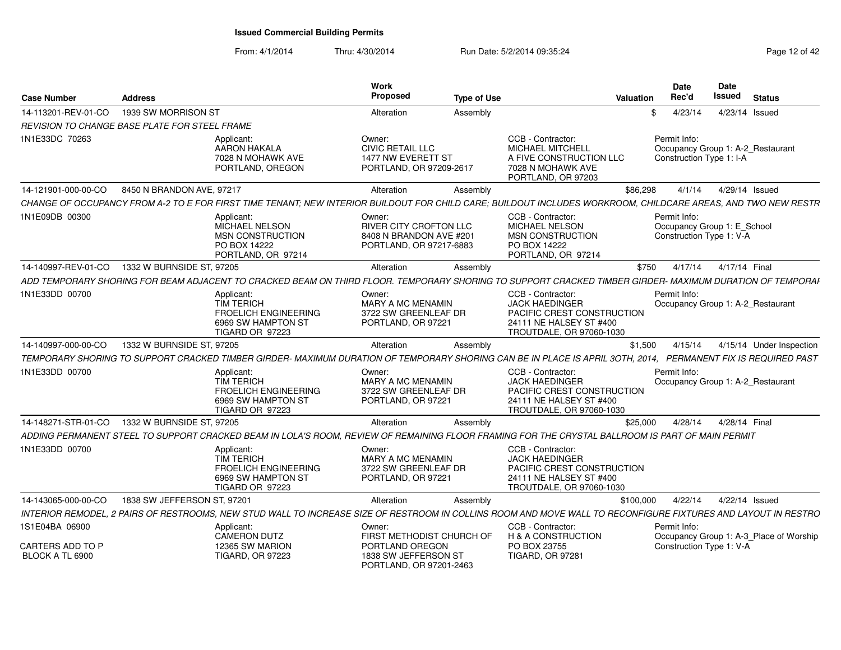| <b>Case Number</b>                         | <b>Address</b>                                                                                                                                                | Work<br>Proposed<br><b>Type of Use</b>                                                          |                                                                                                                                 | Valuation | <b>Date</b><br>Rec'd                                                    | <b>Date</b><br><b>Issued</b> | <b>Status</b>                           |  |
|--------------------------------------------|---------------------------------------------------------------------------------------------------------------------------------------------------------------|-------------------------------------------------------------------------------------------------|---------------------------------------------------------------------------------------------------------------------------------|-----------|-------------------------------------------------------------------------|------------------------------|-----------------------------------------|--|
| 14-113201-REV-01-CO                        | 1939 SW MORRISON ST                                                                                                                                           | Alteration<br>Assembly                                                                          |                                                                                                                                 | \$.       | 4/23/14                                                                 |                              | 4/23/14 Issued                          |  |
|                                            | REVISION TO CHANGE BASE PLATE FOR STEEL FRAME                                                                                                                 |                                                                                                 |                                                                                                                                 |           |                                                                         |                              |                                         |  |
| 1N1E33DC 70263                             | Applicant:<br><b>AARON HAKALA</b><br>7028 N MOHAWK AVE<br>PORTLAND, OREGON                                                                                    | Owner:<br><b>CIVIC RETAIL LLC</b><br>1477 NW EVERETT ST<br>PORTLAND, OR 97209-2617              | CCB - Contractor:<br><b>MICHAEL MITCHELL</b><br>A FIVE CONSTRUCTION LLC<br>7028 N MOHAWK AVE<br>PORTLAND, OR 97203              |           | Permit Info:<br>Construction Type 1: I-A                                |                              | Occupancy Group 1: A-2_Restaurant       |  |
| 14-121901-000-00-CO                        | 8450 N BRANDON AVE, 97217                                                                                                                                     | Alteration<br>Assembly                                                                          |                                                                                                                                 | \$86,298  | 4/1/14                                                                  |                              | 4/29/14 Issued                          |  |
|                                            | CHANGE OF OCCUPANCY FROM A-2 TO E FOR FIRST TIME TENANT: NEW INTERIOR BUILDOUT FOR CHILD CARE: BUILDOUT INCLUDES WORKROOM. CHILDCARE AREAS, AND TWO NEW RESTR |                                                                                                 |                                                                                                                                 |           |                                                                         |                              |                                         |  |
| 1N1E09DB 00300                             | Applicant:<br>MICHAEL NELSON<br>MSN CONSTRUCTION<br>PO BOX 14222<br>PORTLAND, OR 97214                                                                        | Owner:<br><b>RIVER CITY CROFTON LLC</b><br>8408 N BRANDON AVE #201<br>PORTLAND, OR 97217-6883   | CCB - Contractor:<br>MICHAEL NELSON<br>MSN CONSTRUCTION<br>PO BOX 14222<br>PORTLAND, OR 97214                                   |           | Permit Info:<br>Occupancy Group 1: E_School<br>Construction Type 1: V-A |                              |                                         |  |
| 14-140997-REV-01-CO                        | 1332 W BURNSIDE ST, 97205                                                                                                                                     | Alteration<br>Assembly                                                                          |                                                                                                                                 | \$750     | 4/17/14                                                                 |                              | 4/17/14 Final                           |  |
|                                            | ADD TEMPORARY SHORING FOR BEAM ADJACENT TO CRACKED BEAM ON THIRD FLOOR. TEMPORARY SHORING TO SUPPORT CRACKED TIMBER GIRDER- MAXIMUM DURATION OF TEMPORAI      |                                                                                                 |                                                                                                                                 |           |                                                                         |                              |                                         |  |
| 1N1E33DD 00700                             | Applicant:<br><b>TIM TERICH</b><br><b>FROELICH ENGINEERING</b><br>6969 SW HAMPTON ST<br>TIGARD OR 97223                                                       | Owner:<br>MARY A MC MENAMIN<br>3722 SW GREENLEAF DR<br>PORTLAND, OR 97221                       | CCB - Contractor:<br><b>JACK HAEDINGER</b><br>PACIFIC CREST CONSTRUCTION<br>24111 NE HALSEY ST #400<br>TROUTDALE, OR 97060-1030 |           | Permit Info:                                                            |                              | Occupancy Group 1: A-2 Restaurant       |  |
| 14-140997-000-00-CO                        | 1332 W BURNSIDE ST, 97205                                                                                                                                     | Alteration<br>Assembly                                                                          |                                                                                                                                 | \$1,500   | 4/15/14                                                                 |                              | 4/15/14 Under Inspection                |  |
|                                            | TEMPORARY SHORING TO SUPPORT CRACKED TIMBER GIRDER- MAXIMUM DURATION OF TEMPORARY SHORING CAN BE IN PLACE IS APRIL 30TH. 2014.                                |                                                                                                 |                                                                                                                                 |           |                                                                         |                              | PERMANENT FIX IS REQUIRED PAST          |  |
| 1N1E33DD 00700                             | Applicant:<br><b>TIM TERICH</b><br><b>FROELICH ENGINEERING</b><br>6969 SW HAMPTON ST<br>TIGARD OR 97223                                                       | Owner:<br>MARY A MC MENAMIN<br>3722 SW GREENLEAF DR<br>PORTLAND, OR 97221                       | CCB - Contractor:<br><b>JACK HAEDINGER</b><br>PACIFIC CREST CONSTRUCTION<br>24111 NE HALSEY ST #400<br>TROUTDALE, OR 97060-1030 |           | Permit Info:                                                            |                              | Occupancy Group 1: A-2_Restaurant       |  |
| 14-148271-STR-01-CO                        | 1332 W BURNSIDE ST, 97205                                                                                                                                     | Alteration<br>Assembly                                                                          |                                                                                                                                 | \$25,000  | 4/28/14                                                                 |                              | 4/28/14 Final                           |  |
|                                            | ADDING PERMANENT STEEL TO SUPPORT CRACKED BEAM IN LOLA'S ROOM, REVIEW OF REMAINING FLOOR FRAMING FOR THE CRYSTAL BALLROOM IS PART OF MAIN PERMIT              |                                                                                                 |                                                                                                                                 |           |                                                                         |                              |                                         |  |
| 1N1E33DD 00700                             | Applicant:<br><b>TIM TERICH</b><br><b>FROELICH ENGINEERING</b><br>6969 SW HAMPTON ST<br>TIGARD OR 97223                                                       | Owner:<br><b>MARY A MC MENAMIN</b><br>3722 SW GREENLEAF DR<br>PORTLAND, OR 97221                | CCB - Contractor:<br><b>JACK HAEDINGER</b><br>PACIFIC CREST CONSTRUCTION<br>24111 NE HALSEY ST #400<br>TROUTDALE, OR 97060-1030 |           |                                                                         |                              |                                         |  |
| 14-143065-000-00-CO                        | 1838 SW JEFFERSON ST, 97201                                                                                                                                   | Alteration<br>Assembly                                                                          |                                                                                                                                 | \$100,000 | 4/22/14                                                                 |                              | 4/22/14 Issued                          |  |
|                                            | INTERIOR REMODEL, 2 PAIRS OF RESTROOMS, NEW STUD WALL TO INCREASE SIZE OF RESTROOM IN COLLINS ROOM AND MOVE WALL TO RECONFIGURE FIXTURES AND LAYOUT IN RESTRO |                                                                                                 |                                                                                                                                 |           |                                                                         |                              |                                         |  |
| 1S1E04BA 06900                             | Applicant:                                                                                                                                                    | Owner:                                                                                          | CCB - Contractor:                                                                                                               |           | Permit Info:                                                            |                              |                                         |  |
| <b>CARTERS ADD TO P</b><br>BLOCK A TL 6900 | <b>CAMERON DUTZ</b><br>12365 SW MARION<br><b>TIGARD, OR 97223</b>                                                                                             | FIRST METHODIST CHURCH OF<br>PORTLAND OREGON<br>1838 SW JEFFERSON ST<br>PORTLAND, OR 97201-2463 | H & A CONSTRUCTION<br>PO BOX 23755<br><b>TIGARD, OR 97281</b>                                                                   |           | Construction Type 1: V-A                                                |                              | Occupancy Group 1: A-3_Place of Worship |  |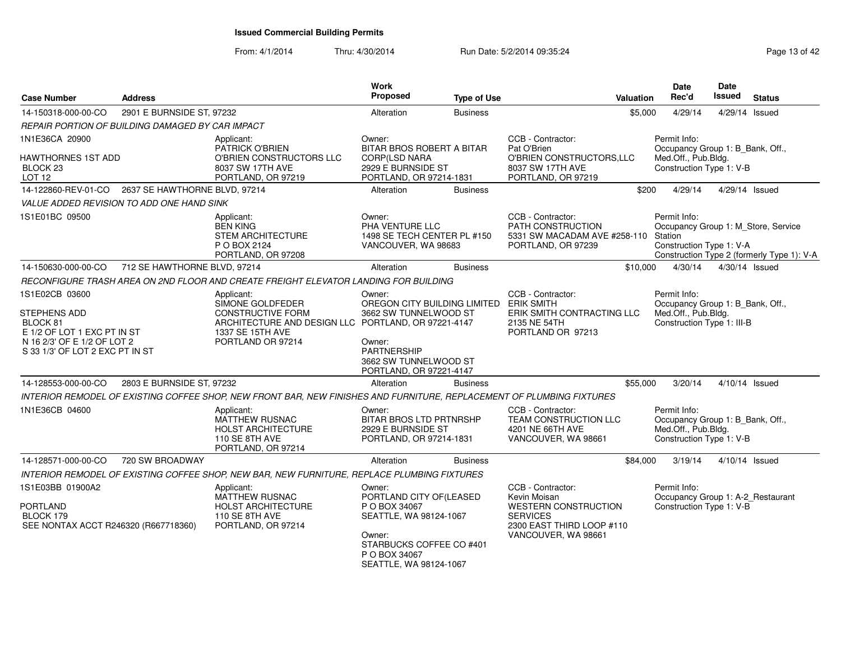| <b>Case Number</b>                                                                                                                          | <b>Address</b>                                    |                                                                                                                                                            | Work<br>Proposed                                                                                                                                              | <b>Type of Use</b> |                                                                                                                                  | <b>Valuation</b> | <b>Date</b><br>Rec'd                                                                                  | <b>Date</b><br><b>Issued</b> | <b>Status</b>                                                                     |
|---------------------------------------------------------------------------------------------------------------------------------------------|---------------------------------------------------|------------------------------------------------------------------------------------------------------------------------------------------------------------|---------------------------------------------------------------------------------------------------------------------------------------------------------------|--------------------|----------------------------------------------------------------------------------------------------------------------------------|------------------|-------------------------------------------------------------------------------------------------------|------------------------------|-----------------------------------------------------------------------------------|
| 14-150318-000-00-CO                                                                                                                         | 2901 E BURNSIDE ST, 97232                         |                                                                                                                                                            | Alteration                                                                                                                                                    | <b>Business</b>    |                                                                                                                                  | \$5,000          | 4/29/14                                                                                               | 4/29/14 Issued               |                                                                                   |
|                                                                                                                                             | REPAIR PORTION OF BUILDING DAMAGED BY CAR IMPACT  |                                                                                                                                                            |                                                                                                                                                               |                    |                                                                                                                                  |                  |                                                                                                       |                              |                                                                                   |
| 1N1E36CA 20900                                                                                                                              |                                                   | Applicant:<br>PATRICK O'BRIEN                                                                                                                              | Owner:<br>BITAR BROS ROBERT A BITAR                                                                                                                           |                    | CCB - Contractor:<br>Pat O'Brien                                                                                                 |                  | Permit Info:<br>Occupancy Group 1: B_Bank, Off.,                                                      |                              |                                                                                   |
| HAWTHORNES 1ST ADD<br>BLOCK <sub>23</sub><br>LOT 12                                                                                         |                                                   | O'BRIEN CONSTRUCTORS LLC<br>8037 SW 17TH AVE<br>PORTLAND, OR 97219                                                                                         | <b>CORP(LSD NARA</b><br>2929 E BURNSIDE ST<br>PORTLAND, OR 97214-1831                                                                                         |                    | O'BRIEN CONSTRUCTORS, LLC<br>8037 SW 17TH AVE<br>PORTLAND, OR 97219                                                              |                  | Med.Off., Pub.Bldg.<br>Construction Type 1: V-B                                                       |                              |                                                                                   |
|                                                                                                                                             | 14-122860-REV-01-CO 2637 SE HAWTHORNE BLVD, 97214 |                                                                                                                                                            | Alteration                                                                                                                                                    | <b>Business</b>    |                                                                                                                                  | \$200            | 4/29/14                                                                                               | 4/29/14 Issued               |                                                                                   |
|                                                                                                                                             | VALUE ADDED REVISION TO ADD ONE HAND SINK         |                                                                                                                                                            |                                                                                                                                                               |                    |                                                                                                                                  |                  |                                                                                                       |                              |                                                                                   |
| 1S1E01BC 09500                                                                                                                              |                                                   | Applicant:<br><b>BEN KING</b><br><b>STEM ARCHITECTURE</b><br>P O BOX 2124<br>PORTLAND, OR 97208                                                            | Owner:<br>PHA VENTURE LLC<br>1498 SE TECH CENTER PL #150<br>VANCOUVER, WA 98683                                                                               |                    | CCB - Contractor:<br>PATH CONSTRUCTION<br>5331 SW MACADAM AVE #258-110 Station<br>PORTLAND, OR 97239                             |                  | Permit Info:<br>Construction Type 1: V-A                                                              |                              | Occupancy Group 1: M_Store, Service<br>Construction Type 2 (formerly Type 1): V-A |
| 14-150630-000-00-CO                                                                                                                         | 712 SE HAWTHORNE BLVD, 97214                      |                                                                                                                                                            | Alteration                                                                                                                                                    | <b>Business</b>    |                                                                                                                                  | \$10,000         | 4/30/14                                                                                               | 4/30/14 Issued               |                                                                                   |
|                                                                                                                                             |                                                   | RECONFIGURE TRASH AREA ON 2ND FLOOR AND CREATE FREIGHT ELEVATOR LANDING FOR BUILDING                                                                       |                                                                                                                                                               |                    |                                                                                                                                  |                  |                                                                                                       |                              |                                                                                   |
| 1S1E02CB 03600<br>STEPHENS ADD<br>BLOCK 81<br>E 1/2 OF LOT 1 EXC PT IN ST<br>N 16 2/3' OF E 1/2 OF LOT 2<br>S 33 1/3' OF LOT 2 EXC PT IN ST |                                                   | Applicant:<br>SIMONE GOLDFEDER<br><b>CONSTRUCTIVE FORM</b><br>ARCHITECTURE AND DESIGN LLC PORTLAND, OR 97221-4147<br>1337 SE 15TH AVE<br>PORTLAND OR 97214 | Owner:<br>OREGON CITY BUILDING LIMITED ERIK SMITH<br>3662 SW TUNNELWOOD ST<br>Owner:<br>PARTNERSHIP<br>3662 SW TUNNELWOOD ST<br>PORTLAND, OR 97221-4147       |                    | CCB - Contractor:<br>ERIK SMITH CONTRACTING LLC<br>2135 NE 54TH<br>PORTLAND OR 97213                                             |                  | Permit Info:<br>Occupancy Group 1: B_Bank, Off.,<br>Med.Off., Pub.Bldg.<br>Construction Type 1: III-B |                              |                                                                                   |
| 14-128553-000-00-CO                                                                                                                         | 2803 E BURNSIDE ST, 97232                         |                                                                                                                                                            | Alteration                                                                                                                                                    | <b>Business</b>    |                                                                                                                                  | \$55,000         | 3/20/14                                                                                               | $4/10/14$ Issued             |                                                                                   |
|                                                                                                                                             |                                                   | INTERIOR REMODEL OF EXISTING COFFEE SHOP, NEW FRONT BAR, NEW FINISHES AND FURNITURE, REPLACEMENT OF PLUMBING FIXTURES                                      |                                                                                                                                                               |                    |                                                                                                                                  |                  |                                                                                                       |                              |                                                                                   |
| 1N1E36CB 04600                                                                                                                              |                                                   | Applicant:<br><b>MATTHEW RUSNAC</b><br><b>HOLST ARCHITECTURE</b><br>110 SE 8TH AVE<br>PORTLAND, OR 97214                                                   | Owner:<br><b>BITAR BROS LTD PRTNRSHP</b><br>2929 E BURNSIDE ST<br>PORTLAND, OR 97214-1831                                                                     |                    | CCB - Contractor:<br><b>TEAM CONSTRUCTION LLC</b><br>4201 NE 66TH AVE<br>VANCOUVER, WA 98661                                     |                  | Permit Info:<br>Occupancy Group 1: B_Bank, Off.,<br>Med.Off., Pub.Bldg.<br>Construction Type 1: V-B   |                              |                                                                                   |
| 14-128571-000-00-CO                                                                                                                         | 720 SW BROADWAY                                   |                                                                                                                                                            | Alteration                                                                                                                                                    | <b>Business</b>    |                                                                                                                                  | \$84,000         | 3/19/14                                                                                               | 4/10/14 Issued               |                                                                                   |
|                                                                                                                                             |                                                   | INTERIOR REMODEL OF EXISTING COFFEE SHOP, NEW BAR, NEW FURNITURE, REPLACE PLUMBING FIXTURES                                                                |                                                                                                                                                               |                    |                                                                                                                                  |                  |                                                                                                       |                              |                                                                                   |
| 1S1E03BB 01900A2<br><b>PORTLAND</b><br>BLOCK 179<br>SEE NONTAX ACCT R246320 (R667718360)                                                    |                                                   | Applicant:<br><b>MATTHEW RUSNAC</b><br>HOLST ARCHITECTURE<br>110 SE 8TH AVE<br>PORTLAND, OR 97214                                                          | Owner:<br>PORTLAND CITY OF(LEASED<br>P O BOX 34067<br>SEATTLE, WA 98124-1067<br>Owner:<br>STARBUCKS COFFEE CO #401<br>P O BOX 34067<br>SEATTLE, WA 98124-1067 |                    | CCB - Contractor:<br>Kevin Moisan<br>WESTERN CONSTRUCTION<br><b>SERVICES</b><br>2300 EAST THIRD LOOP #110<br>VANCOUVER, WA 98661 |                  | Permit Info:<br>Occupancy Group 1: A-2_Restaurant<br>Construction Type 1: V-B                         |                              |                                                                                   |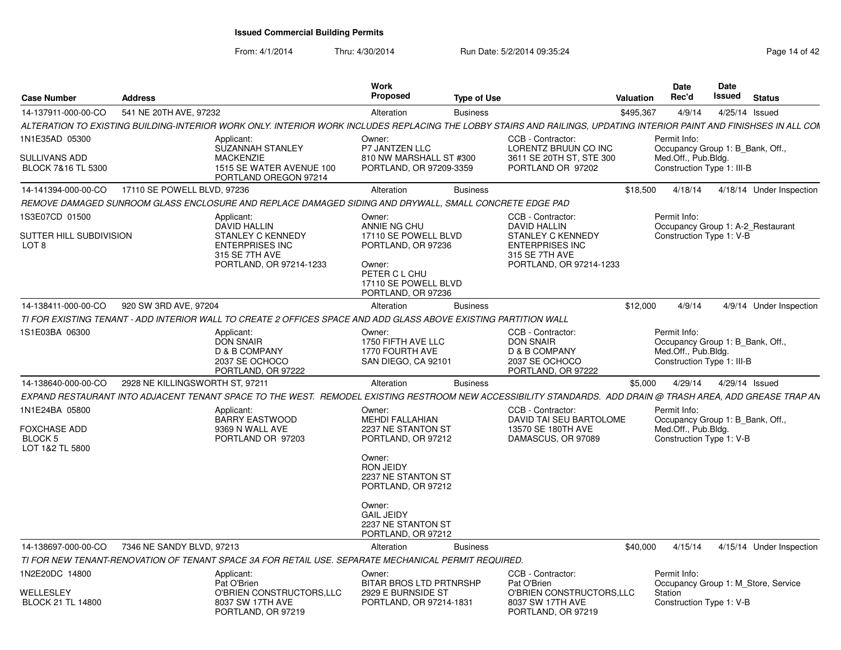| <b>Case Number</b>                                            | <b>Address</b>                  |                                                                                                                                                                      | <b>Work</b><br><b>Proposed</b>                                                                                                                | <b>Type of Use</b> |                                                                                                                               | Valuation | <b>Date</b><br>Rec'd                                                                                  |        | Date<br>Issued | <b>Status</b>                       |
|---------------------------------------------------------------|---------------------------------|----------------------------------------------------------------------------------------------------------------------------------------------------------------------|-----------------------------------------------------------------------------------------------------------------------------------------------|--------------------|-------------------------------------------------------------------------------------------------------------------------------|-----------|-------------------------------------------------------------------------------------------------------|--------|----------------|-------------------------------------|
| 14-137911-000-00-CO                                           | 541 NE 20TH AVE, 97232          |                                                                                                                                                                      | Alteration                                                                                                                                    | <b>Business</b>    |                                                                                                                               | \$495,367 |                                                                                                       | 4/9/14 | 4/25/14 Issued |                                     |
|                                                               |                                 | ALTERATION TO EXISTING BUILDING-INTERIOR WORK ONLY. INTERIOR WORK INCLUDES REPLACING THE LOBBY STAIRS AND RAILINGS. UPDATING INTERIOR PAINT AND FINISHSES IN ALL COM |                                                                                                                                               |                    |                                                                                                                               |           |                                                                                                       |        |                |                                     |
| 1N1E35AD 05300                                                |                                 | Applicant:<br>SUZANNAH STANLEY                                                                                                                                       | Owner:<br>P7 JANTZEN LLC                                                                                                                      |                    | CCB - Contractor:<br>LORENTZ BRUUN CO INC                                                                                     |           | Permit Info:<br>Occupancy Group 1: B Bank, Off.,                                                      |        |                |                                     |
| SULLIVANS ADD<br>BLOCK 7&16 TL 5300                           |                                 | <b>MACKENZIE</b><br>1515 SE WATER AVENUE 100<br>PORTLAND OREGON 97214                                                                                                | 810 NW MARSHALL ST #300<br>PORTLAND, OR 97209-3359                                                                                            |                    | 3611 SE 20TH ST, STE 300<br>PORTLAND OR 97202                                                                                 |           | Med.Off., Pub.Bldg.<br>Construction Type 1: III-B                                                     |        |                |                                     |
| 14-141394-000-00-CO                                           | 17110 SE POWELL BLVD, 97236     |                                                                                                                                                                      | Alteration                                                                                                                                    | <b>Business</b>    |                                                                                                                               | \$18,500  | 4/18/14                                                                                               |        |                | 4/18/14 Under Inspection            |
|                                                               |                                 | REMOVE DAMAGED SUNROOM GLASS ENCLOSURE AND REPLACE DAMAGED SIDING AND DRYWALL. SMALL CONCRETE EDGE PAD                                                               |                                                                                                                                               |                    |                                                                                                                               |           |                                                                                                       |        |                |                                     |
| 1S3E07CD 01500<br>SUTTER HILL SUBDIVISION<br>LOT <sub>8</sub> |                                 | Applicant:<br><b>DAVID HALLIN</b><br>STANLEY C KENNEDY<br><b>ENTERPRISES INC</b><br>315 SE 7TH AVE<br>PORTLAND, OR 97214-1233                                        | Owner:<br>ANNIE NG CHU<br>17110 SE POWELL BLVD<br>PORTLAND, OR 97236<br>Owner:<br>PETER C L CHU<br>17110 SE POWELL BLVD<br>PORTLAND, OR 97236 |                    | CCB - Contractor:<br>DAVID HALLIN<br>STANLEY C KENNEDY<br><b>ENTERPRISES INC</b><br>315 SE 7TH AVE<br>PORTLAND, OR 97214-1233 |           | Permit Info:<br>Construction Type 1: V-B                                                              |        |                | Occupancy Group 1: A-2 Restaurant   |
| 14-138411-000-00-CO                                           | 920 SW 3RD AVE, 97204           |                                                                                                                                                                      | Alteration                                                                                                                                    | <b>Business</b>    |                                                                                                                               | \$12,000  |                                                                                                       | 4/9/14 |                | 4/9/14 Under Inspection             |
|                                                               |                                 | TI FOR EXISTING TENANT - ADD INTERIOR WALL TO CREATE 2 OFFICES SPACE AND ADD GLASS ABOVE EXISTING PARTITION WALL                                                     |                                                                                                                                               |                    |                                                                                                                               |           |                                                                                                       |        |                |                                     |
| 1S1E03BA 06300                                                |                                 | Applicant:<br><b>DON SNAIR</b><br>D & B COMPANY<br>2037 SE OCHOCO<br>PORTLAND, OR 97222                                                                              | Owner:<br>1750 FIFTH AVE LLC<br>1770 FOURTH AVE<br>SAN DIEGO, CA 92101                                                                        |                    | CCB - Contractor:<br><b>DON SNAIR</b><br>D & B COMPANY<br>2037 SE OCHOCO<br>PORTLAND, OR 97222                                |           | Permit Info:<br>Occupancy Group 1: B Bank, Off.,<br>Med.Off., Pub.Bldg.<br>Construction Type 1: III-B |        |                |                                     |
| 14-138640-000-00-CO                                           | 2928 NE KILLINGSWORTH ST, 97211 |                                                                                                                                                                      | Alteration                                                                                                                                    | <b>Business</b>    |                                                                                                                               | \$5,000   | 4/29/14                                                                                               |        | 4/29/14 Issued |                                     |
|                                                               |                                 | EXPAND RESTAURANT INTO ADJACENT TENANT SPACE TO THE WEST.  REMODEL EXISTING RESTROOM NEW ACCESSIBILITY STANDARDS.  ADD DRAIN @ TRASH AREA, ADD GREASE TRAP AN        |                                                                                                                                               |                    |                                                                                                                               |           |                                                                                                       |        |                |                                     |
| 1N1E24BA 05800<br>FOXCHASE ADD<br>BLOCK 5<br>LOT 1&2 TL 5800  |                                 | Applicant:<br><b>BARRY EASTWOOD</b><br>9369 N WALL AVE<br>PORTLAND OR 97203                                                                                          | Owner:<br><b>MEHDI FALLAHIAN</b><br>2237 NE STANTON ST<br>PORTLAND, OR 97212<br>Owner:                                                        |                    | CCB - Contractor:<br>DAVID TAI SEU BARTOLOME<br>13570 SE 180TH AVE<br>DAMASCUS, OR 97089                                      |           | Permit Info:<br>Occupancy Group 1: B Bank, Off.,<br>Med.Off., Pub.Bldg.<br>Construction Type 1: V-B   |        |                |                                     |
|                                                               |                                 |                                                                                                                                                                      | <b>RON JEIDY</b><br>2237 NE STANTON ST<br>PORTLAND, OR 97212                                                                                  |                    |                                                                                                                               |           |                                                                                                       |        |                |                                     |
|                                                               |                                 |                                                                                                                                                                      | Owner:<br><b>GAIL JEIDY</b><br>2237 NE STANTON ST<br>PORTLAND, OR 97212                                                                       |                    |                                                                                                                               |           |                                                                                                       |        |                |                                     |
| 14-138697-000-00-CO                                           | 7346 NE SANDY BLVD, 97213       |                                                                                                                                                                      | Alteration                                                                                                                                    | <b>Business</b>    |                                                                                                                               | \$40,000  | 4/15/14                                                                                               |        |                | 4/15/14 Under Inspection            |
|                                                               |                                 | TI FOR NEW TENANT-RENOVATION OF TENANT SPACE 3A FOR RETAIL USE. SEPARATE MECHANICAL PERMIT REQUIRED.                                                                 |                                                                                                                                               |                    |                                                                                                                               |           |                                                                                                       |        |                |                                     |
| 1N2E20DC 14800                                                |                                 | Applicant:<br>Pat O'Brien                                                                                                                                            | Owner:<br>BITAR BROS LTD PRTNRSHP                                                                                                             |                    | CCB - Contractor:<br>Pat O'Brien                                                                                              |           | Permit Info:                                                                                          |        |                | Occupancy Group 1: M Store, Service |
| WELLESLEY<br><b>BLOCK 21 TL 14800</b>                         |                                 | O'BRIEN CONSTRUCTORS, LLC<br>8037 SW 17TH AVE<br>PORTLAND, OR 97219                                                                                                  | 2929 E BURNSIDE ST<br>PORTLAND, OR 97214-1831                                                                                                 |                    | O'BRIEN CONSTRUCTORS, LLC<br>8037 SW 17TH AVE<br>PORTLAND, OR 97219                                                           |           | Station<br>Construction Type 1: V-B                                                                   |        |                |                                     |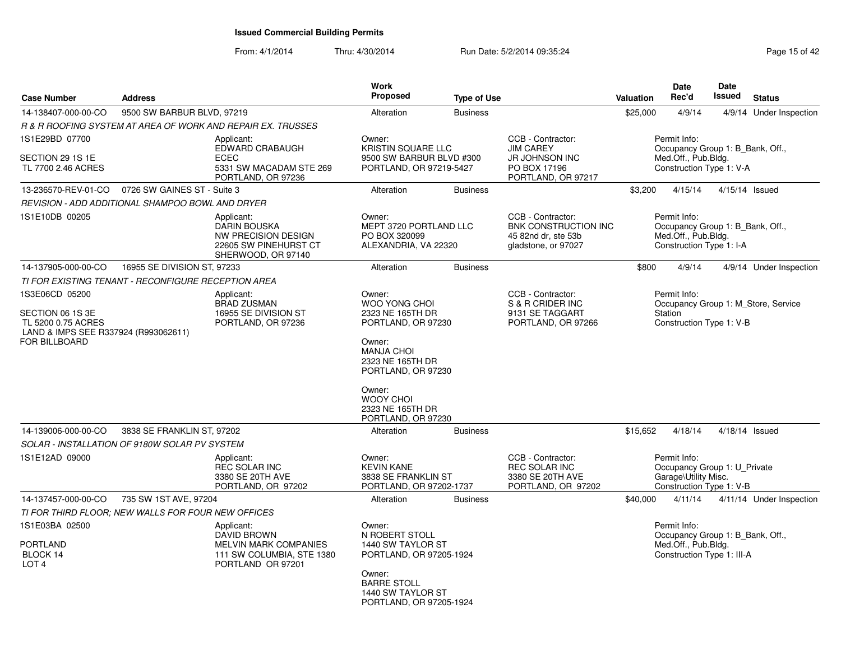| <b>Case Number</b>                                                                                                | <b>Address</b>                                      |                                                                                                             | Work<br><b>Proposed</b>                                                                                                                                                                                                   | <b>Type of Use</b> |                                                                                                | Valuation | <b>Date</b><br>Rec'd                                                                                  | Date<br><b>Issued</b> | <b>Status</b>                       |
|-------------------------------------------------------------------------------------------------------------------|-----------------------------------------------------|-------------------------------------------------------------------------------------------------------------|---------------------------------------------------------------------------------------------------------------------------------------------------------------------------------------------------------------------------|--------------------|------------------------------------------------------------------------------------------------|-----------|-------------------------------------------------------------------------------------------------------|-----------------------|-------------------------------------|
| 14-138407-000-00-CO                                                                                               | 9500 SW BARBUR BLVD, 97219                          |                                                                                                             | Alteration                                                                                                                                                                                                                | <b>Business</b>    |                                                                                                | \$25,000  | 4/9/14                                                                                                |                       | 4/9/14 Under Inspection             |
|                                                                                                                   |                                                     | R & R ROOFING SYSTEM AT AREA OF WORK AND REPAIR EX. TRUSSES                                                 |                                                                                                                                                                                                                           |                    |                                                                                                |           |                                                                                                       |                       |                                     |
| 1S1E29BD 07700<br>SECTION 29 1S 1E<br>TL 7700 2.46 ACRES                                                          |                                                     | Applicant:<br>EDWARD CRABAUGH<br><b>ECEC</b><br>5331 SW MACADAM STE 269<br>PORTLAND, OR 97236               | Owner:<br>KRISTIN SQUARE LLC<br>9500 SW BARBUR BLVD #300<br>PORTLAND, OR 97219-5427                                                                                                                                       |                    | CCB - Contractor:<br><b>JIM CAREY</b><br>JR JOHNSON INC<br>PO BOX 17196<br>PORTLAND, OR 97217  |           | Permit Info:<br>Occupancy Group 1: B_Bank, Off.,<br>Med.Off., Pub.Bldg.<br>Construction Type 1: V-A   |                       |                                     |
| 13-236570-REV-01-CO                                                                                               | 0726 SW GAINES ST - Suite 3                         |                                                                                                             | Alteration                                                                                                                                                                                                                | <b>Business</b>    |                                                                                                | \$3,200   | 4/15/14                                                                                               |                       | 4/15/14 Issued                      |
|                                                                                                                   | REVISION - ADD ADDITIONAL SHAMPOO BOWL AND DRYER    |                                                                                                             |                                                                                                                                                                                                                           |                    |                                                                                                |           |                                                                                                       |                       |                                     |
| 1S1E10DB 00205                                                                                                    |                                                     | Applicant:<br><b>DARIN BOUSKA</b><br>NW PRECISION DESIGN<br>22605 SW PINEHURST CT<br>SHERWOOD, OR 97140     | Owner:<br>MEPT 3720 PORTLAND LLC<br>PO BOX 320099<br>ALEXANDRIA, VA 22320                                                                                                                                                 |                    | CCB - Contractor:<br><b>BNK CONSTRUCTION INC</b><br>45 82nd dr. ste 53b<br>gladstone, or 97027 |           | Permit Info:<br>Occupancy Group 1: B Bank, Off.,<br>Med.Off., Pub.Bldg.<br>Construction Type 1: I-A   |                       |                                     |
| 14-137905-000-00-CO                                                                                               | 16955 SE DIVISION ST, 97233                         |                                                                                                             | Alteration                                                                                                                                                                                                                | <b>Business</b>    |                                                                                                | \$800     | 4/9/14                                                                                                |                       | 4/9/14 Under Inspection             |
|                                                                                                                   | TI FOR EXISTING TENANT - RECONFIGURE RECEPTION AREA |                                                                                                             |                                                                                                                                                                                                                           |                    |                                                                                                |           |                                                                                                       |                       |                                     |
| 1S3E06CD 05200<br>SECTION 06 1S 3E<br>TL 5200 0.75 ACRES<br>LAND & IMPS SEE R337924 (R993062611)<br>FOR BILLBOARD |                                                     | Applicant:<br><b>BRAD ZUSMAN</b><br>16955 SE DIVISION ST<br>PORTLAND, OR 97236                              | Owner:<br><b>WOO YONG CHOI</b><br>2323 NE 165TH DR<br>PORTLAND, OR 97230<br>Owner:<br><b>MANJA CHOI</b><br>2323 NE 165TH DR<br>PORTLAND, OR 97230<br>Owner:<br><b>WOOY CHOI</b><br>2323 NE 165TH DR<br>PORTLAND, OR 97230 |                    | CCB - Contractor:<br>S & R CRIDER INC<br>9131 SE TAGGART<br>PORTLAND, OR 97266                 |           | Permit Info:<br>Station<br>Construction Type 1: V-B                                                   |                       | Occupancy Group 1: M_Store, Service |
| 14-139006-000-00-CO                                                                                               | 3838 SE FRANKLIN ST, 97202                          |                                                                                                             | Alteration                                                                                                                                                                                                                | <b>Business</b>    |                                                                                                | \$15,652  | 4/18/14                                                                                               |                       | 4/18/14 Issued                      |
| 1S1E12AD 09000                                                                                                    | SOLAR - INSTALLATION OF 9180W SOLAR PV SYSTEM       | Applicant:<br><b>REC SOLAR INC</b><br>3380 SE 20TH AVE<br>PORTLAND, OR 97202                                | Owner:<br><b>KEVIN KANE</b><br>3838 SE FRANKLIN ST<br>PORTLAND, OR 97202-1737                                                                                                                                             |                    | CCB - Contractor:<br><b>REC SOLAR INC</b><br>3380 SE 20TH AVE<br>PORTLAND, OR 97202            |           | Permit Info:<br>Occupancy Group 1: U_Private<br>Garage\Utility Misc.<br>Construction Type 1: V-B      |                       |                                     |
| 14-137457-000-00-CO                                                                                               | 735 SW 1ST AVE, 97204                               |                                                                                                             | Alteration                                                                                                                                                                                                                | <b>Business</b>    |                                                                                                | \$40,000  | 4/11/14                                                                                               |                       | 4/11/14 Under Inspection            |
|                                                                                                                   | TI FOR THIRD FLOOR: NEW WALLS FOR FOUR NEW OFFICES  |                                                                                                             |                                                                                                                                                                                                                           |                    |                                                                                                |           |                                                                                                       |                       |                                     |
| 1S1E03BA 02500<br><b>PORTLAND</b><br>BLOCK 14<br>LOT <sub>4</sub>                                                 |                                                     | Applicant:<br>DAVID BROWN<br><b>MELVIN MARK COMPANIES</b><br>111 SW COLUMBIA, STE 1380<br>PORTLAND OR 97201 | Owner:<br>N ROBERT STOLL<br>1440 SW TAYLOR ST<br>PORTLAND, OR 97205-1924<br>Owner:<br><b>BARRE STOLL</b><br>1440 SW TAYLOR ST<br>PORTLAND, OR 97205-1924                                                                  |                    |                                                                                                |           | Permit Info:<br>Occupancy Group 1: B Bank, Off.,<br>Med.Off., Pub.Bldg.<br>Construction Type 1: III-A |                       |                                     |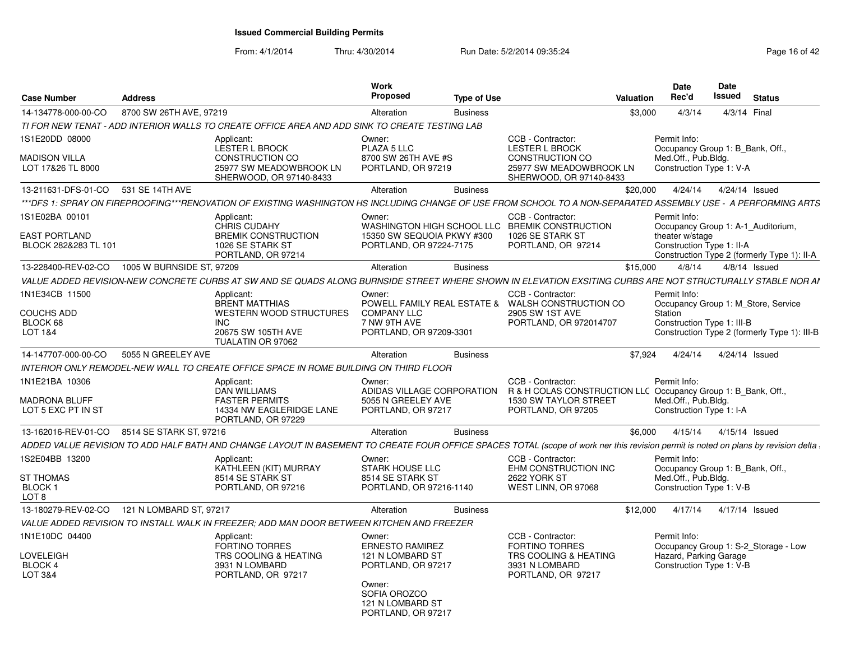From: 4/1/2014

| <b>Case Number</b>                           | <b>Address</b>            |                                                                                                                                                                                    | Work<br>Proposed                                       | <b>Type of Use</b> |                                                                                    | Valuation | <b>Date</b><br>Rec'd                             | Date<br>Issued | <b>Status</b>                                |  |
|----------------------------------------------|---------------------------|------------------------------------------------------------------------------------------------------------------------------------------------------------------------------------|--------------------------------------------------------|--------------------|------------------------------------------------------------------------------------|-----------|--------------------------------------------------|----------------|----------------------------------------------|--|
| 14-134778-000-00-CO                          | 8700 SW 26TH AVE, 97219   |                                                                                                                                                                                    | Alteration                                             | <b>Business</b>    |                                                                                    | \$3,000   | 4/3/14                                           |                | 4/3/14 Final                                 |  |
|                                              |                           | TI FOR NEW TENAT - ADD INTERIOR WALLS TO CREATE OFFICE AREA AND ADD SINK TO CREATE TESTING LAB                                                                                     |                                                        |                    |                                                                                    |           |                                                  |                |                                              |  |
| 1S1E20DD 08000                               |                           | Applicant:<br>LESTER L BROCK                                                                                                                                                       | Owner:<br>PLAZA 5 LLC                                  |                    | CCB - Contractor:<br><b>LESTER L BROCK</b>                                         |           | Permit Info:<br>Occupancy Group 1: B_Bank, Off., |                |                                              |  |
| <b>MADISON VILLA</b><br>LOT 17&26 TL 8000    |                           | CONSTRUCTION CO<br>25977 SW MEADOWBROOK LN<br>SHERWOOD, OR 97140-8433                                                                                                              | 8700 SW 26TH AVE #S<br>PORTLAND, OR 97219              |                    | <b>CONSTRUCTION CO</b><br>25977 SW MEADOWBROOK LN<br>SHERWOOD, OR 97140-8433       |           | Med.Off., Pub.Bldg.<br>Construction Type 1: V-A  |                |                                              |  |
| 13-211631-DFS-01-CO 531 SE 14TH AVE          |                           |                                                                                                                                                                                    | Alteration                                             | <b>Business</b>    |                                                                                    | \$20.000  | 4/24/14  4/24/14  Issued                         |                |                                              |  |
|                                              |                           | ***DFS 1: SPRAY ON FIREPROOFING***RENOVATION OF EXISTING WASHINGTON HS INCLUDING CHANGE OF USE FROM SCHOOL TO A NON-SEPARATED ASSEMBLY USE - A PERFORMING ARTS                     |                                                        |                    |                                                                                    |           |                                                  |                |                                              |  |
| 1S1E02BA 00101                               |                           | Applicant:<br>CHRIS CUDAHY                                                                                                                                                         | Owner:                                                 |                    | CCB - Contractor:<br>WASHINGTON HIGH SCHOOL LLC BREMIK CONSTRUCTION                |           | Permit Info:                                     |                | Occupancy Group 1: A-1 Auditorium,           |  |
| <b>EAST PORTLAND</b><br>BLOCK 282&283 TL 101 |                           | <b>BREMIK CONSTRUCTION</b><br>1026 SE STARK ST                                                                                                                                     | 15350 SW SEQUOIA PKWY #300<br>PORTLAND, OR 97224-7175  |                    | 1026 SE STARK ST<br>PORTLAND, OR 97214                                             |           | theater w/stage<br>Construction Type 1: II-A     |                |                                              |  |
|                                              |                           | PORTLAND, OR 97214                                                                                                                                                                 |                                                        |                    |                                                                                    |           |                                                  |                | Construction Type 2 (formerly Type 1): II-A  |  |
| 13-228400-REV-02-CO                          | 1005 W BURNSIDE ST, 97209 |                                                                                                                                                                                    | Alteration                                             | <b>Business</b>    |                                                                                    | \$15,000  | 4/8/14                                           |                | $4/8/14$ Issued                              |  |
|                                              |                           | VALUE ADDED REVISION-NEW CONCRETE CURBS AT SW AND SE QUADS ALONG BURNSIDE STREET WHERE SHOWN IN ELEVATION EXSITING CURBS ARE NOT STRUCTURALLY STABLE NOR AI                        |                                                        |                    |                                                                                    |           |                                                  |                |                                              |  |
| 1N1E34CB 11500                               |                           | Applicant:<br><b>BRENT MATTHIAS</b>                                                                                                                                                | Owner:                                                 |                    | CCB - Contractor:<br>POWELL FAMILY REAL ESTATE & WALSH CONSTRUCTION CO             |           | Permit Info:                                     |                | Occupancy Group 1: M_Store, Service          |  |
| COUCHS ADD                                   |                           | WESTERN WOOD STRUCTURES                                                                                                                                                            | <b>COMPANY LLC</b>                                     |                    | 2905 SW 1ST AVE                                                                    |           | Station                                          |                |                                              |  |
| BLOCK 68<br>LOT 1&4                          |                           | INC.<br>20675 SW 105TH AVE                                                                                                                                                         | 7 NW 9TH AVE<br>PORTLAND, OR 97209-3301                |                    | PORTLAND, OR 972014707                                                             |           | Construction Type 1: III-B                       |                | Construction Type 2 (formerly Type 1): III-B |  |
|                                              |                           | TUALATIN OR 97062                                                                                                                                                                  |                                                        |                    |                                                                                    |           |                                                  |                |                                              |  |
| 14-147707-000-00-CO                          | 5055 N GREELEY AVE        |                                                                                                                                                                                    | Alteration                                             | <b>Business</b>    |                                                                                    | \$7.924   | 4/24/14                                          |                | 4/24/14 Issued                               |  |
|                                              |                           | INTERIOR ONLY REMODEL-NEW WALL TO CREATE OFFICE SPACE IN ROME BUILDING ON THIRD FLOOR                                                                                              |                                                        |                    |                                                                                    |           |                                                  |                |                                              |  |
| 1N1E21BA 10306                               |                           | Applicant:<br><b>DAN WILLIAMS</b>                                                                                                                                                  | Owner:<br>ADIDAS VILLAGE CORPORATION                   |                    | CCB - Contractor:<br>R & H COLAS CONSTRUCTION LLC Occupancy Group 1: B_Bank, Off., |           | Permit Info:                                     |                |                                              |  |
| <b>MADRONA BLUFF</b><br>LOT 5 EXC PT IN ST   |                           | <b>FASTER PERMITS</b><br>14334 NW EAGLERIDGE LANE<br>PORTLAND, OR 97229                                                                                                            | 5055 N GREELEY AVE<br>PORTLAND, OR 97217               |                    | <b>1530 SW TAYLOR STREET</b><br>PORTLAND, OR 97205                                 |           | Med.Off., Pub.Blda.<br>Construction Type 1: I-A  |                |                                              |  |
| 13-162016-REV-01-CO 8514 SE STARK ST, 97216  |                           |                                                                                                                                                                                    | Alteration                                             | <b>Business</b>    |                                                                                    | \$6.000   | 4/15/14  4/15/14  Issued                         |                |                                              |  |
|                                              |                           | ADDED VALUE REVISION TO ADD HALF BATH AND CHANGE LAYOUT IN BASEMENT TO CREATE FOUR OFFICE SPACES TOTAL (scope of work ner this revision permit is noted on plans by revision delta |                                                        |                    |                                                                                    |           |                                                  |                |                                              |  |
| 1S2E04BB 13200                               |                           | Applicant:<br>KATHLEEN (KIT) MURRAY                                                                                                                                                | Owner:<br><b>STARK HOUSE LLC</b>                       |                    | CCB - Contractor:<br>EHM CONSTRUCTION INC                                          |           | Permit Info:<br>Occupancy Group 1: B Bank, Off., |                |                                              |  |
| ST THOMAS                                    |                           | 8514 SE STARK ST                                                                                                                                                                   | 8514 SE STARK ST                                       |                    | <b>2622 YORK ST</b>                                                                |           | Med.Off., Pub.Bldg.                              |                |                                              |  |
| BLOCK 1                                      |                           | PORTLAND, OR 97216                                                                                                                                                                 | PORTLAND, OR 97216-1140                                |                    | WEST LINN, OR 97068                                                                |           | Construction Type 1: V-B                         |                |                                              |  |
| LOT 8                                        |                           |                                                                                                                                                                                    |                                                        |                    |                                                                                    |           |                                                  |                |                                              |  |
| 13-180279-REV-02-CO 121 N LOMBARD ST, 97217  |                           |                                                                                                                                                                                    | Alteration                                             | <b>Business</b>    |                                                                                    | \$12,000  | 4/17/14                                          |                | 4/17/14 Issued                               |  |
|                                              |                           | VALUE ADDED REVISION TO INSTALL WALK IN FREEZER; ADD MAN DOOR BETWEEN KITCHEN AND FREEZER                                                                                          |                                                        |                    |                                                                                    |           |                                                  |                |                                              |  |
| 1N1E10DC 04400<br>LOVELEIGH                  |                           | Applicant:<br><b>FORTINO TORRES</b><br>TRS COOLING & HEATING                                                                                                                       | Owner:<br><b>ERNESTO RAMIREZ</b><br>121 N LOMBARD ST   |                    | CCB - Contractor:<br><b>FORTINO TORRES</b><br>TRS COOLING & HEATING                |           | Permit Info:<br>Hazard, Parking Garage           |                | Occupancy Group 1: S-2_Storage - Low         |  |
| BLOCK 4<br>LOT 3&4                           |                           | 3931 N LOMBARD<br>PORTLAND, OR 97217                                                                                                                                               | PORTLAND, OR 97217<br>Owner:                           |                    | 3931 N LOMBARD<br>PORTLAND, OR 97217                                               |           | Construction Type 1: V-B                         |                |                                              |  |
|                                              |                           |                                                                                                                                                                                    | SOFIA OROZCO<br>121 N LOMBARD ST<br>PORTLAND, OR 97217 |                    |                                                                                    |           |                                                  |                |                                              |  |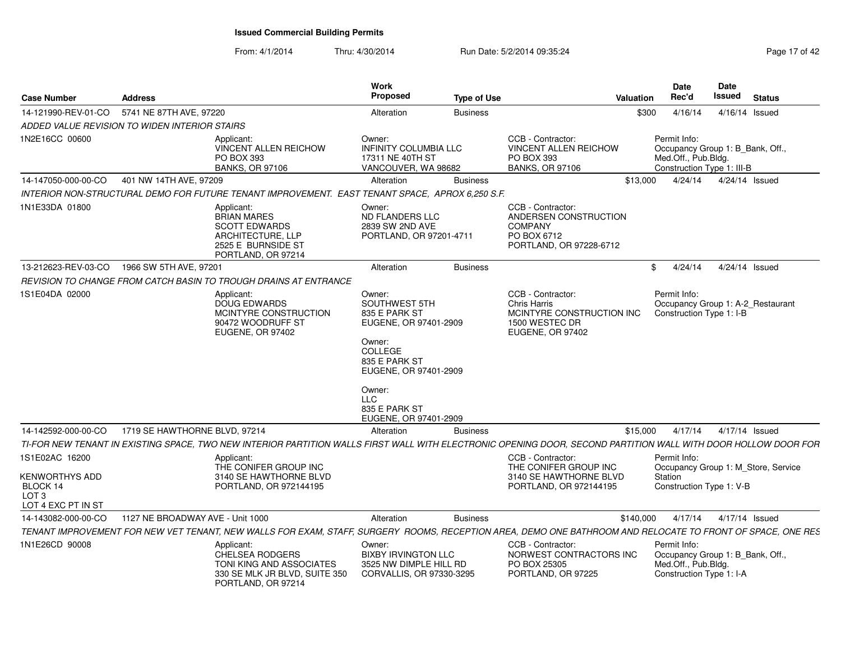| <b>Case Number</b>                                                                     | <b>Address</b>                                |                                                                                                                                                                | Work<br><b>Proposed</b>                                                                                                                                                                     | <b>Type of Use</b> |                                                                                                             | Valuation    | <b>Date</b><br>Rec'd                                                                                  | Date<br>Issued | <b>Status</b>  |
|----------------------------------------------------------------------------------------|-----------------------------------------------|----------------------------------------------------------------------------------------------------------------------------------------------------------------|---------------------------------------------------------------------------------------------------------------------------------------------------------------------------------------------|--------------------|-------------------------------------------------------------------------------------------------------------|--------------|-------------------------------------------------------------------------------------------------------|----------------|----------------|
| 14-121990-REV-01-CO                                                                    | 5741 NE 87TH AVE, 97220                       |                                                                                                                                                                | Alteration                                                                                                                                                                                  | <b>Business</b>    |                                                                                                             | \$300        | 4/16/14                                                                                               |                | 4/16/14 Issued |
|                                                                                        | ADDED VALUE REVISION TO WIDEN INTERIOR STAIRS |                                                                                                                                                                |                                                                                                                                                                                             |                    |                                                                                                             |              |                                                                                                       |                |                |
| 1N2E16CC 00600                                                                         |                                               | Applicant:<br><b>VINCENT ALLEN REICHOW</b><br>PO BOX 393<br><b>BANKS, OR 97106</b>                                                                             | Owner:<br>INFINITY COLUMBIA LLC<br>17311 NE 40TH ST<br>VANCOUVER, WA 98682                                                                                                                  |                    | CCB - Contractor:<br><b>VINCENT ALLEN REICHOW</b><br>PO BOX 393<br><b>BANKS, OR 97106</b>                   |              | Permit Info:<br>Occupancy Group 1: B_Bank, Off.,<br>Med.Off., Pub.Bldg.<br>Construction Type 1: III-B |                |                |
| 14-147050-000-00-CO                                                                    | 401 NW 14TH AVE, 97209                        |                                                                                                                                                                | Alteration                                                                                                                                                                                  | <b>Business</b>    |                                                                                                             | \$13,000     | 4/24/14                                                                                               |                | 4/24/14 Issued |
|                                                                                        |                                               | INTERIOR NON-STRUCTURAL DEMO FOR FUTURE TENANT IMPROVEMENT. EAST TENANT SPACE, APROX 6,250 S.F.                                                                |                                                                                                                                                                                             |                    |                                                                                                             |              |                                                                                                       |                |                |
| 1N1E33DA 01800                                                                         |                                               | Applicant:<br><b>BRIAN MARES</b><br><b>SCOTT EDWARDS</b><br>ARCHITECTURE, LLP<br>2525 E BURNSIDE ST<br>PORTLAND, OR 97214                                      | Owner:<br>ND FLANDERS LLC<br>2839 SW 2ND AVE<br>PORTLAND, OR 97201-4711                                                                                                                     |                    | CCB - Contractor:<br>ANDERSEN CONSTRUCTION<br><b>COMPANY</b><br>PO BOX 6712<br>PORTLAND, OR 97228-6712      |              |                                                                                                       |                |                |
| 13-212623-REV-03-CO                                                                    | 1966 SW 5TH AVE, 97201                        |                                                                                                                                                                | Alteration                                                                                                                                                                                  | <b>Business</b>    |                                                                                                             | $\mathbb{S}$ | 4/24/14                                                                                               |                | 4/24/14 Issued |
|                                                                                        |                                               | REVISION TO CHANGE FROM CATCH BASIN TO TROUGH DRAINS AT ENTRANCE                                                                                               |                                                                                                                                                                                             |                    |                                                                                                             |              |                                                                                                       |                |                |
| 1S1E04DA 02000                                                                         |                                               | Applicant:<br><b>DOUG EDWARDS</b><br>MCINTYRE CONSTRUCTION<br>90472 WOODRUFF ST<br>EUGENE, OR 97402                                                            | Owner:<br>SOUTHWEST 5TH<br>835 E PARK ST<br>EUGENE, OR 97401-2909<br>Owner:<br>COLLEGE<br>835 E PARK ST<br>EUGENE, OR 97401-2909<br>Owner:<br>LLC<br>835 E PARK ST<br>EUGENE, OR 97401-2909 |                    | CCB - Contractor:<br><b>Chris Harris</b><br>MCINTYRE CONSTRUCTION INC<br>1500 WESTEC DR<br>EUGENE, OR 97402 |              | Permit Info:<br>Occupancy Group 1: A-2_Restaurant<br>Construction Type 1: I-B                         |                |                |
| 14-142592-000-00-CO                                                                    | 1719 SE HAWTHORNE BLVD, 97214                 |                                                                                                                                                                | Alteration                                                                                                                                                                                  | <b>Business</b>    |                                                                                                             | \$15,000     | 4/17/14                                                                                               |                | 4/17/14 Issued |
|                                                                                        |                                               | TI-FOR NEW TENANT IN EXISTING SPACE. TWO NEW INTERIOR PARTITION WALLS FIRST WALL WITH ELECTRONIC OPENING DOOR. SECOND PARTITION WALL WITH DOOR HOLLOW DOOR FOR |                                                                                                                                                                                             |                    |                                                                                                             |              |                                                                                                       |                |                |
| 1S1E02AC 16200<br>KENWORTHYS ADD<br>BLOCK 14<br>LOT <sub>3</sub><br>LOT 4 EXC PT IN ST |                                               | Applicant:<br>THE CONIFER GROUP INC<br>3140 SE HAWTHORNE BLVD<br>PORTLAND, OR 972144195                                                                        |                                                                                                                                                                                             |                    | CCB - Contractor:<br>THE CONIFER GROUP INC<br>3140 SE HAWTHORNE BLVD<br>PORTLAND, OR 972144195              |              | Permit Info:<br>Occupancy Group 1: M_Store, Service<br>Station<br>Construction Type 1: V-B            |                |                |
| 14-143082-000-00-CO                                                                    | 1127 NE BROADWAY AVE - Unit 1000              |                                                                                                                                                                | Alteration                                                                                                                                                                                  | <b>Business</b>    |                                                                                                             | \$140,000    | 4/17/14                                                                                               |                | 4/17/14 Issued |
|                                                                                        |                                               | TENANT IMPROVEMENT FOR NEW VET TENANT, NEW WALLS FOR EXAM, STAFF, SURGERY ROOMS, RECEPTION AREA, DEMO ONE BATHROOM AND RELOCATE TO FRONT OF SPACE, ONE RES     |                                                                                                                                                                                             |                    |                                                                                                             |              |                                                                                                       |                |                |
| 1N1E26CD 90008                                                                         |                                               | Applicant:<br><b>CHELSEA RODGERS</b><br>TONI KING AND ASSOCIATES<br>330 SE MLK JR BLVD, SUITE 350<br>PORTLAND, OR 97214                                        | Owner:<br><b>BIXBY IRVINGTON LLC</b><br>3525 NW DIMPLE HILL RD<br>CORVALLIS, OR 97330-3295                                                                                                  |                    | CCB - Contractor:<br>NORWEST CONTRACTORS INC<br>PO BOX 25305<br>PORTLAND, OR 97225                          |              | Permit Info:<br>Occupancy Group 1: B Bank, Off.,<br>Med.Off., Pub.Bldg.<br>Construction Type 1: I-A   |                |                |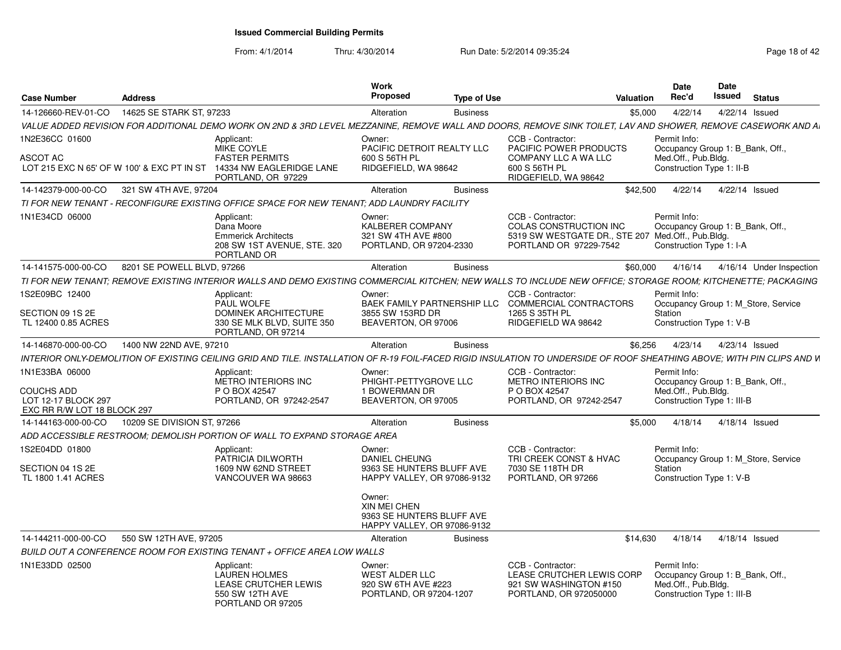| <b>Case Number</b>                                                      | <b>Address</b>                             |                                                                                                      | <b>Work</b><br>Proposed                                                            | <b>Type of Use</b> | Valuation                                                                                                                                                               | <b>Date</b><br>Rec'd                | <b>Date</b><br>Issued                                          | <b>Status</b>                       |
|-------------------------------------------------------------------------|--------------------------------------------|------------------------------------------------------------------------------------------------------|------------------------------------------------------------------------------------|--------------------|-------------------------------------------------------------------------------------------------------------------------------------------------------------------------|-------------------------------------|----------------------------------------------------------------|-------------------------------------|
| 14-126660-REV-01-CO                                                     | 14625 SE STARK ST. 97233                   |                                                                                                      | Alteration                                                                         | <b>Business</b>    |                                                                                                                                                                         | \$5,000<br>4/22/14                  |                                                                | 4/22/14 Issued                      |
|                                                                         |                                            |                                                                                                      |                                                                                    |                    | VALUE ADDED REVISION FOR ADDITIONAL DEMO WORK ON 2ND & 3RD LEVEL MEZZANINE. REMOVE WALL AND DOORS. REMOVE SINK TOILET. LAV AND SHOWER. REMOVE CASEWORK AND AI           |                                     |                                                                |                                     |
| 1N2E36CC 01600                                                          |                                            | Applicant:                                                                                           | Owner:                                                                             |                    | CCB - Contractor:                                                                                                                                                       | Permit Info:                        |                                                                |                                     |
| <b>ASCOT AC</b>                                                         | LOT 215 EXC N 65' OF W 100' & EXC PT IN ST | MIKE COYLE<br><b>FASTER PERMITS</b><br>14334 NW EAGLERIDGE LANE<br>PORTLAND, OR 97229                | PACIFIC DETROIT REALTY LLC<br>600 S 56TH PL<br>RIDGEFIELD, WA 98642                |                    | <b>PACIFIC POWER PRODUCTS</b><br><b>COMPANY LLC A WA LLC</b><br>600 S 56TH PL<br>RIDGEFIELD, WA 98642                                                                   | Med.Off., Pub.Bldg.                 | Occupancy Group 1: B_Bank, Off.,<br>Construction Type 1: II-B  |                                     |
| 14-142379-000-00-CO                                                     | 321 SW 4TH AVE, 97204                      |                                                                                                      | Alteration                                                                         | <b>Business</b>    | \$42,500                                                                                                                                                                |                                     | 4/22/14  4/22/14  Issued                                       |                                     |
|                                                                         |                                            | TI FOR NEW TENANT - RECONFIGURE EXISTING OFFICE SPACE FOR NEW TENANT; ADD LAUNDRY FACILITY           |                                                                                    |                    |                                                                                                                                                                         |                                     |                                                                |                                     |
| 1N1E34CD 06000                                                          |                                            | Applicant:<br>Dana Moore<br><b>Emmerick Architects</b><br>208 SW 1ST AVENUE, STE. 320<br>PORTLAND OR | Owner:<br>KALBERER COMPANY<br>321 SW 4TH AVE #800<br>PORTLAND, OR 97204-2330       |                    | CCB - Contractor:<br>COLAS CONSTRUCTION INC<br>5319 SW WESTGATE DR., STE 207 Med.Off., Pub.Bldg.<br>PORTLAND OR 97229-7542                                              | Permit Info:                        | Occupancy Group 1: B Bank, Off.,<br>Construction Type 1: I-A   |                                     |
| 14-141575-000-00-CO                                                     | 8201 SE POWELL BLVD, 97266                 |                                                                                                      | Alteration                                                                         | <b>Business</b>    |                                                                                                                                                                         | \$60,000                            |                                                                | 4/16/14  4/16/14  Under Inspection  |
|                                                                         |                                            |                                                                                                      |                                                                                    |                    | TI FOR NEW TENANT: REMOVE EXISTING INTERIOR WALLS AND DEMO EXISTING COMMERCIAL KITCHEN: NEW WALLS TO INCLUDE NEW OFFICE: STORAGE ROOM: KITCHENETTE: PACKAGING           |                                     |                                                                |                                     |
| 1S2E09BC 12400                                                          |                                            | Applicant:<br><b>PAUL WOLFE</b>                                                                      | Owner:<br>BAEK FAMILY PARTNERSHIP LLC                                              |                    | CCB - Contractor:<br><b>COMMERCIAL CONTRACTORS</b>                                                                                                                      | Permit Info:                        |                                                                | Occupancy Group 1: M Store, Service |
| SECTION 09 1S 2E<br>TL 12400 0.85 ACRES                                 |                                            | DOMINEK ARCHITECTURE<br>330 SE MLK BLVD, SUITE 350<br>PORTLAND, OR 97214                             | 3855 SW 153RD DR<br>BEAVERTON, OR 97006                                            |                    | 1265 S 35TH PL<br>RIDGEFIELD WA 98642                                                                                                                                   | Station                             | Construction Type 1: V-B                                       |                                     |
| 14-146870-000-00-CO                                                     | 1400 NW 22ND AVE, 97210                    |                                                                                                      | Alteration                                                                         | <b>Business</b>    |                                                                                                                                                                         | \$6.256<br>4/23/14                  | 4/23/14 Issued                                                 |                                     |
|                                                                         |                                            |                                                                                                      |                                                                                    |                    | INTERIOR ONLY-DEMOLITION OF EXISTING CEILING GRID AND TILE. INSTALLATION OF R-19 FOIL-FACED RIGID INSULATION TO UNDERSIDE OF ROOF SHEATHING ABOVE; WITH PIN CLIPS AND W |                                     |                                                                |                                     |
| 1N1E33BA 06000                                                          |                                            | Applicant:<br><b>METRO INTERIORS INC</b>                                                             | Owner:<br>PHIGHT-PETTYGROVE LLC                                                    |                    | CCB - Contractor:<br><b>METRO INTERIORS INC</b>                                                                                                                         | Permit Info:                        | Occupancy Group 1: B Bank, Off.,                               |                                     |
| <b>COUCHS ADD</b><br>LOT 12-17 BLOCK 297<br>EXC RR R/W LOT 18 BLOCK 297 |                                            | P O BOX 42547<br>PORTLAND, OR 97242-2547                                                             | 1 BOWERMAN DR<br>BEAVERTON, OR 97005                                               |                    | P O BOX 42547<br>PORTLAND, OR 97242-2547                                                                                                                                | Med.Off., Pub.Bldg.                 | Construction Type 1: III-B                                     |                                     |
| 14-144163-000-00-CO                                                     | 10209 SE DIVISION ST, 97266                |                                                                                                      | Alteration                                                                         | <b>Business</b>    |                                                                                                                                                                         | 4/18/14<br>\$5,000                  |                                                                | 4/18/14 Issued                      |
|                                                                         |                                            | ADD ACCESSIBLE RESTROOM: DEMOLISH PORTION OF WALL TO EXPAND STORAGE AREA                             |                                                                                    |                    |                                                                                                                                                                         |                                     |                                                                |                                     |
| 1S2E04DD 01800                                                          |                                            | Applicant:<br>PATRICIA DILWORTH                                                                      | Owner:<br><b>DANIEL CHEUNG</b>                                                     |                    | CCB - Contractor:<br>TRI CREEK CONST & HVAC                                                                                                                             | Permit Info:                        |                                                                | Occupancy Group 1: M Store, Service |
| SECTION 04 1S 2E<br>TL 1800 1.41 ACRES                                  |                                            | 1609 NW 62ND STREET<br>VANCOUVER WA 98663                                                            | 9363 SE HUNTERS BLUFF AVE<br>HAPPY VALLEY, OR 97086-9132                           |                    | 7030 SE 118TH DR<br>PORTLAND, OR 97266                                                                                                                                  | Station                             | Construction Type 1: V-B                                       |                                     |
|                                                                         |                                            |                                                                                                      | Owner:<br>XIN MEI CHEN<br>9363 SE HUNTERS BLUFF AVE<br>HAPPY VALLEY, OR 97086-9132 |                    |                                                                                                                                                                         |                                     |                                                                |                                     |
| 14-144211-000-00-CO                                                     | 550 SW 12TH AVE, 97205                     |                                                                                                      | Alteration                                                                         | <b>Business</b>    | \$14,630                                                                                                                                                                | 4/18/14                             | 4/18/14 Issued                                                 |                                     |
|                                                                         |                                            | BUILD OUT A CONFERENCE ROOM FOR EXISTING TENANT + OFFICE AREA LOW WALLS                              |                                                                                    |                    |                                                                                                                                                                         |                                     |                                                                |                                     |
| 1N1E33DD 02500                                                          |                                            | Applicant:<br><b>LAUREN HOLMES</b><br>LEASE CRUTCHER LEWIS<br>550 SW 12TH AVE<br>PORTLAND OR 97205   | Owner:<br><b>WEST ALDER LLC</b><br>920 SW 6TH AVE #223<br>PORTLAND, OR 97204-1207  |                    | CCB - Contractor:<br>LEASE CRUTCHER LEWIS CORP<br>921 SW WASHINGTON #150<br>PORTLAND, OR 972050000                                                                      | Permit Info:<br>Med.Off., Pub.Bldg. | Occupancy Group 1: B Bank, Off.,<br>Construction Type 1: III-B |                                     |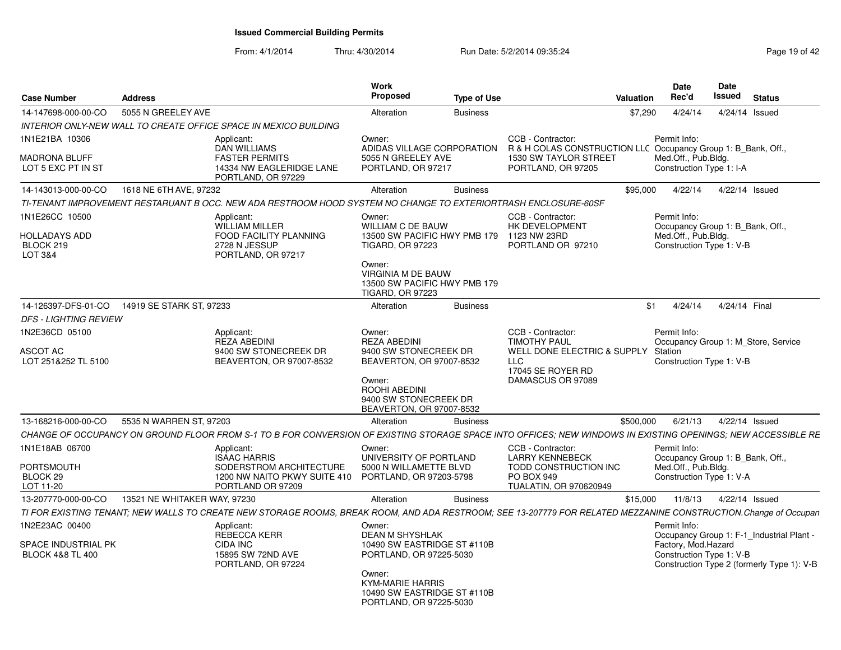| <b>Case Number</b>                                                   | <b>Address</b>                                                          |                                                                                                                                                                  | Work<br>Proposed                                                                            | <b>Type of Use</b> |                                                                                         | <b>Valuation</b> | <b>Date</b><br>Rec'd                                                                | Date<br><b>Issued</b> |               | <b>Status</b>                                                                           |
|----------------------------------------------------------------------|-------------------------------------------------------------------------|------------------------------------------------------------------------------------------------------------------------------------------------------------------|---------------------------------------------------------------------------------------------|--------------------|-----------------------------------------------------------------------------------------|------------------|-------------------------------------------------------------------------------------|-----------------------|---------------|-----------------------------------------------------------------------------------------|
| 14-147698-000-00-CO                                                  | 5055 N GREELEY AVE                                                      |                                                                                                                                                                  | Alteration                                                                                  | <b>Business</b>    |                                                                                         | \$7,290          | 4/24/14                                                                             |                       |               | 4/24/14 Issued                                                                          |
|                                                                      | <b>INTERIOR ONLY-NEW WALL TO CREATE OFFICE SPACE IN MEXICO BUILDING</b> |                                                                                                                                                                  |                                                                                             |                    |                                                                                         |                  |                                                                                     |                       |               |                                                                                         |
| 1N1E21BA 10306                                                       | Applicant:                                                              | <b>DAN WILLIAMS</b>                                                                                                                                              | Owner:<br>ADIDAS VILLAGE CORPORATION                                                        |                    | CCB - Contractor:<br>R & H COLAS CONSTRUCTION LLC Occupancy Group 1: B Bank, Off.,      |                  | Permit Info:                                                                        |                       |               |                                                                                         |
| <b>MADRONA BLUFF</b><br>LOT 5 EXC PT IN ST                           |                                                                         | <b>FASTER PERMITS</b><br>14334 NW EAGLERIDGE LANE<br>PORTLAND, OR 97229                                                                                          | 5055 N GREELEY AVE<br>PORTLAND, OR 97217                                                    |                    | 1530 SW TAYLOR STREET<br>PORTLAND, OR 97205                                             |                  | Med.Off., Pub.Bldg.<br>Construction Type 1: I-A                                     |                       |               |                                                                                         |
| 14-143013-000-00-CO                                                  | 1618 NE 6TH AVE, 97232                                                  |                                                                                                                                                                  | Alteration                                                                                  | <b>Business</b>    |                                                                                         | \$95,000         | 4/22/14                                                                             |                       |               | 4/22/14 Issued                                                                          |
|                                                                      |                                                                         | TI-TENANT IMPROVEMENT RESTARUANT B OCC. NEW ADA RESTROOM HOOD SYSTEM NO CHANGE TO EXTERIORTRASH ENCLOSURE-60SF                                                   |                                                                                             |                    |                                                                                         |                  |                                                                                     |                       |               |                                                                                         |
| 1N1E26CC 10500                                                       | Applicant:                                                              | WILLIAM MILLER                                                                                                                                                   | Owner:<br><b>WILLIAM C DE BAUW</b>                                                          |                    | CCB - Contractor:<br>HK DEVELOPMENT                                                     |                  | Permit Info:<br>Occupancy Group 1: B_Bank, Off.,                                    |                       |               |                                                                                         |
| <b>HOLLADAYS ADD</b><br>BLOCK 219<br><b>LOT 3&amp;4</b>              |                                                                         | FOOD FACILITY PLANNING<br>2728 N JESSUP<br>PORTLAND, OR 97217                                                                                                    | 13500 SW PACIFIC HWY PMB 179 1123 NW 23RD<br><b>TIGARD, OR 97223</b>                        |                    | PORTLAND OR 97210                                                                       |                  | Med.Off., Pub.Bldg.<br>Construction Type 1: V-B                                     |                       |               |                                                                                         |
|                                                                      |                                                                         |                                                                                                                                                                  | Owner:<br>VIRGINIA M DE BAUW<br>13500 SW PACIFIC HWY PMB 179<br><b>TIGARD, OR 97223</b>     |                    |                                                                                         |                  |                                                                                     |                       |               |                                                                                         |
| 14-126397-DFS-01-CO                                                  | 14919 SE STARK ST, 97233                                                |                                                                                                                                                                  | Alteration                                                                                  | <b>Business</b>    |                                                                                         | \$1              | 4/24/14                                                                             |                       | 4/24/14 Final |                                                                                         |
| <b>DFS - LIGHTING REVIEW</b>                                         |                                                                         |                                                                                                                                                                  |                                                                                             |                    |                                                                                         |                  |                                                                                     |                       |               |                                                                                         |
| 1N2E36CD 05100                                                       | Applicant:                                                              | <b>REZA ABEDINI</b>                                                                                                                                              | Owner:<br><b>REZA ABEDINI</b>                                                               |                    | CCB - Contractor:<br><b>TIMOTHY PAUL</b>                                                |                  | Permit Info:                                                                        |                       |               | Occupancy Group 1: M Store, Service                                                     |
| <b>ASCOT AC</b><br>LOT 251&252 TL 5100                               |                                                                         | 9400 SW STONECREEK DR<br>BEAVERTON, OR 97007-8532                                                                                                                | 9400 SW STONECREEK DR<br>BEAVERTON, OR 97007-8532                                           |                    | WELL DONE ELECTRIC & SUPPLY Station<br>LLC<br>17045 SE ROYER RD                         |                  | Construction Type 1: V-B                                                            |                       |               |                                                                                         |
|                                                                      |                                                                         |                                                                                                                                                                  | Owner:<br>ROOHI ABEDINI<br>9400 SW STONECREEK DR<br>BEAVERTON, OR 97007-8532                |                    | DAMASCUS OR 97089                                                                       |                  |                                                                                     |                       |               |                                                                                         |
| 13-168216-000-00-CO                                                  | 5535 N WARREN ST, 97203                                                 |                                                                                                                                                                  | Alteration                                                                                  | <b>Business</b>    |                                                                                         | \$500,000        | 6/21/13                                                                             |                       |               | 4/22/14 Issued                                                                          |
|                                                                      |                                                                         | CHANGE OF OCCUPANCY ON GROUND FLOOR FROM S-1 TO B FOR CONVERSION OF EXISTING STORAGE SPACE INTO OFFICES: NEW WINDOWS IN EXISTING OPENINGS: NEW ACCESSIBLE RE     |                                                                                             |                    |                                                                                         |                  |                                                                                     |                       |               |                                                                                         |
| 1N1E18AB 06700                                                       | Applicant:                                                              |                                                                                                                                                                  | Owner:                                                                                      |                    | CCB - Contractor:                                                                       |                  | Permit Info:                                                                        |                       |               |                                                                                         |
| <b>PORTSMOUTH</b><br>BLOCK <sub>29</sub><br>LOT 11-20                |                                                                         | <b>ISAAC HARRIS</b><br>SODERSTROM ARCHITECTURE<br>1200 NW NAITO PKWY SUITE 410<br>PORTLAND OR 97209                                                              | UNIVERSITY OF PORTLAND<br>5000 N WILLAMETTE BLVD<br>PORTLAND, OR 97203-5798                 |                    | <b>LARRY KENNEBECK</b><br>TODD CONSTRUCTION INC<br>PO BOX 949<br>TUALATIN, OR 970620949 |                  | Occupancy Group 1: B_Bank, Off.,<br>Med.Off., Pub.Bldg.<br>Construction Type 1: V-A |                       |               |                                                                                         |
| 13-207770-000-00-CO                                                  | 13521 NE WHITAKER WAY, 97230                                            |                                                                                                                                                                  | Alteration                                                                                  | <b>Business</b>    |                                                                                         | \$15,000         | 11/8/13                                                                             |                       |               | 4/22/14 Issued                                                                          |
|                                                                      |                                                                         | TI FOR EXISTING TENANT; NEW WALLS TO CREATE NEW STORAGE ROOMS, BREAK ROOM, AND ADA RESTROOM; SEE 13-207779 FOR RELATED MEZZANINE CONSTRUCTION. Change of Occupan |                                                                                             |                    |                                                                                         |                  |                                                                                     |                       |               |                                                                                         |
| 1N2E23AC 00400<br>SPACE INDUSTRIAL PK<br><b>BLOCK 4&amp;8 TL 400</b> | Applicant:<br>CIDA INC                                                  | REBECCA KERR<br>15895 SW 72ND AVE<br>PORTLAND, OR 97224                                                                                                          | Owner:<br><b>DEAN M SHYSHLAK</b><br>10490 SW EASTRIDGE ST #110B<br>PORTLAND, OR 97225-5030  |                    |                                                                                         |                  | Permit Info:<br>Factory, Mod.Hazard<br>Construction Type 1: V-B                     |                       |               | Occupancy Group 1: F-1_Industrial Plant -<br>Construction Type 2 (formerly Type 1): V-B |
|                                                                      |                                                                         |                                                                                                                                                                  | Owner:<br><b>KYM-MARIE HARRIS</b><br>10490 SW EASTRIDGE ST #110B<br>PORTLAND, OR 97225-5030 |                    |                                                                                         |                  |                                                                                     |                       |               |                                                                                         |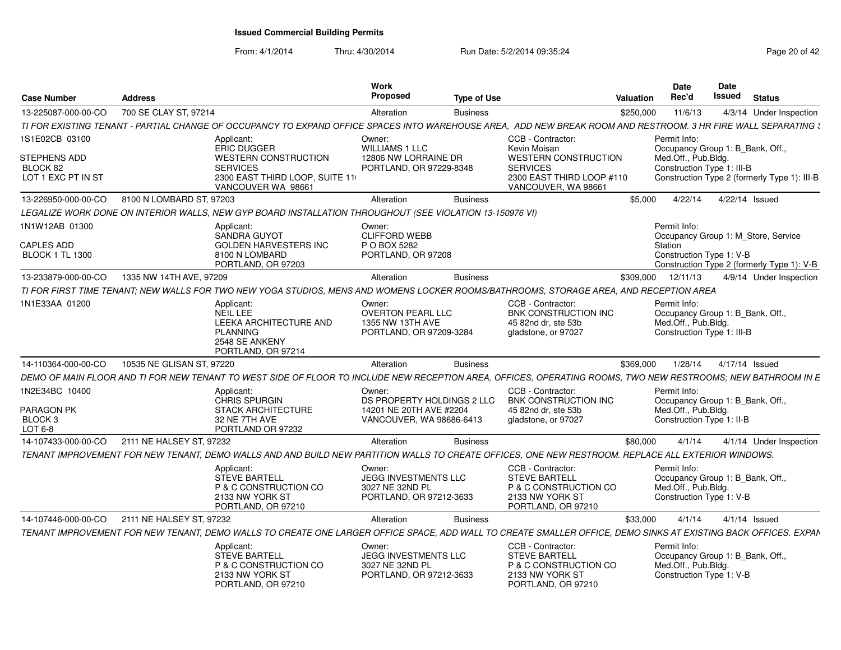| <b>Case Number</b>                                    | <b>Address</b>                                                                                                                                                 | Work<br>Proposed                                                                    | <b>Type of Use</b> | Valuation                                                                                                   | Date<br>Rec'd                       | <b>Date</b><br>Issued<br><b>Status</b>                                     |
|-------------------------------------------------------|----------------------------------------------------------------------------------------------------------------------------------------------------------------|-------------------------------------------------------------------------------------|--------------------|-------------------------------------------------------------------------------------------------------------|-------------------------------------|----------------------------------------------------------------------------|
| 13-225087-000-00-CO                                   | 700 SE CLAY ST, 97214                                                                                                                                          | Alteration                                                                          | <b>Business</b>    | \$250,000                                                                                                   | 11/6/13                             | 4/3/14 Under Inspection                                                    |
|                                                       | TI FOR EXISTING TENANT - PARTIAL CHANGE OF OCCUPANCY TO EXPAND OFFICE SPACES INTO WAREHOUSE AREA, ADD NEW BREAK ROOM AND RESTROOM. 3 HR FIRE WALL SEPARATING \ |                                                                                     |                    |                                                                                                             |                                     |                                                                            |
| 1S1E02CB 03100                                        | Applicant:<br><b>ERIC DUGGER</b>                                                                                                                               | Owner:<br><b>WILLIAMS 1 LLC</b>                                                     |                    | CCB - Contractor:<br>Kevin Moisan                                                                           | Permit Info:                        | Occupancy Group 1: B_Bank, Off.,                                           |
| <b>STEPHENS ADD</b><br>BLOCK 82<br>LOT 1 EXC PT IN ST | <b>WESTERN CONSTRUCTION</b><br><b>SERVICES</b><br>2300 EAST THIRD LOOP, SUITE 11                                                                               | 12806 NW LORRAINE DR<br>PORTLAND, OR 97229-8348                                     |                    | <b>WESTERN CONSTRUCTION</b><br><b>SERVICES</b><br>2300 EAST THIRD LOOP #110                                 | Med.Off., Pub.Bldg.                 | Construction Type 1: III-B<br>Construction Type 2 (formerly Type 1): III-B |
| 13-226950-000-00-CO                                   | VANCOUVER WA 98661<br>8100 N LOMBARD ST, 97203                                                                                                                 | Alteration                                                                          | <b>Business</b>    | VANCOUVER, WA 98661<br>\$5.000                                                                              | 4/22/14                             | 4/22/14 Issued                                                             |
|                                                       | LEGALIZE WORK DONE ON INTERIOR WALLS, NEW GYP BOARD INSTALLATION THROUGHOUT (SEE VIOLATION 13-150976 VI)                                                       |                                                                                     |                    |                                                                                                             |                                     |                                                                            |
| 1N1W12AB 01300                                        |                                                                                                                                                                | Owner:                                                                              |                    |                                                                                                             | Permit Info:                        |                                                                            |
|                                                       | Applicant:<br><b>SANDRA GUYOT</b>                                                                                                                              | <b>CLIFFORD WEBB</b>                                                                |                    |                                                                                                             |                                     | Occupancy Group 1: M Store, Service                                        |
| <b>CAPLES ADD</b>                                     | <b>GOLDEN HARVESTERS INC</b>                                                                                                                                   | P O BOX 5282                                                                        |                    |                                                                                                             | Station                             |                                                                            |
| <b>BLOCK 1 TL 1300</b>                                | 8100 N LOMBARD<br>PORTLAND, OR 97203                                                                                                                           | PORTLAND, OR 97208                                                                  |                    |                                                                                                             |                                     | Construction Type 1: V-B<br>Construction Type 2 (formerly Type 1): V-B     |
| 13-233879-000-00-CO                                   | 1335 NW 14TH AVE, 97209                                                                                                                                        | Alteration                                                                          | <b>Business</b>    | \$309.000                                                                                                   | 12/11/13                            | 4/9/14 Under Inspection                                                    |
|                                                       | TI FOR FIRST TIME TENANT: NEW WALLS FOR TWO NEW YOGA STUDIOS. MENS AND WOMENS LOCKER ROOMS/BATHROOMS. STORAGE AREA. AND RECEPTION AREA                         |                                                                                     |                    |                                                                                                             |                                     |                                                                            |
| 1N1E33AA 01200                                        | Applicant<br>NEIL LEE<br><b>LEEKA ARCHITECTURE AND</b><br><b>PLANNING</b><br>2548 SE ANKENY<br>PORTLAND, OR 97214                                              | Owner:<br><b>OVERTON PEARL LLC</b><br>1355 NW 13TH AVE<br>PORTLAND, OR 97209-3284   |                    | CCB - Contractor:<br>BNK CONSTRUCTION INC<br>45 82nd dr. ste 53b<br>gladstone, or 97027                     | Permit Info:<br>Med.Off., Pub.Bldg. | Occupancy Group 1: B Bank, Off.,<br>Construction Type 1: III-B             |
| 14-110364-000-00-CO                                   | 10535 NE GLISAN ST, 97220                                                                                                                                      | Alteration                                                                          | <b>Business</b>    | \$369.000                                                                                                   | 1/28/14                             | 4/17/14 Issued                                                             |
|                                                       | DEMO OF MAIN FLOOR AND TI FOR NEW TENANT TO WEST SIDE OF FLOOR TO INCLUDE NEW RECEPTION AREA, OFFICES, OPERATING ROOMS, TWO NEW RESTROOMS; NEW BATHROOM IN E   |                                                                                     |                    |                                                                                                             |                                     |                                                                            |
| 1N2E34BC 10400                                        | Applicant:                                                                                                                                                     | Owner:                                                                              |                    | CCB - Contractor:                                                                                           | Permit Info:                        |                                                                            |
|                                                       | CHRIS SPURGIN                                                                                                                                                  | DS PROPERTY HOLDINGS 2 LLC                                                          |                    | <b>BNK CONSTRUCTION INC</b>                                                                                 |                                     | Occupancy Group 1: B Bank, Off.                                            |
| <b>PARAGON PK</b><br>BLOCK <sub>3</sub>               | <b>STACK ARCHITECTURE</b><br>32 NE 7TH AVE                                                                                                                     | 14201 NE 20TH AVE #2204<br>VANCOUVER, WA 98686-6413                                 |                    | 45 82nd dr. ste 53b                                                                                         | Med.Off., Pub.Bldg.                 | Construction Type 1: II-B                                                  |
| $LOT6-8$                                              | PORTLAND OR 97232                                                                                                                                              |                                                                                     |                    | gladstone, or 97027                                                                                         |                                     |                                                                            |
|                                                       | 14-107433-000-00-CO 2111 NE HALSEY ST, 97232                                                                                                                   | Alteration                                                                          | <b>Business</b>    | \$80,000                                                                                                    | 4/1/14                              | 4/1/14 Under Inspection                                                    |
|                                                       | TENANT IMPROVEMENT FOR NEW TENANT, DEMO WALLS AND AND BUILD NEW PARTITION WALLS TO CREATE OFFICES, ONE NEW RESTROOM. REPLACE ALL EXTERIOR WINDOWS.             |                                                                                     |                    |                                                                                                             |                                     |                                                                            |
|                                                       | Applicant:<br><b>STEVE BARTELL</b><br>P & C CONSTRUCTION CO<br>2133 NW YORK ST<br>PORTLAND, OR 97210                                                           | Owner:<br><b>JEGG INVESTMENTS LLC</b><br>3027 NE 32ND PL<br>PORTLAND, OR 97212-3633 |                    | CCB - Contractor:<br><b>STEVE BARTELL</b><br>P & C CONSTRUCTION CO<br>2133 NW YORK ST<br>PORTLAND, OR 97210 | Permit Info:<br>Med.Off., Pub.Bldg. | Occupancy Group 1: B_Bank, Off.<br>Construction Type 1: V-B                |
| 14-107446-000-00-CO                                   | 2111 NE HALSEY ST. 97232                                                                                                                                       | Alteration                                                                          | <b>Business</b>    | \$33,000                                                                                                    | 4/1/14                              | $4/1/14$ Issued                                                            |
|                                                       | TENANT IMPROVEMENT FOR NEW TENANT, DEMO WALLS TO CREATE ONE LARGER OFFICE SPACE, ADD WALL TO CREATE SMALLER OFFICE, DEMO SINKS AT EXISTING BACK OFFICES. EXPAN |                                                                                     |                    |                                                                                                             |                                     |                                                                            |
|                                                       | Applicant:<br><b>STEVE BARTELL</b><br>P & C CONSTRUCTION CO<br>2133 NW YORK ST<br>PORTLAND, OR 97210                                                           | Owner:<br>JEGG INVESTMENTS LLC<br>3027 NE 32ND PL<br>PORTLAND, OR 97212-3633        |                    | CCB - Contractor:<br><b>STEVE BARTELL</b><br>P & C CONSTRUCTION CO<br>2133 NW YORK ST<br>PORTLAND, OR 97210 | Permit Info:<br>Med.Off., Pub.Bldg. | Occupancy Group 1: B_Bank, Off.,<br>Construction Type 1: V-B               |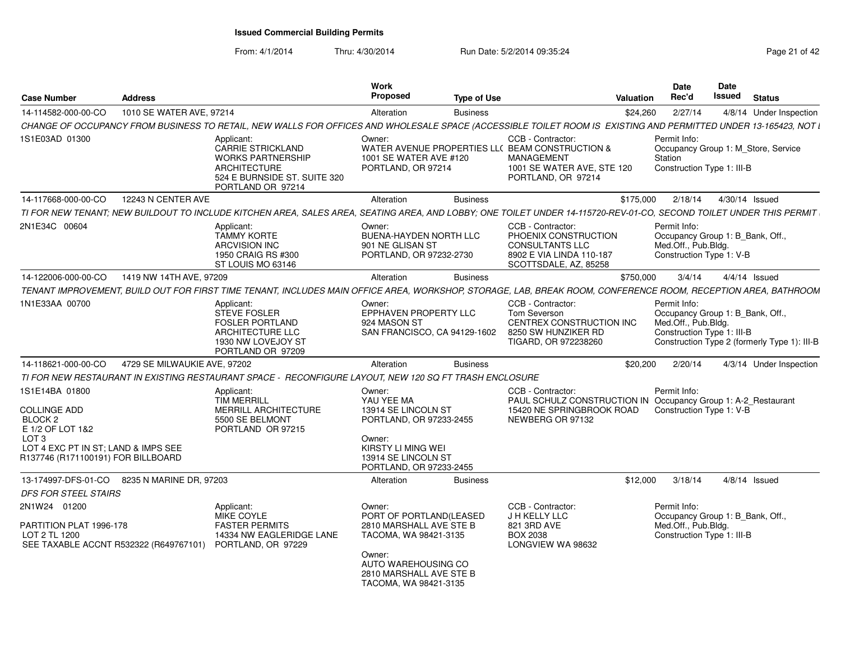| <b>Case Number</b>                                                                                                                                                    | <b>Address</b>               |                                                                                                                                                                     | Work<br><b>Proposed</b>                                                                                                                                                    | <b>Type of Use</b> |                                                                                                                                              | Valuation | Date<br>Rec'd                                                                                         | Date<br>Issued | <b>Status</b>                                |
|-----------------------------------------------------------------------------------------------------------------------------------------------------------------------|------------------------------|---------------------------------------------------------------------------------------------------------------------------------------------------------------------|----------------------------------------------------------------------------------------------------------------------------------------------------------------------------|--------------------|----------------------------------------------------------------------------------------------------------------------------------------------|-----------|-------------------------------------------------------------------------------------------------------|----------------|----------------------------------------------|
| 14-114582-000-00-CO                                                                                                                                                   | 1010 SE WATER AVE, 97214     |                                                                                                                                                                     | Alteration                                                                                                                                                                 | <b>Business</b>    |                                                                                                                                              | \$24,260  | 2/27/14                                                                                               |                | 4/8/14 Under Inspection                      |
|                                                                                                                                                                       |                              | CHANGE OF OCCUPANCY FROM BUSINESS TO RETAIL, NEW WALLS FOR OFFICES AND WHOLESALE SPACE (ACCESSIBLE TOILET ROOM IS EXISTING AND PERMITTED UNDER 13-165423, NOT L     |                                                                                                                                                                            |                    |                                                                                                                                              |           |                                                                                                       |                |                                              |
| 1S1E03AD 01300                                                                                                                                                        |                              | Applicant:<br>CARRIE STRICKLAND<br><b>WORKS PARTNERSHIP</b><br><b>ARCHITECTURE</b><br>524 E BURNSIDE ST. SUITE 320<br>PORTLAND OR 97214                             | Owner:<br>1001 SE WATER AVE #120<br>PORTLAND, OR 97214                                                                                                                     |                    | CCB - Contractor:<br>WATER AVENUE PROPERTIES LL(BEAM CONSTRUCTION &<br><b>MANAGEMENT</b><br>1001 SE WATER AVE, STE 120<br>PORTLAND, OR 97214 |           | Permit Info:<br>Station<br>Construction Type 1: III-B                                                 |                | Occupancy Group 1: M_Store, Service          |
| 14-117668-000-00-CO                                                                                                                                                   | 12243 N CENTER AVE           |                                                                                                                                                                     | Alteration                                                                                                                                                                 | <b>Business</b>    |                                                                                                                                              | \$175,000 | 2/18/14                                                                                               |                | 4/30/14 Issued                               |
|                                                                                                                                                                       |                              | TI FOR NEW TENANT; NEW BUILDOUT TO INCLUDE KITCHEN AREA, SALES AREA, SEATING AREA, AND LOBBY; ONE TOILET UNDER 14-115720-REV-01-CO, SECOND TOILET UNDER THIS PERMIT |                                                                                                                                                                            |                    |                                                                                                                                              |           |                                                                                                       |                |                                              |
| 2N1E34C 00604                                                                                                                                                         |                              | Applicant:<br><b>TAMMY KORTE</b><br><b>ARCVISION INC</b><br>1950 CRAIG RS #300<br>ST LOUIS MO 63146                                                                 | Owner:<br><b>BUENA-HAYDEN NORTH LLC</b><br>901 NE GLISAN ST<br>PORTLAND, OR 97232-2730                                                                                     |                    | CCB - Contractor:<br>PHOENIX CONSTRUCTION<br><b>CONSULTANTS LLC</b><br>8902 E VIA LINDA 110-187<br>SCOTTSDALE, AZ, 85258                     |           | Permit Info:<br>Occupancy Group 1: B_Bank, Off.,<br>Med.Off., Pub.Bldg.<br>Construction Type 1: V-B   |                |                                              |
| 14-122006-000-00-CO                                                                                                                                                   | 1419 NW 14TH AVE, 97209      |                                                                                                                                                                     | Alteration                                                                                                                                                                 | <b>Business</b>    |                                                                                                                                              | \$750,000 | 3/4/14                                                                                                |                | $4/4/14$ Issued                              |
|                                                                                                                                                                       |                              | TENANT IMPROVEMENT, BUILD OUT FOR FIRST TIME TENANT, INCLUDES MAIN OFFICE AREA, WORKSHOP, STORAGE, LAB, BREAK ROOM, CONFERENCE ROOM, RECEPTION AREA, BATHROOM       |                                                                                                                                                                            |                    |                                                                                                                                              |           |                                                                                                       |                |                                              |
| 1N1E33AA 00700                                                                                                                                                        |                              | Applicant:<br><b>STEVE FOSLER</b><br><b>FOSLER PORTLAND</b><br>ARCHITECTURE LLC<br>1930 NW LOVEJOY ST<br>PORTLAND OR 97209                                          | Owner:<br>EPPHAVEN PROPERTY LLC<br>924 MASON ST<br>SAN FRANCISCO, CA 94129-1602                                                                                            |                    | CCB - Contractor:<br><b>Tom Severson</b><br>CENTREX CONSTRUCTION INC<br>8250 SW HUNZIKER RD<br>TIGARD, OR 972238260                          |           | Permit Info:<br>Occupancy Group 1: B_Bank, Off.,<br>Med.Off., Pub.Bldg.<br>Construction Type 1: III-B |                | Construction Type 2 (formerly Type 1): III-B |
| 14-118621-000-00-CO                                                                                                                                                   | 4729 SE MILWAUKIE AVE, 97202 |                                                                                                                                                                     | Alteration                                                                                                                                                                 | <b>Business</b>    |                                                                                                                                              | \$20,200  | 2/20/14                                                                                               |                | 4/3/14 Under Inspection                      |
|                                                                                                                                                                       |                              | TI FOR NEW RESTAURANT IN EXISTING RESTAURANT SPACE - RECONFIGURE LAYOUT, NEW 120 SQ FT TRASH ENCLOSURE                                                              |                                                                                                                                                                            |                    |                                                                                                                                              |           |                                                                                                       |                |                                              |
| 1S1E14BA 01800<br><b>COLLINGE ADD</b><br>BLOCK 2<br>E 1/2 OF LOT 1&2<br>LOT <sub>3</sub><br>LOT 4 EXC PT IN ST; LAND & IMPS SEE<br>R137746 (R171100191) FOR BILLBOARD |                              | Applicant:<br><b>TIM MERRILL</b><br>MERRILL ARCHITECTURE<br>5500 SE BELMONT<br>PORTLAND OR 97215                                                                    | Owner:<br>YAU YEE MA<br>13914 SE LINCOLN ST<br>PORTLAND, OR 97233-2455<br>Owner:<br>KIRSTY LI MING WEI<br>13914 SE LINCOLN ST<br>PORTLAND, OR 97233-2455                   |                    | CCB - Contractor:<br>PAUL SCHULZ CONSTRUCTION IN Occupancy Group 1: A-2 Restaurant<br>15420 NE SPRINGBROOK ROAD<br>NEWBERG OR 97132          |           | Permit Info:<br>Construction Type 1: V-B                                                              |                |                                              |
| 13-174997-DFS-01-CO                                                                                                                                                   | 8235 N MARINE DR, 97203      |                                                                                                                                                                     | Alteration                                                                                                                                                                 | <b>Business</b>    |                                                                                                                                              | \$12,000  | 3/18/14                                                                                               |                | $4/8/14$ Issued                              |
| <b>DFS FOR STEEL STAIRS</b>                                                                                                                                           |                              |                                                                                                                                                                     |                                                                                                                                                                            |                    |                                                                                                                                              |           |                                                                                                       |                |                                              |
| 2N1W24 01200<br>PARTITION PLAT 1996-178<br>LOT 2 TL 1200<br>SEE TAXABLE ACCNT R532322 (R649767101)                                                                    |                              | Applicant:<br>MIKE COYLE<br><b>FASTER PERMITS</b><br>14334 NW EAGLERIDGE LANE<br>PORTLAND, OR 97229                                                                 | Owner:<br>PORT OF PORTLAND(LEASED<br>2810 MARSHALL AVE STE B<br>TACOMA, WA 98421-3135<br>Owner:<br>AUTO WAREHOUSING CO<br>2810 MARSHALL AVE STE B<br>TACOMA, WA 98421-3135 |                    | CCB - Contractor:<br>J H KELLY LLC<br>821 3RD AVE<br><b>BOX 2038</b><br>LONGVIEW WA 98632                                                    |           | Permit Info:<br>Occupancy Group 1: B_Bank, Off.,<br>Med.Off., Pub.Bldg.<br>Construction Type 1: III-B |                |                                              |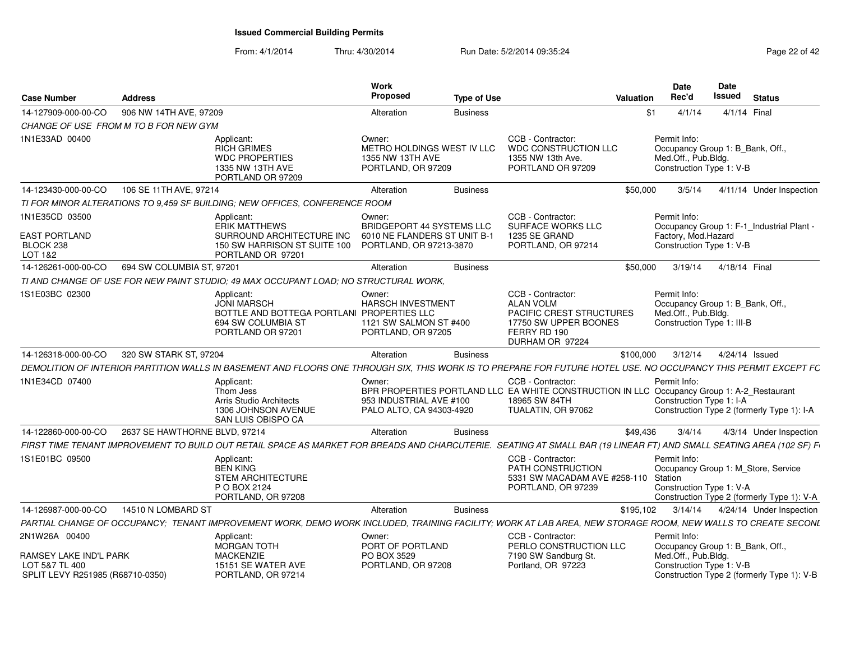| <b>Case Number</b>                                             | <b>Address</b>                        |                                                                                                                                                                     | Work<br><b>Proposed</b>                                                                               | <b>Type of Use</b> |                                                                                                                                                        | Valuation | <b>Date</b><br>Rec'd                                | Date<br>Issued<br><b>Status</b>                                                   |
|----------------------------------------------------------------|---------------------------------------|---------------------------------------------------------------------------------------------------------------------------------------------------------------------|-------------------------------------------------------------------------------------------------------|--------------------|--------------------------------------------------------------------------------------------------------------------------------------------------------|-----------|-----------------------------------------------------|-----------------------------------------------------------------------------------|
| 14-127909-000-00-CO                                            | 906 NW 14TH AVE, 97209                |                                                                                                                                                                     | Alteration                                                                                            | <b>Business</b>    |                                                                                                                                                        | \$1       | 4/1/14                                              | 4/1/14 Final                                                                      |
|                                                                | CHANGE OF USE FROM M TO B FOR NEW GYM |                                                                                                                                                                     |                                                                                                       |                    |                                                                                                                                                        |           |                                                     |                                                                                   |
| 1N1E33AD 00400                                                 |                                       | Applicant:<br><b>RICH GRIMES</b><br><b>WDC PROPERTIES</b><br>1335 NW 13TH AVE<br>PORTLAND OR 97209                                                                  | Owner:<br>METRO HOLDINGS WEST IV LLC<br>1355 NW 13TH AVE<br>PORTLAND, OR 97209                        |                    | CCB - Contractor:<br>WDC CONSTRUCTION LLC<br>1355 NW 13th Ave.<br>PORTLAND OR 97209                                                                    |           | Permit Info:<br>Med.Off., Pub.Bldg.                 | Occupancy Group 1: B_Bank, Off.<br>Construction Type 1: V-B                       |
| 14-123430-000-00-CO                                            | 106 SE 11TH AVE, 97214                |                                                                                                                                                                     | Alteration                                                                                            | <b>Business</b>    |                                                                                                                                                        | \$50,000  | 3/5/14                                              | 4/11/14 Under Inspection                                                          |
|                                                                |                                       | TI FOR MINOR ALTERATIONS TO 9.459 SF BUILDING: NEW OFFICES, CONFERENCE ROOM                                                                                         |                                                                                                       |                    |                                                                                                                                                        |           |                                                     |                                                                                   |
| 1N1E35CD 03500<br><b>EAST PORTLAND</b><br>BLOCK 238<br>LOT 1&2 |                                       | Applicant:<br><b>ERIK MATTHEWS</b><br>SURROUND ARCHITECTURE INC<br>150 SW HARRISON ST SUITE 100<br>PORTLAND OR 97201                                                | Owner:<br><b>BRIDGEPORT 44 SYSTEMS LLC</b><br>6010 NE FLANDERS ST UNIT B-1<br>PORTLAND, OR 97213-3870 |                    | CCB - Contractor:<br>SURFACE WORKS LLC<br>1235 SE GRAND<br>PORTLAND, OR 97214                                                                          |           | Permit Info:<br>Factory, Mod.Hazard                 | Occupancy Group 1: F-1_Industrial Plant -<br>Construction Type 1: V-B             |
| 14-126261-000-00-CO                                            | 694 SW COLUMBIA ST, 97201             |                                                                                                                                                                     | Alteration                                                                                            | <b>Business</b>    |                                                                                                                                                        | \$50,000  | 3/19/14                                             | 4/18/14 Final                                                                     |
|                                                                |                                       | TI AND CHANGE OF USE FOR NEW PAINT STUDIO; 49 MAX OCCUPANT LOAD; NO STRUCTURAL WORK,                                                                                |                                                                                                       |                    |                                                                                                                                                        |           |                                                     |                                                                                   |
| 1S1E03BC 02300                                                 |                                       | Applicant:<br><b>JONI MARSCH</b><br>BOTTLE AND BOTTEGA PORTLANI PROPERTIES LLC<br>694 SW COLUMBIA ST<br>PORTLAND OR 97201                                           | Owner:<br><b>HARSCH INVESTMENT</b><br>1121 SW SALMON ST #400<br>PORTLAND, OR 97205                    |                    | CCB - Contractor:<br><b>ALAN VOLM</b><br>PACIFIC CREST STRUCTURES<br>17750 SW UPPER BOONES<br>FERRY RD 190<br>DURHAM OR 97224                          |           | Permit Info:<br>Med.Off., Pub.Bldg.                 | Occupancy Group 1: B_Bank, Off.<br>Construction Type 1: III-B                     |
| 14-126318-000-00-CO                                            | 320 SW STARK ST, 97204                |                                                                                                                                                                     | Alteration                                                                                            | <b>Business</b>    |                                                                                                                                                        | \$100,000 | 3/12/14                                             | 4/24/14 Issued                                                                    |
|                                                                |                                       | DEMOLITION OF INTERIOR PARTITION WALLS IN BASEMENT AND FLOORS ONE THROUGH SIX, THIS WORK IS TO PREPARE FOR FUTURE HOTEL USE. NO OCCUPANCY THIS PERMIT EXCEPT FC     |                                                                                                       |                    |                                                                                                                                                        |           |                                                     |                                                                                   |
| 1N1E34CD 07400                                                 |                                       | Applicant:<br>Thom Jess<br>Arris Studio Architects<br>1306 JOHNSON AVENUE<br>SAN LUIS OBISPO CA                                                                     | Owner:<br>953 INDUSTRIAL AVE #100<br>PALO ALTO, CA 94303-4920                                         |                    | CCB - Contractor:<br>BPR PROPERTIES PORTLAND LLC EA WHITE CONSTRUCTION IN LLC Occupancy Group 1: A-2_Restaurant<br>18965 SW 84TH<br>TUALATIN, OR 97062 |           | Permit Info:<br>Construction Type 1: I-A            | Construction Type 2 (formerly Type 1): I-A                                        |
| 14-122860-000-00-CO                                            | 2637 SE HAWTHORNE BLVD, 97214         |                                                                                                                                                                     | Alteration                                                                                            | <b>Business</b>    |                                                                                                                                                        | \$49.436  | 3/4/14                                              | 4/3/14 Under Inspection                                                           |
|                                                                |                                       | FIRST TIME TENANT IMPROVEMENT TO BUILD OUT RETAIL SPACE AS MARKET FOR BREADS AND CHARCUTERIE. SEATING AT SMALL BAR (19 LINEAR FT) AND SMALL SEATING AREA (102 SF) F |                                                                                                       |                    |                                                                                                                                                        |           |                                                     |                                                                                   |
| 1S1E01BC 09500                                                 |                                       | Applicant:<br><b>BEN KING</b><br>STEM ARCHITECTURE<br>P O BOX 2124<br>PORTLAND, OR 97208                                                                            |                                                                                                       |                    | CCB - Contractor:<br>PATH CONSTRUCTION<br>5331 SW MACADAM AVE #258-110<br>PORTLAND, OR 97239                                                           |           | Permit Info:<br>Station<br>Construction Type 1: V-A | Occupancy Group 1: M_Store, Service<br>Construction Type 2 (formerly Type 1): V-A |
| 14-126987-000-00-CO                                            | 14510 N LOMBARD ST                    |                                                                                                                                                                     | Alteration                                                                                            | <b>Business</b>    |                                                                                                                                                        | \$195,102 | 3/14/14                                             | 4/24/14 Under Inspection                                                          |
|                                                                |                                       | PARTIAL CHANGE OF OCCUPANCY; TENANT IMPROVEMENT WORK, DEMO WORK INCLUDED, TRAINING FACILITY; WORK AT LAB AREA, NEW STORAGE ROOM, NEW WALLS TO CREATE SECONL         |                                                                                                       |                    |                                                                                                                                                        |           |                                                     |                                                                                   |
| 2N1W26A 00400<br>RAMSEY LAKE IND'L PARK                        |                                       | Applicant:<br><b>MORGAN TOTH</b><br><b>MACKENZIE</b>                                                                                                                | Owner:<br>PORT OF PORTLAND<br>PO BOX 3529                                                             |                    | CCB - Contractor:<br>PERLO CONSTRUCTION LLC<br>7190 SW Sandburg St.                                                                                    |           | Permit Info:<br>Med.Off., Pub.Bldg.                 | Occupancy Group 1: B_Bank, Off.                                                   |
| LOT 5&7 TL 400<br>SPLIT LEVY R251985 (R68710-0350)             |                                       | 15151 SE WATER AVE<br>PORTLAND, OR 97214                                                                                                                            | PORTLAND, OR 97208                                                                                    |                    | Portland, OR 97223                                                                                                                                     |           |                                                     | Construction Type 1: V-B<br>Construction Type 2 (formerly Type 1): V-B            |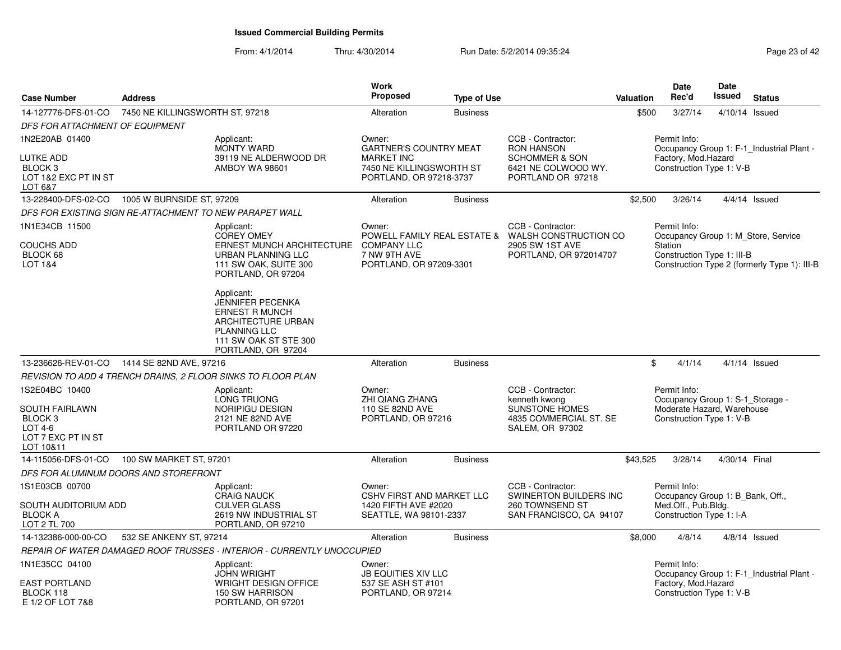| <b>Case Number</b>                                                                                   | <b>Address</b>                  |                                                                                                                                                     | <b>Work</b><br>Proposed                                                   | <b>Type of Use</b> |                                                                                                                     | <b>Valuation</b> | Date<br>Rec'd                                                                                              | Date<br><b>Issued</b> | <b>Status</b>                                                                       |
|------------------------------------------------------------------------------------------------------|---------------------------------|-----------------------------------------------------------------------------------------------------------------------------------------------------|---------------------------------------------------------------------------|--------------------|---------------------------------------------------------------------------------------------------------------------|------------------|------------------------------------------------------------------------------------------------------------|-----------------------|-------------------------------------------------------------------------------------|
| 14-127776-DFS-01-CO                                                                                  | 7450 NE KILLINGSWORTH ST, 97218 |                                                                                                                                                     | Alteration                                                                | <b>Business</b>    |                                                                                                                     | \$500            | 3/27/14                                                                                                    |                       | 4/10/14 Issued                                                                      |
| DFS FOR ATTACHMENT OF EQUIPMENT                                                                      |                                 |                                                                                                                                                     |                                                                           |                    |                                                                                                                     |                  |                                                                                                            |                       |                                                                                     |
| 1N2E20AB 01400<br><b>LUTKE ADD</b>                                                                   |                                 | Applicant:<br><b>MONTY WARD</b>                                                                                                                     | Owner:<br><b>GARTNER'S COUNTRY MEAT</b>                                   |                    | CCB - Contractor:<br><b>RON HANSON</b>                                                                              |                  | Permit Info:                                                                                               |                       | Occupancy Group 1: F-1_Industrial Plant -                                           |
| BLOCK <sub>3</sub><br>LOT 1&2 EXC PT IN ST<br>LOT 6&7                                                |                                 | 39119 NE ALDERWOOD DR<br><b>AMBOY WA 98601</b>                                                                                                      | <b>MARKET INC</b><br>7450 NE KILLINGSWORTH ST<br>PORTLAND, OR 97218-3737  |                    | <b>SCHOMMER &amp; SON</b><br>6421 NE COLWOOD WY.<br>PORTLAND OR 97218                                               |                  | Factory, Mod.Hazard<br>Construction Type 1: V-B                                                            |                       |                                                                                     |
| 13-228400-DFS-02-CO                                                                                  | 1005 W BURNSIDE ST, 97209       |                                                                                                                                                     | Alteration                                                                | <b>Business</b>    |                                                                                                                     | \$2,500          | 3/26/14                                                                                                    |                       | $4/4/14$ Issued                                                                     |
| DFS FOR EXISTING SIGN RE-ATTACHMENT TO NEW PARAPET WALL                                              |                                 |                                                                                                                                                     |                                                                           |                    |                                                                                                                     |                  |                                                                                                            |                       |                                                                                     |
| 1N1E34CB 11500<br>COUCHS ADD<br>BLOCK 68<br>LOT 1&4                                                  |                                 | Applicant:<br><b>COREY OMEY</b><br>ERNEST MUNCH ARCHITECTURE<br>URBAN PLANNING LLC<br>111 SW OAK, SUITE 300<br>PORTLAND, OR 97204                   | Owner:<br><b>COMPANY LLC</b><br>7 NW 9TH AVE<br>PORTLAND, OR 97209-3301   |                    | CCB - Contractor:<br>POWELL FAMILY REAL ESTATE & WALSH CONSTRUCTION CO<br>2905 SW 1ST AVE<br>PORTLAND, OR 972014707 |                  | Permit Info:<br>Station<br>Construction Type 1: III-B                                                      |                       | Occupancy Group 1: M Store, Service<br>Construction Type 2 (formerly Type 1): III-B |
|                                                                                                      |                                 | Applicant:<br>JENNIFER PECENKA<br><b>ERNEST R MUNCH</b><br>ARCHITECTURE URBAN<br><b>PLANNING LLC</b><br>111 SW OAK ST STE 300<br>PORTLAND, OR 97204 |                                                                           |                    |                                                                                                                     |                  |                                                                                                            |                       |                                                                                     |
| 13-236626-REV-01-CO                                                                                  | 1414 SE 82ND AVE, 97216         |                                                                                                                                                     | Alteration                                                                | <b>Business</b>    |                                                                                                                     |                  | \$<br>4/1/14                                                                                               |                       | $4/1/14$ Issued                                                                     |
|                                                                                                      |                                 | REVISION TO ADD 4 TRENCH DRAINS, 2 FLOOR SINKS TO FLOOR PLAN                                                                                        |                                                                           |                    |                                                                                                                     |                  |                                                                                                            |                       |                                                                                     |
| 1S2E04BC 10400<br>SOUTH FAIRLAWN<br>BLOCK <sub>3</sub><br>LOT 4-6<br>LOT 7 EXC PT IN ST<br>LOT 10&11 |                                 | Applicant:<br>LONG TRUONG<br><b>NORIPIGU DESIGN</b><br>2121 NE 82ND AVE<br>PORTLAND OR 97220                                                        | Owner:<br><b>ZHI QIANG ZHANG</b><br>110 SE 82ND AVE<br>PORTLAND, OR 97216 |                    | CCB - Contractor:<br>kenneth kwong<br><b>SUNSTONE HOMES</b><br>4835 COMMERCIAL ST. SE<br>SALEM, OR 97302            |                  | Permit Info:<br>Occupancy Group 1: S-1 Storage -<br>Moderate Hazard, Warehouse<br>Construction Type 1: V-B |                       |                                                                                     |
| 14-115056-DFS-01-CO                                                                                  | 100 SW MARKET ST, 97201         |                                                                                                                                                     | Alteration                                                                | <b>Business</b>    |                                                                                                                     | \$43,525         | 3/28/14                                                                                                    | 4/30/14 Final         |                                                                                     |
| DFS FOR ALUMINUM DOORS AND STOREFRONT                                                                |                                 |                                                                                                                                                     |                                                                           |                    |                                                                                                                     |                  |                                                                                                            |                       |                                                                                     |
| 1S1E03CB 00700                                                                                       |                                 | Applicant:<br><b>CRAIG NAUCK</b>                                                                                                                    | Owner:<br><b>CSHV FIRST AND MARKET LLC</b>                                |                    | CCB - Contractor:<br>SWINERTON BUILDERS INC                                                                         |                  | Permit Info:<br>Occupancy Group 1: B_Bank, Off.,                                                           |                       |                                                                                     |
| <b>SOUTH AUDITORIUM ADD</b><br><b>BLOCK A</b><br>LOT 2 TL 700                                        |                                 | <b>CULVER GLASS</b><br>2619 NW INDUSTRIAL ST<br>PORTLAND, OR 97210                                                                                  | 1420 FIFTH AVE #2020<br>SEATTLE, WA 98101-2337                            |                    | 260 TOWNSEND ST<br>SAN FRANCISCO, CA 94107                                                                          |                  | Med.Off., Pub.Bldg.<br>Construction Type 1: I-A                                                            |                       |                                                                                     |
| 14-132386-000-00-CO                                                                                  | 532 SE ANKENY ST, 97214         |                                                                                                                                                     | Alteration                                                                | <b>Business</b>    |                                                                                                                     | \$8,000          | 4/8/14                                                                                                     |                       | $4/8/14$ Issued                                                                     |
|                                                                                                      |                                 | REPAIR OF WATER DAMAGED ROOF TRUSSES - INTERIOR - CURRENTLY UNOCCUPIED                                                                              |                                                                           |                    |                                                                                                                     |                  |                                                                                                            |                       |                                                                                     |
| 1N1E35CC 04100                                                                                       |                                 | Applicant:<br><b>JOHN WRIGHT</b>                                                                                                                    | Owner:<br><b>JB EQUITIES XIV LLC</b>                                      |                    |                                                                                                                     |                  | Permit Info:                                                                                               |                       | Occupancy Group 1: F-1 Industrial Plant -                                           |
| <b>EAST PORTLAND</b><br>BLOCK 118<br>E 1/2 OF LOT 7&8                                                |                                 | <b>WRIGHT DESIGN OFFICE</b><br><b>150 SW HARRISON</b><br>PORTLAND, OR 97201                                                                         | 537 SE ASH ST #101<br>PORTLAND, OR 97214                                  |                    |                                                                                                                     |                  | Factory, Mod.Hazard<br>Construction Type 1: V-B                                                            |                       |                                                                                     |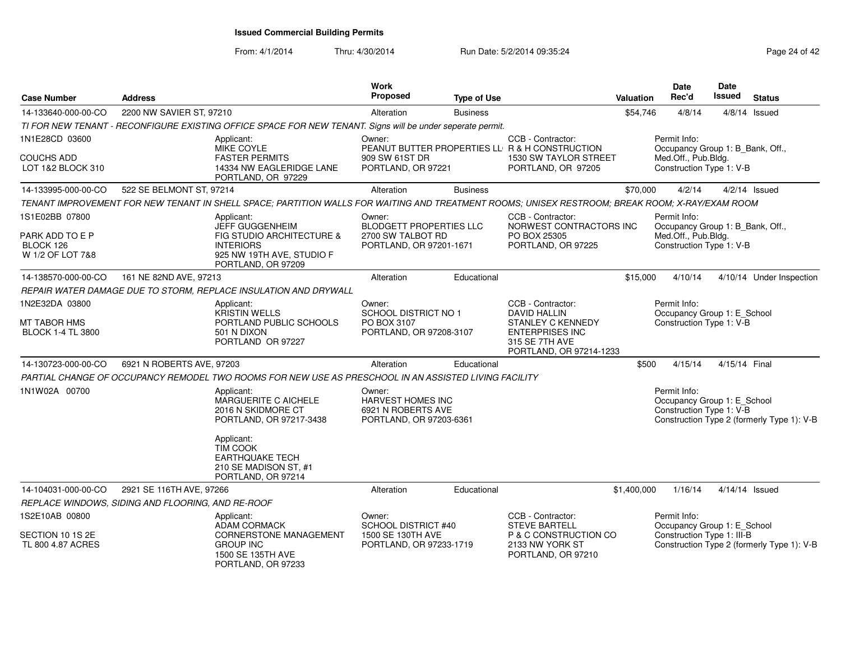| <b>Case Number</b>                               | <b>Address</b>                                    |                                                                                                                                                 | Work<br>Proposed                                                             | <b>Type of Use</b> |                                                                                                 | <b>Valuation</b> | <b>Date</b><br>Rec'd                                                    | Date<br><b>Issued</b> | <b>Status</b>                              |
|--------------------------------------------------|---------------------------------------------------|-------------------------------------------------------------------------------------------------------------------------------------------------|------------------------------------------------------------------------------|--------------------|-------------------------------------------------------------------------------------------------|------------------|-------------------------------------------------------------------------|-----------------------|--------------------------------------------|
| 14-133640-000-00-CO                              | 2200 NW SAVIER ST, 97210                          |                                                                                                                                                 | Alteration                                                                   | <b>Business</b>    |                                                                                                 | \$54,746         | 4/8/14                                                                  |                       | $4/8/14$ Issued                            |
|                                                  |                                                   | TI FOR NEW TENANT - RECONFIGURE EXISTING OFFICE SPACE FOR NEW TENANT. Signs will be under seperate permit.                                      |                                                                              |                    |                                                                                                 |                  |                                                                         |                       |                                            |
| 1N1E28CD 03600                                   |                                                   | Applicant:<br><b>MIKE COYLE</b>                                                                                                                 | Owner:                                                                       |                    | CCB - Contractor:<br>PEANUT BUTTER PROPERTIES LL R & H CONSTRUCTION                             |                  | Permit Info:<br>Occupancy Group 1: B Bank, Off.,                        |                       |                                            |
| COUCHS ADD<br>LOT 1&2 BLOCK 310                  |                                                   | <b>FASTER PERMITS</b><br>14334 NW EAGLERIDGE LANE<br>PORTLAND, OR 97229                                                                         | 909 SW 61ST DR<br>PORTLAND, OR 97221                                         |                    | 1530 SW TAYLOR STREET<br>PORTLAND, OR 97205                                                     |                  | Med.Off., Pub.Bldg.<br>Construction Type 1: V-B                         |                       |                                            |
| 14-133995-000-00-CO                              | 522 SE BELMONT ST, 97214                          |                                                                                                                                                 | Alteration                                                                   | <b>Business</b>    |                                                                                                 | \$70,000         | 4/2/14                                                                  |                       | $4/2/14$ Issued                            |
|                                                  |                                                   | TENANT IMPROVEMENT FOR NEW TENANT IN SHELL SPACE: PARTITION WALLS FOR WAITING AND TREATMENT ROOMS; UNISEX RESTROOM; BREAK ROOM; X-RAY/EXAM ROOM |                                                                              |                    |                                                                                                 |                  |                                                                         |                       |                                            |
| 1S1E02BB 07800                                   |                                                   | Applicant:<br><b>JEFF GUGGENHEIM</b>                                                                                                            | Owner:<br><b>BLODGETT PROPERTIES LLC</b>                                     |                    | CCB - Contractor:<br>NORWEST CONTRACTORS INC                                                    |                  | Permit Info:<br>Occupancy Group 1: B Bank, Off.,                        |                       |                                            |
| PARK ADD TO E P<br>BLOCK 126<br>W 1/2 OF LOT 7&8 |                                                   | FIG STUDIO ARCHITECTURE &<br><b>INTERIORS</b><br>925 NW 19TH AVE, STUDIO F<br>PORTLAND, OR 97209                                                | 2700 SW TALBOT RD<br>PORTLAND, OR 97201-1671                                 |                    | PO BOX 25305<br>PORTLAND, OR 97225                                                              |                  | Med.Off., Pub.Bldg.<br>Construction Type 1: V-B                         |                       |                                            |
| 14-138570-000-00-CO                              | 161 NE 82ND AVE, 97213                            |                                                                                                                                                 | Alteration                                                                   | Educational        |                                                                                                 | \$15,000         | 4/10/14                                                                 |                       | 4/10/14 Under Inspection                   |
|                                                  |                                                   | REPAIR WATER DAMAGE DUE TO STORM, REPLACE INSULATION AND DRYWALL                                                                                |                                                                              |                    |                                                                                                 |                  |                                                                         |                       |                                            |
| 1N2E32DA 03800                                   |                                                   | Applicant:<br><b>KRISTIN WELLS</b>                                                                                                              | Owner:<br>SCHOOL DISTRICT NO 1                                               |                    | CCB - Contractor:<br><b>DAVID HALLIN</b>                                                        |                  | Permit Info:<br>Occupancy Group 1: E_School                             |                       |                                            |
| MT TABOR HMS<br><b>BLOCK 1-4 TL 3800</b>         |                                                   | PORTLAND PUBLIC SCHOOLS<br>501 N DIXON<br>PORTLAND OR 97227                                                                                     | PO BOX 3107<br>PORTLAND, OR 97208-3107                                       |                    | <b>STANLEY C KENNEDY</b><br><b>ENTERPRISES INC</b><br>315 SE 7TH AVE<br>PORTLAND, OR 97214-1233 |                  | Construction Type 1: V-B                                                |                       |                                            |
| 14-130723-000-00-CO                              | 6921 N ROBERTS AVE, 97203                         |                                                                                                                                                 | Alteration                                                                   | Educational        |                                                                                                 | \$500            | 4/15/14                                                                 | 4/15/14 Final         |                                            |
|                                                  |                                                   | PARTIAL CHANGE OF OCCUPANCY REMODEL TWO ROOMS FOR NEW USE AS PRESCHOOL IN AN ASSISTED LIVING FACILITY                                           |                                                                              |                    |                                                                                                 |                  |                                                                         |                       |                                            |
| 1N1W02A 00700                                    |                                                   | Applicant:<br>MARGUERITE C AICHELE<br>2016 N SKIDMORE CT<br>PORTLAND, OR 97217-3438                                                             | Owner:<br>HARVEST HOMES INC<br>6921 N ROBERTS AVE<br>PORTLAND, OR 97203-6361 |                    |                                                                                                 |                  | Permit Info:<br>Occupancy Group 1: E_School<br>Construction Type 1: V-B |                       | Construction Type 2 (formerly Type 1): V-B |
|                                                  |                                                   | Applicant:<br>TIM COOK<br><b>EARTHQUAKE TECH</b><br>210 SE MADISON ST, #1<br>PORTLAND, OR 97214                                                 |                                                                              |                    |                                                                                                 |                  |                                                                         |                       |                                            |
| 14-104031-000-00-CO                              | 2921 SE 116TH AVE, 97266                          |                                                                                                                                                 | Alteration                                                                   | Educational        |                                                                                                 | \$1,400,000      | 1/16/14                                                                 |                       | $4/14/14$ Issued                           |
|                                                  | REPLACE WINDOWS, SIDING AND FLOORING, AND RE-ROOF |                                                                                                                                                 |                                                                              |                    |                                                                                                 |                  |                                                                         |                       |                                            |
| 1S2E10AB 00800                                   |                                                   | Applicant:<br><b>ADAM CORMACK</b>                                                                                                               | Owner:<br><b>SCHOOL DISTRICT #40</b>                                         |                    | CCB - Contractor:<br><b>STEVE BARTELL</b>                                                       |                  | Permit Info:<br>Occupancy Group 1: E_School                             |                       |                                            |
| SECTION 10 1S 2E<br>TL 800 4.87 ACRES            |                                                   | CORNERSTONE MANAGEMENT<br><b>GROUP INC</b><br>1500 SE 135TH AVE<br>PORTLAND, OR 97233                                                           | 1500 SE 130TH AVE<br>PORTLAND, OR 97233-1719                                 |                    | P & C CONSTRUCTION CO<br>2133 NW YORK ST<br>PORTLAND, OR 97210                                  |                  | Construction Type 1: III-B                                              |                       | Construction Type 2 (formerly Type 1): V-B |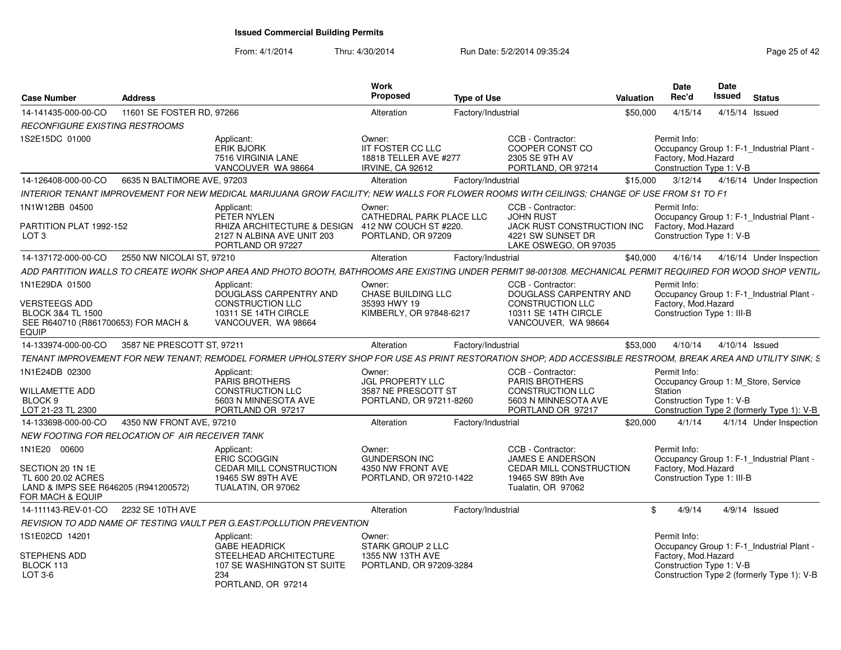| <b>Case Number</b>                                                                                   | <b>Address</b>              |                                                                                                                                                               | Work<br>Proposed                                                                       | <b>Type of Use</b> |                                                                                              | Valuation | <b>Date</b><br>Rec'd                                            | <b>Date</b><br>Issued | <b>Status</b>                              |
|------------------------------------------------------------------------------------------------------|-----------------------------|---------------------------------------------------------------------------------------------------------------------------------------------------------------|----------------------------------------------------------------------------------------|--------------------|----------------------------------------------------------------------------------------------|-----------|-----------------------------------------------------------------|-----------------------|--------------------------------------------|
| 14-141435-000-00-CO                                                                                  | 11601 SE FOSTER RD, 97266   |                                                                                                                                                               | Alteration                                                                             | Factory/Industrial |                                                                                              | \$50,000  | 4/15/14                                                         | 4/15/14 Issued        |                                            |
| <b>RECONFIGURE EXISTING RESTROOMS</b>                                                                |                             |                                                                                                                                                               |                                                                                        |                    |                                                                                              |           |                                                                 |                       |                                            |
| IS2E15DC 01000                                                                                       |                             | Applicant:<br><b>ERIK BJORK</b><br>7516 VIRGINIA LANE<br>VANCOUVER WA 98664                                                                                   | Owner:<br><b>IIT FOSTER CC LLC</b><br>18818 TELLER AVE #277<br><b>IRVINE, CA 92612</b> |                    | CCB - Contractor:<br>COOPER CONST CO<br>2305 SE 9TH AV<br>PORTLAND, OR 97214                 |           | Permit Info:<br>Factory, Mod.Hazard<br>Construction Type 1: V-B |                       | Occupancy Group 1: F-1_Industrial Plant -  |
| 14-126408-000-00-CO                                                                                  | 6635 N BALTIMORE AVE, 97203 |                                                                                                                                                               | Alteration                                                                             | Factory/Industrial |                                                                                              | \$15.000  | 3/12/14                                                         |                       | 4/16/14 Under Inspection                   |
|                                                                                                      |                             | INTERIOR TENANT IMPROVEMENT FOR NEW MEDICAL MARIJUANA GROW FACILITY: NEW WALLS FOR FLOWER ROOMS WITH CEILINGS: CHANGE OF USE FROM S1 TO F1                    |                                                                                        |                    |                                                                                              |           |                                                                 |                       |                                            |
| 1N1W12BB 04500                                                                                       |                             | Applicant:                                                                                                                                                    | Owner:                                                                                 |                    | CCB - Contractor:                                                                            |           | Permit Info:                                                    |                       |                                            |
| PARTITION PLAT 1992-152<br>LOT <sub>3</sub>                                                          |                             | PETER NYLEN<br>RHIZA ARCHITECTURE & DESIGN 412 NW COUCH ST #220.<br>2127 N ALBINA AVE UNIT 203<br>PORTLAND OR 97227                                           | CATHEDRAL PARK PLACE LLC<br>PORTLAND, OR 97209                                         |                    | <b>JOHN RUST</b><br>JACK RUST CONSTRUCTION INC<br>4221 SW SUNSET DR<br>LAKE OSWEGO, OR 97035 |           | Factory, Mod. Hazard<br>Construction Type 1: V-B                |                       | Occupancy Group 1: F-1_Industrial Plant -  |
| 14-137172-000-00-CO                                                                                  | 2550 NW NICOLAI ST, 97210   |                                                                                                                                                               | Alteration                                                                             | Factory/Industrial |                                                                                              | \$40,000  | 4/16/14                                                         |                       | 4/16/14 Under Inspection                   |
|                                                                                                      |                             | ADD PARTITION WALLS TO CREATE WORK SHOP AREA AND PHOTO BOOTH, BATHROOMS ARE EXISTING UNDER PERMIT 98-001308. MECHANICAL PERMIT REQUIRED FOR WOOD SHOP VENTIL, |                                                                                        |                    |                                                                                              |           |                                                                 |                       |                                            |
| 1N1E29DA 01500                                                                                       |                             | Applicant:<br>DOUGLASS CARPENTRY AND                                                                                                                          | Owner:<br><b>CHASE BUILDING LLC</b>                                                    |                    | CCB - Contractor:<br>DOUGLASS CARPENTRY AND                                                  |           | Permit Info:                                                    |                       | Occupancy Group 1: F-1 Industrial Plant -  |
| VERSTEEGS ADD<br><b>BLOCK 3&amp;4 TL 1500</b><br>SEE R640710 (R861700653) FOR MACH &<br><b>EQUIP</b> |                             | <b>CONSTRUCTION LLC</b><br>10311 SE 14TH CIRCLE<br>VANCOUVER, WA 98664                                                                                        | 35393 HWY 19<br>KIMBERLY, OR 97848-6217                                                |                    | <b>CONSTRUCTION LLC</b><br>10311 SE 14TH CIRCLE<br>VANCOUVER, WA 98664                       |           | Factory, Mod.Hazard<br>Construction Type 1: III-B               |                       |                                            |
| 14-133974-000-00-CO                                                                                  | 3587 NE PRESCOTT ST, 97211  |                                                                                                                                                               | Alteration                                                                             | Factory/Industrial |                                                                                              | \$53,000  | 4/10/14                                                         | 4/10/14 Issued        |                                            |
|                                                                                                      |                             | TENANT IMPROVEMENT FOR NEW TENANT; REMODEL FORMER UPHOLSTERY SHOP FOR USE AS PRINT RESTORATION SHOP; ADD ACCESSIBLE RESTROOM, BREAK AREA AND UTILITY SINK; S  |                                                                                        |                    |                                                                                              |           |                                                                 |                       |                                            |
| 1N1E24DB 02300                                                                                       |                             | Applicant:<br><b>PARIS BROTHERS</b>                                                                                                                           | Owner:<br><b>JGL PROPERTY LLC</b>                                                      |                    | CCB - Contractor:<br>PARIS BROTHERS                                                          |           | Permit Info:                                                    |                       | Occupancy Group 1: M Store, Service        |
| WILLAMETTE ADD<br>BLOCK <sub>9</sub><br>LOT 21-23 TL 2300                                            |                             | CONSTRUCTION LLC<br>5603 N MINNESOTA AVE<br>PORTLAND OR 97217                                                                                                 | 3587 NE PRESCOTT ST<br>PORTLAND, OR 97211-8260                                         |                    | <b>CONSTRUCTION LLC</b><br>5603 N MINNESOTA AVE<br>PORTLAND OR 97217                         |           | Station<br>Construction Type 1: V-B                             |                       | Construction Type 2 (formerly Type 1): V-B |
| 14-133698-000-00-CO                                                                                  | 4350 NW FRONT AVE, 97210    |                                                                                                                                                               | Alteration                                                                             | Factory/Industrial |                                                                                              | \$20,000  | 4/1/14                                                          |                       | 4/1/14 Under Inspection                    |
| NEW FOOTING FOR RELOCATION OF AIR RECEIVER TANK                                                      |                             |                                                                                                                                                               |                                                                                        |                    |                                                                                              |           |                                                                 |                       |                                            |
| 1N1E20 00600                                                                                         |                             | Applicant:<br><b>ERIC SCOGGIN</b>                                                                                                                             | Owner:<br><b>GUNDERSON INC</b>                                                         |                    | CCB - Contractor:<br><b>JAMES E ANDERSON</b>                                                 |           | Permit Info:                                                    |                       | Occupancy Group 1: F-1_Industrial Plant -  |
| SECTION 20 1N 1E<br>TL 600 20.02 ACRES<br>LAND & IMPS SEE R646205 (R941200572)<br>FOR MACH & EQUIP   |                             | <b>CEDAR MILL CONSTRUCTION</b><br>19465 SW 89TH AVE<br>TUALATIN, OR 97062                                                                                     | 4350 NW FRONT AVE<br>PORTLAND, OR 97210-1422                                           |                    | <b>CEDAR MILL CONSTRUCTION</b><br>19465 SW 89th Ave<br>Tualatin, OR 97062                    |           | Factory, Mod.Hazard<br>Construction Type 1: III-B               |                       |                                            |
| 14-111143-REV-01-CO 2232 SE 10TH AVE                                                                 |                             |                                                                                                                                                               | Alteration                                                                             | Factory/Industrial |                                                                                              | \$        | 4/9/14                                                          |                       | $4/9/14$ Issued                            |
|                                                                                                      |                             | REVISION TO ADD NAME OF TESTING VAULT PER G.EAST/POLLUTION PREVENTION                                                                                         |                                                                                        |                    |                                                                                              |           |                                                                 |                       |                                            |
| 1S1E02CD 14201                                                                                       |                             | Applicant:<br><b>GABE HEADRICK</b>                                                                                                                            | Owner:<br>STARK GROUP 2 LLC                                                            |                    |                                                                                              |           | Permit Info:                                                    |                       | Occupancy Group 1: F-1 Industrial Plant -  |
| STEPHENS ADD<br>BLOCK 113<br>LOT 3-6                                                                 |                             | STEELHEAD ARCHITECTURE<br>107 SE WASHINGTON ST SUITE<br>234<br>PORTLAND, OR 97214                                                                             | 1355 NW 13TH AVE<br>PORTLAND, OR 97209-3284                                            |                    |                                                                                              |           | Factory, Mod.Hazard<br>Construction Type 1: V-B                 |                       | Construction Type 2 (formerly Type 1): V-B |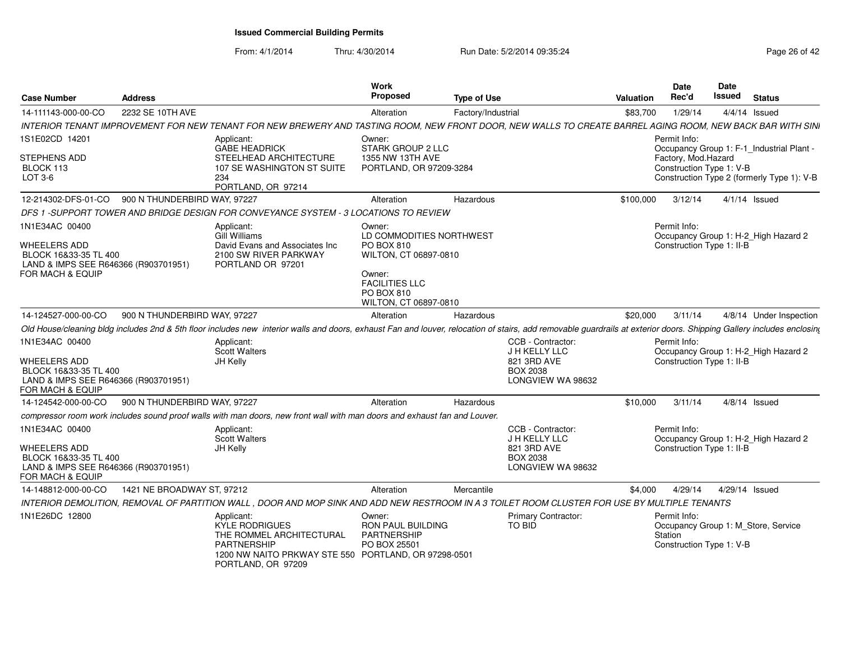| <b>Case Number</b>                                                                                                  | <b>Address</b>               |                                                                                                                                                                                                                                     | <b>Work</b><br><b>Proposed</b>                                                                                             | <b>Type of Use</b> |                                                                      | Valuation | <b>Date</b><br>Rec'd                                | <b>Date</b><br>Issued | <b>Status</b>                              |
|---------------------------------------------------------------------------------------------------------------------|------------------------------|-------------------------------------------------------------------------------------------------------------------------------------------------------------------------------------------------------------------------------------|----------------------------------------------------------------------------------------------------------------------------|--------------------|----------------------------------------------------------------------|-----------|-----------------------------------------------------|-----------------------|--------------------------------------------|
| 14-111143-000-00-CO                                                                                                 | 2232 SE 10TH AVE             |                                                                                                                                                                                                                                     | Alteration                                                                                                                 | Factory/Industrial |                                                                      | \$83,700  | 1/29/14                                             |                       | $4/4/14$ Issued                            |
|                                                                                                                     |                              | INTERIOR TENANT IMPROVEMENT FOR NEW TENANT FOR NEW BREWERY AND TASTING ROOM, NEW FRONT DOOR, NEW WALLS TO CREATE BARREL AGING ROOM, NEW BACK BAR WITH SINI                                                                          |                                                                                                                            |                    |                                                                      |           |                                                     |                       |                                            |
| 1S1E02CD 14201                                                                                                      |                              | Applicant:<br><b>GABE HEADRICK</b>                                                                                                                                                                                                  | Owner:<br>STARK GROUP 2 LLC                                                                                                |                    |                                                                      |           | Permit Info:                                        |                       | Occupancy Group 1: F-1_Industrial Plant -  |
| <b>STEPHENS ADD</b><br>BLOCK 113<br>$LOT 3-6$                                                                       |                              | STEELHEAD ARCHITECTURE<br>107 SE WASHINGTON ST SUITE<br>234<br>PORTLAND, OR 97214                                                                                                                                                   | 1355 NW 13TH AVE<br>PORTLAND, OR 97209-3284                                                                                |                    |                                                                      |           | Factory, Mod.Hazard<br>Construction Type 1: V-B     |                       | Construction Type 2 (formerly Type 1): V-B |
| 12-214302-DFS-01-CO                                                                                                 | 900 N THUNDERBIRD WAY, 97227 |                                                                                                                                                                                                                                     | Alteration                                                                                                                 | Hazardous          |                                                                      | \$100,000 | 3/12/14                                             |                       | $4/1/14$ Issued                            |
|                                                                                                                     |                              | DFS 1 -SUPPORT TOWER AND BRIDGE DESIGN FOR CONVEYANCE SYSTEM - 3 LOCATIONS TO REVIEW                                                                                                                                                |                                                                                                                            |                    |                                                                      |           |                                                     |                       |                                            |
| 1N1E34AC 00400<br>WHEELERS ADD<br>BLOCK 16&33-35 TL 400<br>LAND & IMPS SEE R646366 (R903701951)<br>FOR MACH & EQUIP |                              | Applicant:<br>Gill Williams<br>David Evans and Associates Inc<br>2100 SW RIVER PARKWAY<br>PORTLAND OR 97201                                                                                                                         | Owner:<br>LD COMMODITIES NORTHWEST<br>PO BOX 810<br>WILTON, CT 06897-0810<br>Owner:<br><b>FACILITIES LLC</b><br>PO BOX 810 |                    |                                                                      |           | Permit Info:<br>Construction Type 1: II-B           |                       | Occupancy Group 1: H-2 High Hazard 2       |
|                                                                                                                     |                              |                                                                                                                                                                                                                                     | WILTON, CT 06897-0810                                                                                                      |                    |                                                                      |           |                                                     |                       |                                            |
| 14-124527-000-00-CO                                                                                                 | 900 N THUNDERBIRD WAY, 97227 |                                                                                                                                                                                                                                     | Alteration                                                                                                                 | Hazardous          |                                                                      | \$20,000  | 3/11/14                                             |                       | 4/8/14 Under Inspection                    |
| 1N1E34AC 00400                                                                                                      |                              | Old House/cleaning bldg includes 2nd & 5th floor includes new interior walls and doors, exhaust Fan and louver, relocation of stairs, add removable guardrails at exterior doors. Shipping Gallery includes enclosing<br>Applicant: |                                                                                                                            |                    | CCB - Contractor:                                                    |           | Permit Info:                                        |                       |                                            |
| WHEELERS ADD<br>BLOCK 16&33-35 TL 400<br>LAND & IMPS SEE R646366 (R903701951)<br>FOR MACH & EQUIP                   |                              | <b>Scott Walters</b><br>JH Kelly                                                                                                                                                                                                    |                                                                                                                            |                    | J H KELLY LLC<br>821 3RD AVE<br><b>BOX 2038</b><br>LONGVIEW WA 98632 |           | Construction Type 1: II-B                           |                       | Occupancy Group 1: H-2 High Hazard 2       |
| 14-124542-000-00-CO                                                                                                 | 900 N THUNDERBIRD WAY, 97227 |                                                                                                                                                                                                                                     | Alteration                                                                                                                 | Hazardous          |                                                                      | \$10,000  | 3/11/14                                             |                       | $4/8/14$ Issued                            |
|                                                                                                                     |                              | compressor room work includes sound proof walls with man doors, new front wall with man doors and exhaust fan and Louver.                                                                                                           |                                                                                                                            |                    |                                                                      |           |                                                     |                       |                                            |
| 1N1E34AC 00400                                                                                                      |                              | Applicant:<br>Scott Walters                                                                                                                                                                                                         |                                                                                                                            |                    | CCB - Contractor:<br>J H KELLY LLC                                   |           | Permit Info:                                        |                       | Occupancy Group 1: H-2_High Hazard 2       |
| <b>WHEELERS ADD</b><br>BLOCK 16&33-35 TL 400<br>LAND & IMPS SEE R646366 (R903701951)<br>FOR MACH & EQUIP            |                              | JH Kelly                                                                                                                                                                                                                            |                                                                                                                            |                    | 821 3RD AVE<br><b>BOX 2038</b><br>LONGVIEW WA 98632                  |           | Construction Type 1: II-B                           |                       |                                            |
| 14-148812-000-00-CO                                                                                                 | 1421 NE BROADWAY ST, 97212   |                                                                                                                                                                                                                                     | Alteration                                                                                                                 | Mercantile         |                                                                      | \$4,000   | 4/29/14                                             |                       | 4/29/14 Issued                             |
|                                                                                                                     |                              | INTERIOR DEMOLITION, REMOVAL OF PARTITION WALL , DOOR AND MOP SINK AND ADD NEW RESTROOM IN A 3 TOILET ROOM CLUSTER FOR USE BY MULTIPLE TENANTS                                                                                      |                                                                                                                            |                    |                                                                      |           |                                                     |                       |                                            |
| 1N1E26DC 12800                                                                                                      |                              | Applicant:<br><b>KYLE RODRIGUES</b><br>THE ROMMEL ARCHITECTURAL<br><b>PARTNERSHIP</b><br>1200 NW NAITO PRKWAY STE 550 PORTLAND, OR 97298-0501<br>PORTLAND, OR 97209                                                                 | Owner:<br>RON PAUL BUILDING<br><b>PARTNERSHIP</b><br>PO BOX 25501                                                          |                    | <b>Primary Contractor:</b><br>TO BID                                 |           | Permit Info:<br>Station<br>Construction Type 1: V-B |                       | Occupancy Group 1: M_Store, Service        |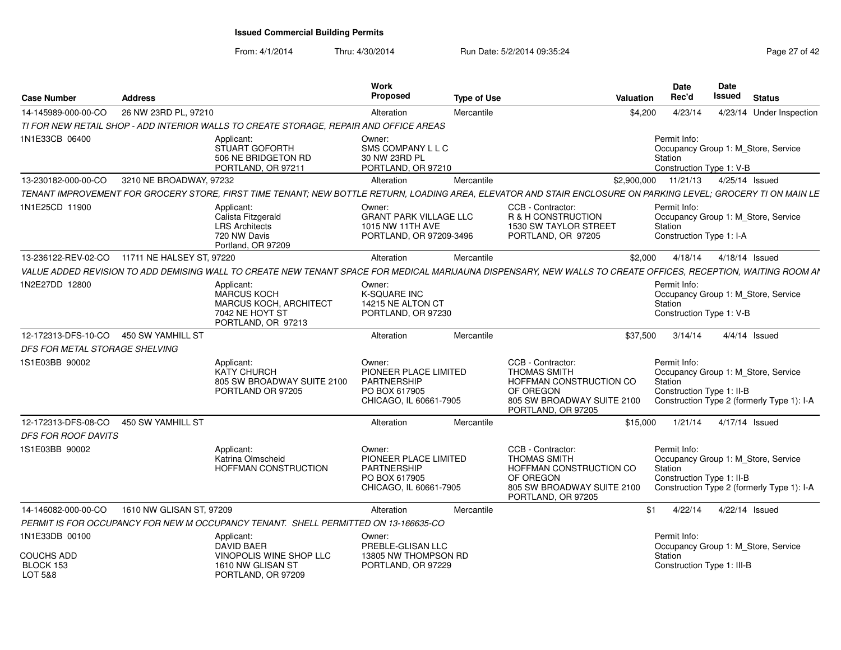| <b>Case Number</b>                        | <b>Address</b>                                                                                                                                                 | Work<br><b>Proposed</b>                                                                          | <b>Type of Use</b> | <b>Valuation</b>                                                                                                                     | <b>Date</b><br>Rec'd                                                                                                                      | <b>Date</b><br><b>Issued</b> | <b>Status</b>            |  |
|-------------------------------------------|----------------------------------------------------------------------------------------------------------------------------------------------------------------|--------------------------------------------------------------------------------------------------|--------------------|--------------------------------------------------------------------------------------------------------------------------------------|-------------------------------------------------------------------------------------------------------------------------------------------|------------------------------|--------------------------|--|
| 14-145989-000-00-CO                       | 26 NW 23RD PL, 97210                                                                                                                                           | Alteration                                                                                       | Mercantile         | \$4,200                                                                                                                              | 4/23/14                                                                                                                                   |                              | 4/23/14 Under Inspection |  |
|                                           | TI FOR NEW RETAIL SHOP - ADD INTERIOR WALLS TO CREATE STORAGE, REPAIR AND OFFICE AREAS                                                                         |                                                                                                  |                    |                                                                                                                                      |                                                                                                                                           |                              |                          |  |
| 1N1E33CB 06400                            | Applicant:<br>STUART GOFORTH<br>506 NE BRIDGETON RD<br>PORTLAND, OR 97211                                                                                      | Owner:<br>SMS COMPANY L L C<br>30 NW 23RD PL<br>PORTLAND, OR 97210                               |                    |                                                                                                                                      | Permit Info:<br>Occupancy Group 1: M_Store, Service<br>Station<br>Construction Type 1: V-B                                                |                              |                          |  |
| 13-230182-000-00-CO                       | 3210 NE BROADWAY, 97232                                                                                                                                        | Alteration                                                                                       | Mercantile         | \$2,900,000                                                                                                                          | 11/21/13                                                                                                                                  |                              | 4/25/14 Issued           |  |
|                                           | TENANT IMPROVEMENT FOR GROCERY STORE, FIRST TIME TENANT; NEW BOTTLE RETURN, LOADING AREA, ELEVATOR AND STAIR ENCLOSURE ON PARKING LEVEL; GROCERY TI ON MAIN LE |                                                                                                  |                    |                                                                                                                                      |                                                                                                                                           |                              |                          |  |
| 1N1E25CD 11900                            | Applicant:<br>Calista Fitzgerald<br><b>LRS Architects</b><br>720 NW Davis<br>Portland, OR 97209                                                                | Owner:<br><b>GRANT PARK VILLAGE LLC</b><br>1015 NW 11TH AVE<br>PORTLAND, OR 97209-3496           |                    | CCB - Contractor:<br>R & H CONSTRUCTION<br><b>1530 SW TAYLOR STREET</b><br>PORTLAND, OR 97205                                        | Permit Info:<br>Occupancy Group 1: M_Store, Service<br>Station<br>Construction Type 1: I-A                                                |                              |                          |  |
| 13-236122-REV-02-CO                       | 11711 NE HALSEY ST, 97220                                                                                                                                      | Alteration                                                                                       | Mercantile         | \$2.000                                                                                                                              | 4/18/14                                                                                                                                   |                              | 4/18/14 Issued           |  |
|                                           | VALUE ADDED REVISION TO ADD DEMISING WALL TO CREATE NEW TENANT SPACE FOR MEDICAL MARIJAUNA DISPENSARY, NEW WALLS TO CREATE OFFICES, RECEPTION, WAITING ROOM AI |                                                                                                  |                    |                                                                                                                                      |                                                                                                                                           |                              |                          |  |
| 1N2E27DD 12800                            | Applicant:<br><b>MARCUS KOCH</b><br><b>MARCUS KOCH, ARCHITECT</b><br>7042 NE HOYT ST<br>PORTLAND, OR 97213                                                     | Owner:<br><b>K-SQUARE INC</b><br>14215 NE ALTON CT<br>PORTLAND, OR 97230                         |                    |                                                                                                                                      | Permit Info:<br>Occupancy Group 1: M Store, Service<br>Station<br>Construction Type 1: V-B                                                |                              |                          |  |
| 12-172313-DFS-10-CO                       | 450 SW YAMHILL ST                                                                                                                                              | Alteration                                                                                       | Mercantile         | \$37,500                                                                                                                             | 3/14/14                                                                                                                                   |                              | $4/4/14$ Issued          |  |
| DFS FOR METAL STORAGE SHELVING            |                                                                                                                                                                |                                                                                                  |                    |                                                                                                                                      |                                                                                                                                           |                              |                          |  |
| 1S1E03BB 90002                            | Applicant:<br><b>KATY CHURCH</b><br>805 SW BROADWAY SUITE 2100<br>PORTLAND OR 97205                                                                            | Owner:<br>PIONEER PLACE LIMITED<br><b>PARTNERSHIP</b><br>PO BOX 617905<br>CHICAGO, IL 60661-7905 |                    | CCB - Contractor:<br><b>THOMAS SMITH</b><br>HOFFMAN CONSTRUCTION CO<br>OF OREGON<br>805 SW BROADWAY SUITE 2100<br>PORTLAND, OR 97205 | Permit Info:<br>Occupancy Group 1: M_Store, Service<br>Station<br>Construction Type 1: II-B<br>Construction Type 2 (formerly Type 1): I-A |                              |                          |  |
| 12-172313-DFS-08-CO                       | 450 SW YAMHILL ST                                                                                                                                              | Alteration                                                                                       | Mercantile         | \$15,000                                                                                                                             | 1/21/14                                                                                                                                   |                              | 4/17/14 Issued           |  |
| <b>DFS FOR ROOF DAVITS</b>                |                                                                                                                                                                |                                                                                                  |                    |                                                                                                                                      |                                                                                                                                           |                              |                          |  |
| 1S1E03BB 90002                            | Applicant:<br>Katrina Olmscheid<br>HOFFMAN CONSTRUCTION                                                                                                        | Owner:<br>PIONEER PLACE LIMITED<br><b>PARTNERSHIP</b><br>PO BOX 617905<br>CHICAGO, IL 60661-7905 |                    | CCB - Contractor:<br>THOMAS SMITH<br>HOFFMAN CONSTRUCTION CO<br>OF OREGON<br>805 SW BROADWAY SUITE 2100<br>PORTLAND, OR 97205        | Permit Info:<br>Occupancy Group 1: M_Store, Service<br>Station<br>Construction Type 1: II-B<br>Construction Type 2 (formerly Type 1): I-A |                              |                          |  |
| 14-146082-000-00-CO                       | 1610 NW GLISAN ST. 97209                                                                                                                                       | Alteration                                                                                       | Mercantile         |                                                                                                                                      | \$1<br>4/22/14                                                                                                                            |                              | 4/22/14 Issued           |  |
|                                           | PERMIT IS FOR OCCUPANCY FOR NEW M OCCUPANCY TENANT. SHELL PERMITTED ON 13-166635-CO                                                                            |                                                                                                  |                    |                                                                                                                                      |                                                                                                                                           |                              |                          |  |
| 1N1E33DB 00100                            | Applicant:<br><b>DAVID BAER</b>                                                                                                                                | Owner:<br>PREBLE-GLISAN LLC                                                                      |                    |                                                                                                                                      | Permit Info:<br>Occupancy Group 1: M_Store, Service                                                                                       |                              |                          |  |
| <b>COUCHS ADD</b><br>BLOCK 153<br>LOT 5&8 | VINOPOLIS WINE SHOP LLC<br>1610 NW GLISAN ST<br>PORTLAND, OR 97209                                                                                             | 13805 NW THOMPSON RD<br>PORTLAND, OR 97229                                                       |                    |                                                                                                                                      | Station<br>Construction Type 1: III-B                                                                                                     |                              |                          |  |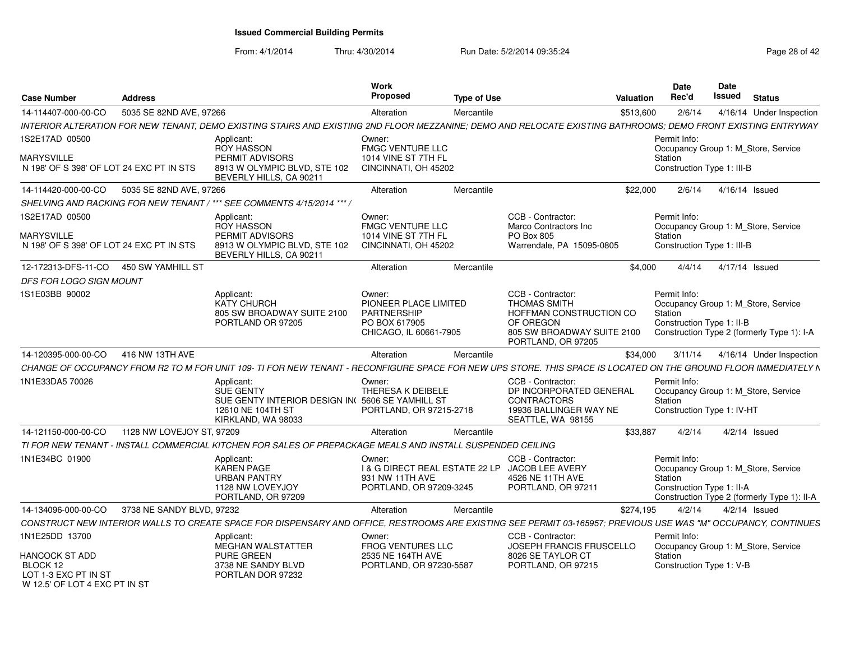| <b>Case Number</b>                                                              | <b>Address</b>                         |                                                                                                                                                                 | Work<br>Proposed                                                                                 | <b>Type of Use</b> |                                                                                                                                      | <b>Valuation</b> | <b>Date</b><br>Rec'd                                  | Date<br><b>Issued</b> | <b>Status</b>                                                                      |
|---------------------------------------------------------------------------------|----------------------------------------|-----------------------------------------------------------------------------------------------------------------------------------------------------------------|--------------------------------------------------------------------------------------------------|--------------------|--------------------------------------------------------------------------------------------------------------------------------------|------------------|-------------------------------------------------------|-----------------------|------------------------------------------------------------------------------------|
| 14-114407-000-00-CO                                                             | 5035 SE 82ND AVE, 97266                |                                                                                                                                                                 | Alteration                                                                                       | Mercantile         |                                                                                                                                      | \$513,600        | 2/6/14                                                |                       | 4/16/14 Under Inspection                                                           |
|                                                                                 |                                        | INTERIOR ALTERATION FOR NEW TENANT. DEMO EXISTING STAIRS AND EXISTING 2ND FLOOR MEZZANINE: DEMO AND RELOCATE EXISTING BATHROOMS: DEMO FRONT EXISTING ENTRYWAY   |                                                                                                  |                    |                                                                                                                                      |                  |                                                       |                       |                                                                                    |
| 1S2E17AD 00500                                                                  |                                        | Applicant:<br>ROY HASSON                                                                                                                                        | Owner:<br><b>FMGC VENTURE LLC</b>                                                                |                    |                                                                                                                                      |                  | Permit Info:                                          |                       | Occupancy Group 1: M Store, Service                                                |
| <b>MARYSVILLE</b><br>N 198' OF S 398' OF LOT 24 EXC PT IN STS                   |                                        | PERMIT ADVISORS<br>8913 W OLYMPIC BLVD, STE 102<br>BEVERLY HILLS, CA 90211                                                                                      | 1014 VINE ST 7TH FL<br>CINCINNATI, OH 45202                                                      |                    |                                                                                                                                      |                  | Station<br>Construction Type 1: III-B                 |                       |                                                                                    |
| 14-114420-000-00-CO                                                             | 5035 SE 82ND AVE, 97266                |                                                                                                                                                                 | Alteration                                                                                       | Mercantile         |                                                                                                                                      | \$22,000         | 2/6/14                                                |                       | 4/16/14 Issued                                                                     |
|                                                                                 |                                        | SHELVING AND RACKING FOR NEW TENANT / *** SEE COMMENTS 4/15/2014 *** /                                                                                          |                                                                                                  |                    |                                                                                                                                      |                  |                                                       |                       |                                                                                    |
| 1S2E17AD 00500<br><b>MARYSVILLE</b><br>N 198' OF S 398' OF LOT 24 EXC PT IN STS |                                        | Applicant:<br>ROY HASSON<br>PERMIT ADVISORS<br>8913 W OLYMPIC BLVD, STE 102                                                                                     | Owner:<br><b>FMGC VENTURE LLC</b><br>1014 VINE ST 7TH FL<br>CINCINNATI, OH 45202                 |                    | CCB - Contractor:<br>Marco Contractors Inc<br>PO Box 805<br>Warrendale, PA 15095-0805                                                |                  | Permit Info:<br>Station<br>Construction Type 1: III-B |                       | Occupancy Group 1: M_Store, Service                                                |
|                                                                                 |                                        | BEVERLY HILLS, CA 90211                                                                                                                                         |                                                                                                  |                    |                                                                                                                                      |                  |                                                       |                       |                                                                                    |
|                                                                                 | 12-172313-DFS-11-CO  450 SW YAMHILL ST |                                                                                                                                                                 | Alteration                                                                                       | Mercantile         |                                                                                                                                      | \$4,000          | 4/4/14                                                |                       | 4/17/14 Issued                                                                     |
| DFS FOR LOGO SIGN MOUNT                                                         |                                        |                                                                                                                                                                 |                                                                                                  |                    |                                                                                                                                      |                  |                                                       |                       |                                                                                    |
| 1S1E03BB 90002                                                                  |                                        | Applicant:<br><b>KATY CHURCH</b><br>805 SW BROADWAY SUITE 2100<br>PORTLAND OR 97205                                                                             | Owner:<br>PIONEER PLACE LIMITED<br><b>PARTNERSHIP</b><br>PO BOX 617905<br>CHICAGO, IL 60661-7905 |                    | CCB - Contractor:<br><b>THOMAS SMITH</b><br>HOFFMAN CONSTRUCTION CO<br>OF OREGON<br>805 SW BROADWAY SUITE 2100<br>PORTLAND, OR 97205 |                  | Permit Info:<br>Station<br>Construction Type 1: II-B  |                       | Occupancy Group 1: M_Store, Service<br>Construction Type 2 (formerly Type 1): I-A  |
| 14-120395-000-00-CO                                                             | 416 NW 13TH AVE                        |                                                                                                                                                                 | Alteration                                                                                       | Mercantile         |                                                                                                                                      | \$34,000         | 3/11/14                                               |                       | 4/16/14 Under Inspection                                                           |
|                                                                                 |                                        | CHANGE OF OCCUPANCY FROM R2 TO M FOR UNIT 109- TI FOR NEW TENANT - RECONFIGURE SPACE FOR NEW UPS STORE. THIS SPACE IS LOCATED ON THE GROUND FLOOR IMMEDIATELY N |                                                                                                  |                    |                                                                                                                                      |                  |                                                       |                       |                                                                                    |
| 1N1E33DA5 70026                                                                 |                                        | Applicant:<br>SUE GENTY<br>SUE GENTY INTERIOR DESIGN IN(5606 SE YAMHILL ST<br>12610 NE 104TH ST<br>KIRKLAND, WA 98033                                           | Owner:<br>THERESA K DEIBELE<br>PORTLAND, OR 97215-2718                                           |                    | CCB - Contractor:<br>DP INCORPORATED GENERAL<br><b>CONTRACTORS</b><br>19936 BALLINGER WAY NE<br>SEATTLE, WA 98155                    |                  | Permit Info:<br>Station<br>Construction Type 1: IV-HT |                       | Occupancy Group 1: M Store, Service                                                |
| 14-121150-000-00-CO                                                             | 1128 NW LOVEJOY ST, 97209              |                                                                                                                                                                 | Alteration                                                                                       | Mercantile         |                                                                                                                                      | \$33,887         | 4/2/14                                                |                       | $4/2/14$ Issued                                                                    |
|                                                                                 |                                        | TI FOR NEW TENANT - INSTALL COMMERCIAL KITCHEN FOR SALES OF PREPACKAGE MEALS AND INSTALL SUSPENDED CEILING                                                      |                                                                                                  |                    |                                                                                                                                      |                  |                                                       |                       |                                                                                    |
| 1N1E34BC 01900                                                                  |                                        | Applicant:<br><b>KAREN PAGE</b><br><b>URBAN PANTRY</b><br>1128 NW LOVEYJOY<br>PORTLAND, OR 97209                                                                | Owner:<br>I & G DIRECT REAL ESTATE 22 LP<br>931 NW 11TH AVE<br>PORTLAND, OR 97209-3245           |                    | CCB - Contractor:<br>JACOB LEE AVERY<br>4526 NE 11TH AVE<br>PORTLAND, OR 97211                                                       |                  | Permit Info:<br>Station<br>Construction Type 1: II-A  |                       | Occupancy Group 1: M_Store, Service<br>Construction Type 2 (formerly Type 1): II-A |
| 14-134096-000-00-CO                                                             | 3738 NE SANDY BLVD, 97232              |                                                                                                                                                                 | Alteration                                                                                       | Mercantile         |                                                                                                                                      | \$274,195        | 4/2/14                                                |                       | $4/2/14$ Issued                                                                    |
|                                                                                 |                                        | CONSTRUCT NEW INTERIOR WALLS TO CREATE SPACE FOR DISPENSARY AND OFFICE, RESTROOMS ARE EXISTING SEE PERMIT 03-165957; PREVIOUS USE WAS "M" OCCUPANCY, CONTINUES  |                                                                                                  |                    |                                                                                                                                      |                  |                                                       |                       |                                                                                    |
| 1N1E25DD 13700<br>HANCOCK ST ADD<br>BLOCK 12<br>LOT 1-3 EXC PT IN ST            |                                        | Applicant:<br>MEGHAN WALSTATTER<br><b>PURE GREEN</b><br>3738 NE SANDY BLVD<br>PORTLAN DOR 97232                                                                 | Owner:<br><b>FROG VENTURES LLC</b><br>2535 NE 164TH AVE<br>PORTLAND, OR 97230-5587               |                    | CCB - Contractor:<br><b>JOSEPH FRANCIS FRUSCELLO</b><br>8026 SE TAYLOR CT<br>PORTLAND, OR 97215                                      |                  | Permit Info:<br>Station<br>Construction Type 1: V-B   |                       | Occupancy Group 1: M Store, Service                                                |
| W 12.5' OF LOT 4 EXC PT IN ST                                                   |                                        |                                                                                                                                                                 |                                                                                                  |                    |                                                                                                                                      |                  |                                                       |                       |                                                                                    |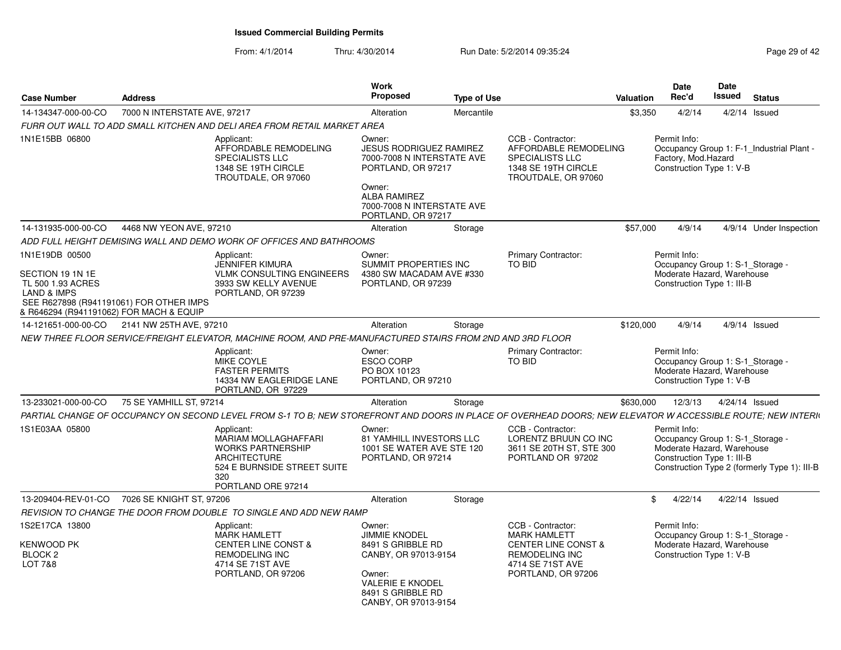| <b>Case Number</b>                                                                                                                | <b>Address</b>               |                                                                                                                                                             | Work<br><b>Proposed</b>                                                                                                                                       | <b>Type of Use</b> |                                                                                                                                               | Valuation  | <b>Date</b><br>Rec'd                                                                                         | Date<br>Issued | <b>Status</b>                                |
|-----------------------------------------------------------------------------------------------------------------------------------|------------------------------|-------------------------------------------------------------------------------------------------------------------------------------------------------------|---------------------------------------------------------------------------------------------------------------------------------------------------------------|--------------------|-----------------------------------------------------------------------------------------------------------------------------------------------|------------|--------------------------------------------------------------------------------------------------------------|----------------|----------------------------------------------|
| 14-134347-000-00-CO                                                                                                               | 7000 N INTERSTATE AVE, 97217 |                                                                                                                                                             | Alteration                                                                                                                                                    | Mercantile         |                                                                                                                                               | \$3,350    | 4/2/14                                                                                                       |                | $4/2/14$ Issued                              |
|                                                                                                                                   |                              | FURR OUT WALL TO ADD SMALL KITCHEN AND DELI AREA FROM RETAIL MARKET AREA                                                                                    |                                                                                                                                                               |                    |                                                                                                                                               |            |                                                                                                              |                |                                              |
| 1N1E15BB 06800                                                                                                                    |                              | Applicant:<br>AFFORDABLE REMODELING<br><b>SPECIALISTS LLC</b><br>1348 SE 19TH CIRCLE<br>TROUTDALE, OR 97060                                                 | Owner:<br><b>JESUS RODRIGUEZ RAMIREZ</b><br>7000-7008 N INTERSTATE AVE<br>PORTLAND, OR 97217                                                                  |                    | CCB - Contractor:<br>AFFORDABLE REMODELING<br><b>SPECIALISTS LLC</b><br>1348 SE 19TH CIRCLE<br>TROUTDALE, OR 97060                            |            | Permit Info:<br>Factory, Mod.Hazard<br>Construction Type 1: V-B                                              |                | Occupancy Group 1: F-1 Industrial Plant -    |
|                                                                                                                                   |                              |                                                                                                                                                             | Owner:<br><b>ALBA RAMIREZ</b><br>7000-7008 N INTERSTATE AVE<br>PORTLAND, OR 97217                                                                             |                    |                                                                                                                                               |            |                                                                                                              |                |                                              |
| 14-131935-000-00-CO                                                                                                               | 4468 NW YEON AVE, 97210      |                                                                                                                                                             | Alteration                                                                                                                                                    | Storage            |                                                                                                                                               | \$57,000   | 4/9/14                                                                                                       |                | 4/9/14 Under Inspection                      |
|                                                                                                                                   |                              | ADD FULL HEIGHT DEMISING WALL AND DEMO WORK OF OFFICES AND BATHROOMS                                                                                        |                                                                                                                                                               |                    |                                                                                                                                               |            |                                                                                                              |                |                                              |
| 1N1E19DB 00500<br>SECTION 19 1N 1E                                                                                                |                              | Applicant:<br>JENNIFER KIMURA<br><b>VLMK CONSULTING ENGINEERS</b>                                                                                           | Owner:<br>SUMMIT PROPERTIES INC<br>4380 SW MACADAM AVE #330                                                                                                   |                    | <b>Primary Contractor:</b><br>TO BID                                                                                                          |            | Permit Info:<br>Occupancy Group 1: S-1 Storage -<br>Moderate Hazard, Warehouse                               |                |                                              |
| TL 500 1.93 ACRES<br><b>LAND &amp; IMPS</b><br>SEE R627898 (R941191061) FOR OTHER IMPS<br>& R646294 (R941191062) FOR MACH & EQUIP |                              | 3933 SW KELLY AVENUE<br>PORTLAND, OR 97239                                                                                                                  | PORTLAND, OR 97239                                                                                                                                            |                    |                                                                                                                                               |            | Construction Type 1: III-B                                                                                   |                |                                              |
| 14-121651-000-00-CO 2141 NW 25TH AVE, 97210                                                                                       |                              |                                                                                                                                                             | Alteration                                                                                                                                                    | Storage            |                                                                                                                                               | \$120,000  | 4/9/14                                                                                                       |                | 4/9/14 Issued                                |
|                                                                                                                                   |                              | NEW THREE FLOOR SERVICE/FREIGHT ELEVATOR. MACHINE ROOM, AND PRE-MANUFACTURED STAIRS FROM 2ND AND 3RD FLOOR                                                  |                                                                                                                                                               |                    |                                                                                                                                               |            |                                                                                                              |                |                                              |
|                                                                                                                                   |                              | Applicant:<br>MIKE COYLE<br><b>FASTER PERMITS</b><br>14334 NW EAGLERIDGE LANE<br>PORTLAND, OR 97229                                                         | Owner:<br><b>ESCO CORP</b><br>PO BOX 10123<br>PORTLAND, OR 97210                                                                                              |                    | <b>Primary Contractor:</b><br>TO BID                                                                                                          |            | Permit Info:<br>Occupancy Group 1: S-1 Storage -<br>Moderate Hazard, Warehouse<br>Construction Type 1: V-B   |                |                                              |
| 13-233021-000-00-CO                                                                                                               | 75 SE YAMHILL ST, 97214      |                                                                                                                                                             | Alteration                                                                                                                                                    | Storage            |                                                                                                                                               | \$630,000  | 12/3/13                                                                                                      | 4/24/14 Issued |                                              |
|                                                                                                                                   |                              | PARTIAL CHANGE OF OCCUPANCY ON SECOND LEVEL FROM S-1 TO B: NEW STOREFRONT AND DOORS IN PLACE OF OVERHEAD DOORS: NEW ELEVATOR W ACCESSIBLE ROUTE; NEW INTERN |                                                                                                                                                               |                    |                                                                                                                                               |            |                                                                                                              |                |                                              |
| 1S1E03AA 05800                                                                                                                    |                              | Applicant:<br>MARIAM MOLLAGHAFFARI<br><b>WORKS PARTNERSHIP</b><br><b>ARCHITECTURE</b><br>524 E BURNSIDE STREET SUITE<br>320<br>PORTLAND ORE 97214           | Owner:<br><b>81 YAMHILL INVESTORS LLC</b><br>1001 SE WATER AVE STE 120<br>PORTLAND, OR 97214                                                                  |                    | CCB - Contractor:<br>LORENTZ BRUUN CO INC<br>3611 SE 20TH ST, STE 300<br>PORTLAND OR 97202                                                    |            | Permit Info:<br>Occupancy Group 1: S-1 Storage -<br>Moderate Hazard, Warehouse<br>Construction Type 1: III-B |                | Construction Type 2 (formerly Type 1): III-B |
| 13-209404-REV-01-CO                                                                                                               | 7026 SE KNIGHT ST, 97206     |                                                                                                                                                             | Alteration                                                                                                                                                    | Storage            |                                                                                                                                               | $^{\circ}$ | 4/22/14                                                                                                      |                | 4/22/14 Issued                               |
|                                                                                                                                   |                              | REVISION TO CHANGE THE DOOR FROM DOUBLE TO SINGLE AND ADD NEW RAMP                                                                                          |                                                                                                                                                               |                    |                                                                                                                                               |            |                                                                                                              |                |                                              |
| 1S2E17CA 13800<br>KENWOOD PK<br><b>BLOCK 2</b><br><b>LOT 7&amp;8</b>                                                              |                              | Applicant:<br><b>MARK HAMLETT</b><br><b>CENTER LINE CONST &amp;</b><br><b>REMODELING INC</b><br>4714 SE 71ST AVE<br>PORTLAND, OR 97206                      | Owner:<br><b>JIMMIE KNODEL</b><br>8491 S GRIBBLE RD<br>CANBY, OR 97013-9154<br>Owner:<br><b>VALERIE E KNODEL</b><br>8491 S GRIBBLE RD<br>CANBY, OR 97013-9154 |                    | CCB - Contractor:<br><b>MARK HAMLETT</b><br><b>CENTER LINE CONST &amp;</b><br><b>REMODELING INC</b><br>4714 SE 71ST AVE<br>PORTLAND, OR 97206 |            | Permit Info:<br>Occupancy Group 1: S-1 Storage -<br>Moderate Hazard, Warehouse<br>Construction Type 1: V-B   |                |                                              |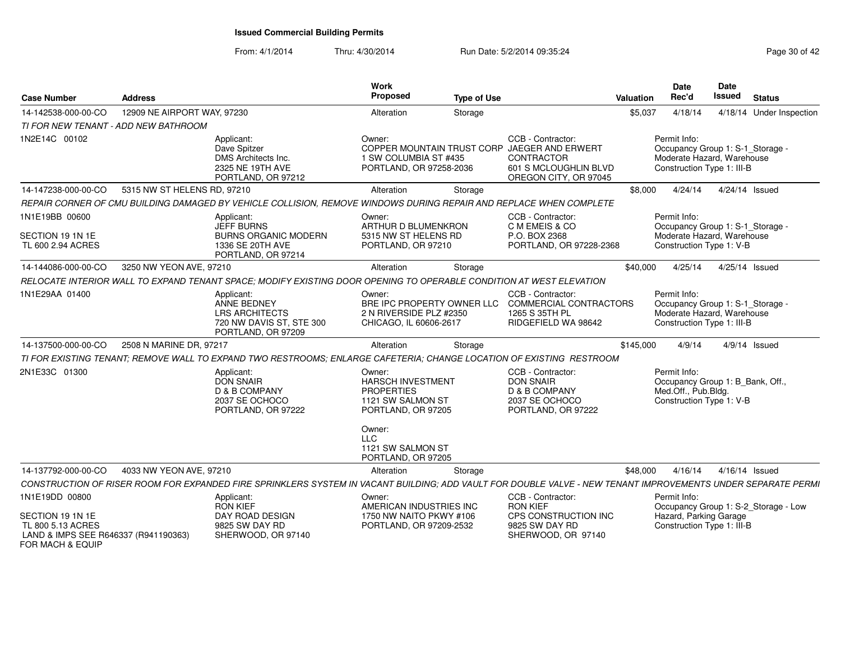| <b>Case Number</b>                                                                                | <b>Address</b>              |                                                                                                                                                              | <b>Work</b><br>Proposed                                                                            | <b>Type of Use</b> |                                                                                                                                   | Valuation | Date<br>Rec'd                                                                                                | <b>Date</b><br><b>Issued</b> | <b>Status</b>                        |
|---------------------------------------------------------------------------------------------------|-----------------------------|--------------------------------------------------------------------------------------------------------------------------------------------------------------|----------------------------------------------------------------------------------------------------|--------------------|-----------------------------------------------------------------------------------------------------------------------------------|-----------|--------------------------------------------------------------------------------------------------------------|------------------------------|--------------------------------------|
| 14-142538-000-00-CO                                                                               | 12909 NE AIRPORT WAY, 97230 |                                                                                                                                                              | Alteration                                                                                         | Storage            |                                                                                                                                   | \$5,037   | 4/18/14                                                                                                      |                              | 4/18/14 Under Inspection             |
| TI FOR NEW TENANT - ADD NEW BATHROOM                                                              |                             |                                                                                                                                                              |                                                                                                    |                    |                                                                                                                                   |           |                                                                                                              |                              |                                      |
| 1N2E14C 00102                                                                                     |                             | Applicant:<br>Dave Spitzer<br>DMS Architects Inc.<br>2325 NE 19TH AVE<br>PORTLAND, OR 97212                                                                  | Owner:<br>1 SW COLUMBIA ST #435<br>PORTLAND, OR 97258-2036                                         |                    | CCB - Contractor:<br>COPPER MOUNTAIN TRUST CORP JAEGER AND ERWERT<br>CONTRACTOR<br>601 S MCLOUGHLIN BLVD<br>OREGON CITY, OR 97045 |           | Permit Info:<br>Occupancy Group 1: S-1_Storage -<br>Moderate Hazard, Warehouse<br>Construction Type 1: III-B |                              |                                      |
| 14-147238-000-00-CO                                                                               | 5315 NW ST HELENS RD, 97210 |                                                                                                                                                              | Alteration                                                                                         | Storage            |                                                                                                                                   | \$8,000   | 4/24/14                                                                                                      | 4/24/14 Issued               |                                      |
|                                                                                                   |                             | REPAIR CORNER OF CMU BUILDING DAMAGED BY VEHICLE COLLISION, REMOVE WINDOWS DURING REPAIR AND REPLACE WHEN COMPLETE                                           |                                                                                                    |                    |                                                                                                                                   |           |                                                                                                              |                              |                                      |
| 1N1E19BB 00600                                                                                    |                             | Applicant:<br><b>JEFF BURNS</b>                                                                                                                              | Owner:<br>ARTHUR D BLUMENKRON                                                                      |                    | CCB - Contractor:<br>C M EMEIS & CO                                                                                               |           | Permit Info:<br>Occupancy Group 1: S-1_Storage -                                                             |                              |                                      |
| SECTION 19 1N 1E<br>TL 600 2.94 ACRES                                                             |                             | <b>BURNS ORGANIC MODERN</b><br>1336 SE 20TH AVE<br>PORTLAND, OR 97214                                                                                        | 5315 NW ST HELENS RD<br>PORTLAND, OR 97210                                                         |                    | P.O. BOX 2368<br>PORTLAND, OR 97228-2368                                                                                          |           | Moderate Hazard, Warehouse<br>Construction Type 1: V-B                                                       |                              |                                      |
| 14-144086-000-00-CO                                                                               | 3250 NW YEON AVE, 97210     |                                                                                                                                                              | Alteration                                                                                         | Storage            |                                                                                                                                   | \$40,000  | 4/25/14                                                                                                      | 4/25/14 Issued               |                                      |
|                                                                                                   |                             | RELOCATE INTERIOR WALL TO EXPAND TENANT SPACE; MODIFY EXISTING DOOR OPENING TO OPERABLE CONDITION AT WEST ELEVATION                                          |                                                                                                    |                    |                                                                                                                                   |           |                                                                                                              |                              |                                      |
| 1N1E29AA 01400                                                                                    |                             | Applicant:<br><b>ANNE BEDNEY</b><br><b>LRS ARCHITECTS</b><br>720 NW DAVIS ST, STE 300<br>PORTLAND, OR 97209                                                  | Owner:<br>2 N RIVERSIDE PLZ #2350<br>CHICAGO, IL 60606-2617                                        |                    | CCB - Contractor:<br>BRE IPC PROPERTY OWNER LLC COMMERCIAL CONTRACTORS<br>1265 S 35TH PL<br>RIDGEFIELD WA 98642                   |           | Permit Info:<br>Occupancy Group 1: S-1 Storage -<br>Moderate Hazard, Warehouse<br>Construction Type 1: III-B |                              |                                      |
| 14-137500-000-00-CO                                                                               | 2508 N MARINE DR, 97217     |                                                                                                                                                              | Alteration                                                                                         | Storage            |                                                                                                                                   | \$145,000 | 4/9/14                                                                                                       |                              | $4/9/14$ Issued                      |
|                                                                                                   |                             | TI FOR EXISTING TENANT; REMOVE WALL TO EXPAND TWO RESTROOMS; ENLARGE CAFETERIA; CHANGE LOCATION OF EXISTING RESTROOM                                         |                                                                                                    |                    |                                                                                                                                   |           |                                                                                                              |                              |                                      |
| 2N1E33C 01300                                                                                     |                             | Applicant:<br><b>DON SNAIR</b><br>D & B COMPANY<br>2037 SE OCHOCO<br>PORTLAND, OR 97222                                                                      | Owner:<br><b>HARSCH INVESTMENT</b><br><b>PROPERTIES</b><br>1121 SW SALMON ST<br>PORTLAND, OR 97205 |                    | CCB - Contractor:<br><b>DON SNAIR</b><br>D & B COMPANY<br>2037 SE OCHOCO<br>PORTLAND, OR 97222                                    |           | Permit Info:<br>Occupancy Group 1: B_Bank, Off.,<br>Med.Off., Pub.Bldg.<br>Construction Type 1: V-B          |                              |                                      |
|                                                                                                   |                             |                                                                                                                                                              | Owner:<br><b>LLC</b><br>1121 SW SALMON ST<br>PORTLAND, OR 97205                                    |                    |                                                                                                                                   |           |                                                                                                              |                              |                                      |
| 14-137792-000-00-CO                                                                               | 4033 NW YEON AVE, 97210     |                                                                                                                                                              | Alteration                                                                                         | Storage            |                                                                                                                                   | \$48,000  | 4/16/14                                                                                                      | 4/16/14 Issued               |                                      |
|                                                                                                   |                             | CONSTRUCTION OF RISER ROOM FOR EXPANDED FIRE SPRINKLERS SYSTEM IN VACANT BUILDING; ADD VAULT FOR DOUBLE VALVE - NEW TENANT IMPROVEMENTS UNDER SEPARATE PERMI |                                                                                                    |                    |                                                                                                                                   |           |                                                                                                              |                              |                                      |
| 1N1E19DD 00800                                                                                    |                             | Applicant:<br><b>RON KIEF</b>                                                                                                                                | Owner:<br>AMERICAN INDUSTRIES INC                                                                  |                    | CCB - Contractor:<br><b>RON KIEF</b>                                                                                              |           | Permit Info:                                                                                                 |                              | Occupancy Group 1: S-2_Storage - Low |
| SECTION 19 1N 1E<br>TL 800 5.13 ACRES<br>LAND & IMPS SEE R646337 (R941190363)<br>FOR MACH & EQUIP |                             | DAY ROAD DESIGN<br>9825 SW DAY RD<br>SHERWOOD, OR 97140                                                                                                      | 1750 NW NAITO PKWY #106<br>PORTLAND, OR 97209-2532                                                 |                    | CPS CONSTRUCTION INC<br>9825 SW DAY RD<br>SHERWOOD, OR 97140                                                                      |           | Hazard, Parking Garage<br>Construction Type 1: III-B                                                         |                              |                                      |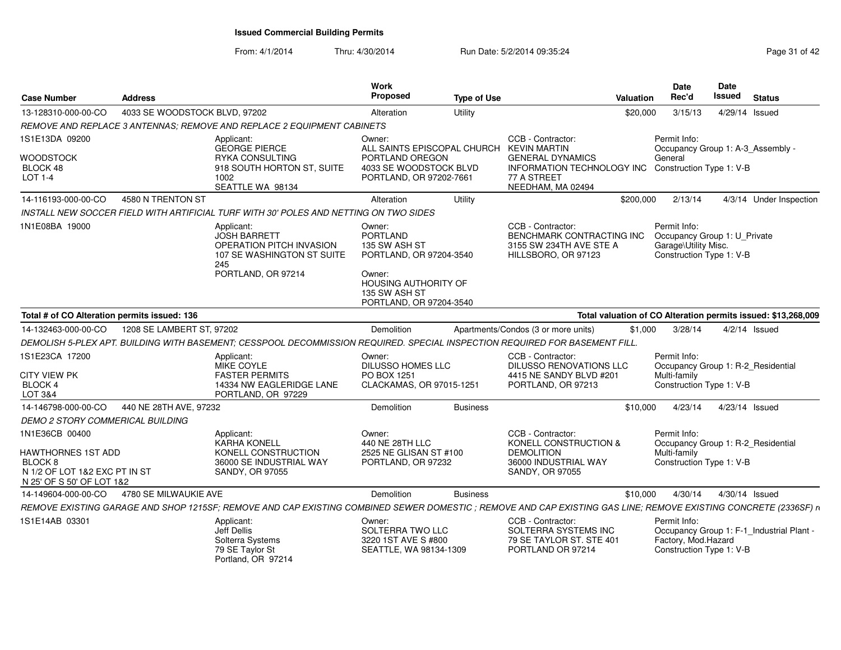| <b>Case Number</b>                                                                          | <b>Address</b>                |                                                                                                                                                                | Work<br><b>Proposed</b>                                                         | <b>Type of Use</b> |                                                                                                  | Valuation | Date<br>Rec'd                                                                                    | <b>Date</b><br>Issued | <b>Status</b>                                                 |
|---------------------------------------------------------------------------------------------|-------------------------------|----------------------------------------------------------------------------------------------------------------------------------------------------------------|---------------------------------------------------------------------------------|--------------------|--------------------------------------------------------------------------------------------------|-----------|--------------------------------------------------------------------------------------------------|-----------------------|---------------------------------------------------------------|
| 13-128310-000-00-CO                                                                         | 4033 SE WOODSTOCK BLVD, 97202 |                                                                                                                                                                | Alteration                                                                      | Utility            |                                                                                                  | \$20,000  | 3/15/13                                                                                          | 4/29/14 Issued        |                                                               |
|                                                                                             |                               | REMOVE AND REPLACE 3 ANTENNAS: REMOVE AND REPLACE 2 EQUIPMENT CABINETS                                                                                         |                                                                                 |                    |                                                                                                  |           |                                                                                                  |                       |                                                               |
| 1S1E13DA 09200                                                                              |                               | Applicant:<br><b>GEORGE PIERCE</b>                                                                                                                             | Owner:<br>ALL SAINTS EPISCOPAL CHURCH KEVIN MARTIN                              |                    | CCB - Contractor:                                                                                |           | Permit Info:<br>Occupancy Group 1: A-3_Assembly -                                                |                       |                                                               |
| <b>WOODSTOCK</b><br>BLOCK 48<br>LOT 1-4                                                     |                               | RYKA CONSULTING<br>918 SOUTH HORTON ST, SUITE<br>1002<br>SEATTLE WA 98134                                                                                      | PORTLAND OREGON<br>4033 SE WOODSTOCK BLVD<br>PORTLAND, OR 97202-7661            |                    | <b>GENERAL DYNAMICS</b><br>INFORMATION TECHNOLOGY INC<br>77 A STREET<br>NEEDHAM, MA 02494        |           | General<br>Construction Type 1: V-B                                                              |                       |                                                               |
| 14-116193-000-00-CO                                                                         | 4580 N TRENTON ST             |                                                                                                                                                                | Alteration                                                                      | Utility            |                                                                                                  | \$200,000 | 2/13/14                                                                                          |                       | 4/3/14 Under Inspection                                       |
|                                                                                             |                               | INSTALL NEW SOCCER FIELD WITH ARTIFICIAL TURF WITH 30' POLES AND NETTING ON TWO SIDES                                                                          |                                                                                 |                    |                                                                                                  |           |                                                                                                  |                       |                                                               |
| 1N1E08BA 19000                                                                              |                               | Applicant:<br>JOSH BARRETT<br><b>OPERATION PITCH INVASION</b><br>107 SE WASHINGTON ST SUITE<br>245<br>PORTLAND, OR 97214                                       | Owner:<br><b>PORTLAND</b><br>135 SW ASH ST<br>PORTLAND, OR 97204-3540<br>Owner: |                    | CCB - Contractor:<br>BENCHMARK CONTRACTING INC<br>3155 SW 234TH AVE STE A<br>HILLSBORO, OR 97123 |           | Permit Info:<br>Occupancy Group 1: U_Private<br>Garage\Utility Misc.<br>Construction Type 1: V-B |                       |                                                               |
|                                                                                             |                               |                                                                                                                                                                | HOUSING AUTHORITY OF<br>135 SW ASH ST<br>PORTLAND, OR 97204-3540                |                    |                                                                                                  |           |                                                                                                  |                       |                                                               |
| Total # of CO Alteration permits issued: 136                                                |                               |                                                                                                                                                                |                                                                                 |                    |                                                                                                  |           |                                                                                                  |                       | Total valuation of CO Alteration permits issued: \$13,268,009 |
| 14-132463-000-00-CO                                                                         | 1208 SE LAMBERT ST, 97202     |                                                                                                                                                                | Demolition                                                                      |                    | Apartments/Condos (3 or more units)                                                              | \$1,000   | 3/28/14                                                                                          |                       | $4/2/14$ Issued                                               |
|                                                                                             |                               | DEMOLISH 5-PLEX APT. BUILDING WITH BASEMENT; CESSPOOL DECOMMISSION REQUIRED. SPECIAL INSPECTION REQUIRED FOR BASEMENT FILL                                     |                                                                                 |                    |                                                                                                  |           |                                                                                                  |                       |                                                               |
| 1S1E23CA 17200<br>CITY VIEW PK<br>BLOCK 4                                                   |                               | Applicant:<br><b>MIKE COYLE</b><br><b>FASTER PERMITS</b><br>14334 NW EAGLERIDGE LANE                                                                           | Owner:<br><b>DILUSSO HOMES LLC</b><br>PO BOX 1251<br>CLACKAMAS, OR 97015-1251   |                    | CCB - Contractor:<br>DILUSSO RENOVATIONS LLC<br>4415 NE SANDY BLVD #201<br>PORTLAND, OR 97213    |           | Permit Info:<br>Occupancy Group 1: R-2 Residential<br>Multi-family<br>Construction Type 1: V-B   |                       |                                                               |
| LOT 3&4                                                                                     |                               | PORTLAND, OR 97229                                                                                                                                             |                                                                                 |                    |                                                                                                  |           |                                                                                                  |                       |                                                               |
| 14-146798-000-00-CO                                                                         | 440 NE 28TH AVE, 97232        |                                                                                                                                                                | Demolition                                                                      | <b>Business</b>    |                                                                                                  | \$10,000  | 4/23/14                                                                                          | 4/23/14 Issued        |                                                               |
| DEMO 2 STORY COMMERICAL BUILDING                                                            |                               |                                                                                                                                                                |                                                                                 |                    |                                                                                                  |           |                                                                                                  |                       |                                                               |
| 1N1E36CB 00400                                                                              |                               | Applicant:<br><b>KARHA KONELL</b>                                                                                                                              | Owner:<br>440 NE 28TH LLC                                                       |                    | CCB - Contractor:<br>KONELL CONSTRUCTION &                                                       |           | Permit Info:<br>Occupancy Group 1: R-2_Residential                                               |                       |                                                               |
| HAWTHORNES 1ST ADD<br>BLOCK 8<br>N 1/2 OF LOT 1&2 EXC PT IN ST<br>N 25' OF S 50' OF LOT 1&2 |                               | KONELL CONSTRUCTION<br>36000 SE INDUSTRIAL WAY<br>SANDY, OR 97055                                                                                              | 2525 NE GLISAN ST #100<br>PORTLAND, OR 97232                                    |                    | <b>DEMOLITION</b><br>36000 INDUSTRIAL WAY<br>SANDY, OR 97055                                     |           | Multi-family<br>Construction Type 1: V-B                                                         |                       |                                                               |
| 14-149604-000-00-CO                                                                         | 4780 SE MILWAUKIE AVE         |                                                                                                                                                                | Demolition                                                                      | <b>Business</b>    |                                                                                                  | \$10,000  | 4/30/14                                                                                          | 4/30/14 Issued        |                                                               |
|                                                                                             |                               | REMOVE EXISTING GARAGE AND SHOP 1215SF; REMOVE AND CAP EXISTING COMBINED SEWER DOMESTIC; REMOVE AND CAP EXISTING GAS LINE; REMOVE EXISTING CONCRETE (2336SF) n |                                                                                 |                    |                                                                                                  |           |                                                                                                  |                       |                                                               |
| 1S1E14AB 03301                                                                              |                               | Applicant:<br>Jeff Dellis<br>Solterra Systems<br>79 SE Taylor St<br>Portland, OR 97214                                                                         | Owner:<br>SOLTERRA TWO LLC<br>3220 1ST AVE S #800<br>SEATTLE, WA 98134-1309     |                    | CCB - Contractor:<br>SOLTERRA SYSTEMS INC<br>79 SE TAYLOR ST. STE 401<br>PORTLAND OR 97214       |           | Permit Info:<br>Factory, Mod.Hazard<br>Construction Type 1: V-B                                  |                       | Occupancy Group 1: F-1_Industrial Plant -                     |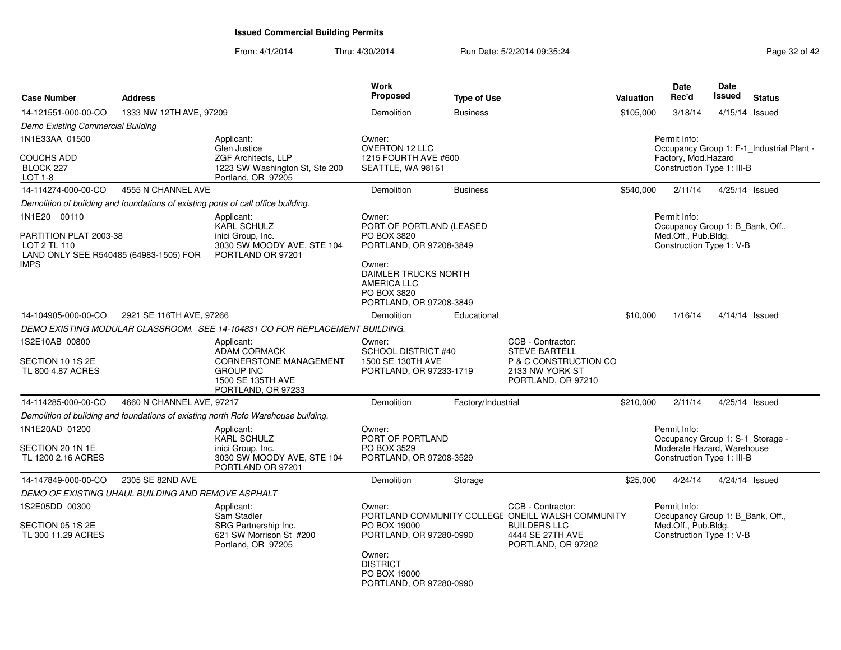| <b>Case Number</b>                                                                                                                     | <b>Address</b>                                     |                                                                                                                                   | Work<br><b>Proposed</b>                                                                                                          | <b>Type of Use</b> |                                                                                                                                         | Valuation                                                                                           | <b>Date</b><br>Rec'd                                                                                         | Date<br><b>Issued</b> | <b>Status</b>                             |  |  |
|----------------------------------------------------------------------------------------------------------------------------------------|----------------------------------------------------|-----------------------------------------------------------------------------------------------------------------------------------|----------------------------------------------------------------------------------------------------------------------------------|--------------------|-----------------------------------------------------------------------------------------------------------------------------------------|-----------------------------------------------------------------------------------------------------|--------------------------------------------------------------------------------------------------------------|-----------------------|-------------------------------------------|--|--|
| 14-121551-000-00-CO                                                                                                                    | 1333 NW 12TH AVE, 97209                            |                                                                                                                                   | Demolition                                                                                                                       | <b>Business</b>    |                                                                                                                                         | \$105,000                                                                                           | 3/18/14                                                                                                      |                       | 4/15/14 Issued                            |  |  |
| Demo Existing Commercial Building                                                                                                      |                                                    |                                                                                                                                   |                                                                                                                                  |                    |                                                                                                                                         |                                                                                                     |                                                                                                              |                       |                                           |  |  |
| 1N1E33AA 01500<br><b>COUCHS ADD</b>                                                                                                    |                                                    | Applicant:<br>Glen Justice<br>ZGF Architects, LLP                                                                                 | Owner:<br><b>OVERTON 12 LLC</b><br>1215 FOURTH AVE #600                                                                          |                    |                                                                                                                                         |                                                                                                     | Permit Info:<br>Factory, Mod.Hazard                                                                          |                       | Occupancy Group 1: F-1_Industrial Plant - |  |  |
| BLOCK 227<br>LOT 1-8                                                                                                                   |                                                    | 1223 SW Washington St, Ste 200<br>Portland, OR 97205                                                                              | SEATTLE, WA 98161                                                                                                                |                    |                                                                                                                                         |                                                                                                     | Construction Type 1: III-B                                                                                   |                       |                                           |  |  |
| 14-114274-000-00-CO                                                                                                                    | 4555 N CHANNEL AVE                                 |                                                                                                                                   | Demolition                                                                                                                       | <b>Business</b>    |                                                                                                                                         | \$540,000                                                                                           | 2/11/14                                                                                                      |                       | 4/25/14 Issued                            |  |  |
|                                                                                                                                        |                                                    | Demolition of building and foundations of existing ports of call office building.                                                 |                                                                                                                                  |                    |                                                                                                                                         |                                                                                                     |                                                                                                              |                       |                                           |  |  |
| 1N1E20 00110<br>Applicant:<br>KARL SCHULZ<br>inici Group, Inc.<br>PARTITION PLAT 2003-38<br>LOT 2 TL 110<br>3030 SW MOODY AVE, STE 104 |                                                    |                                                                                                                                   | Owner:<br>PORT OF PORTLAND (LEASED<br>PO BOX 3820                                                                                |                    |                                                                                                                                         | Permit Info:<br>Occupancy Group 1: B Bank, Off.,<br>Med.Off., Pub.Bldg.<br>Construction Type 1: V-B |                                                                                                              |                       |                                           |  |  |
| LAND ONLY SEE R540485 (64983-1505) FOR<br>IMPS                                                                                         |                                                    | PORTLAND OR 97201                                                                                                                 | PORTLAND, OR 97208-3849<br>Owner:<br><b>DAIMLER TRUCKS NORTH</b><br><b>AMERICA LLC</b><br>PO BOX 3820<br>PORTLAND, OR 97208-3849 |                    |                                                                                                                                         |                                                                                                     |                                                                                                              |                       |                                           |  |  |
| 14-104905-000-00-CO                                                                                                                    | 2921 SE 116TH AVE, 97266                           |                                                                                                                                   | Demolition                                                                                                                       | Educational        |                                                                                                                                         | \$10,000                                                                                            | 1/16/14                                                                                                      |                       | 4/14/14 Issued                            |  |  |
|                                                                                                                                        |                                                    | DEMO EXISTING MODULAR CLASSROOM. SEE 14-104831 CO FOR REPLACEMENT BUILDING.                                                       |                                                                                                                                  |                    |                                                                                                                                         |                                                                                                     |                                                                                                              |                       |                                           |  |  |
| 1S2E10AB 00800<br>SECTION 10 1S 2E<br>TL 800 4.87 ACRES                                                                                |                                                    | Applicant:<br><b>ADAM CORMACK</b><br><b>CORNERSTONE MANAGEMENT</b><br><b>GROUP INC</b><br>1500 SE 135TH AVE<br>PORTLAND, OR 97233 | Owner:<br><b>SCHOOL DISTRICT #40</b><br>1500 SE 130TH AVE<br>PORTLAND, OR 97233-1719                                             |                    | CCB - Contractor:<br><b>STEVE BARTELL</b><br>P & C CONSTRUCTION CO<br>2133 NW YORK ST<br>PORTLAND, OR 97210                             |                                                                                                     |                                                                                                              |                       |                                           |  |  |
| 14-114285-000-00-CO                                                                                                                    | 4660 N CHANNEL AVE, 97217                          |                                                                                                                                   | Demolition                                                                                                                       | Factory/Industrial |                                                                                                                                         | \$210,000                                                                                           | 2/11/14                                                                                                      |                       | 4/25/14 Issued                            |  |  |
|                                                                                                                                        |                                                    | Demolition of building and foundations of existing north Rofo Warehouse building.                                                 |                                                                                                                                  |                    |                                                                                                                                         |                                                                                                     |                                                                                                              |                       |                                           |  |  |
| 1N1E20AD 01200<br>SECTION 20 1N 1E<br>TL 1200 2.16 ACRES                                                                               |                                                    | Applicant:<br>KARL SCHULZ<br>inici Group, Inc.<br>3030 SW MOODY AVE, STE 104<br>PORTLAND OR 97201                                 | Owner:<br>PORT OF PORTLAND<br>PO BOX 3529<br>PORTLAND, OR 97208-3529                                                             |                    |                                                                                                                                         |                                                                                                     | Permit Info:<br>Occupancy Group 1: S-1_Storage -<br>Moderate Hazard, Warehouse<br>Construction Type 1: III-B |                       |                                           |  |  |
| 14-147849-000-00-CO                                                                                                                    | 2305 SE 82ND AVE                                   |                                                                                                                                   | Demolition                                                                                                                       | Storage            |                                                                                                                                         | \$25,000                                                                                            | 4/24/14                                                                                                      |                       | 4/24/14 Issued                            |  |  |
|                                                                                                                                        | DEMO OF EXISTING UHAUL BUILDING AND REMOVE ASPHALT |                                                                                                                                   |                                                                                                                                  |                    |                                                                                                                                         |                                                                                                     |                                                                                                              |                       |                                           |  |  |
| 1S2E05DD 00300<br>SECTION 05 1S 2E<br>TL 300 11.29 ACRES                                                                               |                                                    | Applicant:<br>Sam Stadler<br>SRG Partnership Inc.<br>621 SW Morrison St #200<br>Portland, OR 97205                                | Owner:<br>PO BOX 19000<br>PORTLAND, OR 97280-0990<br>Owner:<br><b>DISTRICT</b><br>PO BOX 19000<br>PORTLAND, OR 97280-0990        |                    | CCB - Contractor:<br>PORTLAND COMMUNITY COLLEGE ONEILL WALSH COMMUNITY<br><b>BUILDERS LLC</b><br>4444 SE 27TH AVE<br>PORTLAND, OR 97202 |                                                                                                     | Permit Info:<br>Occupancy Group 1: B_Bank, Off.,<br>Med.Off., Pub.Bldg.<br>Construction Type 1: V-B          |                       |                                           |  |  |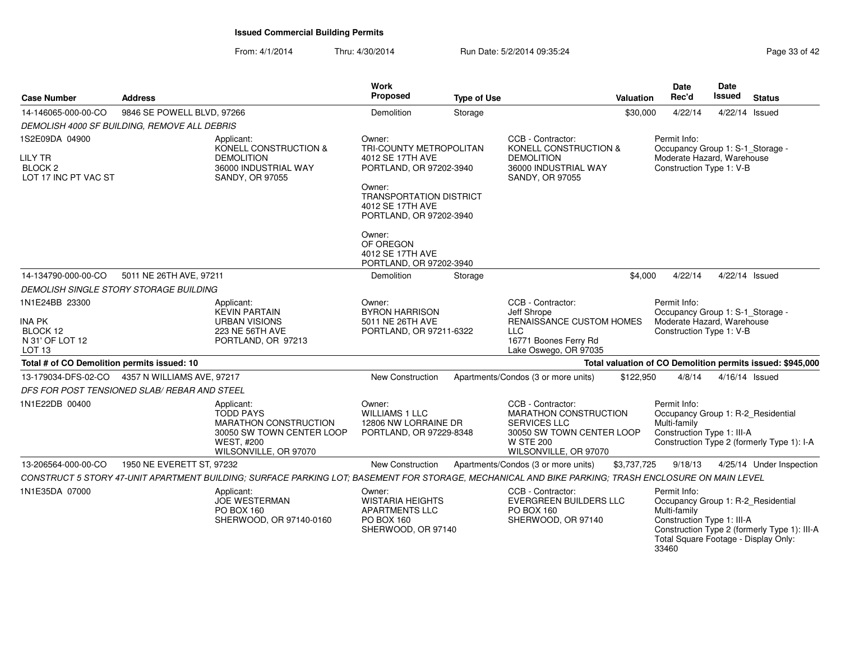| <b>Case Number</b>                                                                  | <b>Address</b>             |                                                                                                                                                     | <b>Work</b><br><b>Proposed</b>                                                                                                                   | <b>Type of Use</b> |                                                                                                                                                    | Valuation   | <b>Date</b><br>Rec'd                                                                                                                              | Date<br><b>Issued</b> | <b>Status</b>                                              |
|-------------------------------------------------------------------------------------|----------------------------|-----------------------------------------------------------------------------------------------------------------------------------------------------|--------------------------------------------------------------------------------------------------------------------------------------------------|--------------------|----------------------------------------------------------------------------------------------------------------------------------------------------|-------------|---------------------------------------------------------------------------------------------------------------------------------------------------|-----------------------|------------------------------------------------------------|
| 14-146065-000-00-CO                                                                 | 9846 SE POWELL BLVD, 97266 |                                                                                                                                                     | Demolition                                                                                                                                       | Storage            |                                                                                                                                                    | \$30,000    | 4/22/14                                                                                                                                           | 4/22/14 Issued        |                                                            |
| DEMOLISH 4000 SF BUILDING, REMOVE ALL DEBRIS                                        |                            |                                                                                                                                                     |                                                                                                                                                  |                    |                                                                                                                                                    |             |                                                                                                                                                   |                       |                                                            |
| 1S2E09DA 04900<br><b>LILY TR</b><br><b>BLOCK 2</b><br>LOT 17 INC PT VAC ST          |                            | Applicant:<br>KONELL CONSTRUCTION &<br><b>DEMOLITION</b><br>36000 INDUSTRIAL WAY<br>SANDY, OR 97055                                                 | Owner:<br>TRI-COUNTY METROPOLITAN<br>4012 SE 17TH AVE<br>PORTLAND, OR 97202-3940<br>Owner:<br><b>TRANSPORTATION DISTRICT</b><br>4012 SE 17TH AVE |                    | CCB - Contractor:<br>KONELL CONSTRUCTION &<br><b>DEMOLITION</b><br>36000 INDUSTRIAL WAY<br><b>SANDY, OR 97055</b>                                  |             | Permit Info:<br>Occupancy Group 1: S-1_Storage -<br>Moderate Hazard, Warehouse<br>Construction Type 1: V-B                                        |                       |                                                            |
|                                                                                     |                            |                                                                                                                                                     | PORTLAND, OR 97202-3940<br>Owner:<br>OF OREGON<br>4012 SE 17TH AVE<br>PORTLAND, OR 97202-3940                                                    |                    |                                                                                                                                                    |             |                                                                                                                                                   |                       |                                                            |
| 14-134790-000-00-CO                                                                 | 5011 NE 26TH AVE, 97211    |                                                                                                                                                     | Demolition                                                                                                                                       | Storage            |                                                                                                                                                    | \$4,000     | 4/22/14                                                                                                                                           | 4/22/14 Issued        |                                                            |
| DEMOLISH SINGLE STORY STORAGE BUILDING                                              |                            |                                                                                                                                                     |                                                                                                                                                  |                    |                                                                                                                                                    |             |                                                                                                                                                   |                       |                                                            |
| 1N1E24BB 23300<br><b>INA PK</b><br>BLOCK 12<br>N 31' OF LOT 12<br>LOT <sub>13</sub> |                            | Applicant:<br><b>KEVIN PARTAIN</b><br><b>URBAN VISIONS</b><br>223 NE 56TH AVE<br>PORTLAND, OR 97213                                                 | Owner:<br><b>BYRON HARRISON</b><br>5011 NE 26TH AVE<br>PORTLAND, OR 97211-6322                                                                   |                    | CCB - Contractor:<br>Jeff Shrope<br>RENAISSANCE CUSTOM HOMES<br><b>LLC</b><br>16771 Boones Ferry Rd<br>Lake Oswego, OR 97035                       |             | Permit Info:<br>Occupancy Group 1: S-1_Storage -<br>Moderate Hazard, Warehouse<br>Construction Type 1: V-B                                        |                       |                                                            |
| Total # of CO Demolition permits issued: 10                                         |                            |                                                                                                                                                     |                                                                                                                                                  |                    |                                                                                                                                                    |             |                                                                                                                                                   |                       | Total valuation of CO Demolition permits issued: \$945,000 |
| 13-179034-DFS-02-CO<br>DFS FOR POST TENSIONED SLAB/ REBAR AND STEEL                 | 4357 N WILLIAMS AVE, 97217 |                                                                                                                                                     | New Construction                                                                                                                                 |                    | Apartments/Condos (3 or more units)                                                                                                                | \$122,950   | 4/8/14                                                                                                                                            | 4/16/14 Issued        |                                                            |
| 1N1E22DB 00400                                                                      |                            | Applicant:<br><b>TODD PAYS</b><br><b>MARATHON CONSTRUCTION</b><br>30050 SW TOWN CENTER LOOP<br><b>WEST, #200</b><br>WILSONVILLE, OR 97070           | Owner:<br><b>WILLIAMS 1 LLC</b><br>12806 NW LORRAINE DR<br>PORTLAND, OR 97229-8348                                                               |                    | CCB - Contractor:<br><b>MARATHON CONSTRUCTION</b><br><b>SERVICES LLC</b><br>30050 SW TOWN CENTER LOOP<br><b>W STE 200</b><br>WILSONVILLE, OR 97070 |             | Permit Info:<br>Occupancy Group 1: R-2_Residential<br>Multi-family<br>Construction Type 1: III-A                                                  |                       | Construction Type 2 (formerly Type 1): I-A                 |
| 13-206564-000-00-CO                                                                 | 1950 NE EVERETT ST, 97232  |                                                                                                                                                     | New Construction                                                                                                                                 |                    | Apartments/Condos (3 or more units)                                                                                                                | \$3,737,725 | 9/18/13                                                                                                                                           |                       | 4/25/14 Under Inspection                                   |
|                                                                                     |                            | CONSTRUCT 5 STORY 47-UNIT APARTMENT BUILDING; SURFACE PARKING LOT; BASEMENT FOR STORAGE, MECHANICAL AND BIKE PARKING; TRASH ENCLOSURE ON MAIN LEVEL |                                                                                                                                                  |                    |                                                                                                                                                    |             |                                                                                                                                                   |                       |                                                            |
| 1N1E35DA 07000                                                                      |                            | Applicant:<br><b>JOE WESTERMAN</b><br>PO BOX 160<br>SHERWOOD, OR 97140-0160                                                                         | Owner:<br><b>WISTARIA HEIGHTS</b><br><b>APARTMENTS LLC</b><br>PO BOX 160<br>SHERWOOD, OR 97140                                                   |                    | CCB - Contractor:<br>EVERGREEN BUILDERS LLC<br>PO BOX 160<br>SHERWOOD, OR 97140                                                                    |             | Permit Info:<br>Occupancy Group 1: R-2_Residential<br>Multi-family<br>Construction Type 1: III-A<br>Total Square Footage - Display Only:<br>33460 |                       | Construction Type 2 (formerly Type 1): III-A               |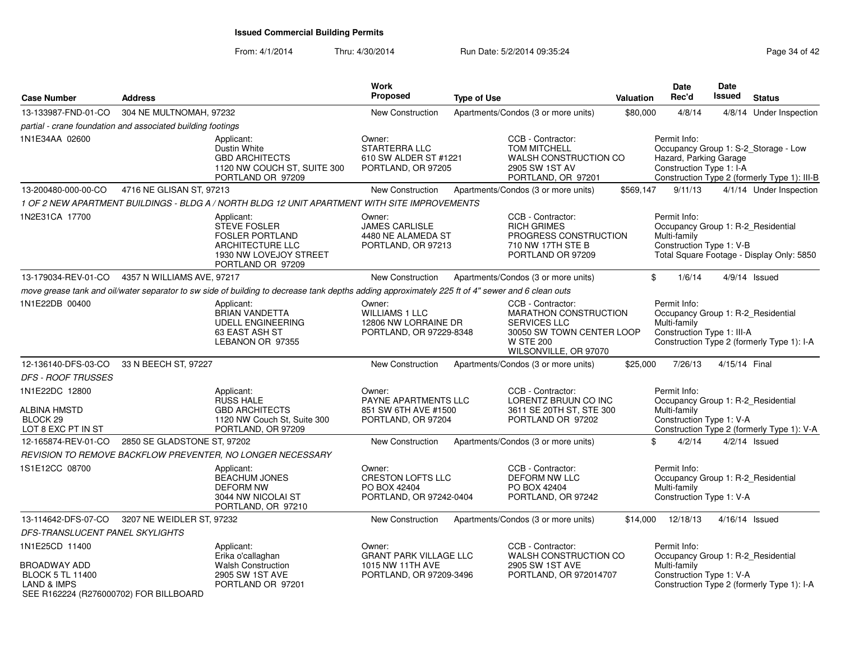| <b>Case Number</b>                                                                                          | <b>Address</b>              |                                                                                                                                                  | Work<br>Proposed                                                                   | <b>Type of Use</b> |                                                                                                                                                    | Valuation | <b>Date</b><br>Rec'd                                                                             | Date<br><b>Issued</b> | <b>Status</b>                                                                        |
|-------------------------------------------------------------------------------------------------------------|-----------------------------|--------------------------------------------------------------------------------------------------------------------------------------------------|------------------------------------------------------------------------------------|--------------------|----------------------------------------------------------------------------------------------------------------------------------------------------|-----------|--------------------------------------------------------------------------------------------------|-----------------------|--------------------------------------------------------------------------------------|
| 13-133987-FND-01-CO                                                                                         | 304 NE MULTNOMAH, 97232     |                                                                                                                                                  | New Construction                                                                   |                    | Apartments/Condos (3 or more units)                                                                                                                | \$80,000  | 4/8/14                                                                                           | 4/8/14                | Under Inspection                                                                     |
| partial - crane foundation and associated building footings                                                 |                             |                                                                                                                                                  |                                                                                    |                    |                                                                                                                                                    |           |                                                                                                  |                       |                                                                                      |
| 1N1E34AA 02600                                                                                              |                             | Applicant:<br>Dustin White<br><b>GBD ARCHITECTS</b><br>1120 NW COUCH ST, SUITE 300<br>PORTLAND OR 97209                                          | Owner:<br><b>STARTERRA LLC</b><br>610 SW ALDER ST #1221<br>PORTLAND, OR 97205      |                    | CCB - Contractor:<br><b>TOM MITCHELL</b><br>WALSH CONSTRUCTION CO<br>2905 SW 1ST AV<br>PORTLAND, OR 97201                                          |           | Permit Info:<br>Hazard, Parking Garage<br>Construction Type 1: I-A                               |                       | Occupancy Group 1: S-2_Storage - Low<br>Construction Type 2 (formerly Type 1): III-B |
| 13-200480-000-00-CO                                                                                         | 4716 NE GLISAN ST, 97213    |                                                                                                                                                  | New Construction                                                                   |                    | Apartments/Condos (3 or more units)                                                                                                                | \$569,147 | 9/11/13                                                                                          |                       | 4/1/14 Under Inspection                                                              |
|                                                                                                             |                             | 1 OF 2 NEW APARTMENT BUILDINGS - BLDG A / NORTH BLDG 12 UNIT APARTMENT WITH SITE IMPROVEMENTS                                                    |                                                                                    |                    |                                                                                                                                                    |           |                                                                                                  |                       |                                                                                      |
| 1N2E31CA 17700                                                                                              |                             | Applicant:<br><b>STEVE FOSLER</b><br><b>FOSLER PORTLAND</b><br>ARCHITECTURE LLC<br>1930 NW LOVEJOY STREET<br>PORTLAND OR 97209                   | Owner:<br><b>JAMES CARLISLE</b><br>4480 NE ALAMEDA ST<br>PORTLAND, OR 97213        |                    | CCB - Contractor:<br><b>RICH GRIMES</b><br>PROGRESS CONSTRUCTION<br>710 NW 17TH STE B<br>PORTLAND OR 97209                                         |           | Permit Info:<br>Occupancy Group 1: R-2_Residential<br>Multi-family<br>Construction Type 1: V-B   |                       | Total Square Footage - Display Only: 5850                                            |
| 13-179034-REV-01-CO                                                                                         | 4357 N WILLIAMS AVE, 97217  |                                                                                                                                                  | New Construction                                                                   |                    | Apartments/Condos (3 or more units)                                                                                                                |           | \$<br>1/6/14                                                                                     |                       | $4/9/14$ Issued                                                                      |
|                                                                                                             |                             | move grease tank and oil/water separator to sw side of building to decrease tank depths adding approximately 225 ft of 4" sewer and 6 clean outs |                                                                                    |                    |                                                                                                                                                    |           |                                                                                                  |                       |                                                                                      |
| 1N1E22DB 00400                                                                                              |                             | Applicant:<br><b>BRIAN VANDETTA</b><br><b>UDELL ENGINEERING</b><br>63 EAST ASH ST<br>LEBANON OR 97355                                            | Owner:<br><b>WILLIAMS 1 LLC</b><br>12806 NW LORRAINE DR<br>PORTLAND, OR 97229-8348 |                    | CCB - Contractor:<br><b>MARATHON CONSTRUCTION</b><br><b>SERVICES LLC</b><br>30050 SW TOWN CENTER LOOP<br><b>W STE 200</b><br>WILSONVILLE, OR 97070 |           | Permit Info:<br>Occupancy Group 1: R-2_Residential<br>Multi-family<br>Construction Type 1: III-A |                       | Construction Type 2 (formerly Type 1): I-A                                           |
| 12-136140-DFS-03-CO                                                                                         | 33 N BEECH ST, 97227        |                                                                                                                                                  | New Construction                                                                   |                    | Apartments/Condos (3 or more units)                                                                                                                | \$25,000  | 7/26/13                                                                                          | 4/15/14 Final         |                                                                                      |
| <b>DFS - ROOF TRUSSES</b>                                                                                   |                             |                                                                                                                                                  |                                                                                    |                    |                                                                                                                                                    |           |                                                                                                  |                       |                                                                                      |
| 1N1E22DC 12800<br><b>ALBINA HMSTD</b><br>BLOCK <sub>29</sub><br>LOT 8 EXC PT IN ST                          |                             | Applicant:<br><b>RUSS HALE</b><br><b>GBD ARCHITECTS</b><br>1120 NW Couch St, Suite 300<br>PORTLAND, OR 97209                                     | Owner:<br>PAYNE APARTMENTS LLC<br>851 SW 6TH AVE #1500<br>PORTLAND, OR 97204       |                    | CCB - Contractor:<br>LORENTZ BRUUN CO INC<br>3611 SE 20TH ST, STE 300<br>PORTLAND OR 97202                                                         |           | Permit Info:<br>Occupancy Group 1: R-2_Residential<br>Multi-family<br>Construction Type 1: V-A   |                       | Construction Type 2 (formerly Type 1): V-A                                           |
| 12-165874-REV-01-CO                                                                                         | 2850 SE GLADSTONE ST, 97202 |                                                                                                                                                  | <b>New Construction</b>                                                            |                    | Apartments/Condos (3 or more units)                                                                                                                |           | \$<br>4/2/14                                                                                     |                       | $4/2/14$ Issued                                                                      |
|                                                                                                             |                             | REVISION TO REMOVE BACKFLOW PREVENTER, NO LONGER NECESSARY                                                                                       |                                                                                    |                    |                                                                                                                                                    |           |                                                                                                  |                       |                                                                                      |
| 1S1E12CC 08700                                                                                              |                             | Applicant:<br><b>BEACHUM JONES</b><br><b>DEFORM NW</b><br>3044 NW NICOLAI ST<br>PORTLAND, OR 97210                                               | Owner:<br><b>CRESTON LOFTS LLC</b><br>PO BOX 42404<br>PORTLAND, OR 97242-0404      |                    | CCB - Contractor:<br>DEFORM NW LLC<br>PO BOX 42404<br>PORTLAND, OR 97242                                                                           |           | Permit Info:<br>Occupancy Group 1: R-2_Residential<br>Multi-family<br>Construction Type 1: V-A   |                       |                                                                                      |
| 13-114642-DFS-07-CO                                                                                         | 3207 NE WEIDLER ST, 97232   |                                                                                                                                                  | <b>New Construction</b>                                                            |                    | Apartments/Condos (3 or more units)                                                                                                                | \$14,000  | 12/18/13                                                                                         |                       | 4/16/14 Issued                                                                       |
| DFS-TRANSLUCENT PANEL SKYLIGHTS                                                                             |                             |                                                                                                                                                  |                                                                                    |                    |                                                                                                                                                    |           |                                                                                                  |                       |                                                                                      |
| 1N1E25CD 11400                                                                                              |                             | Applicant:                                                                                                                                       | Owner:                                                                             |                    | CCB - Contractor:                                                                                                                                  |           | Permit Info:                                                                                     |                       |                                                                                      |
| BROADWAY ADD<br><b>BLOCK 5 TL 11400</b><br><b>LAND &amp; IMPS</b><br>SEE R162224 (R276000702) FOR BILLBOARD |                             | Erika o'callaghan<br><b>Walsh Construction</b><br>2905 SW 1ST AVE<br>PORTLAND OR 97201                                                           | <b>GRANT PARK VILLAGE LLC</b><br>1015 NW 11TH AVE<br>PORTLAND, OR 97209-3496       |                    | WALSH CONSTRUCTION CO<br>2905 SW 1ST AVE<br>PORTLAND, OR 972014707                                                                                 |           | Occupancy Group 1: R-2_Residential<br>Multi-family<br>Construction Type 1: V-A                   |                       | Construction Type 2 (formerly Type 1): I-A                                           |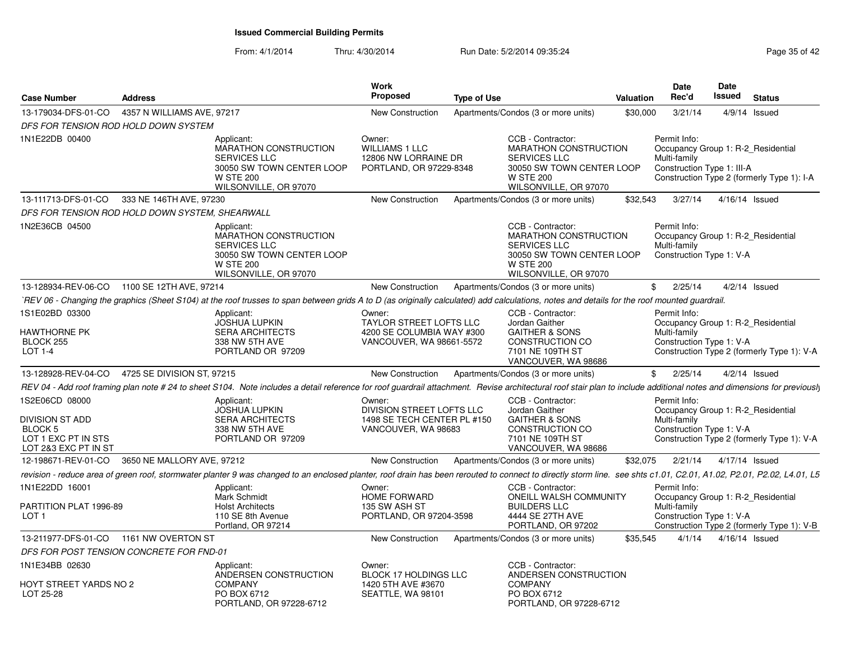| 4357 N WILLIAMS AVE, 97217<br><b>New Construction</b><br>Apartments/Condos (3 or more units)<br>\$30,000<br>3/21/14<br>$4/9/14$ Issued<br>DFS FOR TENSION ROD HOLD DOWN SYSTEM<br>CCB - Contractor:<br>Permit Info:<br>Applicant:<br>Owner:<br><b>MARATHON CONSTRUCTION</b><br><b>WILLIAMS 1 LLC</b><br><b>MARATHON CONSTRUCTION</b><br>Occupancy Group 1: R-2 Residential<br><b>SERVICES LLC</b><br>12806 NW LORRAINE DR<br><b>SERVICES LLC</b><br>Multi-family<br>30050 SW TOWN CENTER LOOP<br>PORTLAND, OR 97229-8348<br>30050 SW TOWN CENTER LOOP<br>Construction Type 1: III-A<br>Construction Type 2 (formerly Type 1): I-A<br><b>W STE 200</b><br><b>W STE 200</b><br>WILSONVILLE, OR 97070<br>WILSONVILLE, OR 97070<br>333 NE 146TH AVE, 97230<br>\$32,543<br>3/27/14<br>Apartments/Condos (3 or more units)<br>4/16/14 Issued<br>New Construction<br>DFS FOR TENSION ROD HOLD DOWN SYSTEM, SHEARWALL<br>CCB - Contractor:<br>Permit Info:<br>Applicant:<br><b>MARATHON CONSTRUCTION</b><br><b>MARATHON CONSTRUCTION</b><br>Occupancy Group 1: R-2 Residential<br><b>SERVICES LLC</b><br><b>SERVICES LLC</b><br>Multi-family<br>30050 SW TOWN CENTER LOOP<br>30050 SW TOWN CENTER LOOP<br>Construction Type 1: V-A<br><b>W STE 200</b><br><b>W STE 200</b><br>WILSONVILLE, OR 97070<br>WILSONVILLE, OR 97070<br>13-128934-REV-06-CO 1100 SE 12TH AVE, 97214<br>New Construction<br>Apartments/Condos (3 or more units)<br>\$<br>2/25/14<br>$4/2/14$ Issued<br>`REV 06 - Changing the graphics (Sheet S104) at the roof trusses to span between grids A to D (as originally calculated) add calculations, notes and details for the roof mounted guardrail.<br>CCB - Contractor:<br>Permit Info:<br>Applicant:<br>Owner:<br><b>JOSHUA LUPKIN</b><br>TAYLOR STREET LOFTS LLC<br>Jordan Gaither<br>Occupancy Group 1: R-2 Residential<br><b>SERA ARCHITECTS</b><br>4200 SE COLUMBIA WAY #300<br><b>GAITHER &amp; SONS</b><br>Multi-family<br>VANCOUVER, WA 98661-5572<br>CONSTRUCTION CO<br>Construction Type 1: V-A<br>338 NW 5TH AVE<br>7101 NE 109TH ST<br>Construction Type 2 (formerly Type 1): V-A<br>PORTLAND OR 97209<br>VANCOUVER, WA 98686<br>13-128928-REV-04-CO  4725 SE DIVISION ST, 97215<br>New Construction<br>Apartments/Condos (3 or more units)<br>\$2/25/14<br>$4/2/14$ Issued<br>REV 04 - Add roof framing plan note # 24 to sheet S104. Note includes a detail reference for roof guardrail attachment. Revise architectural roof stair plan to include additional notes and dimensions for previously<br>Applicant:<br>Owner:<br>CCB - Contractor:<br>Permit Info:<br>DIVISION STREET LOFTS LLC<br>Occupancy Group 1: R-2_Residential<br><b>JOSHUA LUPKIN</b><br>Jordan Gaither<br>1498 SE TECH CENTER PL #150<br><b>GAITHER &amp; SONS</b><br>Multi-family<br><b>SERA ARCHITECTS</b><br>Construction Type 1: V-A<br>338 NW 5TH AVE<br>VANCOUVER, WA 98683<br>CONSTRUCTION CO<br>Construction Type 2 (formerly Type 1): V-A<br>PORTLAND OR 97209<br>7101 NE 109TH ST<br>VANCOUVER, WA 98686<br>3650 NE MALLORY AVE, 97212<br>New Construction<br>Apartments/Condos (3 or more units)<br>\$32,075<br>2/21/14<br>4/17/14 Issued<br>revision - reduce area of green roof, stormwater planter 9 was changed to an enclosed planter, roof drain has been rerouted to connect to directly storm line. see shts c1.01, C2.01, A1.02, P2.01, P2.02, L4.01, L5<br>CCB - Contractor:<br>Permit Info:<br>Applicant:<br>Owner:<br>Mark Schmidt<br>HOME FORWARD<br>ONEILL WALSH COMMUNITY<br>Occupancy Group 1: R-2_Residential<br><b>BUILDERS LLC</b><br>PARTITION PLAT 1996-89<br><b>Holst Architects</b><br>135 SW ASH ST<br>Multi-family<br>Construction Type 1: V-A<br>110 SE 8th Avenue<br>4444 SE 27TH AVE<br>PORTLAND, OR 97204-3598<br>Construction Type 2 (formerly Type 1): V-B<br>Portland, OR 97214<br>PORTLAND, OR 97202<br>13-211977-DFS-01-CO 1161 NW OVERTON ST<br>New Construction<br>Apartments/Condos (3 or more units)<br>\$35,545<br>4/1/14<br>4/16/14 Issued<br>DFS FOR POST TENSION CONCRETE FOR FND-01<br>CCB - Contractor:<br>Applicant:<br>Owner:<br>ANDERSEN CONSTRUCTION<br>BLOCK 17 HOLDINGS LLC<br>ANDERSEN CONSTRUCTION<br><b>COMPANY</b><br>HOYT STREET YARDS NO 2<br><b>COMPANY</b><br>1420 5TH AVE #3670<br>PO BOX 6712<br>SEATTLE, WA 98101<br>PO BOX 6712<br>PORTLAND, OR 97228-6712<br>PORTLAND, OR 97228-6712 | <b>Case Number</b>                                                                                 | <b>Address</b> | <b>Work</b><br>Proposed | <b>Type of Use</b> | <b>Valuation</b> | <b>Date</b><br>Rec'd | <b>Date</b><br><b>Issued</b> | <b>Status</b> |
|---------------------------------------------------------------------------------------------------------------------------------------------------------------------------------------------------------------------------------------------------------------------------------------------------------------------------------------------------------------------------------------------------------------------------------------------------------------------------------------------------------------------------------------------------------------------------------------------------------------------------------------------------------------------------------------------------------------------------------------------------------------------------------------------------------------------------------------------------------------------------------------------------------------------------------------------------------------------------------------------------------------------------------------------------------------------------------------------------------------------------------------------------------------------------------------------------------------------------------------------------------------------------------------------------------------------------------------------------------------------------------------------------------------------------------------------------------------------------------------------------------------------------------------------------------------------------------------------------------------------------------------------------------------------------------------------------------------------------------------------------------------------------------------------------------------------------------------------------------------------------------------------------------------------------------------------------------------------------------------------------------------------------------------------------------------------------------------------------------------------------------------------------------------------------------------------------------------------------------------------------------------------------------------------------------------------------------------------------------------------------------------------------------------------------------------------------------------------------------------------------------------------------------------------------------------------------------------------------------------------------------------------------------------------------------------------------------------------------------------------------------------------------------------------------------------------------------------------------------------------------------------------------------------------------------------------------------------------------------------------------------------------------------------------------------------------------------------------------------------------------------------------------------------------------------------------------------------------------------------------------------------------------------------------------------------------------------------------------------------------------------------------------------------------------------------------------------------------------------------------------------------------------------------------------------------------------------------------------------------------------------------------------------------------------------------------------------------------------------------------------------------------------------------------------------------------------------------------------------------------------------------------------------------------------------------------------------------------------------------------------------------------------------------------------------------------------------------------------------------------------------------------------------------------------------------------------------------------------------------------------------------------------------------------------------------------------------------------------------------------|----------------------------------------------------------------------------------------------------|----------------|-------------------------|--------------------|------------------|----------------------|------------------------------|---------------|
|                                                                                                                                                                                                                                                                                                                                                                                                                                                                                                                                                                                                                                                                                                                                                                                                                                                                                                                                                                                                                                                                                                                                                                                                                                                                                                                                                                                                                                                                                                                                                                                                                                                                                                                                                                                                                                                                                                                                                                                                                                                                                                                                                                                                                                                                                                                                                                                                                                                                                                                                                                                                                                                                                                                                                                                                                                                                                                                                                                                                                                                                                                                                                                                                                                                                                                                                                                                                                                                                                                                                                                                                                                                                                                                                                                                                                                                                                                                                                                                                                                                                                                                                                                                                                                                                                                                                                                     | 13-179034-DFS-01-CO                                                                                |                |                         |                    |                  |                      |                              |               |
|                                                                                                                                                                                                                                                                                                                                                                                                                                                                                                                                                                                                                                                                                                                                                                                                                                                                                                                                                                                                                                                                                                                                                                                                                                                                                                                                                                                                                                                                                                                                                                                                                                                                                                                                                                                                                                                                                                                                                                                                                                                                                                                                                                                                                                                                                                                                                                                                                                                                                                                                                                                                                                                                                                                                                                                                                                                                                                                                                                                                                                                                                                                                                                                                                                                                                                                                                                                                                                                                                                                                                                                                                                                                                                                                                                                                                                                                                                                                                                                                                                                                                                                                                                                                                                                                                                                                                                     |                                                                                                    |                |                         |                    |                  |                      |                              |               |
|                                                                                                                                                                                                                                                                                                                                                                                                                                                                                                                                                                                                                                                                                                                                                                                                                                                                                                                                                                                                                                                                                                                                                                                                                                                                                                                                                                                                                                                                                                                                                                                                                                                                                                                                                                                                                                                                                                                                                                                                                                                                                                                                                                                                                                                                                                                                                                                                                                                                                                                                                                                                                                                                                                                                                                                                                                                                                                                                                                                                                                                                                                                                                                                                                                                                                                                                                                                                                                                                                                                                                                                                                                                                                                                                                                                                                                                                                                                                                                                                                                                                                                                                                                                                                                                                                                                                                                     | 1N1E22DB 00400                                                                                     |                |                         |                    |                  |                      |                              |               |
|                                                                                                                                                                                                                                                                                                                                                                                                                                                                                                                                                                                                                                                                                                                                                                                                                                                                                                                                                                                                                                                                                                                                                                                                                                                                                                                                                                                                                                                                                                                                                                                                                                                                                                                                                                                                                                                                                                                                                                                                                                                                                                                                                                                                                                                                                                                                                                                                                                                                                                                                                                                                                                                                                                                                                                                                                                                                                                                                                                                                                                                                                                                                                                                                                                                                                                                                                                                                                                                                                                                                                                                                                                                                                                                                                                                                                                                                                                                                                                                                                                                                                                                                                                                                                                                                                                                                                                     | 13-111713-DFS-01-CO                                                                                |                |                         |                    |                  |                      |                              |               |
|                                                                                                                                                                                                                                                                                                                                                                                                                                                                                                                                                                                                                                                                                                                                                                                                                                                                                                                                                                                                                                                                                                                                                                                                                                                                                                                                                                                                                                                                                                                                                                                                                                                                                                                                                                                                                                                                                                                                                                                                                                                                                                                                                                                                                                                                                                                                                                                                                                                                                                                                                                                                                                                                                                                                                                                                                                                                                                                                                                                                                                                                                                                                                                                                                                                                                                                                                                                                                                                                                                                                                                                                                                                                                                                                                                                                                                                                                                                                                                                                                                                                                                                                                                                                                                                                                                                                                                     |                                                                                                    |                |                         |                    |                  |                      |                              |               |
|                                                                                                                                                                                                                                                                                                                                                                                                                                                                                                                                                                                                                                                                                                                                                                                                                                                                                                                                                                                                                                                                                                                                                                                                                                                                                                                                                                                                                                                                                                                                                                                                                                                                                                                                                                                                                                                                                                                                                                                                                                                                                                                                                                                                                                                                                                                                                                                                                                                                                                                                                                                                                                                                                                                                                                                                                                                                                                                                                                                                                                                                                                                                                                                                                                                                                                                                                                                                                                                                                                                                                                                                                                                                                                                                                                                                                                                                                                                                                                                                                                                                                                                                                                                                                                                                                                                                                                     | 1N2E36CB 04500                                                                                     |                |                         |                    |                  |                      |                              |               |
|                                                                                                                                                                                                                                                                                                                                                                                                                                                                                                                                                                                                                                                                                                                                                                                                                                                                                                                                                                                                                                                                                                                                                                                                                                                                                                                                                                                                                                                                                                                                                                                                                                                                                                                                                                                                                                                                                                                                                                                                                                                                                                                                                                                                                                                                                                                                                                                                                                                                                                                                                                                                                                                                                                                                                                                                                                                                                                                                                                                                                                                                                                                                                                                                                                                                                                                                                                                                                                                                                                                                                                                                                                                                                                                                                                                                                                                                                                                                                                                                                                                                                                                                                                                                                                                                                                                                                                     |                                                                                                    |                |                         |                    |                  |                      |                              |               |
|                                                                                                                                                                                                                                                                                                                                                                                                                                                                                                                                                                                                                                                                                                                                                                                                                                                                                                                                                                                                                                                                                                                                                                                                                                                                                                                                                                                                                                                                                                                                                                                                                                                                                                                                                                                                                                                                                                                                                                                                                                                                                                                                                                                                                                                                                                                                                                                                                                                                                                                                                                                                                                                                                                                                                                                                                                                                                                                                                                                                                                                                                                                                                                                                                                                                                                                                                                                                                                                                                                                                                                                                                                                                                                                                                                                                                                                                                                                                                                                                                                                                                                                                                                                                                                                                                                                                                                     |                                                                                                    |                |                         |                    |                  |                      |                              |               |
|                                                                                                                                                                                                                                                                                                                                                                                                                                                                                                                                                                                                                                                                                                                                                                                                                                                                                                                                                                                                                                                                                                                                                                                                                                                                                                                                                                                                                                                                                                                                                                                                                                                                                                                                                                                                                                                                                                                                                                                                                                                                                                                                                                                                                                                                                                                                                                                                                                                                                                                                                                                                                                                                                                                                                                                                                                                                                                                                                                                                                                                                                                                                                                                                                                                                                                                                                                                                                                                                                                                                                                                                                                                                                                                                                                                                                                                                                                                                                                                                                                                                                                                                                                                                                                                                                                                                                                     | 1S1E02BD 03300<br>HAWTHORNE PK<br>BLOCK 255<br>LOT 1-4                                             |                |                         |                    |                  |                      |                              |               |
|                                                                                                                                                                                                                                                                                                                                                                                                                                                                                                                                                                                                                                                                                                                                                                                                                                                                                                                                                                                                                                                                                                                                                                                                                                                                                                                                                                                                                                                                                                                                                                                                                                                                                                                                                                                                                                                                                                                                                                                                                                                                                                                                                                                                                                                                                                                                                                                                                                                                                                                                                                                                                                                                                                                                                                                                                                                                                                                                                                                                                                                                                                                                                                                                                                                                                                                                                                                                                                                                                                                                                                                                                                                                                                                                                                                                                                                                                                                                                                                                                                                                                                                                                                                                                                                                                                                                                                     |                                                                                                    |                |                         |                    |                  |                      |                              |               |
|                                                                                                                                                                                                                                                                                                                                                                                                                                                                                                                                                                                                                                                                                                                                                                                                                                                                                                                                                                                                                                                                                                                                                                                                                                                                                                                                                                                                                                                                                                                                                                                                                                                                                                                                                                                                                                                                                                                                                                                                                                                                                                                                                                                                                                                                                                                                                                                                                                                                                                                                                                                                                                                                                                                                                                                                                                                                                                                                                                                                                                                                                                                                                                                                                                                                                                                                                                                                                                                                                                                                                                                                                                                                                                                                                                                                                                                                                                                                                                                                                                                                                                                                                                                                                                                                                                                                                                     |                                                                                                    |                |                         |                    |                  |                      |                              |               |
|                                                                                                                                                                                                                                                                                                                                                                                                                                                                                                                                                                                                                                                                                                                                                                                                                                                                                                                                                                                                                                                                                                                                                                                                                                                                                                                                                                                                                                                                                                                                                                                                                                                                                                                                                                                                                                                                                                                                                                                                                                                                                                                                                                                                                                                                                                                                                                                                                                                                                                                                                                                                                                                                                                                                                                                                                                                                                                                                                                                                                                                                                                                                                                                                                                                                                                                                                                                                                                                                                                                                                                                                                                                                                                                                                                                                                                                                                                                                                                                                                                                                                                                                                                                                                                                                                                                                                                     | 1S2E06CD 08000<br><b>DIVISION ST ADD</b><br>BLOCK 5<br>LOT 1 EXC PT IN STS<br>LOT 2&3 EXC PT IN ST |                |                         |                    |                  |                      |                              |               |
|                                                                                                                                                                                                                                                                                                                                                                                                                                                                                                                                                                                                                                                                                                                                                                                                                                                                                                                                                                                                                                                                                                                                                                                                                                                                                                                                                                                                                                                                                                                                                                                                                                                                                                                                                                                                                                                                                                                                                                                                                                                                                                                                                                                                                                                                                                                                                                                                                                                                                                                                                                                                                                                                                                                                                                                                                                                                                                                                                                                                                                                                                                                                                                                                                                                                                                                                                                                                                                                                                                                                                                                                                                                                                                                                                                                                                                                                                                                                                                                                                                                                                                                                                                                                                                                                                                                                                                     | 12-198671-REV-01-CO                                                                                |                |                         |                    |                  |                      |                              |               |
|                                                                                                                                                                                                                                                                                                                                                                                                                                                                                                                                                                                                                                                                                                                                                                                                                                                                                                                                                                                                                                                                                                                                                                                                                                                                                                                                                                                                                                                                                                                                                                                                                                                                                                                                                                                                                                                                                                                                                                                                                                                                                                                                                                                                                                                                                                                                                                                                                                                                                                                                                                                                                                                                                                                                                                                                                                                                                                                                                                                                                                                                                                                                                                                                                                                                                                                                                                                                                                                                                                                                                                                                                                                                                                                                                                                                                                                                                                                                                                                                                                                                                                                                                                                                                                                                                                                                                                     |                                                                                                    |                |                         |                    |                  |                      |                              |               |
|                                                                                                                                                                                                                                                                                                                                                                                                                                                                                                                                                                                                                                                                                                                                                                                                                                                                                                                                                                                                                                                                                                                                                                                                                                                                                                                                                                                                                                                                                                                                                                                                                                                                                                                                                                                                                                                                                                                                                                                                                                                                                                                                                                                                                                                                                                                                                                                                                                                                                                                                                                                                                                                                                                                                                                                                                                                                                                                                                                                                                                                                                                                                                                                                                                                                                                                                                                                                                                                                                                                                                                                                                                                                                                                                                                                                                                                                                                                                                                                                                                                                                                                                                                                                                                                                                                                                                                     | 1N1E22DD 16001<br>LOT 1                                                                            |                |                         |                    |                  |                      |                              |               |
|                                                                                                                                                                                                                                                                                                                                                                                                                                                                                                                                                                                                                                                                                                                                                                                                                                                                                                                                                                                                                                                                                                                                                                                                                                                                                                                                                                                                                                                                                                                                                                                                                                                                                                                                                                                                                                                                                                                                                                                                                                                                                                                                                                                                                                                                                                                                                                                                                                                                                                                                                                                                                                                                                                                                                                                                                                                                                                                                                                                                                                                                                                                                                                                                                                                                                                                                                                                                                                                                                                                                                                                                                                                                                                                                                                                                                                                                                                                                                                                                                                                                                                                                                                                                                                                                                                                                                                     |                                                                                                    |                |                         |                    |                  |                      |                              |               |
|                                                                                                                                                                                                                                                                                                                                                                                                                                                                                                                                                                                                                                                                                                                                                                                                                                                                                                                                                                                                                                                                                                                                                                                                                                                                                                                                                                                                                                                                                                                                                                                                                                                                                                                                                                                                                                                                                                                                                                                                                                                                                                                                                                                                                                                                                                                                                                                                                                                                                                                                                                                                                                                                                                                                                                                                                                                                                                                                                                                                                                                                                                                                                                                                                                                                                                                                                                                                                                                                                                                                                                                                                                                                                                                                                                                                                                                                                                                                                                                                                                                                                                                                                                                                                                                                                                                                                                     |                                                                                                    |                |                         |                    |                  |                      |                              |               |
|                                                                                                                                                                                                                                                                                                                                                                                                                                                                                                                                                                                                                                                                                                                                                                                                                                                                                                                                                                                                                                                                                                                                                                                                                                                                                                                                                                                                                                                                                                                                                                                                                                                                                                                                                                                                                                                                                                                                                                                                                                                                                                                                                                                                                                                                                                                                                                                                                                                                                                                                                                                                                                                                                                                                                                                                                                                                                                                                                                                                                                                                                                                                                                                                                                                                                                                                                                                                                                                                                                                                                                                                                                                                                                                                                                                                                                                                                                                                                                                                                                                                                                                                                                                                                                                                                                                                                                     | 1N1E34BB 02630                                                                                     |                |                         |                    |                  |                      |                              |               |
|                                                                                                                                                                                                                                                                                                                                                                                                                                                                                                                                                                                                                                                                                                                                                                                                                                                                                                                                                                                                                                                                                                                                                                                                                                                                                                                                                                                                                                                                                                                                                                                                                                                                                                                                                                                                                                                                                                                                                                                                                                                                                                                                                                                                                                                                                                                                                                                                                                                                                                                                                                                                                                                                                                                                                                                                                                                                                                                                                                                                                                                                                                                                                                                                                                                                                                                                                                                                                                                                                                                                                                                                                                                                                                                                                                                                                                                                                                                                                                                                                                                                                                                                                                                                                                                                                                                                                                     | LOT 25-28                                                                                          |                |                         |                    |                  |                      |                              |               |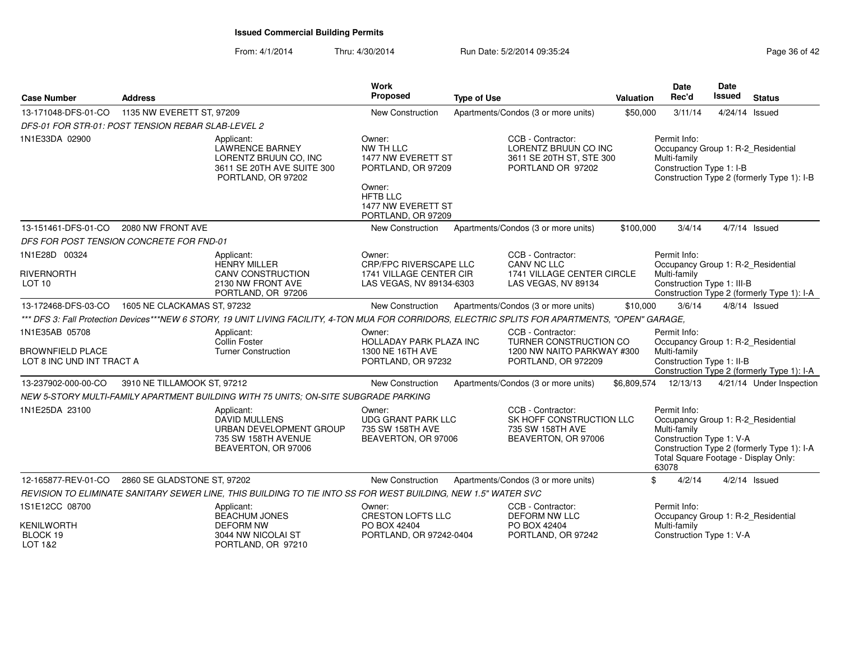| <b>Case Number</b>                                 | <b>Address</b>              |                                                                                                               | <b>Work</b><br>Proposed                                                        | <b>Type of Use</b>                                                                                                                                 | <b>Valuation</b> | Date<br>Rec'd                                                                                                                                   | Date<br><b>Issued</b> | <b>Status</b>                              |
|----------------------------------------------------|-----------------------------|---------------------------------------------------------------------------------------------------------------|--------------------------------------------------------------------------------|----------------------------------------------------------------------------------------------------------------------------------------------------|------------------|-------------------------------------------------------------------------------------------------------------------------------------------------|-----------------------|--------------------------------------------|
| 13-171048-DFS-01-CO                                | 1135 NW EVERETT ST, 97209   |                                                                                                               | New Construction                                                               | Apartments/Condos (3 or more units)                                                                                                                | \$50,000         | 3/11/14                                                                                                                                         |                       | 4/24/14 Issued                             |
| DFS-01 FOR STR-01: POST TENSION REBAR SLAB-LEVEL 2 |                             |                                                                                                               |                                                                                |                                                                                                                                                    |                  |                                                                                                                                                 |                       |                                            |
| 1N1E33DA 02900                                     |                             | Applicant:<br>LAWRENCE BARNEY<br>LORENTZ BRUUN CO, INC<br>3611 SE 20TH AVE SUITE 300<br>PORTLAND, OR 97202    | Owner:<br>NW TH LLC<br>1477 NW EVERETT ST<br>PORTLAND, OR 97209<br>Owner:      | CCB - Contractor:<br>LORENTZ BRUUN CO INC<br>3611 SE 20TH ST, STE 300<br>PORTLAND OR 97202                                                         |                  | Permit Info:<br>Occupancy Group 1: R-2_Residential<br>Multi-family<br>Construction Type 1: I-B                                                  |                       | Construction Type 2 (formerly Type 1): I-B |
|                                                    |                             |                                                                                                               | <b>HFTB LLC</b><br>1477 NW EVERETT ST<br>PORTLAND, OR 97209                    |                                                                                                                                                    |                  |                                                                                                                                                 |                       |                                            |
| 13-151461-DFS-01-CO                                | 2080 NW FRONT AVE           |                                                                                                               | New Construction                                                               | Apartments/Condos (3 or more units)                                                                                                                | \$100,000        | 3/4/14                                                                                                                                          |                       | $4/7/14$ Issued                            |
| DFS FOR POST TENSION CONCRETE FOR FND-01           |                             |                                                                                                               |                                                                                |                                                                                                                                                    |                  |                                                                                                                                                 |                       |                                            |
| 1N1E28D 00324                                      |                             | Applicant:<br><b>HENRY MILLER</b>                                                                             | Owner:<br>CRP/FPC RIVERSCAPE LLC                                               | CCB - Contractor:<br>CANV NC LLC                                                                                                                   |                  | Permit Info:<br>Occupancy Group 1: R-2_Residential                                                                                              |                       |                                            |
| <b>RIVERNORTH</b><br>LOT <sub>10</sub>             |                             | <b>CANV CONSTRUCTION</b><br>2130 NW FRONT AVE<br>PORTLAND, OR 97206                                           | 1741 VILLAGE CENTER CIR<br>LAS VEGAS, NV 89134-6303                            | 1741 VILLAGE CENTER CIRCLE<br>LAS VEGAS, NV 89134                                                                                                  |                  | Multi-family<br>Construction Type 1: III-B                                                                                                      |                       | Construction Type 2 (formerly Type 1): I-A |
| 13-172468-DFS-03-CO                                | 1605 NE CLACKAMAS ST, 97232 |                                                                                                               | New Construction                                                               | Apartments/Condos (3 or more units)                                                                                                                | \$10,000         | 3/6/14                                                                                                                                          |                       | $4/8/14$ Issued                            |
|                                                    |                             |                                                                                                               |                                                                                | *** DFS 3: Fall Protection Devices***NEW 6 STORY, 19 UNIT LIVING FACILITY, 4-TON MUA FOR CORRIDORS, ELECTRIC SPLITS FOR APARTMENTS, "OPEN" GARAGE, |                  |                                                                                                                                                 |                       |                                            |
| 1N1E35AB 05708<br><b>BROWNFIELD PLACE</b>          |                             | Applicant:<br>Collin Foster<br><b>Turner Construction</b>                                                     | Owner:<br>HOLLADAY PARK PLAZA INC<br>1300 NE 16TH AVE                          | CCB - Contractor:<br>TURNER CONSTRUCTION CO<br>1200 NW NAITO PARKWAY #300                                                                          |                  | Permit Info:<br>Occupancy Group 1: R-2_Residential<br>Multi-family                                                                              |                       |                                            |
| LOT 8 INC UND INT TRACT A                          |                             |                                                                                                               | PORTLAND, OR 97232                                                             | PORTLAND, OR 972209                                                                                                                                |                  | Construction Type 1: II-B                                                                                                                       |                       | Construction Type 2 (formerly Type 1): I-A |
| 13-237902-000-00-CO                                | 3910 NE TILLAMOOK ST, 97212 |                                                                                                               | <b>New Construction</b>                                                        | Apartments/Condos (3 or more units)                                                                                                                | \$6,809,574      | 12/13/13                                                                                                                                        |                       | 4/21/14 Under Inspection                   |
|                                                    |                             | NEW 5-STORY MULTI-FAMILY APARTMENT BUILDING WITH 75 UNITS; ON-SITE SUBGRADE PARKING                           |                                                                                |                                                                                                                                                    |                  |                                                                                                                                                 |                       |                                            |
| 1N1E25DA 23100                                     |                             | Applicant:<br><b>DAVID MULLENS</b><br>URBAN DEVELOPMENT GROUP<br>735 SW 158TH AVENUE<br>BEAVERTON, OR 97006   | Owner:<br><b>UDG GRANT PARK LLC</b><br>735 SW 158TH AVE<br>BEAVERTON, OR 97006 | CCB - Contractor:<br>SK HOFF CONSTRUCTION LLC<br>735 SW 158TH AVE<br>BEAVERTON, OR 97006                                                           |                  | Permit Info:<br>Occupancy Group 1: R-2_Residential<br>Multi-family<br>Construction Type 1: V-A<br>Total Square Footage - Display Only:<br>63078 |                       | Construction Type 2 (formerly Type 1): I-A |
| 12-165877-REV-01-CO                                | 2860 SE GLADSTONE ST, 97202 |                                                                                                               | New Construction                                                               | Apartments/Condos (3 or more units)                                                                                                                |                  | \$<br>4/2/14                                                                                                                                    |                       | $4/2/14$ Issued                            |
|                                                    |                             | REVISION TO ELIMINATE SANITARY SEWER LINE, THIS BUILDING TO TIE INTO SS FOR WEST BUILDING, NEW 1.5" WATER SVC |                                                                                |                                                                                                                                                    |                  |                                                                                                                                                 |                       |                                            |
| 1S1E12CC 08700                                     |                             | Applicant:<br>BEACHUM JONES                                                                                   | Owner:<br><b>CRESTON LOFTS LLC</b>                                             | CCB - Contractor:<br><b>DEFORM NW LLC</b>                                                                                                          |                  | Permit Info:<br>Occupancy Group 1: R-2_Residential                                                                                              |                       |                                            |
| <b>KENILWORTH</b><br>BLOCK 19<br>LOT 1&2           |                             | <b>DEFORM NW</b><br>3044 NW NICOLAI ST<br>PORTLAND, OR 97210                                                  | PO BOX 42404<br>PORTLAND, OR 97242-0404                                        | PO BOX 42404<br>PORTLAND, OR 97242                                                                                                                 |                  | Multi-family<br>Construction Type 1: V-A                                                                                                        |                       |                                            |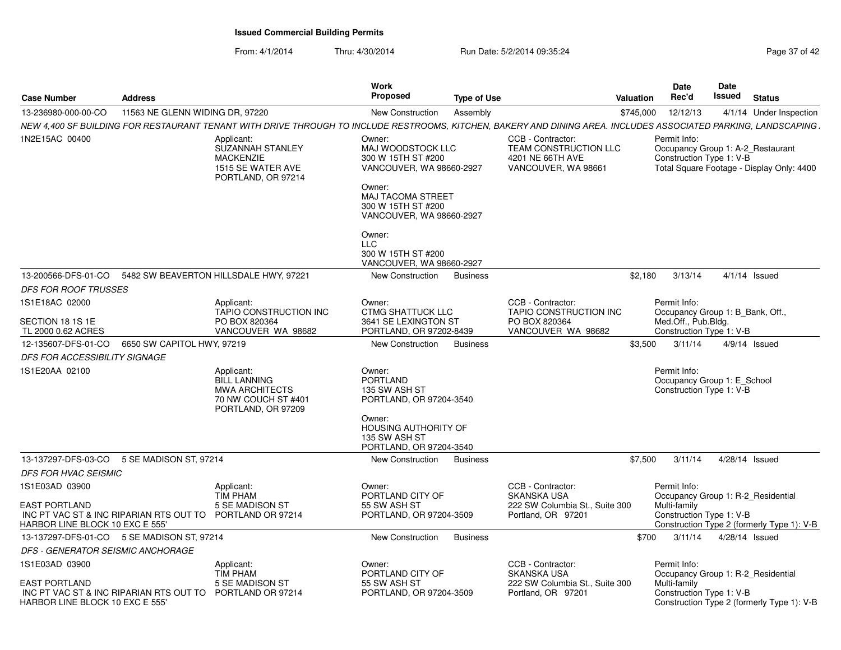| <b>Case Number</b><br><b>Address</b>                    |                                                                                                                                                                  | Work<br><b>Proposed</b><br>Type of Use                                                                                                                                   | <b>Valuation</b>                                                                             | <b>Date</b><br>Rec'd  | Date<br>Issued                                          | <b>Status</b>                                                                  |
|---------------------------------------------------------|------------------------------------------------------------------------------------------------------------------------------------------------------------------|--------------------------------------------------------------------------------------------------------------------------------------------------------------------------|----------------------------------------------------------------------------------------------|-----------------------|---------------------------------------------------------|--------------------------------------------------------------------------------|
| 13-236980-000-00-CO                                     | 11563 NE GLENN WIDING DR, 97220                                                                                                                                  | <b>New Construction</b><br>Assembly                                                                                                                                      |                                                                                              | \$745,000<br>12/12/13 |                                                         | 4/1/14 Under Inspection                                                        |
|                                                         | NEW 4.400 SF BUILDING FOR RESTAURANT TENANT WITH DRIVE THROUGH TO INCLUDE RESTROOMS. KITCHEN, BAKERY AND DINING AREA. INCLUDES ASSOCIATED PARKING, LANDSCAPING . |                                                                                                                                                                          |                                                                                              |                       |                                                         |                                                                                |
| 1N2E15AC 00400                                          | Applicant:<br>SUZANNAH STANLEY<br><b>MACKENZIE</b><br>1515 SE WATER AVE<br>PORTLAND, OR 97214                                                                    | Owner:<br>MAJ WOODSTOCK LLC<br>300 W 15TH ST #200<br>VANCOUVER, WA 98660-2927<br>Owner:<br>MAJ TACOMA STREET<br>300 W 15TH ST #200<br>VANCOUVER, WA 98660-2927<br>Owner: | CCB - Contractor:<br><b>TEAM CONSTRUCTION LLC</b><br>4201 NE 66TH AVE<br>VANCOUVER, WA 98661 | Permit Info:          | Construction Type 1: V-B                                | Occupancy Group 1: A-2_Restaurant<br>Total Square Footage - Display Only: 4400 |
|                                                         |                                                                                                                                                                  | <b>LLC</b><br>300 W 15TH ST #200<br>VANCOUVER, WA 98660-2927                                                                                                             |                                                                                              |                       |                                                         |                                                                                |
| 13-200566-DFS-01-CO                                     | 5482 SW BEAVERTON HILLSDALE HWY, 97221                                                                                                                           | New Construction<br><b>Business</b>                                                                                                                                      |                                                                                              | 3/13/14<br>\$2.180    |                                                         | $4/1/14$ Issued                                                                |
| <b>DFS FOR ROOF TRUSSES</b>                             |                                                                                                                                                                  |                                                                                                                                                                          |                                                                                              |                       |                                                         |                                                                                |
| 1S1E18AC 02000                                          | Applicant:<br>TAPIO CONSTRUCTION INC                                                                                                                             | Owner:<br><b>CTMG SHATTUCK LLC</b>                                                                                                                                       | CCB - Contractor:<br>TAPIO CONSTRUCTION INC                                                  | Permit Info:          | Occupancy Group 1: B_Bank, Off.,                        |                                                                                |
| SECTION 18 1S 1E<br>TL 2000 0.62 ACRES                  | PO BOX 820364<br>VANCOUVER WA 98682                                                                                                                              | 3641 SE LEXINGTON ST<br>PORTLAND, OR 97202-8439                                                                                                                          | PO BOX 820364<br>VANCOUVER WA 98682                                                          | Med.Off., Pub.Bldg.   | Construction Type 1: V-B                                |                                                                                |
| 12-135607-DFS-01-CO                                     | 6650 SW CAPITOL HWY, 97219                                                                                                                                       | New Construction<br><b>Business</b>                                                                                                                                      |                                                                                              | \$3,500<br>3/11/14    |                                                         | $4/9/14$ Issued                                                                |
| DFS FOR ACCESSIBILITY SIGNAGE                           |                                                                                                                                                                  |                                                                                                                                                                          |                                                                                              |                       |                                                         |                                                                                |
| 1S1E20AA 02100                                          | Applicant:<br><b>BILL LANNING</b><br><b>MWA ARCHITECTS</b><br>70 NW COUCH ST #401<br>PORTLAND, OR 97209                                                          | Owner:<br><b>PORTLAND</b><br>135 SW ASH ST<br>PORTLAND, OR 97204-3540<br>Owner:<br>HOUSING AUTHORITY OF                                                                  |                                                                                              | Permit Info:          | Occupancy Group 1: E_School<br>Construction Type 1: V-B |                                                                                |
|                                                         |                                                                                                                                                                  | 135 SW ASH ST<br>PORTLAND, OR 97204-3540                                                                                                                                 |                                                                                              |                       |                                                         |                                                                                |
| 13-137297-DFS-03-CO                                     | 5 SE MADISON ST, 97214                                                                                                                                           | New Construction<br><b>Business</b>                                                                                                                                      |                                                                                              | \$7,500<br>3/11/14    |                                                         | 4/28/14 Issued                                                                 |
| <b>DFS FOR HVAC SEISMIC</b>                             |                                                                                                                                                                  |                                                                                                                                                                          |                                                                                              |                       |                                                         |                                                                                |
| 1S1E03AD 03900                                          | Applicant:<br><b>TIM PHAM</b>                                                                                                                                    | Owner:<br>PORTLAND CITY OF                                                                                                                                               | CCB - Contractor:<br><b>SKANSKA USA</b>                                                      | Permit Info:          |                                                         | Occupancy Group 1: R-2_Residential                                             |
| <b>EAST PORTLAND</b><br>HARBOR LINE BLOCK 10 EXC E 555' | 5 SE MADISON ST<br>INC PT VAC ST & INC RIPARIAN RTS OUT TO PORTLAND OR 97214                                                                                     | 55 SW ASH ST<br>PORTLAND, OR 97204-3509                                                                                                                                  | 222 SW Columbia St., Suite 300<br>Portland, OR 97201                                         | Multi-family          | Construction Type 1: V-B                                | Construction Type 2 (formerly Type 1): V-B                                     |
| 13-137297-DFS-01-CO 5 SE MADISON ST, 97214              |                                                                                                                                                                  | New Construction<br><b>Business</b>                                                                                                                                      |                                                                                              | \$700<br>3/11/14      |                                                         | 4/28/14 Issued                                                                 |
| DFS - GENERATOR SEISMIC ANCHORAGE                       |                                                                                                                                                                  |                                                                                                                                                                          |                                                                                              |                       |                                                         |                                                                                |
| 1S1E03AD 03900                                          | Applicant:<br><b>TIM PHAM</b>                                                                                                                                    | Owner:<br>PORTLAND CITY OF                                                                                                                                               | CCB - Contractor:<br><b>SKANSKA USA</b>                                                      | Permit Info:          |                                                         | Occupancy Group 1: R-2_Residential                                             |
| EAST PORTLAND<br>HARBOR LINE BLOCK 10 EXC E 555'        | 5 SE MADISON ST<br>INC PT VAC ST & INC RIPARIAN RTS OUT TO PORTLAND OR 97214                                                                                     | 55 SW ASH ST<br>PORTLAND, OR 97204-3509                                                                                                                                  | 222 SW Columbia St., Suite 300<br>Portland, OR 97201                                         | Multi-family          | Construction Type 1: V-B                                | Construction Type 2 (formerly Type 1): V-B                                     |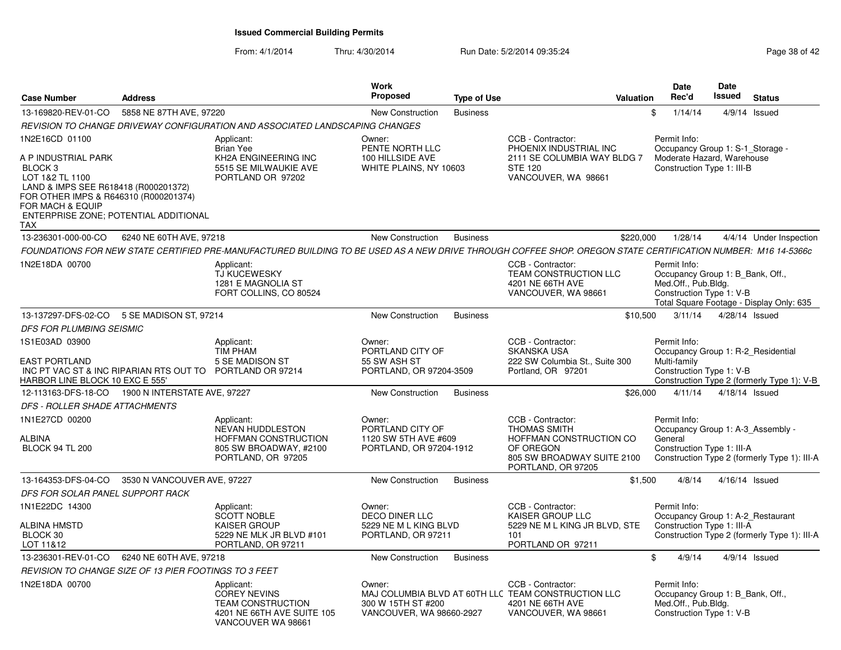| <b>Case Number</b>                                                                                                                                                                                                       | <b>Address</b>              |                                                                                                                                                              | <b>Work</b><br><b>Proposed</b>                                                | <b>Type of Use</b> | Valuation                                                                                                                            |          | <b>Date</b><br>Rec'd                                                                                         | Date<br>Issued   | <b>Status</b>                                                                     |
|--------------------------------------------------------------------------------------------------------------------------------------------------------------------------------------------------------------------------|-----------------------------|--------------------------------------------------------------------------------------------------------------------------------------------------------------|-------------------------------------------------------------------------------|--------------------|--------------------------------------------------------------------------------------------------------------------------------------|----------|--------------------------------------------------------------------------------------------------------------|------------------|-----------------------------------------------------------------------------------|
| 13-169820-REV-01-CO                                                                                                                                                                                                      | 5858 NE 87TH AVE, 97220     |                                                                                                                                                              | <b>New Construction</b>                                                       | <b>Business</b>    |                                                                                                                                      | \$       | 1/14/14                                                                                                      |                  | $4/9/14$ Issued                                                                   |
|                                                                                                                                                                                                                          |                             | REVISION TO CHANGE DRIVEWAY CONFIGURATION AND ASSOCIATED LANDSCAPING CHANGES                                                                                 |                                                                               |                    |                                                                                                                                      |          |                                                                                                              |                  |                                                                                   |
| 1N2E16CD 01100<br>A P INDUSTRIAL PARK<br>BLOCK 3<br>LOT 1&2 TL 1100<br>LAND & IMPS SEE R618418 (R000201372)<br>FOR OTHER IMPS & R646310 (R000201374)<br>FOR MACH & EQUIP<br>ENTERPRISE ZONE; POTENTIAL ADDITIONAL<br>TAX |                             | Applicant:<br><b>Brian Yee</b><br>KH2A ENGINEERING INC<br>5515 SE MILWAUKIE AVE<br>PORTLAND OR 97202                                                         | Owner:<br>PENTE NORTH LLC<br>100 HILLSIDE AVE<br>WHITE PLAINS, NY 10603       |                    | CCB - Contractor:<br>PHOENIX INDUSTRIAL INC<br>2111 SE COLUMBIA WAY BLDG 7<br><b>STE 120</b><br>VANCOUVER, WA 98661                  |          | Permit Info:<br>Occupancy Group 1: S-1_Storage -<br>Moderate Hazard, Warehouse<br>Construction Type 1: III-B |                  |                                                                                   |
| 13-236301-000-00-CO                                                                                                                                                                                                      | 6240 NE 60TH AVE, 97218     |                                                                                                                                                              | <b>New Construction</b>                                                       | <b>Business</b>    | \$220,000                                                                                                                            |          | 1/28/14                                                                                                      |                  | 4/4/14 Under Inspection                                                           |
|                                                                                                                                                                                                                          |                             | FOUNDATIONS FOR NEW STATE CERTIFIED PRE-MANUFACTURED BUILDING TO BE USED AS A NEW DRIVE THROUGH COFFEE SHOP. OREGON STATE CERTIFICATION NUMBER: M16 14-5366c |                                                                               |                    |                                                                                                                                      |          |                                                                                                              |                  |                                                                                   |
| 1N2E18DA 00700                                                                                                                                                                                                           |                             | Applicant:<br>TJ KUCEWESKY<br>1281 E MAGNOLIA ST<br>FORT COLLINS, CO 80524                                                                                   |                                                                               |                    | CCB - Contractor:<br>TEAM CONSTRUCTION LLC<br>4201 NE 66TH AVE<br>VANCOUVER, WA 98661                                                |          | Permit Info:<br>Occupancy Group 1: B_Bank, Off.,<br>Med.Off., Pub.Bldg.<br>Construction Type 1: V-B          |                  | Total Square Footage - Display Only: 635                                          |
| 13-137297-DFS-02-CO                                                                                                                                                                                                      | 5 SE MADISON ST, 97214      |                                                                                                                                                              | New Construction                                                              | <b>Business</b>    |                                                                                                                                      | \$10,500 | 3/11/14                                                                                                      | $4/28/14$ Issued |                                                                                   |
| <b>DFS FOR PLUMBING SEISMIC</b>                                                                                                                                                                                          |                             |                                                                                                                                                              |                                                                               |                    |                                                                                                                                      |          |                                                                                                              |                  |                                                                                   |
| 1S1E03AD 03900<br><b>EAST PORTLAND</b><br>INC PT VAC ST & INC RIPARIAN RTS OUT TO PORTLAND OR 97214<br>HARBOR LINE BLOCK 10 EXC E 555'                                                                                   |                             | Applicant:<br><b>TIM PHAM</b><br>5 SE MADISON ST                                                                                                             | Owner:<br>PORTLAND CITY OF<br>55 SW ASH ST<br>PORTLAND, OR 97204-3509         |                    | CCB - Contractor:<br><b>SKANSKA USA</b><br>222 SW Columbia St., Suite 300<br>Portland, OR 97201                                      |          | Permit Info:<br>Multi-family<br>Construction Type 1: V-B                                                     |                  | Occupancy Group 1: R-2 Residential<br>Construction Type 2 (formerly Type 1): V-B  |
| 12-113163-DFS-18-CO 1900 N INTERSTATE AVE, 97227                                                                                                                                                                         |                             |                                                                                                                                                              | New Construction                                                              | <b>Business</b>    |                                                                                                                                      | \$26,000 | 4/11/14                                                                                                      | 4/18/14 Issued   |                                                                                   |
| DFS - ROLLER SHADE ATTACHMENTS                                                                                                                                                                                           |                             |                                                                                                                                                              |                                                                               |                    |                                                                                                                                      |          |                                                                                                              |                  |                                                                                   |
| 1N1E27CD 00200<br>ALBINA<br><b>BLOCK 94 TL 200</b>                                                                                                                                                                       |                             | Applicant:<br>NEVAN HUDDLESTON<br>HOFFMAN CONSTRUCTION<br>805 SW BROADWAY, #2100<br>PORTLAND, OR 97205                                                       | Owner:<br>PORTLAND CITY OF<br>1120 SW 5TH AVE #609<br>PORTLAND, OR 97204-1912 |                    | CCB - Contractor:<br><b>THOMAS SMITH</b><br>HOFFMAN CONSTRUCTION CO<br>OF OREGON<br>805 SW BROADWAY SUITE 2100<br>PORTLAND, OR 97205 |          | Permit Info:<br>General<br>Construction Type 1: III-A                                                        |                  | Occupancy Group 1: A-3_Assembly -<br>Construction Type 2 (formerly Type 1): III-A |
| 13-164353-DFS-04-CO                                                                                                                                                                                                      | 3530 N VANCOUVER AVE, 97227 |                                                                                                                                                              | <b>New Construction</b>                                                       | <b>Business</b>    |                                                                                                                                      | \$1,500  | 4/8/14                                                                                                       | 4/16/14 Issued   |                                                                                   |
| DFS FOR SOLAR PANEL SUPPORT RACK                                                                                                                                                                                         |                             |                                                                                                                                                              |                                                                               |                    |                                                                                                                                      |          |                                                                                                              |                  |                                                                                   |
| 1N1E22DC 14300<br>ALBINA HMSTD                                                                                                                                                                                           |                             | Applicant:<br>SCOTT NOBLE<br><b>KAISER GROUP</b>                                                                                                             | Owner:<br><b>DECO DINER LLC</b><br>5229 NE M L KING BLVD                      |                    | CCB - Contractor:<br>KAISER GROUP LLC<br>5229 NE M L KING JR BLVD, STE                                                               |          | Permit Info:<br>Construction Type 1: III-A                                                                   |                  | Occupancy Group 1: A-2_Restaurant                                                 |
| BLOCK 30<br>LOT 11&12                                                                                                                                                                                                    |                             | 5229 NE MLK JR BLVD #101<br>PORTLAND, OR 97211                                                                                                               | PORTLAND, OR 97211                                                            |                    | 101<br>PORTLAND OR 97211                                                                                                             |          |                                                                                                              |                  | Construction Type 2 (formerly Type 1): III-A                                      |
| 13-236301-REV-01-CO                                                                                                                                                                                                      | 6240 NE 60TH AVE, 97218     |                                                                                                                                                              | New Construction                                                              | <b>Business</b>    |                                                                                                                                      | \$       | 4/9/14                                                                                                       |                  | 4/9/14 Issued                                                                     |
| REVISION TO CHANGE SIZE OF 13 PIER FOOTINGS TO 3 FEET                                                                                                                                                                    |                             |                                                                                                                                                              |                                                                               |                    |                                                                                                                                      |          |                                                                                                              |                  |                                                                                   |
| 1N2E18DA 00700                                                                                                                                                                                                           |                             | Applicant:<br><b>COREY NEVINS</b><br><b>TEAM CONSTRUCTION</b><br>4201 NE 66TH AVE SUITE 105<br>VANCOUVER WA 98661                                            | Owner:<br>300 W 15TH ST #200<br>VANCOUVER, WA 98660-2927                      |                    | CCB - Contractor:<br>MAJ COLUMBIA BLVD AT 60TH LLC TEAM CONSTRUCTION LLC<br>4201 NE 66TH AVE<br>VANCOUVER, WA 98661                  |          | Permit Info:<br>Occupancy Group 1: B Bank, Off.,<br>Med.Off., Pub.Bldg.<br>Construction Type 1: V-B          |                  |                                                                                   |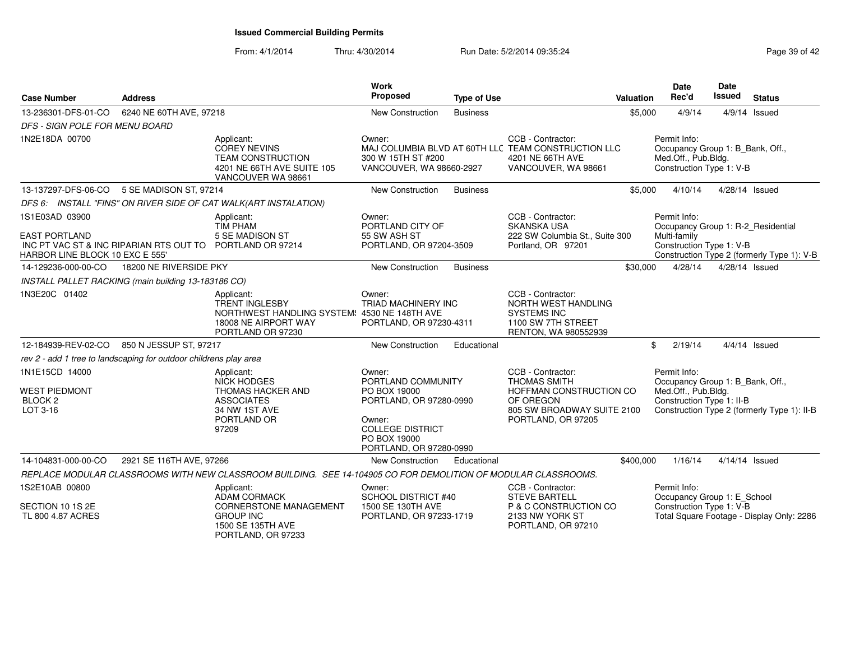| <b>Case Number</b>                                                                                                                     | <b>Address</b>           |                                                                                                                                  | Work<br>Proposed                                                                                                                                        | <b>Type of Use</b> |                                                                                                                                      | Valuation | <b>Date</b><br>Rec'd                                                                                 | Date<br><b>Issued</b> | <b>Status</b>                               |
|----------------------------------------------------------------------------------------------------------------------------------------|--------------------------|----------------------------------------------------------------------------------------------------------------------------------|---------------------------------------------------------------------------------------------------------------------------------------------------------|--------------------|--------------------------------------------------------------------------------------------------------------------------------------|-----------|------------------------------------------------------------------------------------------------------|-----------------------|---------------------------------------------|
| 13-236301-DFS-01-CO                                                                                                                    | 6240 NE 60TH AVE, 97218  |                                                                                                                                  | <b>New Construction</b>                                                                                                                                 | <b>Business</b>    |                                                                                                                                      | \$5,000   | 4/9/14                                                                                               |                       | $4/9/14$ Issued                             |
| DFS - SIGN POLE FOR MENU BOARD                                                                                                         |                          |                                                                                                                                  |                                                                                                                                                         |                    |                                                                                                                                      |           |                                                                                                      |                       |                                             |
| 1N2E18DA 00700                                                                                                                         |                          | Applicant:<br><b>COREY NEVINS</b><br>TEAM CONSTRUCTION<br>4201 NE 66TH AVE SUITE 105<br>VANCOUVER WA 98661                       | Owner:<br>300 W 15TH ST #200<br>VANCOUVER, WA 98660-2927                                                                                                |                    | CCB - Contractor:<br>MAJ COLUMBIA BLVD AT 60TH LLC TEAM CONSTRUCTION LLC<br>4201 NE 66TH AVE<br>VANCOUVER, WA 98661                  |           | Permit Info:<br>Occupancy Group 1: B_Bank, Off.,<br>Med.Off., Pub.Bldg.<br>Construction Type 1: V-B  |                       |                                             |
| 13-137297-DFS-06-CO                                                                                                                    | 5 SE MADISON ST, 97214   |                                                                                                                                  | New Construction                                                                                                                                        | <b>Business</b>    |                                                                                                                                      | \$5,000   | 4/10/14                                                                                              | 4/28/14 Issued        |                                             |
|                                                                                                                                        |                          | DFS 6: INSTALL "FINS" ON RIVER SIDE OF CAT WALK(ART INSTALATION)                                                                 |                                                                                                                                                         |                    |                                                                                                                                      |           |                                                                                                      |                       |                                             |
| 1S1E03AD 03900<br><b>EAST PORTLAND</b><br>INC PT VAC ST & INC RIPARIAN RTS OUT TO PORTLAND OR 97214<br>HARBOR LINE BLOCK 10 EXC E 555' |                          | Applicant:<br><b>TIM PHAM</b><br>5 SE MADISON ST                                                                                 | Owner:<br>PORTLAND CITY OF<br>55 SW ASH ST<br>PORTLAND, OR 97204-3509                                                                                   |                    | CCB - Contractor:<br><b>SKANSKA USA</b><br>222 SW Columbia St., Suite 300<br>Portland, OR 97201                                      |           | Permit Info:<br>Occupancy Group 1: R-2_Residential<br>Multi-family<br>Construction Type 1: V-B       |                       | Construction Type 2 (formerly Type 1): V-B  |
| 14-129236-000-00-CO                                                                                                                    | 18200 NE RIVERSIDE PKY   |                                                                                                                                  | <b>New Construction</b>                                                                                                                                 | <b>Business</b>    |                                                                                                                                      | \$30,000  | 4/28/14                                                                                              | 4/28/14 Issued        |                                             |
| INSTALL PALLET RACKING (main building 13-183186 CO)                                                                                    |                          |                                                                                                                                  |                                                                                                                                                         |                    |                                                                                                                                      |           |                                                                                                      |                       |                                             |
| 1N3E20C 01402                                                                                                                          |                          | Applicant:<br><b>TRENT INGLESBY</b><br>NORTHWEST HANDLING SYSTEM: 4530 NE 148TH AVE<br>18008 NE AIRPORT WAY<br>PORTLAND OR 97230 | Owner:<br>TRIAD MACHINERY INC<br>PORTLAND, OR 97230-4311                                                                                                |                    | CCB - Contractor:<br>NORTH WEST HANDLING<br><b>SYSTEMS INC</b><br>1100 SW 7TH STREET<br>RENTON, WA 980552939                         |           |                                                                                                      |                       |                                             |
| 12-184939-REV-02-CO                                                                                                                    | 850 N JESSUP ST, 97217   |                                                                                                                                  | New Construction                                                                                                                                        | Educational        |                                                                                                                                      | \$        | 2/19/14                                                                                              |                       | $4/4/14$ Issued                             |
| rev 2 - add 1 tree to landscaping for outdoor childrens play area                                                                      |                          |                                                                                                                                  |                                                                                                                                                         |                    |                                                                                                                                      |           |                                                                                                      |                       |                                             |
| 1N1E15CD 14000<br><b>WEST PIEDMONT</b><br>BLOCK <sub>2</sub><br>LOT 3-16                                                               |                          | Applicant:<br><b>NICK HODGES</b><br><b>THOMAS HACKER AND</b><br><b>ASSOCIATES</b><br>34 NW 1ST AVE<br>PORTLAND OR<br>97209       | Owner:<br>PORTLAND COMMUNITY<br>PO BOX 19000<br>PORTLAND, OR 97280-0990<br>Owner:<br><b>COLLEGE DISTRICT</b><br>PO BOX 19000<br>PORTLAND, OR 97280-0990 |                    | CCB - Contractor:<br><b>THOMAS SMITH</b><br>HOFFMAN CONSTRUCTION CO<br>OF OREGON<br>805 SW BROADWAY SUITE 2100<br>PORTLAND, OR 97205 |           | Permit Info:<br>Occupancy Group 1: B_Bank, Off.,<br>Med.Off., Pub.Bldg.<br>Construction Type 1: II-B |                       | Construction Type 2 (formerly Type 1): II-B |
| 14-104831-000-00-CO                                                                                                                    | 2921 SE 116TH AVE, 97266 |                                                                                                                                  | New Construction                                                                                                                                        | Educational        |                                                                                                                                      | \$400,000 | 1/16/14                                                                                              | 4/14/14 Issued        |                                             |
|                                                                                                                                        |                          | REPLACE MODULAR CLASSROOMS WITH NEW CLASSROOM BUILDING. SEE 14-104905 CO FOR DEMOLITION OF MODULAR CLASSROOMS.                   |                                                                                                                                                         |                    |                                                                                                                                      |           |                                                                                                      |                       |                                             |
| 1S2E10AB 00800<br>SECTION 10 1S 2E                                                                                                     |                          | Applicant:<br><b>ADAM CORMACK</b><br><b>CORNERSTONE MANAGEMENT</b>                                                               | Owner:<br>SCHOOL DISTRICT #40<br>1500 SE 130TH AVE                                                                                                      |                    | CCB - Contractor:<br><b>STEVE BARTELL</b><br>P & C CONSTRUCTION CO                                                                   |           | Permit Info:<br>Occupancy Group 1: E_School<br>Construction Type 1: V-B                              |                       |                                             |
| TL 800 4.87 ACRES                                                                                                                      |                          | <b>GROUP INC</b><br>1500 SE 135TH AVE<br>PORTLAND, OR 97233                                                                      | PORTLAND, OR 97233-1719                                                                                                                                 |                    | 2133 NW YORK ST<br>PORTLAND, OR 97210                                                                                                |           |                                                                                                      |                       | Total Square Footage - Display Only: 2286   |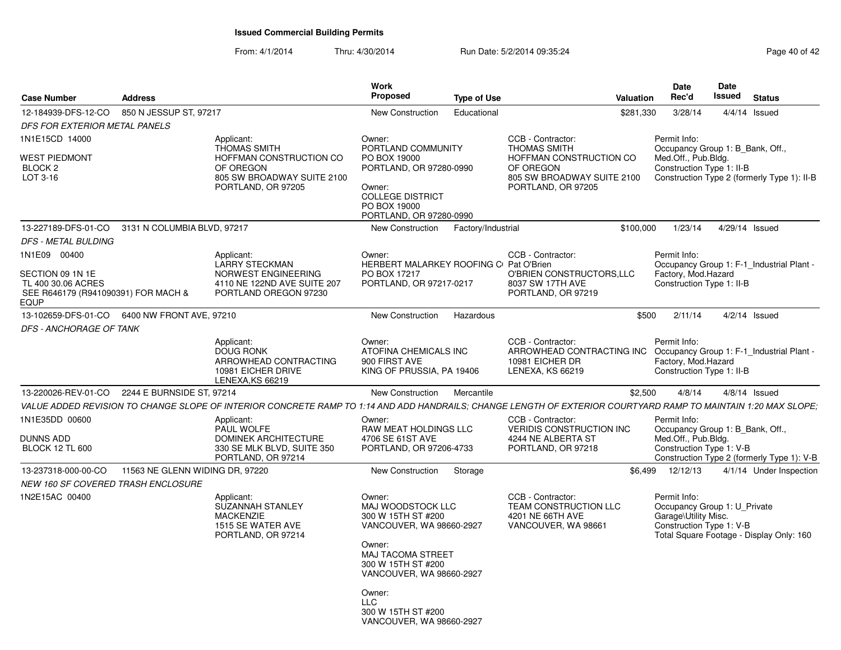| <b>Case Number</b>                                                                    | <b>Address</b>                  |                                                                                                                                                                | Work<br>Proposed                                                                                                                                               | <b>Type of Use</b> |                                                                                       | Valuation | <b>Date</b><br>Rec'd                                                                                                                         | Date<br><b>Issued</b> | <b>Status</b>   |                         |
|---------------------------------------------------------------------------------------|---------------------------------|----------------------------------------------------------------------------------------------------------------------------------------------------------------|----------------------------------------------------------------------------------------------------------------------------------------------------------------|--------------------|---------------------------------------------------------------------------------------|-----------|----------------------------------------------------------------------------------------------------------------------------------------------|-----------------------|-----------------|-------------------------|
| 12-184939-DFS-12-CO                                                                   | 850 N JESSUP ST, 97217          |                                                                                                                                                                | New Construction                                                                                                                                               | Educational        |                                                                                       | \$281,330 | 3/28/14                                                                                                                                      |                       | $4/4/14$ Issued |                         |
| DFS FOR EXTERIOR METAL PANELS                                                         |                                 |                                                                                                                                                                |                                                                                                                                                                |                    |                                                                                       |           |                                                                                                                                              |                       |                 |                         |
| 1N1E15CD 14000                                                                        |                                 | Applicant:<br><b>THOMAS SMITH</b>                                                                                                                              | Owner:<br>PORTLAND COMMUNITY                                                                                                                                   |                    | CCB - Contractor:<br><b>THOMAS SMITH</b>                                              |           | Permit Info:<br>Occupancy Group 1: B Bank, Off.,                                                                                             |                       |                 |                         |
| WEST PIEDMONT<br>BLOCK <sub>2</sub>                                                   |                                 | HOFFMAN CONSTRUCTION CO<br>OF OREGON                                                                                                                           | PO BOX 19000<br>PORTLAND, OR 97280-0990                                                                                                                        |                    | HOFFMAN CONSTRUCTION CO<br>OF OREGON                                                  |           | Med.Off., Pub.Bldg.<br>Construction Type 1: II-B                                                                                             |                       |                 |                         |
| LOT 3-16                                                                              |                                 | 805 SW BROADWAY SUITE 2100<br>PORTLAND, OR 97205                                                                                                               | Owner:<br><b>COLLEGE DISTRICT</b><br>PO BOX 19000<br>PORTLAND, OR 97280-0990                                                                                   |                    | 805 SW BROADWAY SUITE 2100<br>PORTLAND, OR 97205                                      |           | Construction Type 2 (formerly Type 1): II-B                                                                                                  |                       |                 |                         |
| 13-227189-DFS-01-CO                                                                   | 3131 N COLUMBIA BLVD, 97217     |                                                                                                                                                                | New Construction                                                                                                                                               | Factory/Industrial |                                                                                       | \$100,000 | 1/23/14                                                                                                                                      | 4/29/14 Issued        |                 |                         |
| DFS - METAL BULDING                                                                   |                                 |                                                                                                                                                                |                                                                                                                                                                |                    |                                                                                       |           |                                                                                                                                              |                       |                 |                         |
| 1N1E09 00400                                                                          |                                 | Applicant:<br><b>LARRY STECKMAN</b>                                                                                                                            | Owner:<br>HERBERT MALARKEY ROOFING C Pat O'Brien                                                                                                               |                    | CCB - Contractor:                                                                     |           | Permit Info:<br>Occupancy Group 1: F-1_Industrial Plant -                                                                                    |                       |                 |                         |
| SECTION 09 1N 1E<br>TL 400 30.06 ACRES<br>SEE R646179 (R941090391) FOR MACH &<br>EQUP |                                 | NORWEST ENGINEERING<br>4110 NE 122ND AVE SUITE 207<br>PORTLAND OREGON 97230                                                                                    | PO BOX 17217<br>PORTLAND, OR 97217-0217                                                                                                                        |                    | O'BRIEN CONSTRUCTORS, LLC<br>8037 SW 17TH AVE<br>PORTLAND, OR 97219                   |           | Factory, Mod.Hazard<br>Construction Type 1: II-B                                                                                             |                       |                 |                         |
| 13-102659-DFS-01-CO   6400 NW FRONT AVE, 97210                                        |                                 |                                                                                                                                                                | New Construction                                                                                                                                               | Hazardous          |                                                                                       | \$500     | 2/11/14                                                                                                                                      |                       | 4/2/14 Issued   |                         |
| DFS - ANCHORAGE OF TANK                                                               |                                 |                                                                                                                                                                |                                                                                                                                                                |                    |                                                                                       |           |                                                                                                                                              |                       |                 |                         |
|                                                                                       |                                 | Applicant:                                                                                                                                                     | Owner:                                                                                                                                                         |                    | CCB - Contractor:                                                                     |           | Permit Info:                                                                                                                                 |                       |                 |                         |
|                                                                                       |                                 | <b>DOUG RONK</b><br>ARROWHEAD CONTRACTING<br>10981 EICHER DRIVE<br>LENEXA, KS 66219                                                                            | ATOFINA CHEMICALS INC<br>900 FIRST AVE<br>KING OF PRUSSIA, PA 19406                                                                                            |                    | ARROWHEAD CONTRACTING INC<br>10981 EICHER DR<br>LENEXA, KS 66219                      |           | Occupancy Group 1: F-1_Industrial Plant -<br>Factory, Mod.Hazard<br>Construction Type 1: II-B                                                |                       |                 |                         |
| 13-220026-REV-01-CO                                                                   | 2244 E BURNSIDE ST. 97214       |                                                                                                                                                                | New Construction                                                                                                                                               | Mercantile         |                                                                                       | \$2,500   | 4/8/14                                                                                                                                       |                       | $4/8/14$ Issued |                         |
|                                                                                       |                                 | VALUE ADDED REVISION TO CHANGE SLOPE OF INTERIOR CONCRETE RAMP TO 1:14 AND ADD HANDRAILS; CHANGE LENGTH OF EXTERIOR COURTYARD RAMP TO MAINTAIN 1:20 MAX SLOPE; |                                                                                                                                                                |                    |                                                                                       |           |                                                                                                                                              |                       |                 |                         |
| 1N1E35DD 00600                                                                        |                                 | Applicant:<br>PAUL WOLFE                                                                                                                                       | Owner:<br><b>RAW MEAT HOLDINGS LLC</b>                                                                                                                         |                    | CCB - Contractor:<br>VERIDIS CONSTRUCTION INC                                         |           | Permit Info:<br>Occupancy Group 1: B_Bank, Off.,                                                                                             |                       |                 |                         |
| <b>DUNNS ADD</b><br><b>BLOCK 12 TL 600</b>                                            |                                 | DOMINEK ARCHITECTURE<br>330 SE MLK BLVD, SUITE 350<br>PORTLAND, OR 97214                                                                                       | 4706 SE 61ST AVE<br>PORTLAND, OR 97206-4733                                                                                                                    |                    | 4244 NE ALBERTA ST<br>PORTLAND, OR 97218                                              |           | Med.Off., Pub.Bldg.<br>Construction Type 1: V-B<br>Construction Type 2 (formerly Type 1): V-B                                                |                       |                 |                         |
| 13-237318-000-00-CO                                                                   | 11563 NE GLENN WIDING DR, 97220 |                                                                                                                                                                | New Construction                                                                                                                                               | Storage            |                                                                                       | \$6.499   | 12/12/13                                                                                                                                     |                       |                 | 4/1/14 Under Inspection |
| <i>NEW 160 SF COVERED TRASH ENCLOSURE</i>                                             |                                 |                                                                                                                                                                |                                                                                                                                                                |                    |                                                                                       |           |                                                                                                                                              |                       |                 |                         |
| 1N2E15AC 00400                                                                        |                                 | Applicant:<br><b>SUZANNAH STANLEY</b><br><b>MACKENZIE</b><br>1515 SE WATER AVE<br>PORTLAND, OR 97214                                                           | Owner:<br>MAJ WOODSTOCK LLC<br>300 W 15TH ST #200<br>VANCOUVER, WA 98660-2927<br>Owner:<br>MAJ TACOMA STREET<br>300 W 15TH ST #200<br>VANCOUVER, WA 98660-2927 |                    | CCB - Contractor:<br>TEAM CONSTRUCTION LLC<br>4201 NE 66TH AVE<br>VANCOUVER, WA 98661 |           | Permit Info:<br>Occupancy Group 1: U_Private<br>Garage\Utility Misc.<br>Construction Type 1: V-B<br>Total Square Footage - Display Only: 160 |                       |                 |                         |
|                                                                                       |                                 |                                                                                                                                                                | Owner:<br><b>LLC</b><br>300 W 15TH ST #200<br>VANCOUVER, WA 98660-2927                                                                                         |                    |                                                                                       |           |                                                                                                                                              |                       |                 |                         |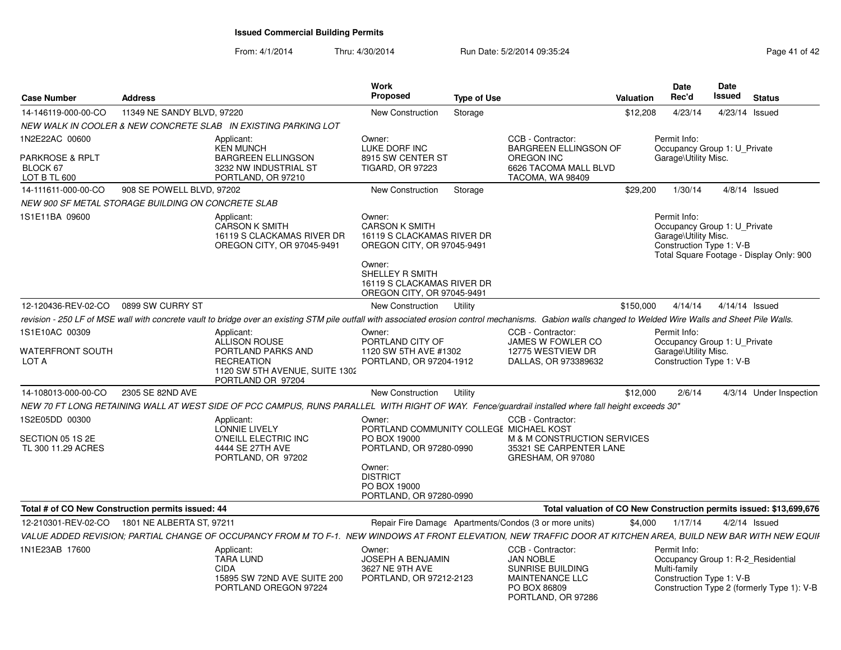| <b>Case Number</b>                                            | <b>Address</b>             |                                                                                                                                                                                                           | <b>Work</b><br><b>Proposed</b>                                                                                                                                                       | <b>Type of Use</b> |                                                                                                                           | Valuation | <b>Date</b><br>Rec'd                                                                                                                         | Date<br>Issued  | <b>Status</b>           |
|---------------------------------------------------------------|----------------------------|-----------------------------------------------------------------------------------------------------------------------------------------------------------------------------------------------------------|--------------------------------------------------------------------------------------------------------------------------------------------------------------------------------------|--------------------|---------------------------------------------------------------------------------------------------------------------------|-----------|----------------------------------------------------------------------------------------------------------------------------------------------|-----------------|-------------------------|
| 14-146119-000-00-CO                                           | 11349 NE SANDY BLVD, 97220 |                                                                                                                                                                                                           | New Construction                                                                                                                                                                     | Storage            |                                                                                                                           | \$12,208  | 4/23/14                                                                                                                                      | 4/23/14 Issued  |                         |
|                                                               |                            | NEW WALK IN COOLER & NEW CONCRETE SLAB IN EXISTING PARKING LOT                                                                                                                                            |                                                                                                                                                                                      |                    |                                                                                                                           |           |                                                                                                                                              |                 |                         |
| 1N2E22AC 00600<br>PARKROSE & RPLT<br>BLOCK 67<br>LOT B TL 600 |                            | Applicant:<br><b>KEN MUNCH</b><br><b>BARGREEN ELLINGSON</b><br>3232 NW INDUSTRIAL ST<br>PORTLAND, OR 97210                                                                                                | Owner:<br>LUKE DORF INC<br>8915 SW CENTER ST<br><b>TIGARD, OR 97223</b>                                                                                                              |                    | CCB - Contractor:<br><b>BARGREEN ELLINGSON OF</b><br>OREGON INC<br>6626 TACOMA MALL BLVD<br>TACOMA, WA 98409              |           | Permit Info:<br>Occupancy Group 1: U Private<br>Garage\Utility Misc.                                                                         |                 |                         |
| 14-111611-000-00-CO                                           | 908 SE POWELL BLVD, 97202  |                                                                                                                                                                                                           | New Construction                                                                                                                                                                     | Storage            |                                                                                                                           | \$29,200  | 1/30/14                                                                                                                                      | $4/8/14$ Issued |                         |
| NEW 900 SF METAL STORAGE BUILDING ON CONCRETE SLAB            |                            |                                                                                                                                                                                                           |                                                                                                                                                                                      |                    |                                                                                                                           |           |                                                                                                                                              |                 |                         |
| 1S1E11BA 09600                                                |                            | Applicant:<br><b>CARSON K SMITH</b><br>16119 S CLACKAMAS RIVER DR<br>OREGON CITY, OR 97045-9491                                                                                                           | Owner:<br><b>CARSON K SMITH</b><br>16119 S CLACKAMAS RIVER DR<br>OREGON CITY, OR 97045-9491<br>Owner:<br>SHELLEY R SMITH<br>16119 S CLACKAMAS RIVER DR<br>OREGON CITY, OR 97045-9491 |                    |                                                                                                                           |           | Permit Info:<br>Occupancy Group 1: U Private<br>Garage\Utility Misc.<br>Construction Type 1: V-B<br>Total Square Footage - Display Only: 900 |                 |                         |
| 12-120436-REV-02-CO                                           | 0899 SW CURRY ST           |                                                                                                                                                                                                           | New Construction                                                                                                                                                                     | Utility            |                                                                                                                           | \$150,000 | 4/14/14                                                                                                                                      | 4/14/14 Issued  |                         |
|                                                               |                            | revision - 250 LF of MSE wall with concrete vault to bridge over an existing STM pile outfall with associated erosion control mechanisms. Gabion walls changed to Welded Wire Walls and Sheet Pile Walls. |                                                                                                                                                                                      |                    |                                                                                                                           |           |                                                                                                                                              |                 |                         |
| 1S1E10AC 00309                                                |                            | Applicant:<br>ALLISON ROUSE                                                                                                                                                                               | Owner:<br>PORTLAND CITY OF                                                                                                                                                           |                    | CCB - Contractor:<br>JAMES W FOWLER CO                                                                                    |           | Permit Info:<br>Occupancy Group 1: U_Private                                                                                                 |                 |                         |
| WATERFRONT SOUTH<br>LOT A                                     |                            | PORTLAND PARKS AND<br><b>RECREATION</b><br>1120 SW 5TH AVENUE, SUITE 1302<br>PORTLAND OR 97204                                                                                                            | 1120 SW 5TH AVE #1302<br>PORTLAND, OR 97204-1912                                                                                                                                     |                    | 12775 WESTVIEW DR<br>DALLAS, OR 973389632                                                                                 |           | Garage\Utility Misc.<br>Construction Type 1: V-B                                                                                             |                 |                         |
| 14-108013-000-00-CO                                           | 2305 SE 82ND AVE           |                                                                                                                                                                                                           | New Construction                                                                                                                                                                     | Utility            |                                                                                                                           | \$12,000  | 2/6/14                                                                                                                                       |                 | 4/3/14 Under Inspection |
|                                                               |                            | NEW 70 FT LONG RETAINING WALL AT WEST SIDE OF PCC CAMPUS, RUNS PARALLEL WITH RIGHT OF WAY. Fence/guardrail installed where fall height exceeds 30"                                                        |                                                                                                                                                                                      |                    |                                                                                                                           |           |                                                                                                                                              |                 |                         |
| 1S2E05DD 00300<br>SECTION 05 1S 2E<br>TL 300 11.29 ACRES      |                            | Applicant:<br>LONNIE LIVELY<br>O'NEILL ELECTRIC INC<br>4444 SE 27TH AVE<br>PORTLAND, OR 97202                                                                                                             | Owner:<br>PORTLAND COMMUNITY COLLEGE MICHAEL KOST<br>PO BOX 19000<br>PORTLAND, OR 97280-0990<br>Owner:<br><b>DISTRICT</b><br>PO BOX 19000                                            |                    | CCB - Contractor:<br>M & M CONSTRUCTION SERVICES<br>35321 SE CARPENTER LANE<br>GRESHAM, OR 97080                          |           |                                                                                                                                              |                 |                         |
|                                                               |                            |                                                                                                                                                                                                           | PORTLAND, OR 97280-0990                                                                                                                                                              |                    |                                                                                                                           |           |                                                                                                                                              |                 |                         |
| Total # of CO New Construction permits issued: 44             |                            |                                                                                                                                                                                                           |                                                                                                                                                                                      |                    | Total valuation of CO New Construction permits issued: \$13,699,676                                                       |           |                                                                                                                                              |                 |                         |
| 12-210301-REV-02-CO 1801 NE ALBERTA ST, 97211                 |                            |                                                                                                                                                                                                           |                                                                                                                                                                                      |                    | Repair Fire Damage Apartments/Condos (3 or more units)                                                                    | \$4.000   | 1/17/14                                                                                                                                      | $4/2/14$ Issued |                         |
|                                                               |                            | VALUE ADDED REVISION: PARTIAL CHANGE OF OCCUPANCY FROM M TO F-1. NEW WINDOWS AT FRONT ELEVATION. NEW TRAFFIC DOOR AT KITCHEN AREA. BUILD NEW BAR WITH NEW EQUIF                                           |                                                                                                                                                                                      |                    |                                                                                                                           |           |                                                                                                                                              |                 |                         |
| 1N1E23AB 17600                                                |                            | Applicant:<br><b>TARA LUND</b><br><b>CIDA</b><br>15895 SW 72ND AVE SUITE 200<br>PORTLAND OREGON 97224                                                                                                     | Owner:<br><b>JOSEPH A BENJAMIN</b><br>3627 NE 9TH AVE<br>PORTLAND, OR 97212-2123                                                                                                     |                    | CCB - Contractor:<br><b>JAN NOBLE</b><br><b>SUNRISE BUILDING</b><br>MAINTENANCE LLC<br>PO BOX 86809<br>PORTLAND, OR 97286 |           | Permit Info:<br>Occupancy Group 1: R-2 Residential<br>Multi-family<br>Construction Type 1: V-B<br>Construction Type 2 (formerly Type 1): V-B |                 |                         |